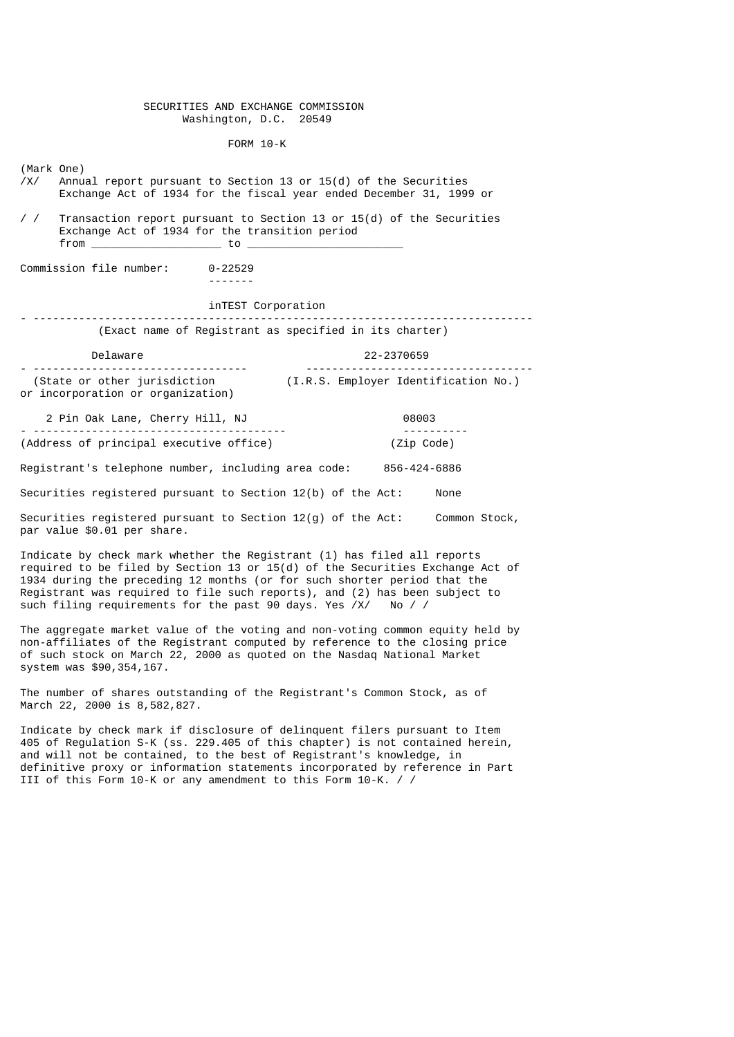### SECURITIES AND EXCHANGE COMMISSION Washington, D.C. 20549

#### FORM 10-K

(Mark One)

- Annual report pursuant to Section 13 or 15(d) of the Securities Exchange Act of 1934 for the fiscal year ended December 31, 1999 or
- / / Transaction report pursuant to Section 13 or 15(d) of the Securities Exchange Act of 1934 for the transition period from \_\_\_\_\_\_\_\_\_\_\_\_\_\_\_\_\_\_\_\_ to \_\_\_\_\_\_\_\_\_\_\_\_\_\_\_\_\_\_\_\_\_\_\_\_

Commission file number: 0-22529

-------

## inTEST Corporation

- ----------------------------------------------------------------------------- (Exact name of Registrant as specified in its charter)

| Delaware                          | 22-2370659                           |
|-----------------------------------|--------------------------------------|
|                                   | -------------------------            |
| (State or other jurisdiction      | (I.R.S. Employer Identification No.) |
| or incorporation or organization) |                                      |

 2 Pin Oak Lane, Cherry Hill, NJ 08003 - --------------------------------------- ---------- (Address of principal executive office) (Zip Code) Registrant's telephone number, including area code: 856-424-6886 Securities registered pursuant to Section 12(b) of the Act: None Securities registered pursuant to Section 12(g) of the Act: Common Stock, par value \$0.01 per share.

Indicate by check mark whether the Registrant (1) has filed all reports required to be filed by Section 13 or 15(d) of the Securities Exchange Act of 1934 during the preceding 12 months (or for such shorter period that the Registrant was required to file such reports), and (2) has been subject to such filing requirements for the past 90 days. Yes  $XX$  No / / such filing requirements for the past 90 days. Yes  $\overline{XX}$ 

The aggregate market value of the voting and non-voting common equity held by non-affiliates of the Registrant computed by reference to the closing price of such stock on March 22, 2000 as quoted on the Nasdaq National Market system was \$90,354,167.

The number of shares outstanding of the Registrant's Common Stock, as of March 22, 2000 is 8,582,827.

Indicate by check mark if disclosure of delinquent filers pursuant to Item 405 of Regulation S-K (ss. 229.405 of this chapter) is not contained herein, and will not be contained, to the best of Registrant's knowledge, in definitive proxy or information statements incorporated by reference in Part III of this Form 10-K or any amendment to this Form 10-K. / /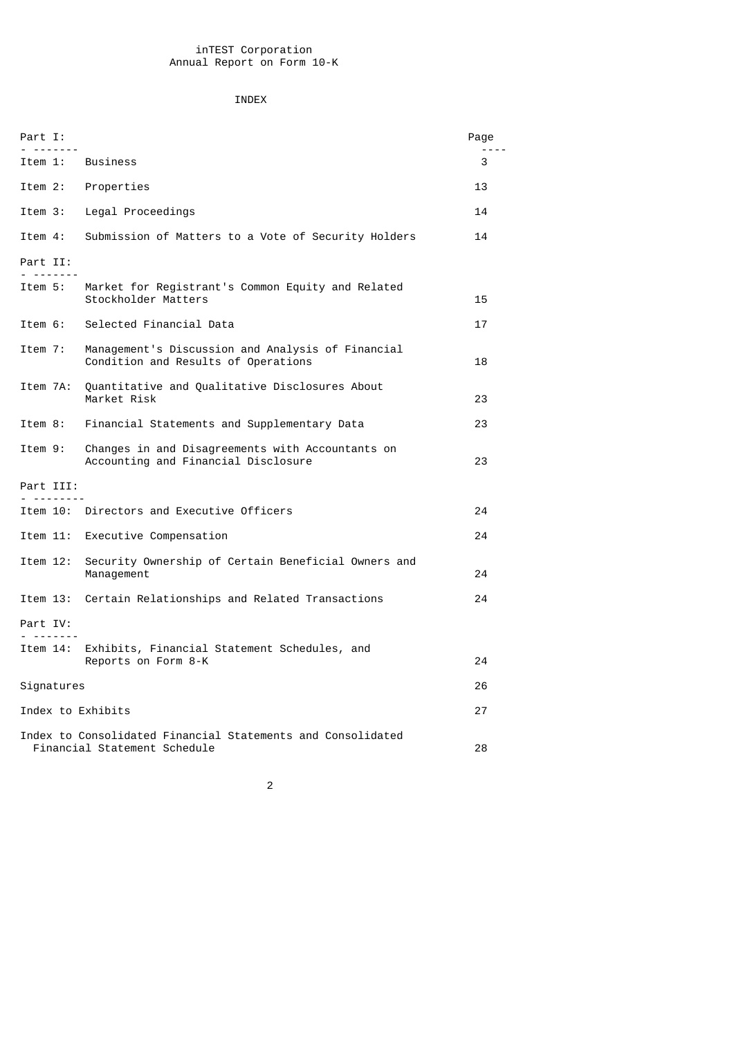# INDEX

| Part I:<br>.           |                                                                                             | Page |
|------------------------|---------------------------------------------------------------------------------------------|------|
| Item 1:                | <b>Business</b>                                                                             | 3    |
| Item 2:                | Properties                                                                                  | 13   |
| Item 3:                | Legal Proceedings                                                                           | 14   |
| Item 4:                | Submission of Matters to a Vote of Security Holders                                         | 14   |
| Part II:<br>- - - -    |                                                                                             |      |
| Item 5:                | Market for Registrant's Common Equity and Related<br>Stockholder Matters                    | 15   |
| Item 6:                | Selected Financial Data                                                                     | 17   |
| Item 7:                | Management's Discussion and Analysis of Financial<br>Condition and Results of Operations    | 18   |
| Item 7A:               | Quantitative and Qualitative Disclosures About<br>Market Risk                               | 23   |
| Item 8:                | Financial Statements and Supplementary Data                                                 | 23   |
| Item 9:                | Changes in and Disagreements with Accountants on<br>Accounting and Financial Disclosure     | 23   |
| Part III:<br>--------- |                                                                                             |      |
|                        | Item 10: Directors and Executive Officers                                                   | 24   |
| Item 11:               | Executive Compensation                                                                      | 24   |
| Item 12:               | Security Ownership of Certain Beneficial Owners and<br>Management                           | 24   |
| Item 13:               | Certain Relationships and Related Transactions                                              | 24   |
| Part IV:<br>--------   |                                                                                             |      |
| Item 14:               | Exhibits, Financial Statement Schedules, and<br>Reports on Form 8-K                         | 24   |
| Signatures             |                                                                                             | 26   |
| Index to Exhibits      |                                                                                             | 27   |
|                        | Index to Consolidated Financial Statements and Consolidated<br>Financial Statement Schedule | 28   |

2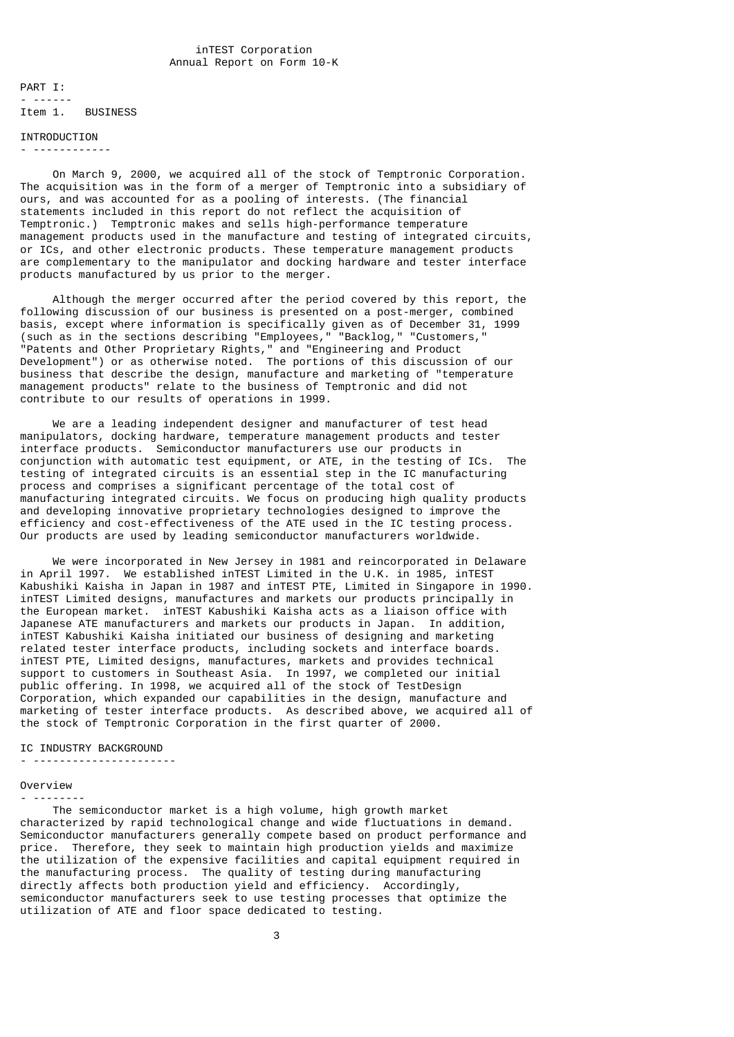PART I: - ------ Item 1. BUSINESS

#### INTRODUCTION - ------------

 On March 9, 2000, we acquired all of the stock of Temptronic Corporation. The acquisition was in the form of a merger of Temptronic into a subsidiary of ours, and was accounted for as a pooling of interests. (The financial statements included in this report do not reflect the acquisition of Temptronic.) Temptronic makes and sells high-performance temperature management products used in the manufacture and testing of integrated circuits, or ICs, and other electronic products. These temperature management products are complementary to the manipulator and docking hardware and tester interface products manufactured by us prior to the merger.

 Although the merger occurred after the period covered by this report, the following discussion of our business is presented on a post-merger, combined basis, except where information is specifically given as of December 31, 1999 (such as in the sections describing "Employees," "Backlog," "Customers," "Patents and Other Proprietary Rights," and "Engineering and Product Development") or as otherwise noted. The portions of this discussion of our business that describe the design, manufacture and marketing of "temperature management products" relate to the business of Temptronic and did not contribute to our results of operations in 1999.

 We are a leading independent designer and manufacturer of test head manipulators, docking hardware, temperature management products and tester interface products. Semiconductor manufacturers use our products in conjunction with automatic test equipment, or ATE, in the testing of ICs. The testing of integrated circuits is an essential step in the IC manufacturing process and comprises a significant percentage of the total cost of manufacturing integrated circuits. We focus on producing high quality products and developing innovative proprietary technologies designed to improve the efficiency and cost-effectiveness of the ATE used in the IC testing process. Our products are used by leading semiconductor manufacturers worldwide.

 We were incorporated in New Jersey in 1981 and reincorporated in Delaware in April 1997. We established inTEST Limited in the U.K. in 1985, inTEST Kabushiki Kaisha in Japan in 1987 and inTEST PTE, Limited in Singapore in 1990. inTEST Limited designs, manufactures and markets our products principally in the European market. inTEST Kabushiki Kaisha acts as a liaison office with Japanese ATE manufacturers and markets our products in Japan. In addition, inTEST Kabushiki Kaisha initiated our business of designing and marketing related tester interface products, including sockets and interface boards. inTEST PTE, Limited designs, manufactures, markets and provides technical support to customers in Southeast Asia. In 1997, we completed our initial public offering. In 1998, we acquired all of the stock of TestDesign Corporation, which expanded our capabilities in the design, manufacture and marketing of tester interface products. As described above, we acquired all of the stock of Temptronic Corporation in the first quarter of 2000.

### IC INDUSTRY BACKGROUND

- ----------------------

#### Overview - --------

 The semiconductor market is a high volume, high growth market characterized by rapid technological change and wide fluctuations in demand. Semiconductor manufacturers generally compete based on product performance and price. Therefore, they seek to maintain high production yields and maximize the utilization of the expensive facilities and capital equipment required in the manufacturing process. The quality of testing during manufacturing directly affects both production yield and efficiency. Accordingly, semiconductor manufacturers seek to use testing processes that optimize the utilization of ATE and floor space dedicated to testing.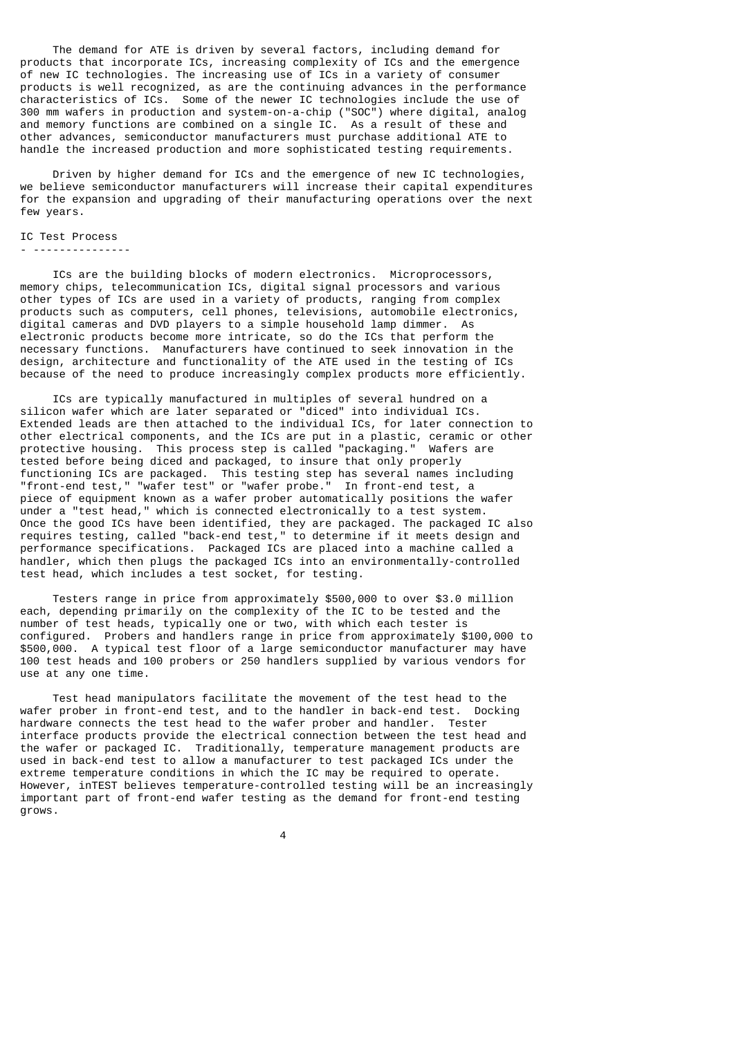The demand for ATE is driven by several factors, including demand for products that incorporate ICs, increasing complexity of ICs and the emergence of new IC technologies. The increasing use of ICs in a variety of consumer products is well recognized, as are the continuing advances in the performance characteristics of ICs. Some of the newer IC technologies include the use of 300 mm wafers in production and system-on-a-chip ("SOC") where digital, analog and memory functions are combined on a single IC. As a result of these and other advances, semiconductor manufacturers must purchase additional ATE to handle the increased production and more sophisticated testing requirements.

 Driven by higher demand for ICs and the emergence of new IC technologies, we believe semiconductor manufacturers will increase their capital expenditures for the expansion and upgrading of their manufacturing operations over the next few years.

## IC Test Process

#### - ---------------

 ICs are the building blocks of modern electronics. Microprocessors, memory chips, telecommunication ICs, digital signal processors and various other types of ICs are used in a variety of products, ranging from complex products such as computers, cell phones, televisions, automobile electronics, digital cameras and DVD players to a simple household lamp dimmer. As electronic products become more intricate, so do the ICs that perform the necessary functions. Manufacturers have continued to seek innovation in the design, architecture and functionality of the ATE used in the testing of ICs because of the need to produce increasingly complex products more efficiently.

 ICs are typically manufactured in multiples of several hundred on a silicon wafer which are later separated or "diced" into individual ICs. Extended leads are then attached to the individual ICs, for later connection to other electrical components, and the ICs are put in a plastic, ceramic or other protective housing. This process step is called "packaging." Wafers are tested before being diced and packaged, to insure that only properly functioning ICs are packaged. This testing step has several names including "front-end test," "wafer test" or "wafer probe." In front-end test, a piece of equipment known as a wafer prober automatically positions the wafer under a "test head," which is connected electronically to a test system. Once the good ICs have been identified, they are packaged. The packaged IC also requires testing, called "back-end test," to determine if it meets design and performance specifications. Packaged ICs are placed into a machine called a handler, which then plugs the packaged ICs into an environmentally-controlled test head, which includes a test socket, for testing.

 Testers range in price from approximately \$500,000 to over \$3.0 million each, depending primarily on the complexity of the IC to be tested and the number of test heads, typically one or two, with which each tester is configured. Probers and handlers range in price from approximately \$100,000 to \$500,000. A typical test floor of a large semiconductor manufacturer may have 100 test heads and 100 probers or 250 handlers supplied by various vendors for use at any one time.

 Test head manipulators facilitate the movement of the test head to the wafer prober in front-end test, and to the handler in back-end test. Docking hardware connects the test head to the wafer prober and handler. Tester interface products provide the electrical connection between the test head and the wafer or packaged IC. Traditionally, temperature management products are used in back-end test to allow a manufacturer to test packaged ICs under the extreme temperature conditions in which the IC may be required to operate. However, inTEST believes temperature-controlled testing will be an increasingly important part of front-end wafer testing as the demand for front-end testing grows.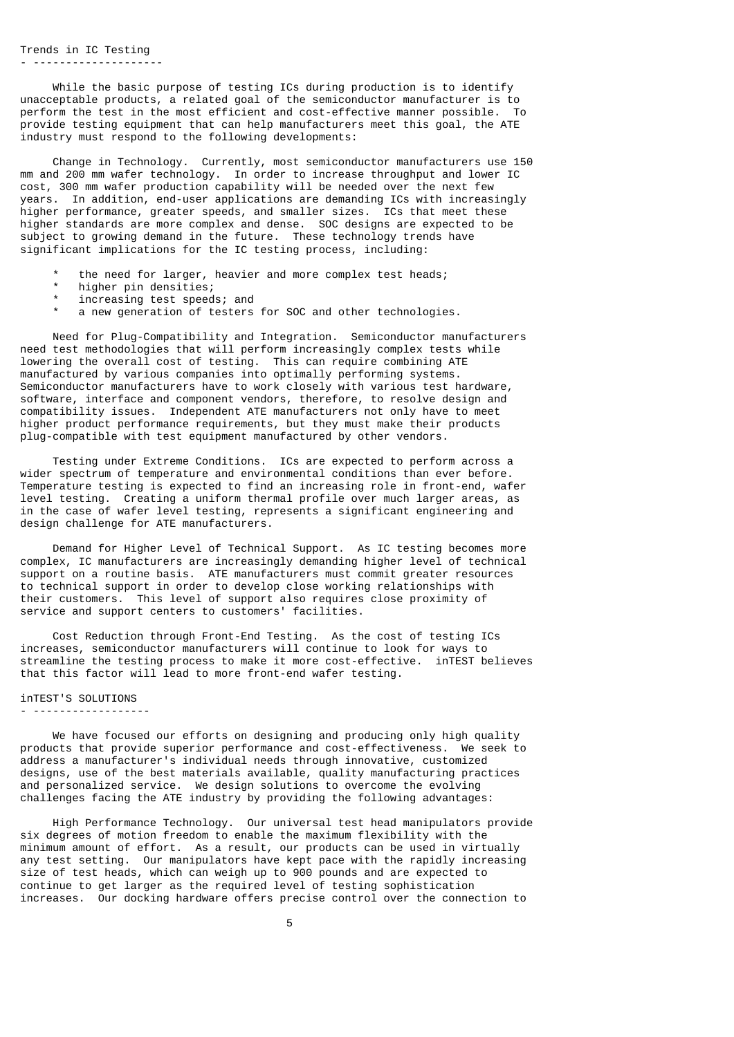Trends in IC Testing - --------------------

 While the basic purpose of testing ICs during production is to identify unacceptable products, a related goal of the semiconductor manufacturer is to perform the test in the most efficient and cost-effective manner possible. To provide testing equipment that can help manufacturers meet this goal, the ATE industry must respond to the following developments:

 Change in Technology. Currently, most semiconductor manufacturers use 150 mm and 200 mm wafer technology. In order to increase throughput and lower IC cost, 300 mm wafer production capability will be needed over the next few years. In addition, end-user applications are demanding ICs with increasingly higher performance, greater speeds, and smaller sizes. ICs that meet these higher standards are more complex and dense. SOC designs are expected to be subject to growing demand in the future. These technology trends have significant implications for the IC testing process, including:

- the need for larger, heavier and more complex test heads;
- higher pin densities;
- increasing test speeds; and
- a new generation of testers for SOC and other technologies.

 Need for Plug-Compatibility and Integration. Semiconductor manufacturers need test methodologies that will perform increasingly complex tests while lowering the overall cost of testing. This can require combining ATE manufactured by various companies into optimally performing systems. Semiconductor manufacturers have to work closely with various test hardware, software, interface and component vendors, therefore, to resolve design and compatibility issues. Independent ATE manufacturers not only have to meet higher product performance requirements, but they must make their products plug-compatible with test equipment manufactured by other vendors.

 Testing under Extreme Conditions. ICs are expected to perform across a wider spectrum of temperature and environmental conditions than ever before. Temperature testing is expected to find an increasing role in front-end, wafer level testing. Creating a uniform thermal profile over much larger areas, as in the case of wafer level testing, represents a significant engineering and design challenge for ATE manufacturers.

 Demand for Higher Level of Technical Support. As IC testing becomes more complex, IC manufacturers are increasingly demanding higher level of technical support on a routine basis. ATE manufacturers must commit greater resources to technical support in order to develop close working relationships with their customers. This level of support also requires close proximity of service and support centers to customers' facilities.

 Cost Reduction through Front-End Testing. As the cost of testing ICs increases, semiconductor manufacturers will continue to look for ways to streamline the testing process to make it more cost-effective. inTEST believes that this factor will lead to more front-end wafer testing.

#### inTEST'S SOLUTIONS - ------------------

 We have focused our efforts on designing and producing only high quality products that provide superior performance and cost-effectiveness. We seek to address a manufacturer's individual needs through innovative, customized designs, use of the best materials available, quality manufacturing practices and personalized service. We design solutions to overcome the evolving challenges facing the ATE industry by providing the following advantages:

 High Performance Technology. Our universal test head manipulators provide six degrees of motion freedom to enable the maximum flexibility with the minimum amount of effort. As a result, our products can be used in virtually any test setting. Our manipulators have kept pace with the rapidly increasing size of test heads, which can weigh up to 900 pounds and are expected to continue to get larger as the required level of testing sophistication increases. Our docking hardware offers precise control over the connection to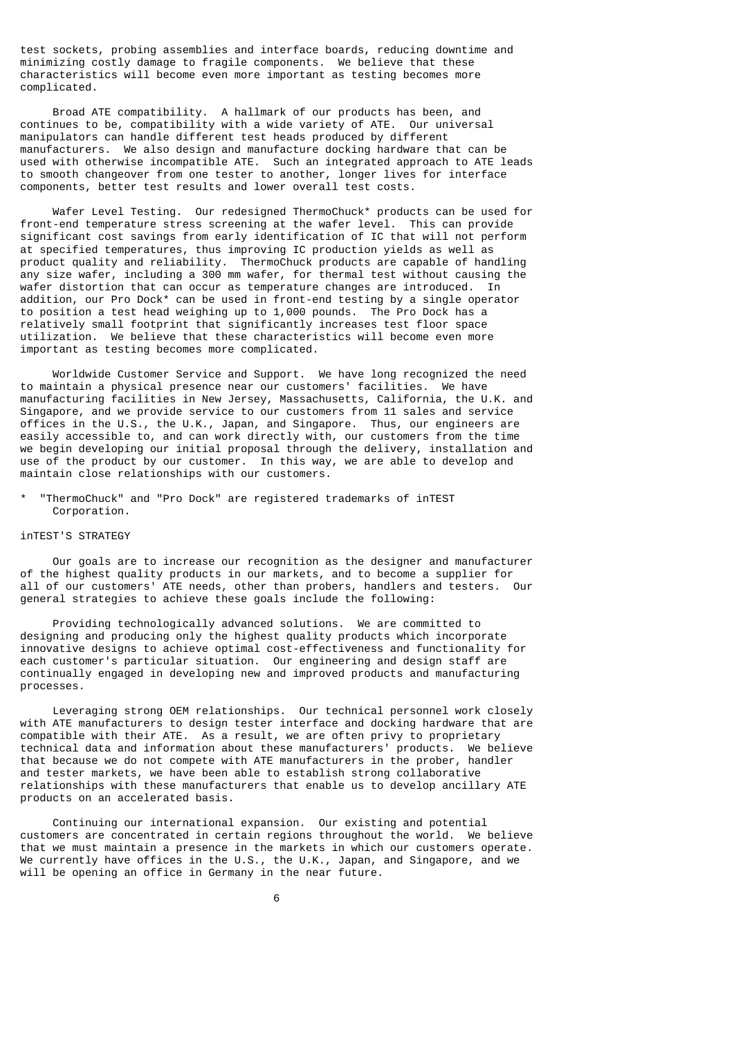test sockets, probing assemblies and interface boards, reducing downtime and minimizing costly damage to fragile components. We believe that these characteristics will become even more important as testing becomes more complicated.

 Broad ATE compatibility. A hallmark of our products has been, and continues to be, compatibility with a wide variety of ATE. Our universal manipulators can handle different test heads produced by different manufacturers. We also design and manufacture docking hardware that can be used with otherwise incompatible ATE. Such an integrated approach to ATE leads to smooth changeover from one tester to another, longer lives for interface components, better test results and lower overall test costs.

 Wafer Level Testing. Our redesigned ThermoChuck\* products can be used for front-end temperature stress screening at the wafer level. This can provide significant cost savings from early identification of IC that will not perform at specified temperatures, thus improving IC production yields as well as product quality and reliability. ThermoChuck products are capable of handling any size wafer, including a 300 mm wafer, for thermal test without causing the wafer distortion that can occur as temperature changes are introduced. In addition, our Pro Dock\* can be used in front-end testing by a single operator to position a test head weighing up to 1,000 pounds. The Pro Dock has a relatively small footprint that significantly increases test floor space utilization. We believe that these characteristics will become even more important as testing becomes more complicated.

 Worldwide Customer Service and Support. We have long recognized the need to maintain a physical presence near our customers' facilities. We have manufacturing facilities in New Jersey, Massachusetts, California, the U.K. and Singapore, and we provide service to our customers from 11 sales and service offices in the U.S., the U.K., Japan, and Singapore. Thus, our engineers are easily accessible to, and can work directly with, our customers from the time we begin developing our initial proposal through the delivery, installation and use of the product by our customer. In this way, we are able to develop and maintain close relationships with our customers.

"ThermoChuck" and "Pro Dock" are registered trademarks of inTEST Corporation.

### inTEST'S STRATEGY

 Our goals are to increase our recognition as the designer and manufacturer of the highest quality products in our markets, and to become a supplier for all of our customers' ATE needs, other than probers, handlers and testers. Our general strategies to achieve these goals include the following:

 Providing technologically advanced solutions. We are committed to designing and producing only the highest quality products which incorporate innovative designs to achieve optimal cost-effectiveness and functionality for each customer's particular situation. Our engineering and design staff are continually engaged in developing new and improved products and manufacturing processes.

 Leveraging strong OEM relationships. Our technical personnel work closely with ATE manufacturers to design tester interface and docking hardware that are compatible with their ATE. As a result, we are often privy to proprietary technical data and information about these manufacturers' products. We believe that because we do not compete with ATE manufacturers in the prober, handler and tester markets, we have been able to establish strong collaborative relationships with these manufacturers that enable us to develop ancillary ATE products on an accelerated basis.

 Continuing our international expansion. Our existing and potential customers are concentrated in certain regions throughout the world. We believe that we must maintain a presence in the markets in which our customers operate. We currently have offices in the U.S., the U.K., Japan, and Singapore, and we will be opening an office in Germany in the near future.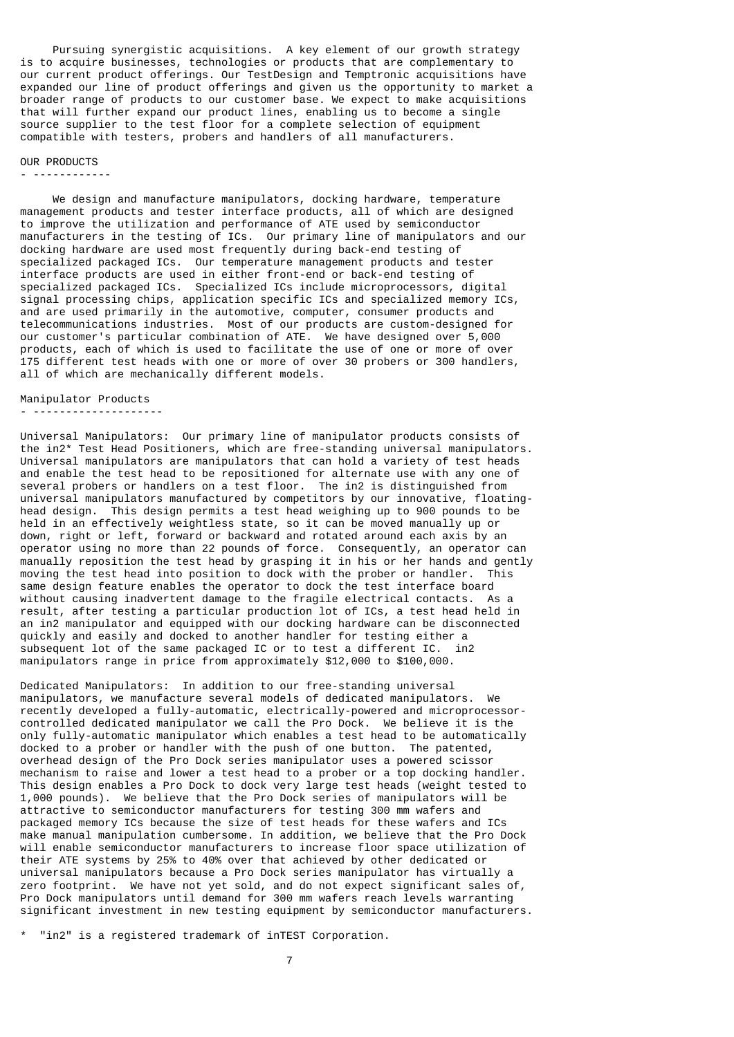Pursuing synergistic acquisitions. A key element of our growth strategy is to acquire businesses, technologies or products that are complementary to our current product offerings. Our TestDesign and Temptronic acquisitions have expanded our line of product offerings and given us the opportunity to market a broader range of products to our customer base. We expect to make acquisitions that will further expand our product lines, enabling us to become a single source supplier to the test floor for a complete selection of equipment compatible with testers, probers and handlers of all manufacturers.

#### OUR PRODUCTS

#### - ------------

 We design and manufacture manipulators, docking hardware, temperature management products and tester interface products, all of which are designed to improve the utilization and performance of ATE used by semiconductor manufacturers in the testing of ICs. Our primary line of manipulators and our docking hardware are used most frequently during back-end testing of specialized packaged ICs. Our temperature management products and tester interface products are used in either front-end or back-end testing of specialized packaged ICs. Specialized ICs include microprocessors, digital signal processing chips, application specific ICs and specialized memory ICs, and are used primarily in the automotive, computer, consumer products and telecommunications industries. Most of our products are custom-designed for our customer's particular combination of ATE. We have designed over 5,000 products, each of which is used to facilitate the use of one or more of over 175 different test heads with one or more of over 30 probers or 300 handlers, all of which are mechanically different models.

Manipulator Products

- --------------------

Universal Manipulators: Our primary line of manipulator products consists of the in2\* Test Head Positioners, which are free-standing universal manipulators. Universal manipulators are manipulators that can hold a variety of test heads and enable the test head to be repositioned for alternate use with any one of several probers or handlers on a test floor. The in2 is distinguished from universal manipulators manufactured by competitors by our innovative, floatinghead design. This design permits a test head weighing up to 900 pounds to be held in an effectively weightless state, so it can be moved manually up or down, right or left, forward or backward and rotated around each axis by an operator using no more than 22 pounds of force. Consequently, an operator can manually reposition the test head by grasping it in his or her hands and gently moving the test head into position to dock with the prober or handler. This same design feature enables the operator to dock the test interface board without causing inadvertent damage to the fragile electrical contacts. As a result, after testing a particular production lot of ICs, a test head held in an in2 manipulator and equipped with our docking hardware can be disconnected quickly and easily and docked to another handler for testing either a subsequent lot of the same packaged IC or to test a different IC. in2 manipulators range in price from approximately \$12,000 to \$100,000.

Dedicated Manipulators: In addition to our free-standing universal manipulators, we manufacture several models of dedicated manipulators. We recently developed a fully-automatic, electrically-powered and microprocessorcontrolled dedicated manipulator we call the Pro Dock. We believe it is the only fully-automatic manipulator which enables a test head to be automatically docked to a prober or handler with the push of one button. The patented, overhead design of the Pro Dock series manipulator uses a powered scissor mechanism to raise and lower a test head to a prober or a top docking handler. This design enables a Pro Dock to dock very large test heads (weight tested to 1,000 pounds). We believe that the Pro Dock series of manipulators will be attractive to semiconductor manufacturers for testing 300 mm wafers and packaged memory ICs because the size of test heads for these wafers and ICs make manual manipulation cumbersome. In addition, we believe that the Pro Dock will enable semiconductor manufacturers to increase floor space utilization of their ATE systems by 25% to 40% over that achieved by other dedicated or universal manipulators because a Pro Dock series manipulator has virtually a zero footprint. We have not yet sold, and do not expect significant sales of, Pro Dock manipulators until demand for 300 mm wafers reach levels warranting significant investment in new testing equipment by semiconductor manufacturers.

\* "in2" is a registered trademark of inTEST Corporation.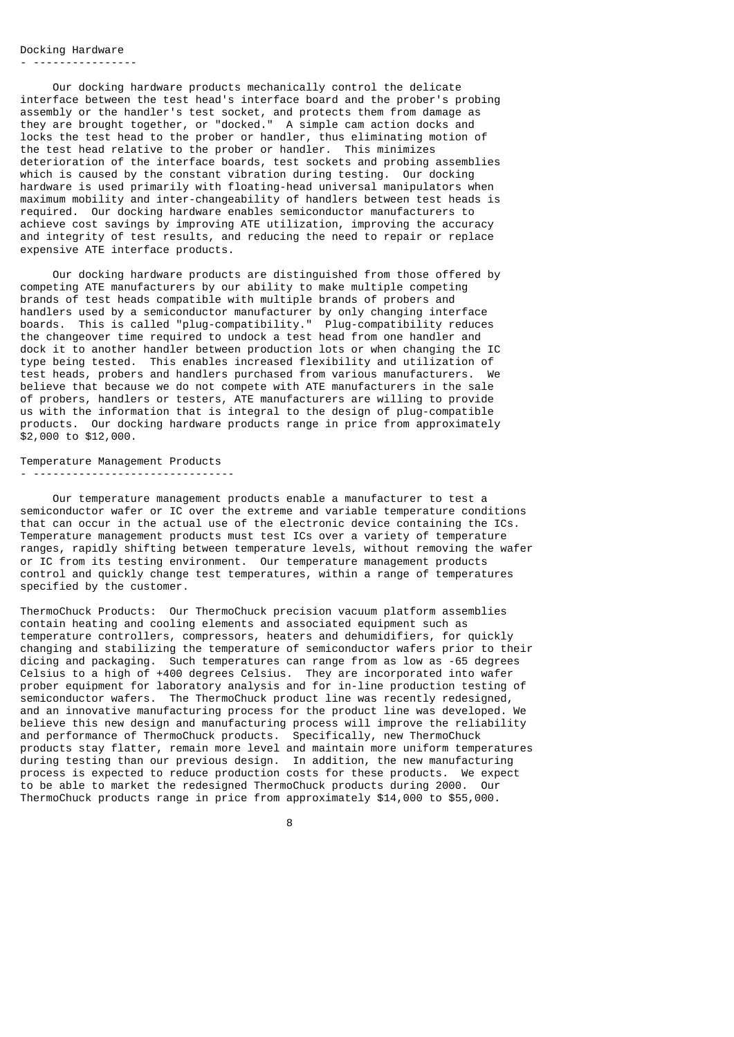## Docking Hardware

- ----------------

 Our docking hardware products mechanically control the delicate interface between the test head's interface board and the prober's probing assembly or the handler's test socket, and protects them from damage as they are brought together, or "docked." A simple cam action docks and locks the test head to the prober or handler, thus eliminating motion of the test head relative to the prober or handler. This minimizes deterioration of the interface boards, test sockets and probing assemblies which is caused by the constant vibration during testing. Our docking hardware is used primarily with floating-head universal manipulators when maximum mobility and inter-changeability of handlers between test heads is required. Our docking hardware enables semiconductor manufacturers to achieve cost savings by improving ATE utilization, improving the accuracy and integrity of test results, and reducing the need to repair or replace expensive ATE interface products.

 Our docking hardware products are distinguished from those offered by competing ATE manufacturers by our ability to make multiple competing brands of test heads compatible with multiple brands of probers and handlers used by a semiconductor manufacturer by only changing interface boards. This is called "plug-compatibility." Plug-compatibility reduces the changeover time required to undock a test head from one handler and dock it to another handler between production lots or when changing the IC type being tested. This enables increased flexibility and utilization of test heads, probers and handlers purchased from various manufacturers. We believe that because we do not compete with ATE manufacturers in the sale of probers, handlers or testers, ATE manufacturers are willing to provide us with the information that is integral to the design of plug-compatible products. Our docking hardware products range in price from approximately \$2,000 to \$12,000.

Temperature Management Products - -------------------------------

 Our temperature management products enable a manufacturer to test a semiconductor wafer or IC over the extreme and variable temperature conditions that can occur in the actual use of the electronic device containing the ICs. Temperature management products must test ICs over a variety of temperature ranges, rapidly shifting between temperature levels, without removing the wafer or IC from its testing environment. Our temperature management products control and quickly change test temperatures, within a range of temperatures specified by the customer.

ThermoChuck Products: Our ThermoChuck precision vacuum platform assemblies contain heating and cooling elements and associated equipment such as temperature controllers, compressors, heaters and dehumidifiers, for quickly changing and stabilizing the temperature of semiconductor wafers prior to their dicing and packaging. Such temperatures can range from as low as -65 degrees Celsius to a high of +400 degrees Celsius. They are incorporated into wafer prober equipment for laboratory analysis and for in-line production testing of semiconductor wafers. The ThermoChuck product line was recently redesigned, and an innovative manufacturing process for the product line was developed. We believe this new design and manufacturing process will improve the reliability and performance of ThermoChuck products. Specifically, new ThermoChuck products stay flatter, remain more level and maintain more uniform temperatures during testing than our previous design. In addition, the new manufacturing process is expected to reduce production costs for these products. We expect to be able to market the redesigned ThermoChuck products during 2000. Our ThermoChuck products range in price from approximately \$14,000 to \$55,000.

en andere andere andere andere andere andere andere andere andere andere andere andere andere andere andere an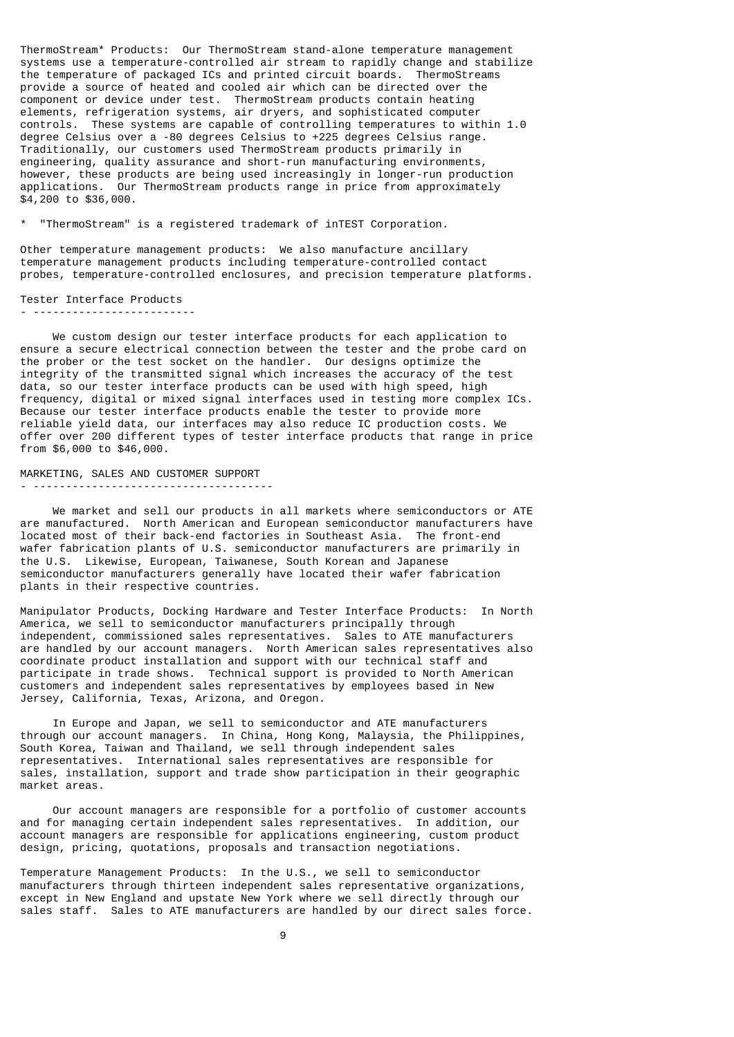ThermoStream\* Products: Our ThermoStream stand-alone temperature management systems use a temperature-controlled air stream to rapidly change and stabilize the temperature of packaged ICs and printed circuit boards. ThermoStreams provide a source of heated and cooled air which can be directed over the component or device under test. ThermoStream products contain heating elements, refrigeration systems, air dryers, and sophisticated computer controls. These systems are capable of controlling temperatures to within 1.0 degree Celsius over a -80 degrees Celsius to +225 degrees Celsius range. Traditionally, our customers used ThermoStream products primarily in engineering, quality assurance and short-run manufacturing environments, however, these products are being used increasingly in longer-run production applications. Our ThermoStream products range in price from approximately \$4,200 to \$36,000.

\* "ThermoStream" is a registered trademark of inTEST Corporation.

Other temperature management products: We also manufacture ancillary temperature management products including temperature-controlled contact probes, temperature-controlled enclosures, and precision temperature platforms.

Tester Interface Products - -------------------------

 We custom design our tester interface products for each application to ensure a secure electrical connection between the tester and the probe card on the prober or the test socket on the handler. Our designs optimize the integrity of the transmitted signal which increases the accuracy of the test data, so our tester interface products can be used with high speed, high frequency, digital or mixed signal interfaces used in testing more complex ICs. Because our tester interface products enable the tester to provide more reliable yield data, our interfaces may also reduce IC production costs. We offer over 200 different types of tester interface products that range in price from \$6,000 to \$46,000.

MARKETING, SALES AND CUSTOMER SUPPORT - -------------------------------------

 We market and sell our products in all markets where semiconductors or ATE are manufactured. North American and European semiconductor manufacturers have located most of their back-end factories in Southeast Asia. The front-end wafer fabrication plants of U.S. semiconductor manufacturers are primarily in the U.S. Likewise, European, Taiwanese, South Korean and Japanese semiconductor manufacturers generally have located their wafer fabrication plants in their respective countries.

Manipulator Products, Docking Hardware and Tester Interface Products: In North America, we sell to semiconductor manufacturers principally through independent, commissioned sales representatives. Sales to ATE manufacturers are handled by our account managers. North American sales representatives also coordinate product installation and support with our technical staff and participate in trade shows. Technical support is provided to North American customers and independent sales representatives by employees based in New Jersey, California, Texas, Arizona, and Oregon.

 In Europe and Japan, we sell to semiconductor and ATE manufacturers through our account managers. In China, Hong Kong, Malaysia, the Philippines, South Korea, Taiwan and Thailand, we sell through independent sales representatives. International sales representatives are responsible for sales, installation, support and trade show participation in their geographic market areas.

 Our account managers are responsible for a portfolio of customer accounts and for managing certain independent sales representatives. In addition, our account managers are responsible for applications engineering, custom product design, pricing, quotations, proposals and transaction negotiations.

Temperature Management Products: In the U.S., we sell to semiconductor manufacturers through thirteen independent sales representative organizations, except in New England and upstate New York where we sell directly through our sales staff. Sales to ATE manufacturers are handled by our direct sales force.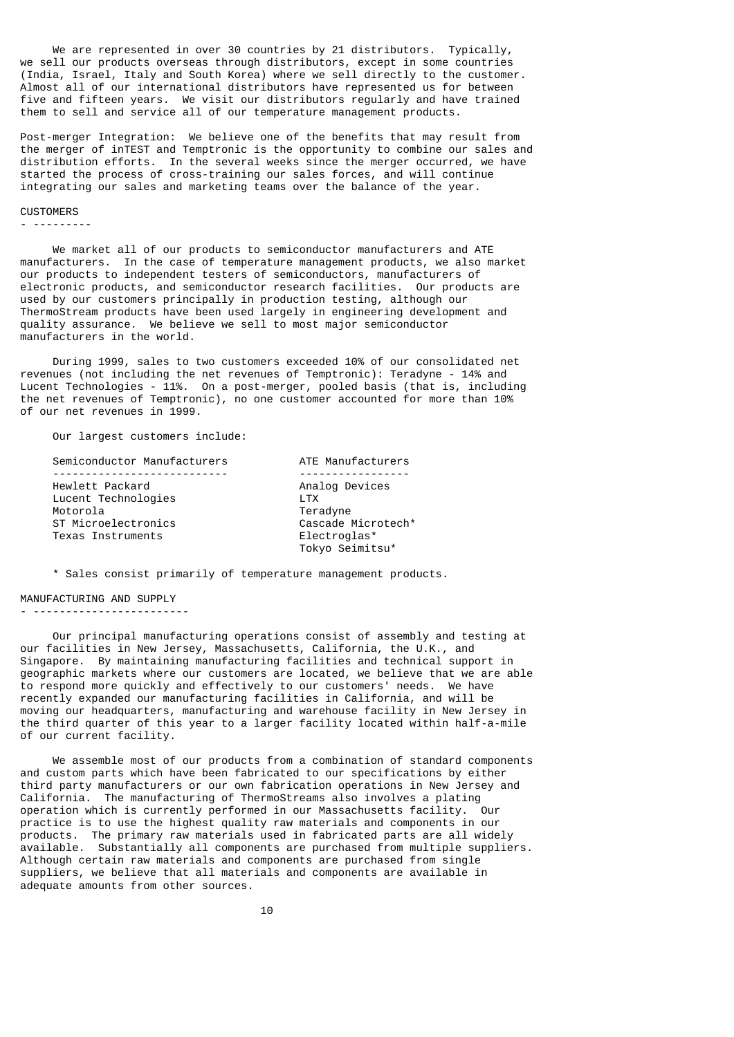We are represented in over 30 countries by 21 distributors. Typically, we sell our products overseas through distributors, except in some countries (India, Israel, Italy and South Korea) where we sell directly to the customer. Almost all of our international distributors have represented us for between five and fifteen years. We visit our distributors regularly and have trained them to sell and service all of our temperature management products.

Post-merger Integration: We believe one of the benefits that may result from the merger of inTEST and Temptronic is the opportunity to combine our sales and distribution efforts. In the several weeks since the merger occurred, we have started the process of cross-training our sales forces, and will continue integrating our sales and marketing teams over the balance of the year.

#### **CUSTOMERS**

- ---------

 We market all of our products to semiconductor manufacturers and ATE manufacturers. In the case of temperature management products, we also market our products to independent testers of semiconductors, manufacturers of electronic products, and semiconductor research facilities. Our products are used by our customers principally in production testing, although our ThermoStream products have been used largely in engineering development and quality assurance. We believe we sell to most major semiconductor manufacturers in the world.

 During 1999, sales to two customers exceeded 10% of our consolidated net revenues (not including the net revenues of Temptronic): Teradyne - 14% and Lucent Technologies - 11%. On a post-merger, pooled basis (that is, including the net revenues of Temptronic), no one customer accounted for more than 10% of our net revenues in 1999.

Our largest customers include:

| Semiconductor Manufacturers | ATE Manufacturers  |
|-----------------------------|--------------------|
|                             |                    |
| Hewlett Packard             | Analog Devices     |
| Lucent Technologies         | I TX               |
| Motorola                    | Teradyne           |
| ST Microelectronics         | Cascade Microtech* |
| Texas Instruments           | Electroglas*       |
|                             | Tokyo Seimitsu*    |
|                             |                    |

\* Sales consist primarily of temperature management products.

#### MANUFACTURING AND SUPPLY

### - ------------------------

 Our principal manufacturing operations consist of assembly and testing at our facilities in New Jersey, Massachusetts, California, the U.K., and Singapore. By maintaining manufacturing facilities and technical support in geographic markets where our customers are located, we believe that we are able to respond more quickly and effectively to our customers' needs. We have recently expanded our manufacturing facilities in California, and will be moving our headquarters, manufacturing and warehouse facility in New Jersey in the third quarter of this year to a larger facility located within half-a-mile of our current facility.

 We assemble most of our products from a combination of standard components and custom parts which have been fabricated to our specifications by either third party manufacturers or our own fabrication operations in New Jersey and California. The manufacturing of ThermoStreams also involves a plating operation which is currently performed in our Massachusetts facility. Our practice is to use the highest quality raw materials and components in our products. The primary raw materials used in fabricated parts are all widely available. Substantially all components are purchased from multiple suppliers. Although certain raw materials and components are purchased from single suppliers, we believe that all materials and components are available in adequate amounts from other sources.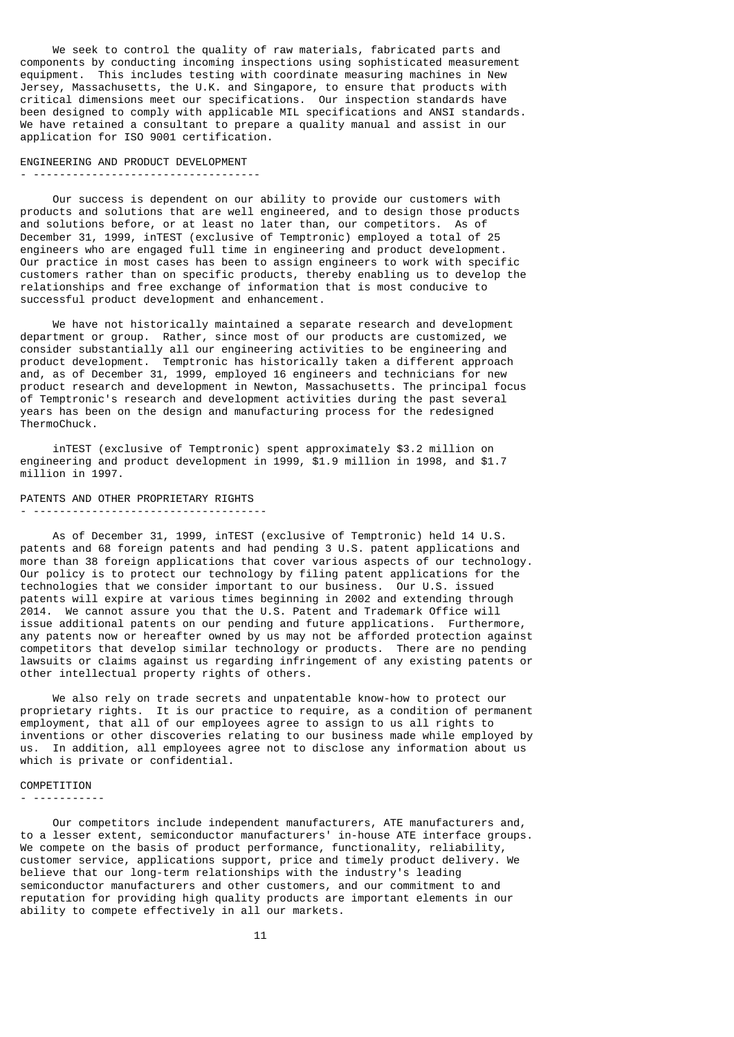We seek to control the quality of raw materials, fabricated parts and components by conducting incoming inspections using sophisticated measurement equipment. This includes testing with coordinate measuring machines in New Jersey, Massachusetts, the U.K. and Singapore, to ensure that products with critical dimensions meet our specifications. Our inspection standards have been designed to comply with applicable MIL specifications and ANSI standards. We have retained a consultant to prepare a quality manual and assist in our application for ISO 9001 certification.

#### ENGINEERING AND PRODUCT DEVELOPMENT

#### - -----------------------------------

 Our success is dependent on our ability to provide our customers with products and solutions that are well engineered, and to design those products and solutions before, or at least no later than, our competitors. As of December 31, 1999, inTEST (exclusive of Temptronic) employed a total of 25 engineers who are engaged full time in engineering and product development. Our practice in most cases has been to assign engineers to work with specific customers rather than on specific products, thereby enabling us to develop the relationships and free exchange of information that is most conducive to successful product development and enhancement.

 We have not historically maintained a separate research and development department or group. Rather, since most of our products are customized, we consider substantially all our engineering activities to be engineering and product development. Temptronic has historically taken a different approach and, as of December 31, 1999, employed 16 engineers and technicians for new product research and development in Newton, Massachusetts. The principal focus of Temptronic's research and development activities during the past several years has been on the design and manufacturing process for the redesigned ThermoChuck.

 inTEST (exclusive of Temptronic) spent approximately \$3.2 million on engineering and product development in 1999, \$1.9 million in 1998, and \$1.7 million in 1997.

### PATENTS AND OTHER PROPRIETARY RIGHTS

#### - ------------------------------------

 As of December 31, 1999, inTEST (exclusive of Temptronic) held 14 U.S. patents and 68 foreign patents and had pending 3 U.S. patent applications and more than 38 foreign applications that cover various aspects of our technology. Our policy is to protect our technology by filing patent applications for the technologies that we consider important to our business. Our U.S. issued patents will expire at various times beginning in 2002 and extending through 2014. We cannot assure you that the U.S. Patent and Trademark Office will issue additional patents on our pending and future applications. Furthermore, any patents now or hereafter owned by us may not be afforded protection against competitors that develop similar technology or products. There are no pending lawsuits or claims against us regarding infringement of any existing patents or other intellectual property rights of others.

 We also rely on trade secrets and unpatentable know-how to protect our proprietary rights. It is our practice to require, as a condition of permanent employment, that all of our employees agree to assign to us all rights to inventions or other discoveries relating to our business made while employed by us. In addition, all employees agree not to disclose any information about us which is private or confidential.

### **COMPETITION**

- -----------

 Our competitors include independent manufacturers, ATE manufacturers and, to a lesser extent, semiconductor manufacturers' in-house ATE interface groups. We compete on the basis of product performance, functionality, reliability, customer service, applications support, price and timely product delivery. We believe that our long-term relationships with the industry's leading semiconductor manufacturers and other customers, and our commitment to and reputation for providing high quality products are important elements in our ability to compete effectively in all our markets.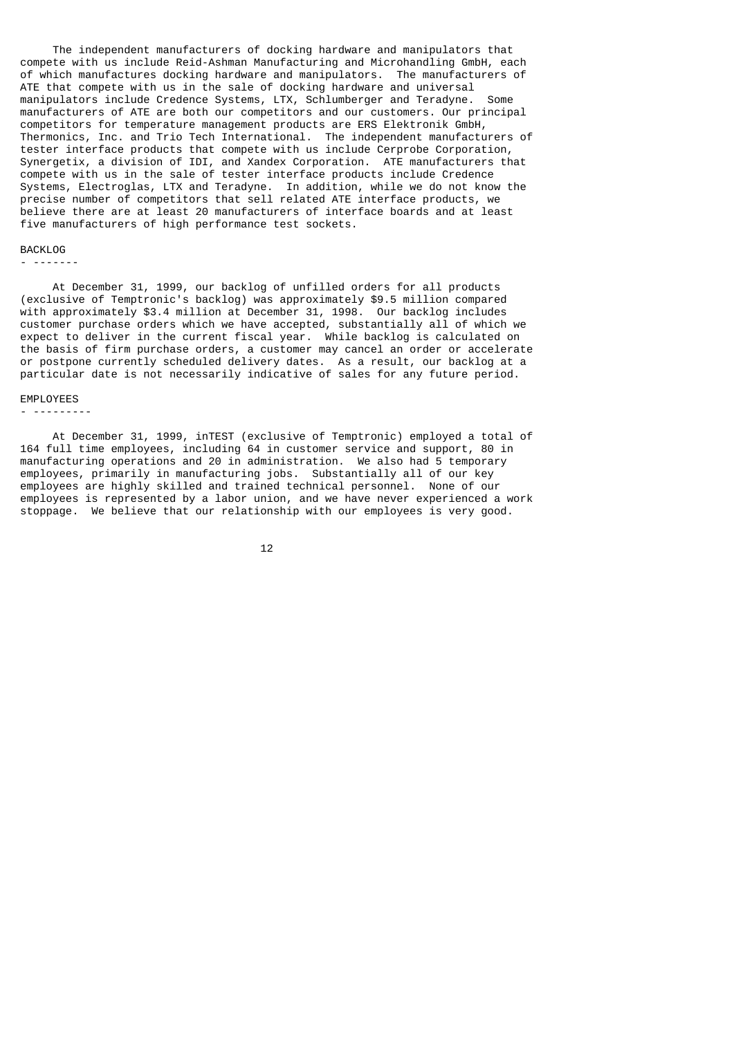The independent manufacturers of docking hardware and manipulators that compete with us include Reid-Ashman Manufacturing and Microhandling GmbH, each of which manufactures docking hardware and manipulators. The manufacturers of ATE that compete with us in the sale of docking hardware and universal manipulators include Credence Systems, LTX, Schlumberger and Teradyne. Some manufacturers of ATE are both our competitors and our customers. Our principal competitors for temperature management products are ERS Elektronik GmbH, Thermonics, Inc. and Trio Tech International. The independent manufacturers of tester interface products that compete with us include Cerprobe Corporation, Synergetix, a division of IDI, and Xandex Corporation. ATE manufacturers that compete with us in the sale of tester interface products include Credence Systems, Electroglas, LTX and Teradyne. In addition, while we do not know the precise number of competitors that sell related ATE interface products, we believe there are at least 20 manufacturers of interface boards and at least five manufacturers of high performance test sockets.

#### **BACKLOG**

- -------

 At December 31, 1999, our backlog of unfilled orders for all products (exclusive of Temptronic's backlog) was approximately \$9.5 million compared with approximately \$3.4 million at December 31, 1998. Our backlog includes customer purchase orders which we have accepted, substantially all of which we expect to deliver in the current fiscal year. While backlog is calculated on the basis of firm purchase orders, a customer may cancel an order or accelerate or postpone currently scheduled delivery dates. As a result, our backlog at a particular date is not necessarily indicative of sales for any future period.

#### EMPLOYEES

#### - ---------

 At December 31, 1999, inTEST (exclusive of Temptronic) employed a total of 164 full time employees, including 64 in customer service and support, 80 in manufacturing operations and 20 in administration. We also had 5 temporary employees, primarily in manufacturing jobs. Substantially all of our key employees are highly skilled and trained technical personnel. None of our employees is represented by a labor union, and we have never experienced a work stoppage. We believe that our relationship with our employees is very good.

 $12$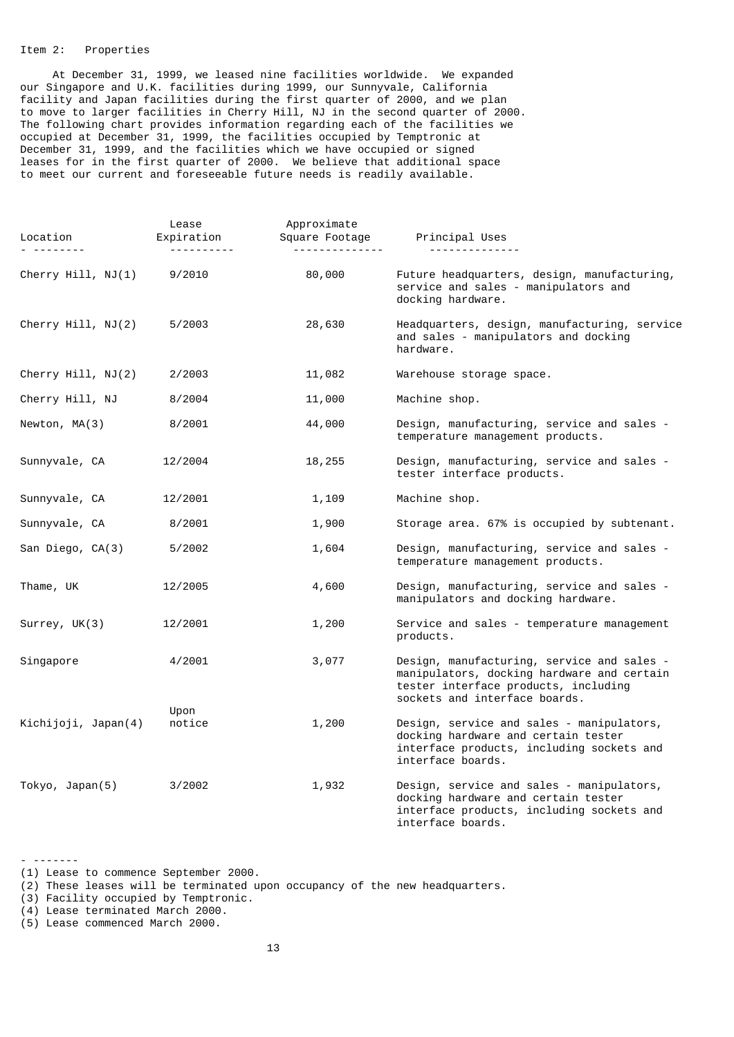## Item 2: Properties

 At December 31, 1999, we leased nine facilities worldwide. We expanded our Singapore and U.K. facilities during 1999, our Sunnyvale, California facility and Japan facilities during the first quarter of 2000, and we plan to move to larger facilities in Cherry Hill, NJ in the second quarter of 2000. The following chart provides information regarding each of the facilities we occupied at December 31, 1999, the facilities occupied by Temptronic at December 31, 1999, and the facilities which we have occupied or signed leases for in the first quarter of 2000. We believe that additional space to meet our current and foreseeable future needs is readily available.

| Location<br>$\begin{array}{cccccccccccccc} \multicolumn{2}{c}{} & \multicolumn{2}{c}{} & \multicolumn{2}{c}{} & \multicolumn{2}{c}{} & \multicolumn{2}{c}{} & \multicolumn{2}{c}{} & \multicolumn{2}{c}{} & \multicolumn{2}{c}{} & \multicolumn{2}{c}{} & \multicolumn{2}{c}{} & \multicolumn{2}{c}{} & \multicolumn{2}{c}{} & \multicolumn{2}{c}{} & \multicolumn{2}{c}{} & \multicolumn{2}{c}{} & \multicolumn{2}{c}{} & \multicolumn{2}{c}{} & \multicolumn{2}{c}{} & \multicolumn{2}{c}{} & \$ | Lease<br>Expiration | Approximate<br>Square Footage<br><u> - - - - - - - - - - - - - -</u> | Principal Uses<br><u>.</u>                                                                                                                                        |
|----------------------------------------------------------------------------------------------------------------------------------------------------------------------------------------------------------------------------------------------------------------------------------------------------------------------------------------------------------------------------------------------------------------------------------------------------------------------------------------------------|---------------------|----------------------------------------------------------------------|-------------------------------------------------------------------------------------------------------------------------------------------------------------------|
| Cherry Hill, NJ(1)                                                                                                                                                                                                                                                                                                                                                                                                                                                                                 | 9/2010              | 80,000                                                               | Future headquarters, design, manufacturing,<br>service and sales - manipulators and<br>docking hardware.                                                          |
| Cherry Hill, NJ(2)                                                                                                                                                                                                                                                                                                                                                                                                                                                                                 | 5/2003              | 28,630                                                               | Headquarters, design, manufacturing, service<br>and sales - manipulators and docking<br>hardware.                                                                 |
| Cherry Hill, NJ(2)                                                                                                                                                                                                                                                                                                                                                                                                                                                                                 | 2/2003              | 11,082                                                               | Warehouse storage space.                                                                                                                                          |
| Cherry Hill, NJ                                                                                                                                                                                                                                                                                                                                                                                                                                                                                    | 8/2004              | 11,000                                                               | Machine shop.                                                                                                                                                     |
| Newton, MA(3)                                                                                                                                                                                                                                                                                                                                                                                                                                                                                      | 8/2001              | 44,000                                                               | Design, manufacturing, service and sales -<br>temperature management products.                                                                                    |
| Sunnyvale, CA                                                                                                                                                                                                                                                                                                                                                                                                                                                                                      | 12/2004             | 18,255                                                               | Design, manufacturing, service and sales -<br>tester interface products.                                                                                          |
| Sunnyvale, CA                                                                                                                                                                                                                                                                                                                                                                                                                                                                                      | 12/2001             | 1,109                                                                | Machine shop.                                                                                                                                                     |
| Sunnyvale, CA                                                                                                                                                                                                                                                                                                                                                                                                                                                                                      | 8/2001              | 1,900                                                                | Storage area. 67% is occupied by subtenant.                                                                                                                       |
| San Diego, CA(3)                                                                                                                                                                                                                                                                                                                                                                                                                                                                                   | 5/2002              | 1,604                                                                | Design, manufacturing, service and sales -<br>temperature management products.                                                                                    |
| Thame, UK                                                                                                                                                                                                                                                                                                                                                                                                                                                                                          | 12/2005             | 4,600                                                                | Design, manufacturing, service and sales -<br>manipulators and docking hardware.                                                                                  |
| Surrey, UK(3)                                                                                                                                                                                                                                                                                                                                                                                                                                                                                      | 12/2001             | 1,200                                                                | Service and sales - temperature management<br>products.                                                                                                           |
| Singapore                                                                                                                                                                                                                                                                                                                                                                                                                                                                                          | 4/2001              | 3,077                                                                | Design, manufacturing, service and sales -<br>manipulators, docking hardware and certain<br>tester interface products, including<br>sockets and interface boards. |
| Kichijoji, Japan(4)                                                                                                                                                                                                                                                                                                                                                                                                                                                                                | Upon<br>notice      | 1,200                                                                | Design, service and sales - manipulators,<br>docking hardware and certain tester<br>interface products, including sockets and<br>interface boards.                |
| Tokyo, Japan(5)                                                                                                                                                                                                                                                                                                                                                                                                                                                                                    | 3/2002              | 1,932                                                                | Design, service and sales - manipulators,<br>docking hardware and certain tester<br>interface products, including sockets and<br>interface boards.                |

<sup>(1)</sup> Lease to commence September 2000.

- -------

<sup>(2)</sup> These leases will be terminated upon occupancy of the new headquarters.

<sup>(3)</sup> Facility occupied by Temptronic.

<sup>(4)</sup> Lease terminated March 2000.

<sup>(5)</sup> Lease commenced March 2000.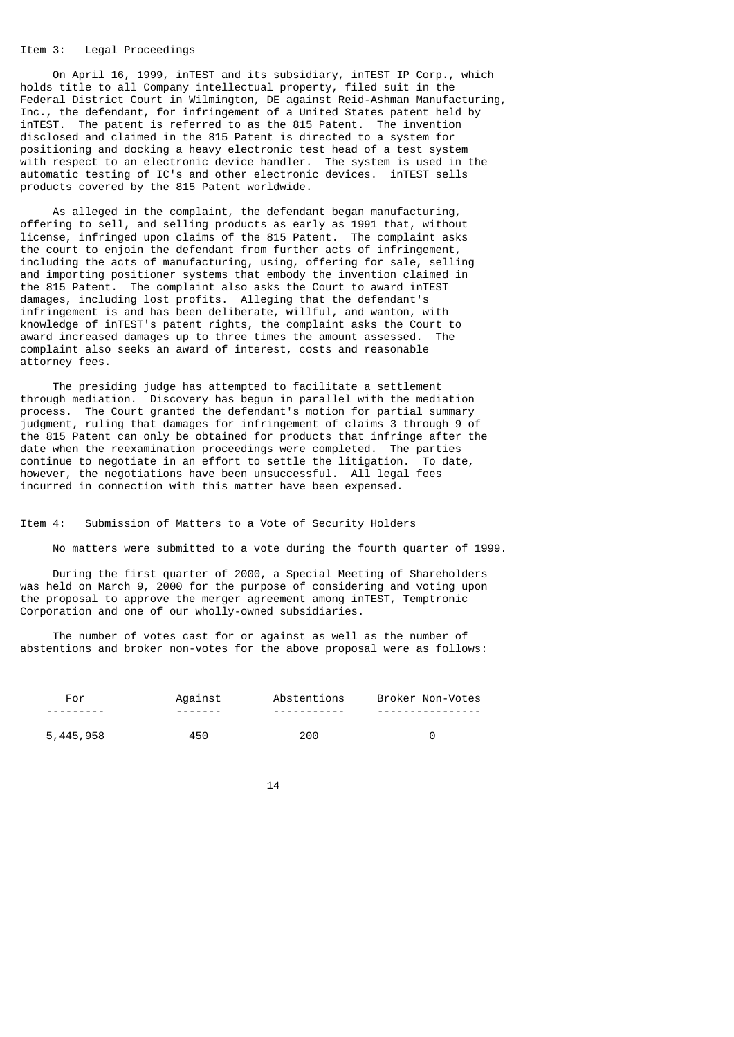### Item 3: Legal Proceedings

 On April 16, 1999, inTEST and its subsidiary, inTEST IP Corp., which holds title to all Company intellectual property, filed suit in the Federal District Court in Wilmington, DE against Reid-Ashman Manufacturing, Inc., the defendant, for infringement of a United States patent held by inTEST. The patent is referred to as the 815 Patent. The invention disclosed and claimed in the 815 Patent is directed to a system for positioning and docking a heavy electronic test head of a test system with respect to an electronic device handler. The system is used in the automatic testing of IC's and other electronic devices. inTEST sells products covered by the 815 Patent worldwide.

 As alleged in the complaint, the defendant began manufacturing, offering to sell, and selling products as early as 1991 that, without license, infringed upon claims of the 815 Patent. The complaint asks the court to enjoin the defendant from further acts of infringement, including the acts of manufacturing, using, offering for sale, selling and importing positioner systems that embody the invention claimed in the 815 Patent. The complaint also asks the Court to award inTEST damages, including lost profits. Alleging that the defendant's infringement is and has been deliberate, willful, and wanton, with knowledge of inTEST's patent rights, the complaint asks the Court to award increased damages up to three times the amount assessed. The complaint also seeks an award of interest, costs and reasonable attorney fees.

 The presiding judge has attempted to facilitate a settlement through mediation. Discovery has begun in parallel with the mediation process. The Court granted the defendant's motion for partial summary judgment, ruling that damages for infringement of claims 3 through 9 of the 815 Patent can only be obtained for products that infringe after the date when the reexamination proceedings were completed. The parties continue to negotiate in an effort to settle the litigation. To date, however, the negotiations have been unsuccessful. All legal fees incurred in connection with this matter have been expensed.

### Item 4: Submission of Matters to a Vote of Security Holders

No matters were submitted to a vote during the fourth quarter of 1999.

 During the first quarter of 2000, a Special Meeting of Shareholders was held on March 9, 2000 for the purpose of considering and voting upon the proposal to approve the merger agreement among inTEST, Temptronic Corporation and one of our wholly-owned subsidiaries.

 The number of votes cast for or against as well as the number of abstentions and broker non-votes for the above proposal were as follows:

| For       | Against | Abstentions | Broker Non-Votes |
|-----------|---------|-------------|------------------|
|           |         |             |                  |
| 5,445,958 | 450     | 200         | Θ                |

 $14$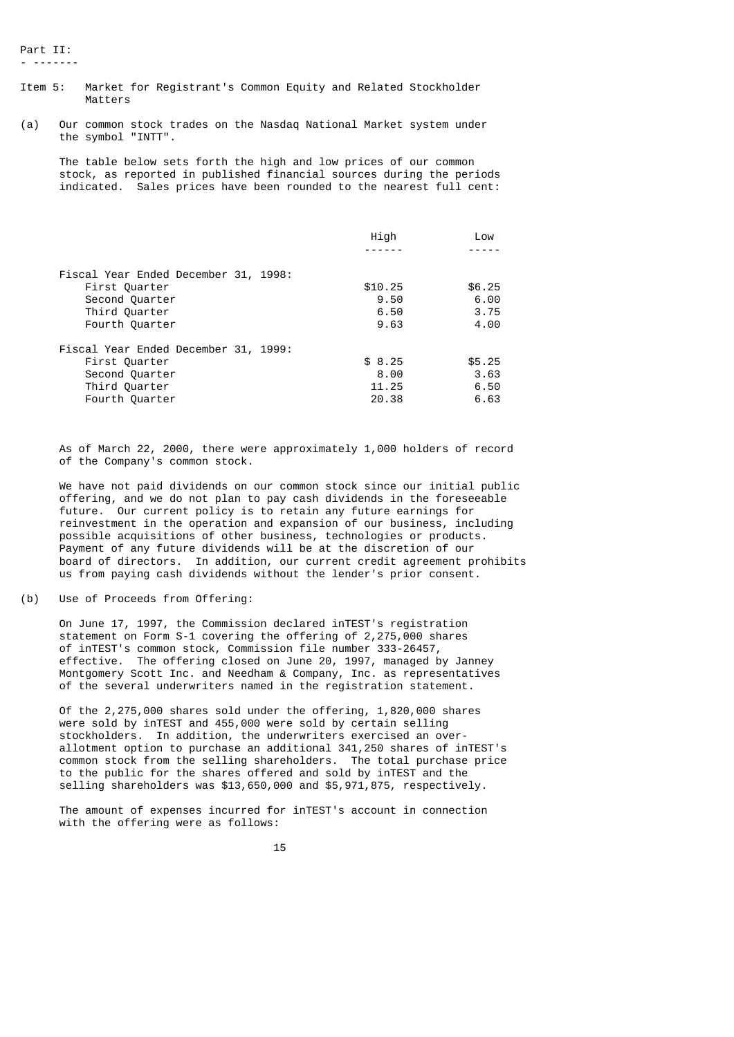Part II: - -------

- Item 5: Market for Registrant's Common Equity and Related Stockholder Matters
- (a) Our common stock trades on the Nasdaq National Market system under the symbol "INTT".

 The table below sets forth the high and low prices of our common stock, as reported in published financial sources during the periods indicated. Sales prices have been rounded to the nearest full cent:

| High    | Low    |
|---------|--------|
|         |        |
|         |        |
| \$10.25 | \$6.25 |
| 9.50    | 6.00   |
| 6.50    | 3.75   |
| 9.63    | 4.00   |
|         |        |
| \$8.25  | \$5.25 |
| 8.00    | 3.63   |
| 11.25   | 6.50   |
| 20.38   | 6.63   |
|         |        |

 As of March 22, 2000, there were approximately 1,000 holders of record of the Company's common stock.

 We have not paid dividends on our common stock since our initial public offering, and we do not plan to pay cash dividends in the foreseeable future. Our current policy is to retain any future earnings for reinvestment in the operation and expansion of our business, including possible acquisitions of other business, technologies or products. Payment of any future dividends will be at the discretion of our board of directors. In addition, our current credit agreement prohibits us from paying cash dividends without the lender's prior consent.

(b) Use of Proceeds from Offering:

 On June 17, 1997, the Commission declared inTEST's registration statement on Form S-1 covering the offering of 2,275,000 shares of inTEST's common stock, Commission file number 333-26457, effective. The offering closed on June 20, 1997, managed by Janney Montgomery Scott Inc. and Needham & Company, Inc. as representatives of the several underwriters named in the registration statement.

 Of the 2,275,000 shares sold under the offering, 1,820,000 shares were sold by inTEST and 455,000 were sold by certain selling stockholders. In addition, the underwriters exercised an over allotment option to purchase an additional 341,250 shares of inTEST's common stock from the selling shareholders. The total purchase price to the public for the shares offered and sold by inTEST and the selling shareholders was \$13,650,000 and \$5,971,875, respectively.

 The amount of expenses incurred for inTEST's account in connection with the offering were as follows: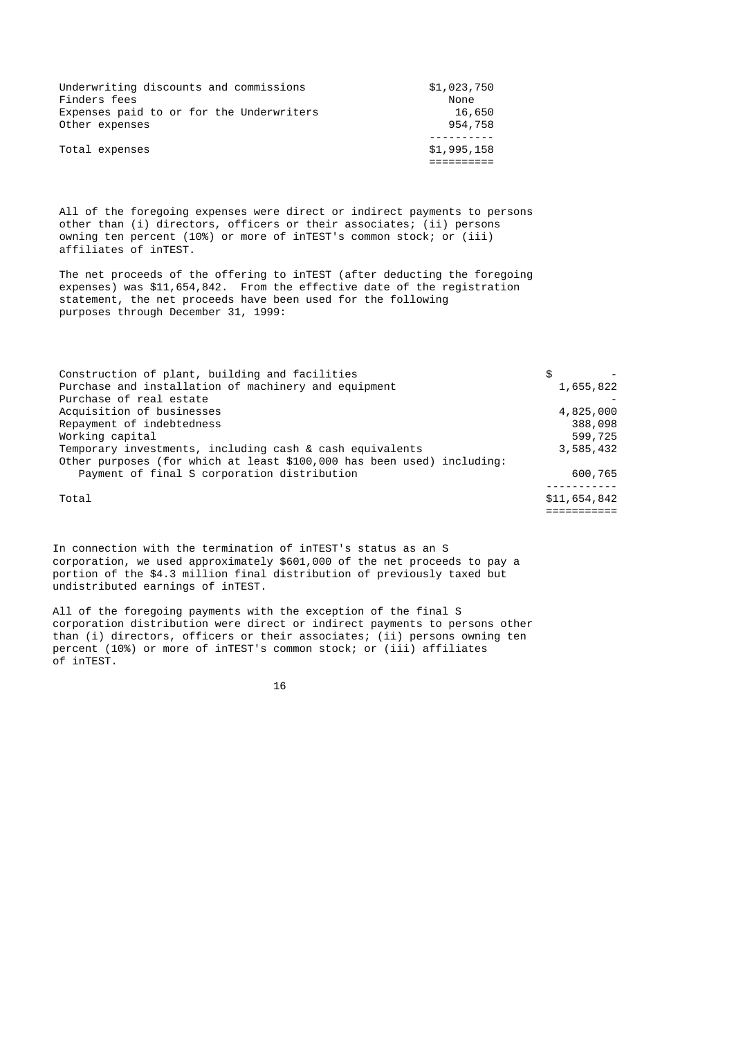| Underwriting discounts and commissions   | \$1,023,750 |
|------------------------------------------|-------------|
| Finders fees                             | None        |
| Expenses paid to or for the Underwriters | 16,650      |
| Other expenses                           | 954,758     |
| Total expenses                           | \$1,995,158 |

 All of the foregoing expenses were direct or indirect payments to persons other than (i) directors, officers or their associates; (ii) persons owning ten percent (10%) or more of inTEST's common stock; or (iii) affiliates of inTEST.

 The net proceeds of the offering to inTEST (after deducting the foregoing expenses) was \$11,654,842. From the effective date of the registration statement, the net proceeds have been used for the following purposes through December 31, 1999:

| Construction of plant, building and facilities                         | \$           |
|------------------------------------------------------------------------|--------------|
| Purchase and installation of machinery and equipment                   | 1,655,822    |
| Purchase of real estate                                                |              |
| Acquisition of businesses                                              | 4,825,000    |
| Repayment of indebtedness                                              | 388,098      |
| Working capital                                                        | 599,725      |
| Temporary investments, including cash & cash equivalents               | 3,585,432    |
| Other purposes (for which at least \$100,000 has been used) including: |              |
| Payment of final S corporation distribution                            | 600,765      |
|                                                                        |              |
| Total                                                                  | \$11,654,842 |
|                                                                        |              |

 In connection with the termination of inTEST's status as an S corporation, we used approximately \$601,000 of the net proceeds to pay a portion of the \$4.3 million final distribution of previously taxed but undistributed earnings of inTEST.

 All of the foregoing payments with the exception of the final S corporation distribution were direct or indirect payments to persons other than (i) directors, officers or their associates; (ii) persons owning ten percent (10%) or more of inTEST's common stock; or (iii) affiliates of inTEST.

 $16$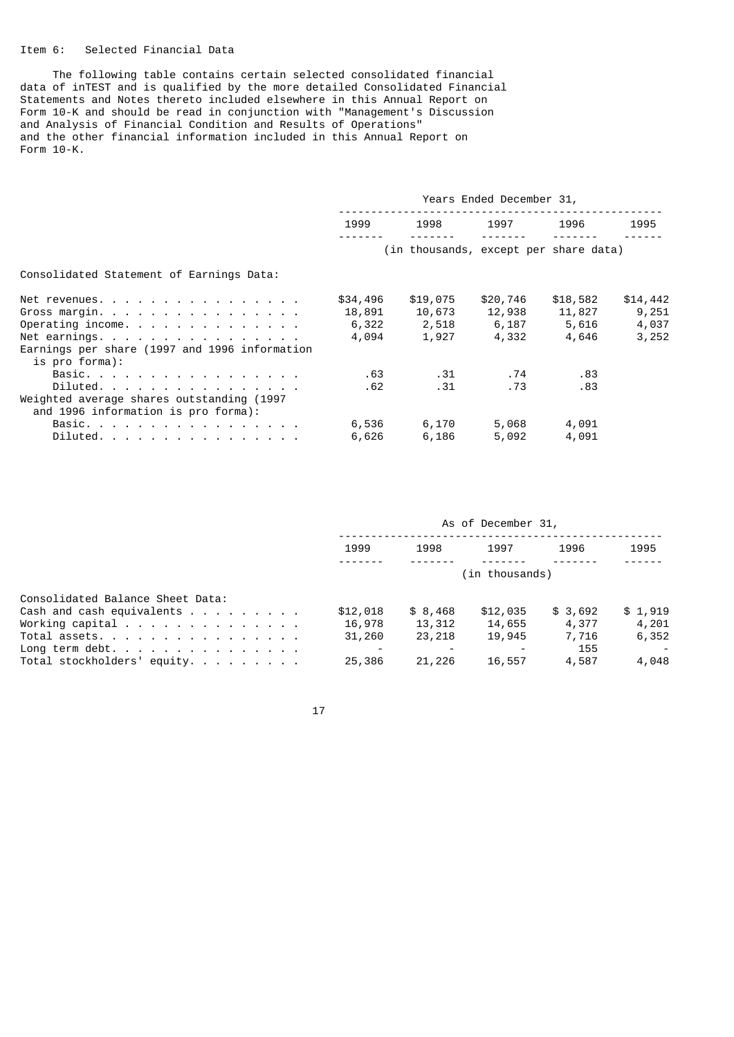## Item 6: Selected Financial Data

 The following table contains certain selected consolidated financial data of inTEST and is qualified by the more detailed Consolidated Financial Statements and Notes thereto included elsewhere in this Annual Report on Form 10-K and should be read in conjunction with "Management's Discussion and Analysis of Financial Condition and Results of Operations" and the other financial information included in this Annual Report on Form 10-K.

|                                                                                  | Years Ended December 31, |                                       |          |          |          |
|----------------------------------------------------------------------------------|--------------------------|---------------------------------------|----------|----------|----------|
|                                                                                  | 1999                     | 1998                                  | 1997     | 1996     | 1995     |
|                                                                                  |                          | (in thousands, except per share data) |          |          |          |
| Consolidated Statement of Earnings Data:                                         |                          |                                       |          |          |          |
| Net revenues.                                                                    | \$34,496                 | \$19,075                              | \$20,746 | \$18,582 | \$14,442 |
| Gross margin.                                                                    | 18,891                   | 10,673                                | 12,938   | 11,827   | 9,251    |
| Operating income.                                                                | 6,322                    | 2,518                                 | 6,187    | 5,616    | 4,037    |
| Net earnings.                                                                    | 4,094                    | 1,927                                 | 4,332    | 4,646    | 3,252    |
| Earnings per share (1997 and 1996 information<br>is pro forma):                  |                          |                                       |          |          |          |
| Basic.                                                                           | .63                      | .31                                   | . 74     | .83      |          |
| Diluted.                                                                         | .62                      | .31                                   | . 73     | .83      |          |
| Weighted average shares outstanding (1997<br>and 1996 information is pro forma): |                          |                                       |          |          |          |
| Basic.                                                                           | 6,536                    | 6,170                                 | 5,068    | 4,091    |          |
| Diluted.                                                                         | 6,626                    | 6,186                                 | 5,092    | 4,091    |          |

|                                    | As of December 31,       |          |          |         |         |
|------------------------------------|--------------------------|----------|----------|---------|---------|
|                                    | 1999                     | 1998     | 1997     | 1996    | 1995    |
|                                    | (in thousands)           |          |          |         |         |
| Consolidated Balance Sheet Data:   |                          |          |          |         |         |
| Cash and cash equivalents $\ldots$ | \$12,018                 | \$ 8,468 | \$12,035 | \$3,692 | \$1,919 |
| Working capital                    | 16,978                   | 13,312   | 14,655   | 4,377   | 4,201   |
| Total assets.                      | 31,260                   | 23,218   | 19,945   | 7,716   | 6,352   |
| Long term debt.                    | $\overline{\phantom{0}}$ |          |          | 155     |         |
| Total stockholders' equity.        | 25,386                   | 21,226   | 16,557   | 4,587   | 4,048   |

17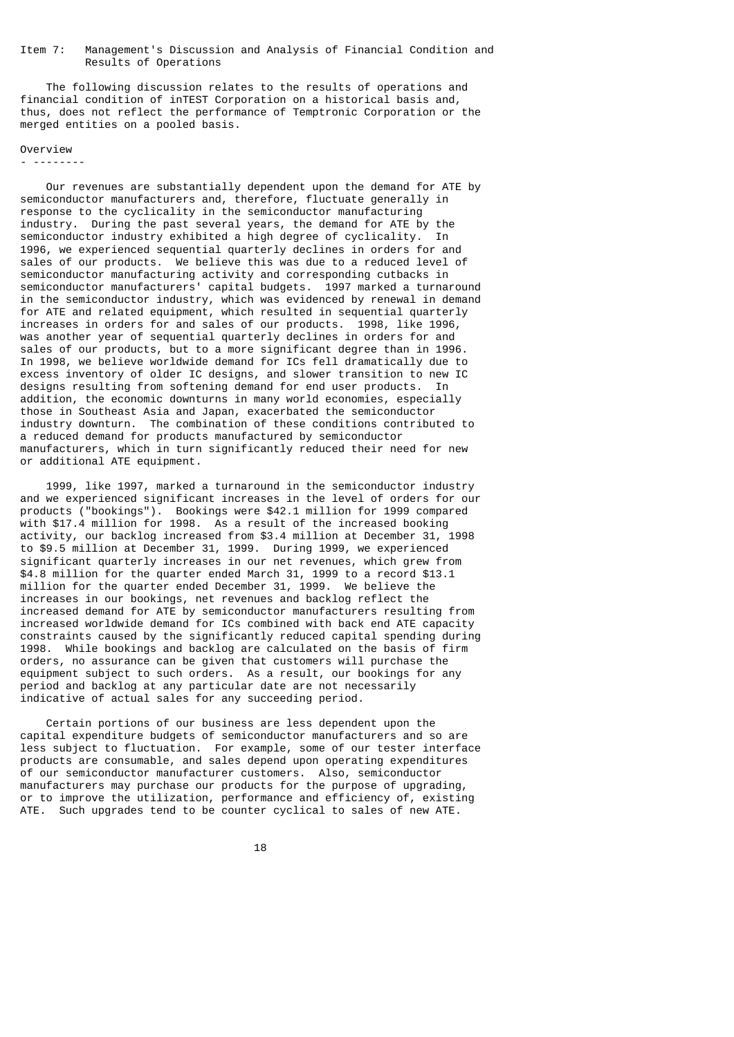### Item 7: Management's Discussion and Analysis of Financial Condition and Results of Operations

 The following discussion relates to the results of operations and financial condition of inTEST Corporation on a historical basis and, thus, does not reflect the performance of Temptronic Corporation or the merged entities on a pooled basis.

### Overview

- --------

 Our revenues are substantially dependent upon the demand for ATE by semiconductor manufacturers and, therefore, fluctuate generally in response to the cyclicality in the semiconductor manufacturing industry. During the past several years, the demand for ATE by the semiconductor industry exhibited a high degree of cyclicality. In 1996, we experienced sequential quarterly declines in orders for and sales of our products. We believe this was due to a reduced level of semiconductor manufacturing activity and corresponding cutbacks in semiconductor manufacturers' capital budgets. 1997 marked a turnaround in the semiconductor industry, which was evidenced by renewal in demand for ATE and related equipment, which resulted in sequential quarterly increases in orders for and sales of our products. 1998, like 1996, was another year of sequential quarterly declines in orders for and sales of our products, but to a more significant degree than in 1996. In 1998, we believe worldwide demand for ICs fell dramatically due to excess inventory of older IC designs, and slower transition to new IC designs resulting from softening demand for end user products. In addition, the economic downturns in many world economies, especially those in Southeast Asia and Japan, exacerbated the semiconductor industry downturn. The combination of these conditions contributed to a reduced demand for products manufactured by semiconductor manufacturers, which in turn significantly reduced their need for new or additional ATE equipment.

 1999, like 1997, marked a turnaround in the semiconductor industry and we experienced significant increases in the level of orders for our products ("bookings"). Bookings were \$42.1 million for 1999 compared with \$17.4 million for 1998. As a result of the increased booking activity, our backlog increased from \$3.4 million at December 31, 1998 to \$9.5 million at December 31, 1999. During 1999, we experienced significant quarterly increases in our net revenues, which grew from \$4.8 million for the quarter ended March 31, 1999 to a record \$13.1 million for the quarter ended December 31, 1999. We believe the increases in our bookings, net revenues and backlog reflect the increased demand for ATE by semiconductor manufacturers resulting from increased worldwide demand for ICs combined with back end ATE capacity constraints caused by the significantly reduced capital spending during 1998. While bookings and backlog are calculated on the basis of firm orders, no assurance can be given that customers will purchase the equipment subject to such orders. As a result, our bookings for any period and backlog at any particular date are not necessarily indicative of actual sales for any succeeding period.

 Certain portions of our business are less dependent upon the capital expenditure budgets of semiconductor manufacturers and so are less subject to fluctuation. For example, some of our tester interface products are consumable, and sales depend upon operating expenditures of our semiconductor manufacturer customers. Also, semiconductor manufacturers may purchase our products for the purpose of upgrading, or to improve the utilization, performance and efficiency of, existing ATE. Such upgrades tend to be counter cyclical to sales of new ATE.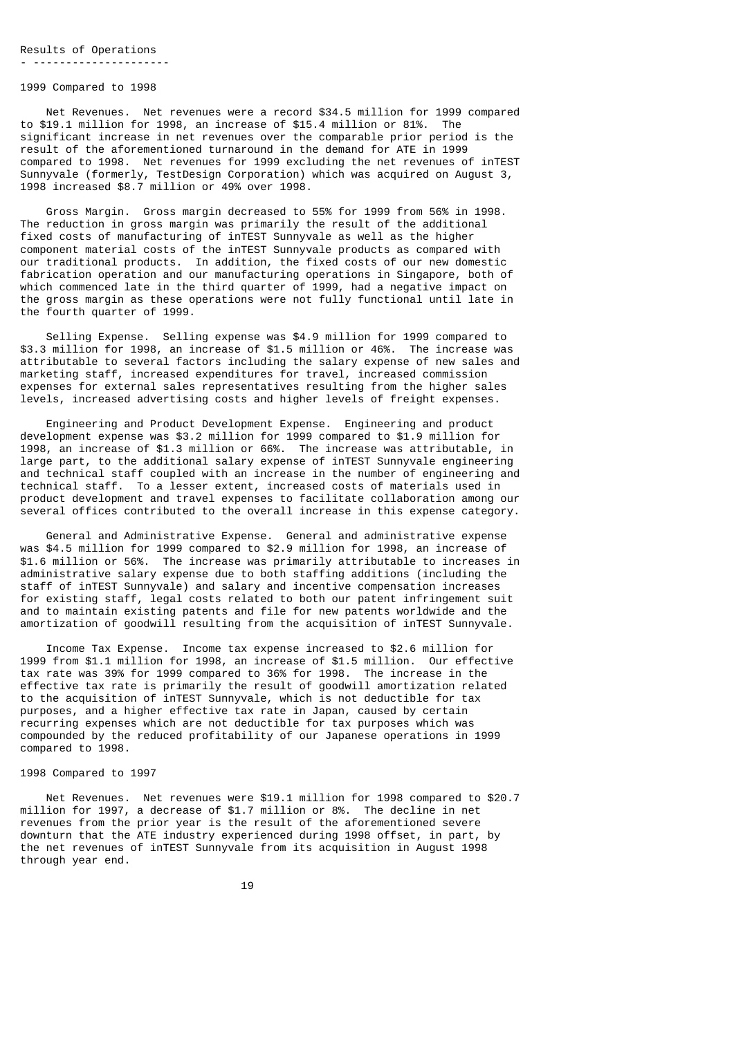#### 1999 Compared to 1998

 Net Revenues. Net revenues were a record \$34.5 million for 1999 compared to \$19.1 million for 1998, an increase of \$15.4 million or 81%. The significant increase in net revenues over the comparable prior period is the result of the aforementioned turnaround in the demand for ATE in 1999 compared to 1998. Net revenues for 1999 excluding the net revenues of inTEST Sunnyvale (formerly, TestDesign Corporation) which was acquired on August 3, 1998 increased \$8.7 million or 49% over 1998.

 Gross Margin. Gross margin decreased to 55% for 1999 from 56% in 1998. The reduction in gross margin was primarily the result of the additional fixed costs of manufacturing of inTEST Sunnyvale as well as the higher component material costs of the inTEST Sunnyvale products as compared with our traditional products. In addition, the fixed costs of our new domestic fabrication operation and our manufacturing operations in Singapore, both of which commenced late in the third quarter of 1999, had a negative impact on the gross margin as these operations were not fully functional until late in the fourth quarter of 1999.

 Selling Expense. Selling expense was \$4.9 million for 1999 compared to \$3.3 million for 1998, an increase of \$1.5 million or 46%. The increase was attributable to several factors including the salary expense of new sales and marketing staff, increased expenditures for travel, increased commission expenses for external sales representatives resulting from the higher sales levels, increased advertising costs and higher levels of freight expenses.

 Engineering and Product Development Expense. Engineering and product development expense was \$3.2 million for 1999 compared to \$1.9 million for 1998, an increase of \$1.3 million or 66%. The increase was attributable, in large part, to the additional salary expense of inTEST Sunnyvale engineering and technical staff coupled with an increase in the number of engineering and technical staff. To a lesser extent, increased costs of materials used in product development and travel expenses to facilitate collaboration among our several offices contributed to the overall increase in this expense category.

 General and Administrative Expense. General and administrative expense was \$4.5 million for 1999 compared to \$2.9 million for 1998, an increase of \$1.6 million or 56%. The increase was primarily attributable to increases in administrative salary expense due to both staffing additions (including the staff of inTEST Sunnyvale) and salary and incentive compensation increases for existing staff, legal costs related to both our patent infringement suit and to maintain existing patents and file for new patents worldwide and the amortization of goodwill resulting from the acquisition of inTEST Sunnyvale.

 Income Tax Expense. Income tax expense increased to \$2.6 million for 1999 from \$1.1 million for 1998, an increase of \$1.5 million. Our effective tax rate was 39% for 1999 compared to 36% for 1998. The increase in the effective tax rate is primarily the result of goodwill amortization related to the acquisition of inTEST Sunnyvale, which is not deductible for tax purposes, and a higher effective tax rate in Japan, caused by certain recurring expenses which are not deductible for tax purposes which was compounded by the reduced profitability of our Japanese operations in 1999 compared to 1998.

### 1998 Compared to 1997

 Net Revenues. Net revenues were \$19.1 million for 1998 compared to \$20.7 million for 1997, a decrease of \$1.7 million or 8%. The decline in net revenues from the prior year is the result of the aforementioned severe downturn that the ATE industry experienced during 1998 offset, in part, by the net revenues of inTEST Sunnyvale from its acquisition in August 1998 through year end.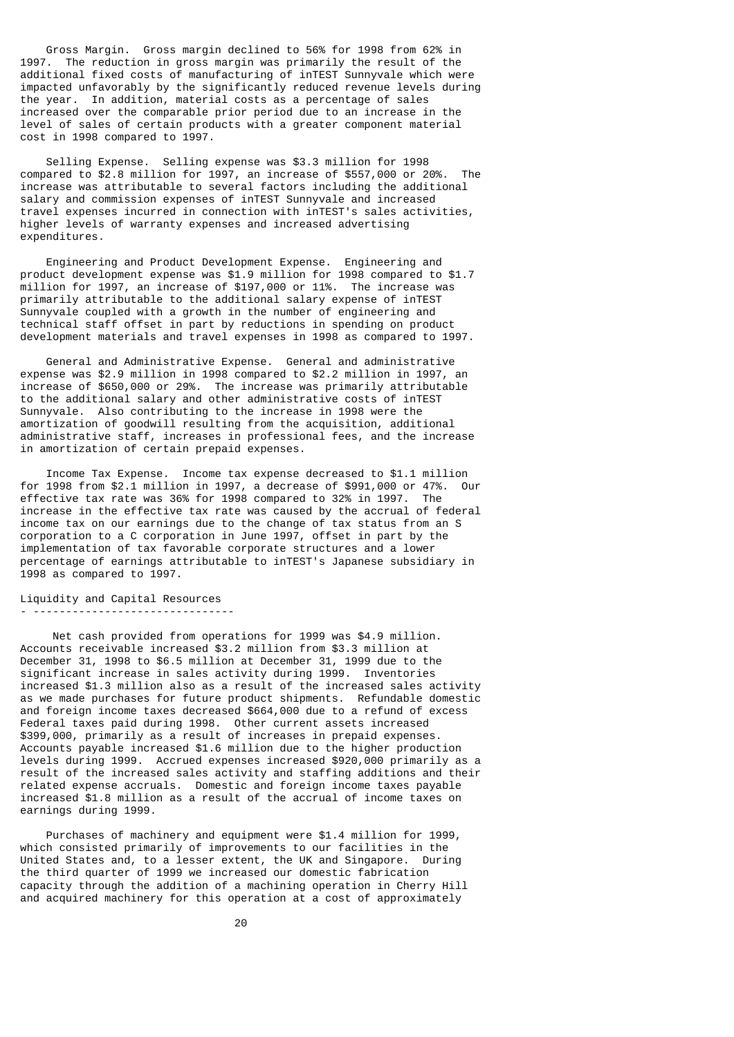Gross Margin. Gross margin declined to 56% for 1998 from 62% in 1997. The reduction in gross margin was primarily the result of the additional fixed costs of manufacturing of inTEST Sunnyvale which were impacted unfavorably by the significantly reduced revenue levels during the year. In addition, material costs as a percentage of sales increased over the comparable prior period due to an increase in the level of sales of certain products with a greater component material cost in 1998 compared to 1997.

 Selling Expense. Selling expense was \$3.3 million for 1998 compared to \$2.8 million for 1997, an increase of \$557,000 or 20%. The increase was attributable to several factors including the additional salary and commission expenses of inTEST Sunnyvale and increased travel expenses incurred in connection with inTEST's sales activities, higher levels of warranty expenses and increased advertising expenditures.

 Engineering and Product Development Expense. Engineering and product development expense was \$1.9 million for 1998 compared to \$1.7 million for 1997, an increase of \$197,000 or 11%. The increase was primarily attributable to the additional salary expense of inTEST Sunnyvale coupled with a growth in the number of engineering and technical staff offset in part by reductions in spending on product development materials and travel expenses in 1998 as compared to 1997.

 General and Administrative Expense. General and administrative expense was \$2.9 million in 1998 compared to \$2.2 million in 1997, an increase of \$650,000 or 29%. The increase was primarily attributable to the additional salary and other administrative costs of inTEST Sunnyvale. Also contributing to the increase in 1998 were the amortization of goodwill resulting from the acquisition, additional administrative staff, increases in professional fees, and the increase in amortization of certain prepaid expenses.

 Income Tax Expense. Income tax expense decreased to \$1.1 million for 1998 from \$2.1 million in 1997, a decrease of \$991,000 or 47%. Our effective tax rate was 36% for 1998 compared to 32% in 1997. The increase in the effective tax rate was caused by the accrual of federal income tax on our earnings due to the change of tax status from an S corporation to a C corporation in June 1997, offset in part by the implementation of tax favorable corporate structures and a lower percentage of earnings attributable to inTEST's Japanese subsidiary in 1998 as compared to 1997.

#### Liquidity and Capital Resources - -------------------------------

 Net cash provided from operations for 1999 was \$4.9 million. Accounts receivable increased \$3.2 million from \$3.3 million at December 31, 1998 to \$6.5 million at December 31, 1999 due to the significant increase in sales activity during 1999. Inventories increased \$1.3 million also as a result of the increased sales activity as we made purchases for future product shipments. Refundable domestic and foreign income taxes decreased \$664,000 due to a refund of excess Federal taxes paid during 1998. Other current assets increased \$399,000, primarily as a result of increases in prepaid expenses. Accounts payable increased \$1.6 million due to the higher production levels during 1999. Accrued expenses increased \$920,000 primarily as a result of the increased sales activity and staffing additions and their related expense accruals. Domestic and foreign income taxes payable increased \$1.8 million as a result of the accrual of income taxes on earnings during 1999.

 Purchases of machinery and equipment were \$1.4 million for 1999, which consisted primarily of improvements to our facilities in the United States and, to a lesser extent, the UK and Singapore. During the third quarter of 1999 we increased our domestic fabrication capacity through the addition of a machining operation in Cherry Hill and acquired machinery for this operation at a cost of approximately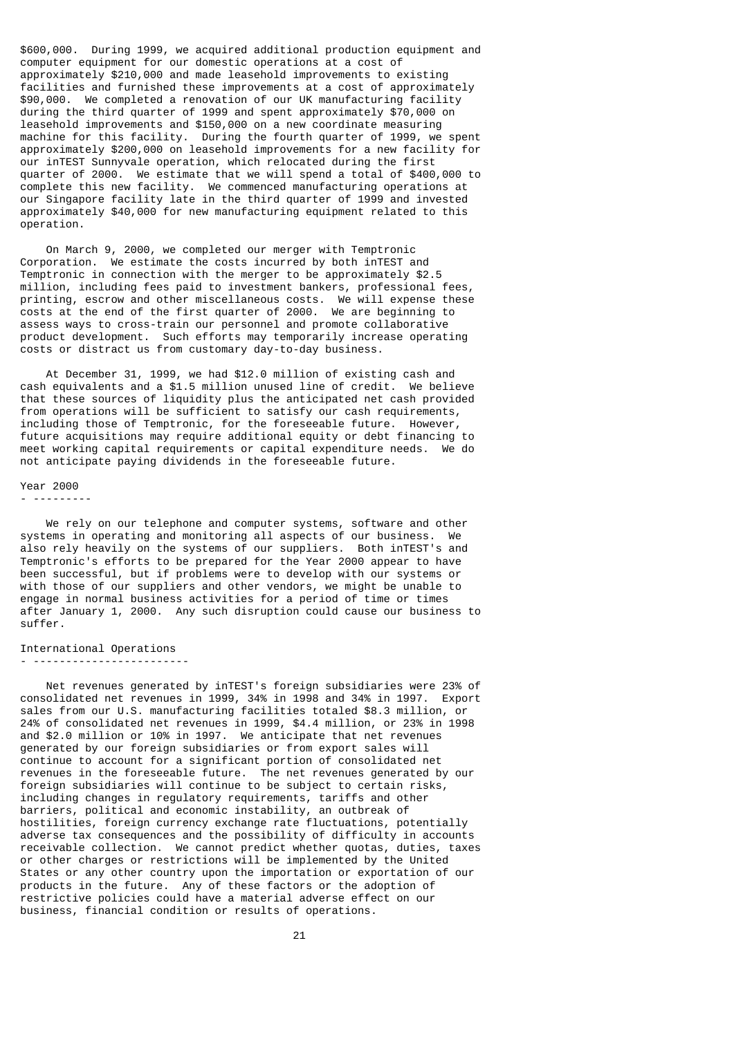\$600,000. During 1999, we acquired additional production equipment and computer equipment for our domestic operations at a cost of approximately \$210,000 and made leasehold improvements to existing facilities and furnished these improvements at a cost of approximately \$90,000. We completed a renovation of our UK manufacturing facility during the third quarter of 1999 and spent approximately \$70,000 on leasehold improvements and \$150,000 on a new coordinate measuring machine for this facility. During the fourth quarter of 1999, we spent approximately \$200,000 on leasehold improvements for a new facility for our inTEST Sunnyvale operation, which relocated during the first quarter of 2000. We estimate that we will spend a total of \$400,000 to complete this new facility. We commenced manufacturing operations at our Singapore facility late in the third quarter of 1999 and invested approximately \$40,000 for new manufacturing equipment related to this operation.

 On March 9, 2000, we completed our merger with Temptronic Corporation. We estimate the costs incurred by both inTEST and Temptronic in connection with the merger to be approximately \$2.5 million, including fees paid to investment bankers, professional fees, printing, escrow and other miscellaneous costs. We will expense these costs at the end of the first quarter of 2000. We are beginning to assess ways to cross-train our personnel and promote collaborative product development. Such efforts may temporarily increase operating costs or distract us from customary day-to-day business.

 At December 31, 1999, we had \$12.0 million of existing cash and cash equivalents and a \$1.5 million unused line of credit. We believe that these sources of liquidity plus the anticipated net cash provided from operations will be sufficient to satisfy our cash requirements, including those of Temptronic, for the foreseeable future. However, future acquisitions may require additional equity or debt financing to meet working capital requirements or capital expenditure needs. We do not anticipate paying dividends in the foreseeable future.

#### Year 2000

- ---------

 We rely on our telephone and computer systems, software and other systems in operating and monitoring all aspects of our business. We also rely heavily on the systems of our suppliers. Both inTEST's and Temptronic's efforts to be prepared for the Year 2000 appear to have been successful, but if problems were to develop with our systems or with those of our suppliers and other vendors, we might be unable to engage in normal business activities for a period of time or times after January 1, 2000. Any such disruption could cause our business to suffer.

# International Operations

- ------------------------

 Net revenues generated by inTEST's foreign subsidiaries were 23% of consolidated net revenues in 1999, 34% in 1998 and 34% in 1997. Export sales from our U.S. manufacturing facilities totaled \$8.3 million, or 24% of consolidated net revenues in 1999, \$4.4 million, or 23% in 1998 and \$2.0 million or 10% in 1997. We anticipate that net revenues generated by our foreign subsidiaries or from export sales will continue to account for a significant portion of consolidated net revenues in the foreseeable future. The net revenues generated by our foreign subsidiaries will continue to be subject to certain risks, including changes in regulatory requirements, tariffs and other barriers, political and economic instability, an outbreak of hostilities, foreign currency exchange rate fluctuations, potentially adverse tax consequences and the possibility of difficulty in accounts receivable collection. We cannot predict whether quotas, duties, taxes or other charges or restrictions will be implemented by the United States or any other country upon the importation or exportation of our products in the future. Any of these factors or the adoption of restrictive policies could have a material adverse effect on our business, financial condition or results of operations.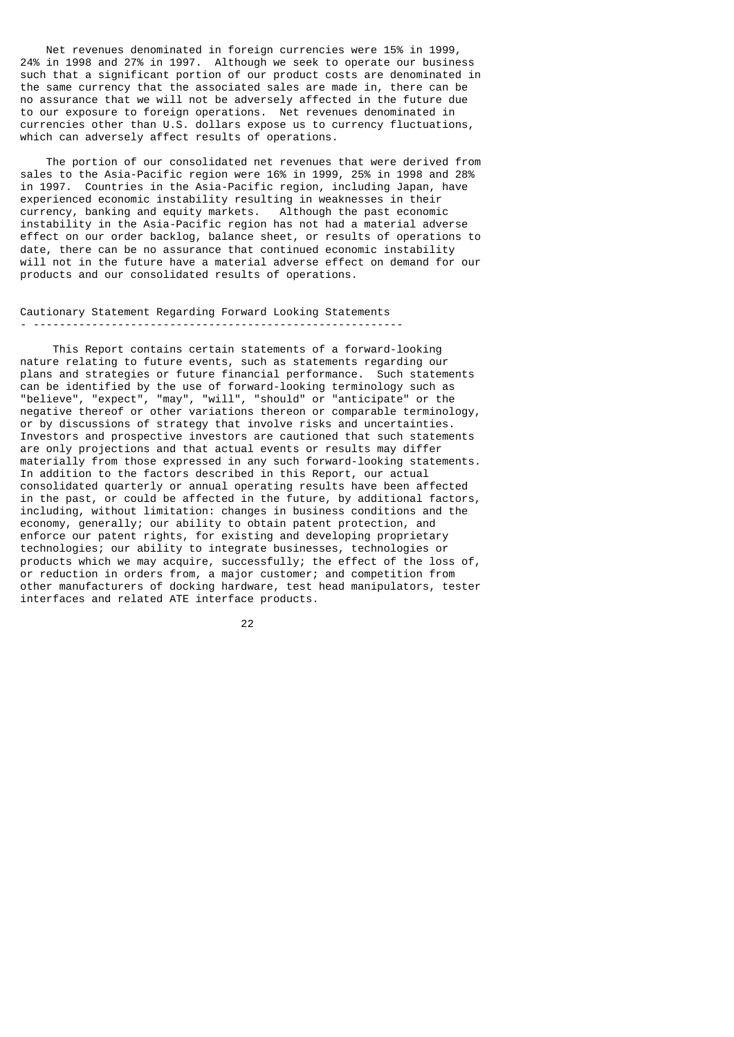Net revenues denominated in foreign currencies were 15% in 1999, 24% in 1998 and 27% in 1997. Although we seek to operate our business such that a significant portion of our product costs are denominated in the same currency that the associated sales are made in, there can be no assurance that we will not be adversely affected in the future due to our exposure to foreign operations. Net revenues denominated in currencies other than U.S. dollars expose us to currency fluctuations, which can adversely affect results of operations.

 The portion of our consolidated net revenues that were derived from sales to the Asia-Pacific region were 16% in 1999, 25% in 1998 and 28% in 1997. Countries in the Asia-Pacific region, including Japan, have experienced economic instability resulting in weaknesses in their currency, banking and equity markets. Although the past economic instability in the Asia-Pacific region has not had a material adverse effect on our order backlog, balance sheet, or results of operations to date, there can be no assurance that continued economic instability will not in the future have a material adverse effect on demand for our products and our consolidated results of operations.

### Cautionary Statement Regarding Forward Looking Statements - ---------------------------------------------------------

 This Report contains certain statements of a forward-looking nature relating to future events, such as statements regarding our plans and strategies or future financial performance. Such statements can be identified by the use of forward-looking terminology such as "believe", "expect", "may", "will", "should" or "anticipate" or the negative thereof or other variations thereon or comparable terminology, or by discussions of strategy that involve risks and uncertainties. Investors and prospective investors are cautioned that such statements are only projections and that actual events or results may differ materially from those expressed in any such forward-looking statements. In addition to the factors described in this Report, our actual consolidated quarterly or annual operating results have been affected in the past, or could be affected in the future, by additional factors, including, without limitation: changes in business conditions and the economy, generally; our ability to obtain patent protection, and enforce our patent rights, for existing and developing proprietary technologies; our ability to integrate businesses, technologies or products which we may acquire, successfully; the effect of the loss of, or reduction in orders from, a major customer; and competition from other manufacturers of docking hardware, test head manipulators, tester interfaces and related ATE interface products.

<u>22</u>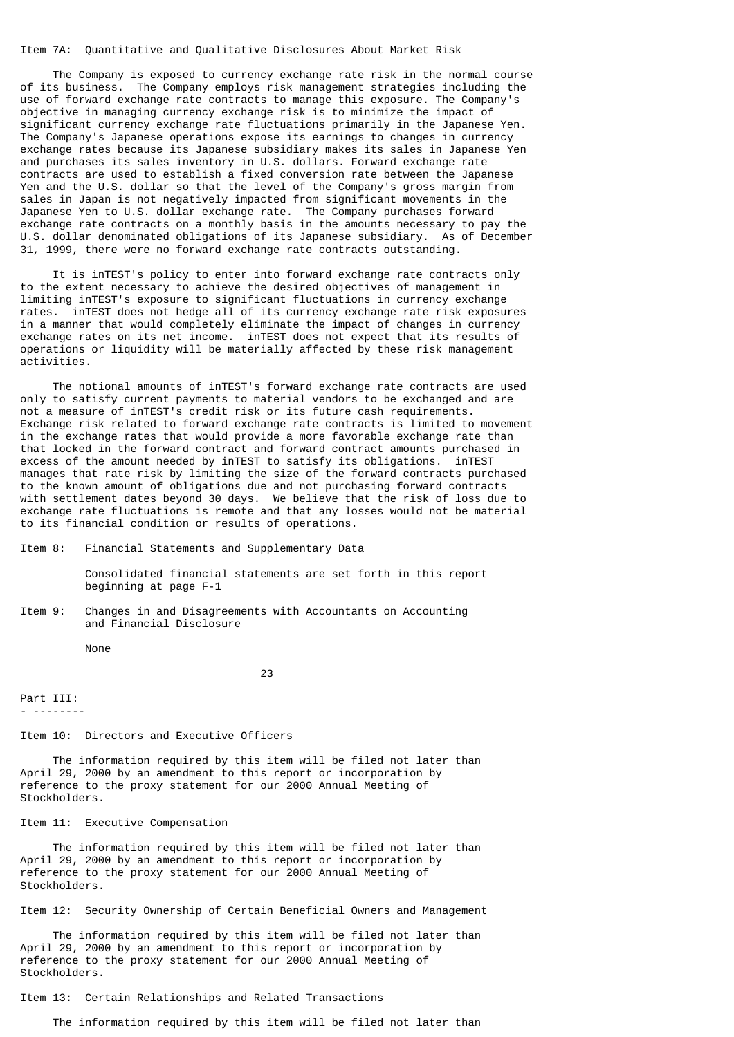### Item 7A: Quantitative and Qualitative Disclosures About Market Risk

 The Company is exposed to currency exchange rate risk in the normal course of its business. The Company employs risk management strategies including the use of forward exchange rate contracts to manage this exposure. The Company's objective in managing currency exchange risk is to minimize the impact of significant currency exchange rate fluctuations primarily in the Japanese Yen. The Company's Japanese operations expose its earnings to changes in currency exchange rates because its Japanese subsidiary makes its sales in Japanese Yen and purchases its sales inventory in U.S. dollars. Forward exchange rate contracts are used to establish a fixed conversion rate between the Japanese Yen and the U.S. dollar so that the level of the Company's gross margin from sales in Japan is not negatively impacted from significant movements in the Japanese Yen to U.S. dollar exchange rate. The Company purchases forward exchange rate contracts on a monthly basis in the amounts necessary to pay the U.S. dollar denominated obligations of its Japanese subsidiary. As of December 31, 1999, there were no forward exchange rate contracts outstanding.

 It is inTEST's policy to enter into forward exchange rate contracts only to the extent necessary to achieve the desired objectives of management in limiting inTEST's exposure to significant fluctuations in currency exchange rates. inTEST does not hedge all of its currency exchange rate risk exposures in a manner that would completely eliminate the impact of changes in currency exchange rates on its net income. inTEST does not expect that its results of operations or liquidity will be materially affected by these risk management activities.

 The notional amounts of inTEST's forward exchange rate contracts are used only to satisfy current payments to material vendors to be exchanged and are not a measure of inTEST's credit risk or its future cash requirements. Exchange risk related to forward exchange rate contracts is limited to movement in the exchange rates that would provide a more favorable exchange rate than that locked in the forward contract and forward contract amounts purchased in excess of the amount needed by inTEST to satisfy its obligations. inTEST manages that rate risk by limiting the size of the forward contracts purchased to the known amount of obligations due and not purchasing forward contracts with settlement dates beyond 30 days. We believe that the risk of loss due to exchange rate fluctuations is remote and that any losses would not be material to its financial condition or results of operations.

Item 8: Financial Statements and Supplementary Data

 Consolidated financial statements are set forth in this report beginning at page F-1

Item 9: Changes in and Disagreements with Accountants on Accounting and Financial Disclosure

None

<u>23 and 23</u>

Part III: - --------

#### Item 10: Directors and Executive Officers

 The information required by this item will be filed not later than April 29, 2000 by an amendment to this report or incorporation by reference to the proxy statement for our 2000 Annual Meeting of Stockholders.

#### Item 11: Executive Compensation

 The information required by this item will be filed not later than April 29, 2000 by an amendment to this report or incorporation by reference to the proxy statement for our 2000 Annual Meeting of Stockholders.

Item 12: Security Ownership of Certain Beneficial Owners and Management

 The information required by this item will be filed not later than April 29, 2000 by an amendment to this report or incorporation by reference to the proxy statement for our 2000 Annual Meeting of Stockholders.

#### Item 13: Certain Relationships and Related Transactions

The information required by this item will be filed not later than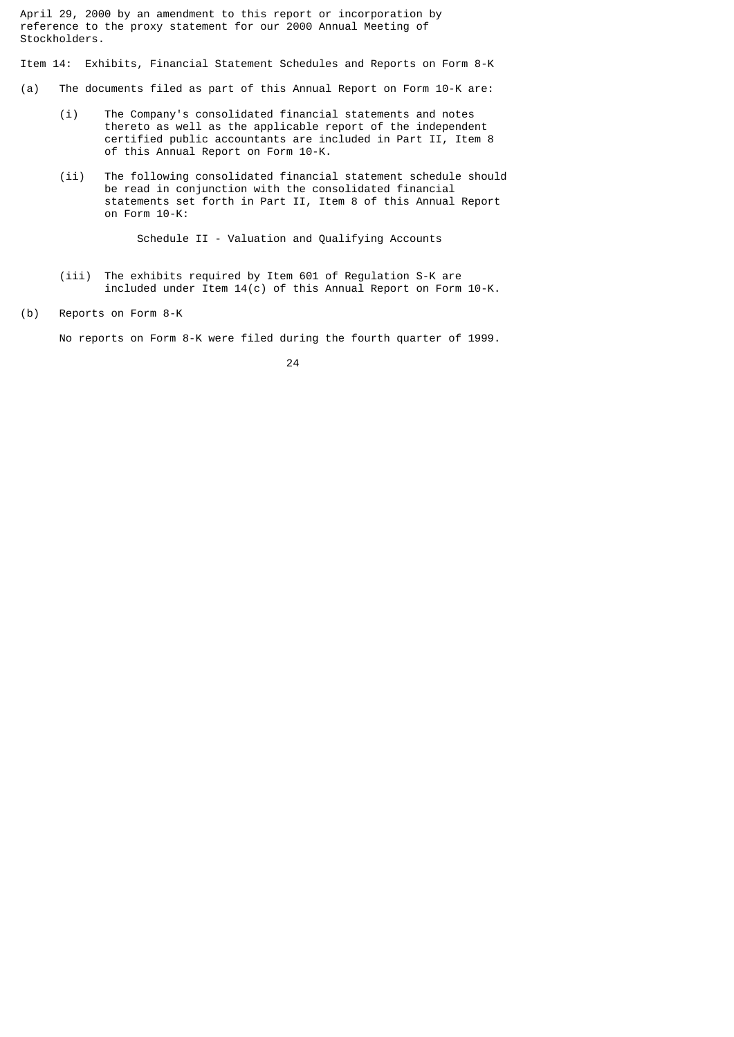April 29, 2000 by an amendment to this report or incorporation by reference to the proxy statement for our 2000 Annual Meeting of Stockholders.

Item 14: Exhibits, Financial Statement Schedules and Reports on Form 8-K

- (a) The documents filed as part of this Annual Report on Form 10-K are:
	- (i) The Company's consolidated financial statements and notes thereto as well as the applicable report of the independent certified public accountants are included in Part II, Item 8 of this Annual Report on Form 10-K.
	- (ii) The following consolidated financial statement schedule should be read in conjunction with the consolidated financial statements set forth in Part II, Item 8 of this Annual Report on Form 10-K:

Schedule II - Valuation and Qualifying Accounts

- (iii) The exhibits required by Item 601 of Regulation S-K are included under  $I$ tem 14 $(c)$  of this Annual Report on Form 10-K.
- (b) Reports on Form 8-K

No reports on Form 8-K were filed during the fourth quarter of 1999.

<u>24</u>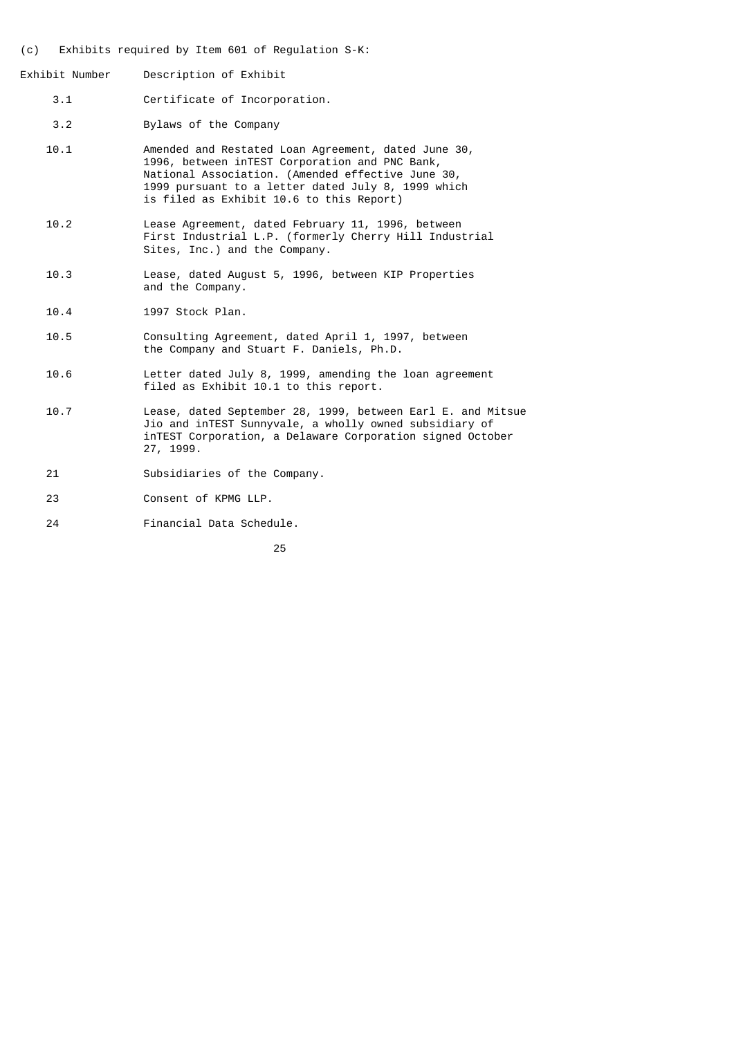- (c) Exhibits required by Item 601 of Regulation S-K:
- Exhibit Number Description of Exhibit
	- 3.1 Certificate of Incorporation.
	- 3.2 Bylaws of the Company
	- 10.1 Amended and Restated Loan Agreement, dated June 30, 1996, between inTEST Corporation and PNC Bank, National Association. (Amended effective June 30, 1999 pursuant to a letter dated July 8, 1999 which is filed as Exhibit 10.6 to this Report)
	- 10.2 Lease Agreement, dated February 11, 1996, between First Industrial L.P. (formerly Cherry Hill Industrial Sites, Inc.) and the Company.
	- 10.3 Lease, dated August 5, 1996, between KIP Properties and the Company.
	- 10.4 1997 Stock Plan.
	- 10.5 Consulting Agreement, dated April 1, 1997, between the Company and Stuart F. Daniels, Ph.D.
	- 10.6 Letter dated July 8, 1999, amending the loan agreement filed as Exhibit 10.1 to this report.
	- 10.7 Lease, dated September 28, 1999, between Earl E. and Mitsue Jio and inTEST Sunnyvale, a wholly owned subsidiary of inTEST Corporation, a Delaware Corporation signed October 27, 1999.
	- 21 Subsidiaries of the Company.
	- 23 Consent of KPMG LLP.
	- 24 Financial Data Schedule.

<u>25 and 25 and 25 and 25 and 25 and 25 and 25 and 25 and 25 and 25 and 25 and 25 and 25 and 25 and 25 and 26 and 26 and 26 and 26 and 26 and 26 and 26 and 26 and 26 and 26 and 26 and 26 and 26 and 26 and 26 and 27 and 27 a</u>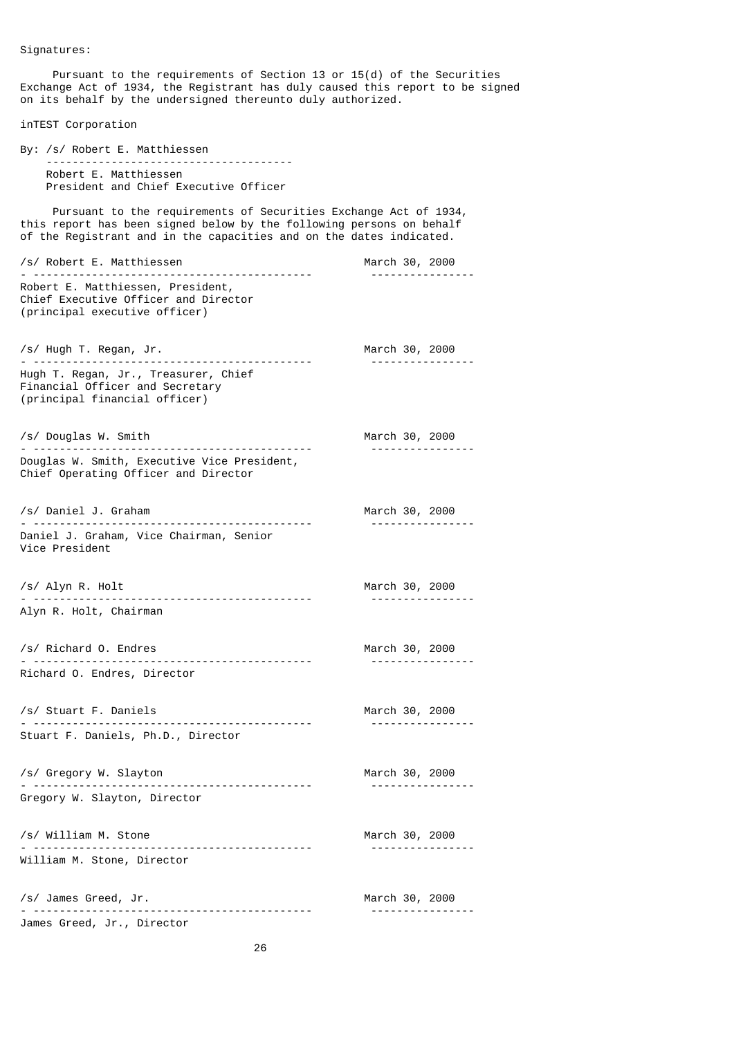Pursuant to the requirements of Section 13 or 15(d) of the Securities Exchange Act of 1934, the Registrant has duly caused this report to be signed on its behalf by the undersigned thereunto duly authorized.

inTEST Corporation

By: /s/ Robert E. Matthiessen -------------------------------------- Robert E. Matthiessen President and Chief Executive Officer

 Pursuant to the requirements of Securities Exchange Act of 1934, this report has been signed below by the following persons on behalf of the Registrant and in the capacities and on the dates indicated.

/s/ Robert E. Matthiessen March 30, 2000 - ------------------------------------------- ---------------- Robert E. Matthiessen, President, Chief Executive Officer and Director (principal executive officer) /s/ Hugh T. Regan, Jr. March 30, 2000 - ------------------------------------------- ---------------- Hugh T. Regan, Jr., Treasurer, Chief Financial Officer and Secretary (principal financial officer) /s/ Douglas W. Smith March 30, 2000 - ------------------------------------------- ---------------- Douglas W. Smith, Executive Vice President, Chief Operating Officer and Director /s/ Daniel J. Graham March 30, 2000 - ------------------------------------------- ---------------- Daniel J. Graham, Vice Chairman, Senior Vice President /s/ Alyn R. Holt March 30, 2000 - ------------------------------------------- ---------------- Alyn R. Holt, Chairman /s/ Richard O. Endres March 30, 2000 - ------------------------------------------- ---------------- Richard O. Endres, Director /s/ Stuart F. Daniels March 30, 2000 - ------------------------------------------- ---------------- Stuart F. Daniels, Ph.D., Director /s/ Gregory W. Slayton March 30, 2000 - ------------------------------------------- ---------------- Gregory W. Slayton, Director /s/ William M. Stone March 30, 2000 - ------------------------------------------- ---------------- William M. Stone, Director /s/ James Greed, Jr. March 30, 2000 - ------------------------------------------- ---------------- James Greed, Jr., Director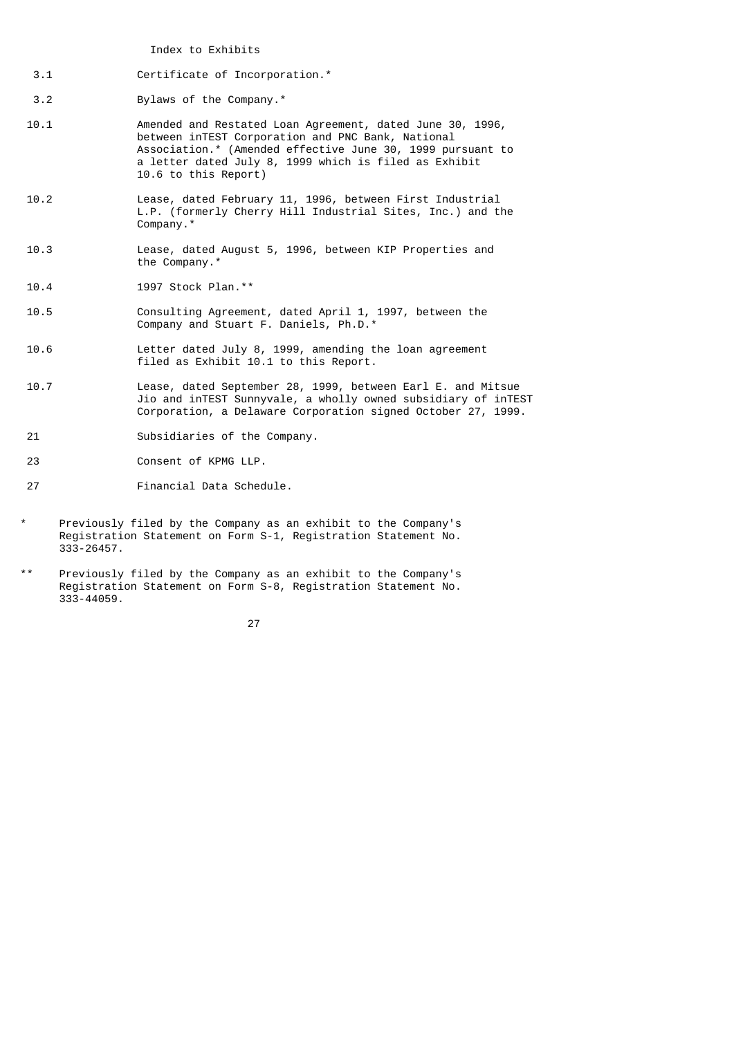Index to Exhibits

3.1 Certificate of Incorporation.\*

3.2 Bylaws of the Company.\*

- 10.1 Amended and Restated Loan Agreement, dated June 30, 1996, between inTEST Corporation and PNC Bank, National Association.\* (Amended effective June 30, 1999 pursuant to a letter dated July 8, 1999 which is filed as Exhibit 10.6 to this Report)
- 10.2 Lease, dated February 11, 1996, between First Industrial L.P. (formerly Cherry Hill Industrial Sites, Inc.) and the Company.\*
- 10.3 Lease, dated August 5, 1996, between KIP Properties and the Company.\*
- 10.4 1997 Stock Plan.\*\*
- 10.5 Consulting Agreement, dated April 1, 1997, between the Company and Stuart F. Daniels, Ph.D.\*
- 10.6 Letter dated July 8, 1999, amending the loan agreement filed as Exhibit 10.1 to this Report.
- 10.7 Lease, dated September 28, 1999, between Earl E. and Mitsue Jio and inTEST Sunnyvale, a wholly owned subsidiary of inTEST Corporation, a Delaware Corporation signed October 27, 1999.
- 21 Subsidiaries of the Company.
- 23 Consent of KPMG LLP.
- 27 Financial Data Schedule.
- Previously filed by the Company as an exhibit to the Company's Registration Statement on Form S-1, Registration Statement No. 333-26457.
- Previously filed by the Company as an exhibit to the Company's Registration Statement on Form S-8, Registration Statement No. 333-44059.

<u>27 and 27</u>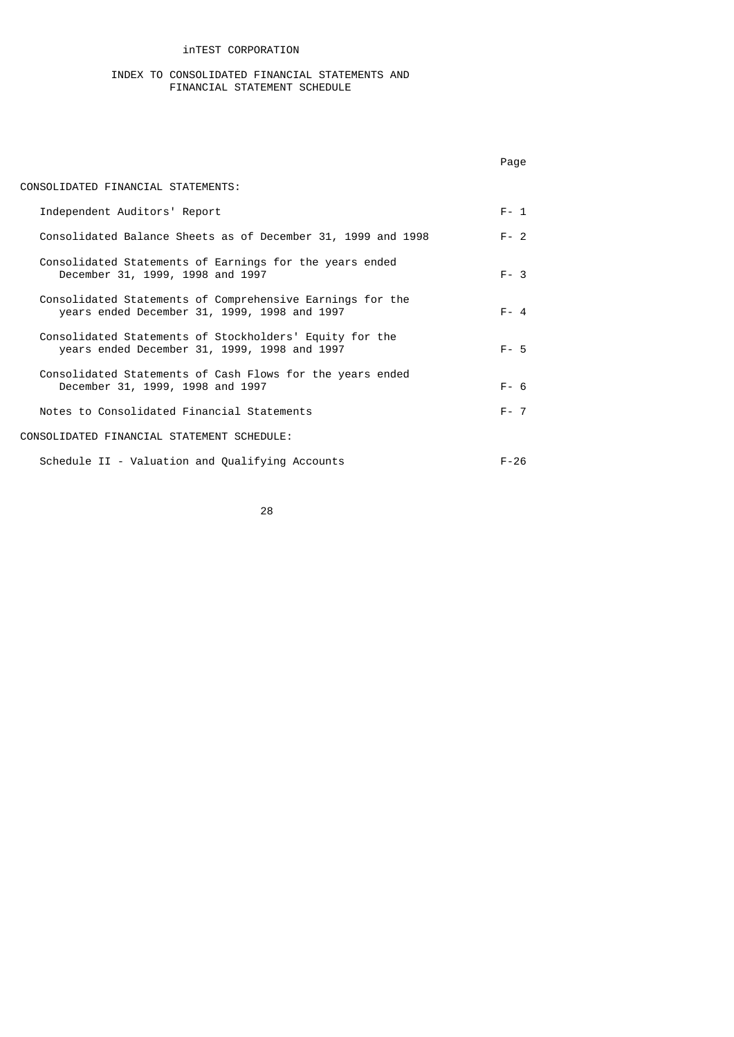## inTEST CORPORATION

#### INDEX TO CONSOLIDATED FINANCIAL STATEMENTS AND FINANCIAL STATEMENT SCHEDULE

|                                                                                                           | Page     |
|-----------------------------------------------------------------------------------------------------------|----------|
| CONSOLIDATED FINANCIAL STATEMENTS:                                                                        |          |
| Independent Auditors' Report                                                                              | $F - 1$  |
| Consolidated Balance Sheets as of December 31, 1999 and 1998                                              | $F - 2$  |
| Consolidated Statements of Earnings for the years ended<br>December 31, 1999, 1998 and 1997               | $F - 3$  |
| Consolidated Statements of Comprehensive Earnings for the<br>years ended December 31, 1999, 1998 and 1997 | $F - 4$  |
| Consolidated Statements of Stockholders' Equity for the<br>years ended December 31, 1999, 1998 and 1997   | $F - 5$  |
| Consolidated Statements of Cash Flows for the years ended<br>December 31, 1999, 1998 and 1997             | $F - 6$  |
| Notes to Consolidated Financial Statements                                                                | $F - 7$  |
| CONSOLIDATED FINANCIAL STATEMENT SCHEDULE:                                                                |          |
| Schedule II - Valuation and Qualifying Accounts                                                           | $F - 26$ |

e a componente de la construction de la construction de la construction de la construction de la construction<br>28 de junho de la construction de la construction de la construction de la construction de la construction de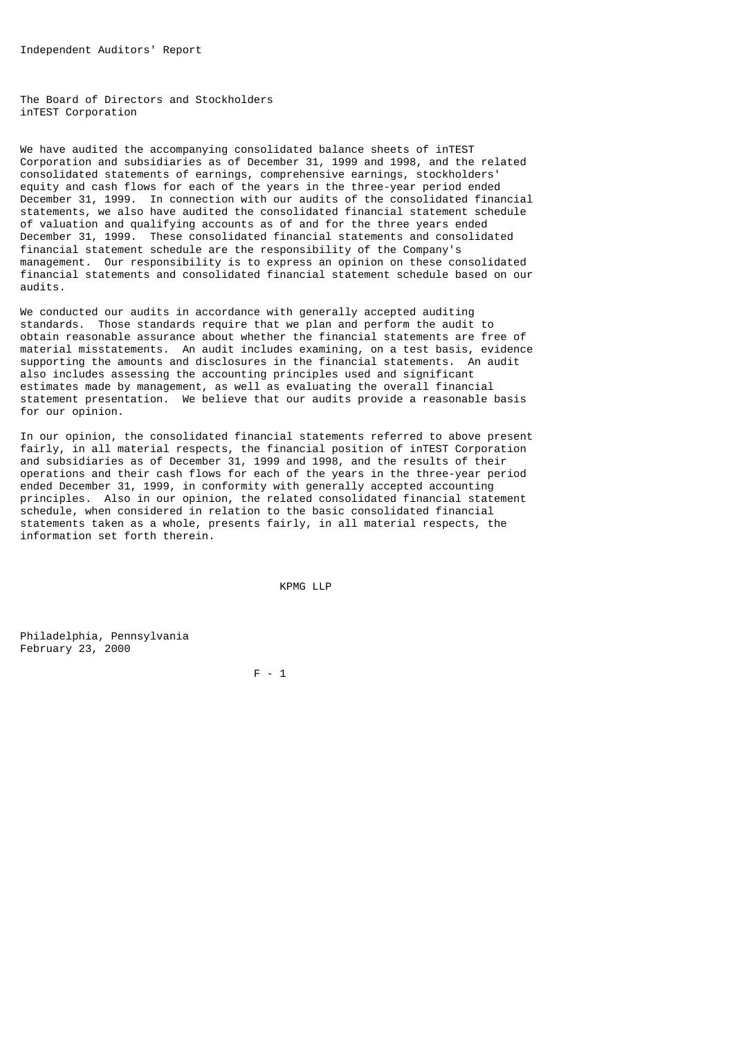The Board of Directors and Stockholders inTEST Corporation

We have audited the accompanying consolidated balance sheets of inTEST Corporation and subsidiaries as of December 31, 1999 and 1998, and the related consolidated statements of earnings, comprehensive earnings, stockholders' equity and cash flows for each of the years in the three-year period ended December 31, 1999. In connection with our audits of the consolidated financial statements, we also have audited the consolidated financial statement schedule of valuation and qualifying accounts as of and for the three years ended December 31, 1999. These consolidated financial statements and consolidated financial statement schedule are the responsibility of the Company's management. Our responsibility is to express an opinion on these consolidated financial statements and consolidated financial statement schedule based on our audits.

We conducted our audits in accordance with generally accepted auditing standards. Those standards require that we plan and perform the audit to obtain reasonable assurance about whether the financial statements are free of material misstatements. An audit includes examining, on a test basis, evidence supporting the amounts and disclosures in the financial statements. An audit also includes assessing the accounting principles used and significant estimates made by management, as well as evaluating the overall financial statement presentation. We believe that our audits provide a reasonable basis for our opinion.

In our opinion, the consolidated financial statements referred to above present fairly, in all material respects, the financial position of inTEST Corporation and subsidiaries as of December 31, 1999 and 1998, and the results of their operations and their cash flows for each of the years in the three-year period ended December 31, 1999, in conformity with generally accepted accounting principles. Also in our opinion, the related consolidated financial statement schedule, when considered in relation to the basic consolidated financial statements taken as a whole, presents fairly, in all material respects, the information set forth therein.

KPMG LLP

Philadelphia, Pennsylvania February 23, 2000

F - 1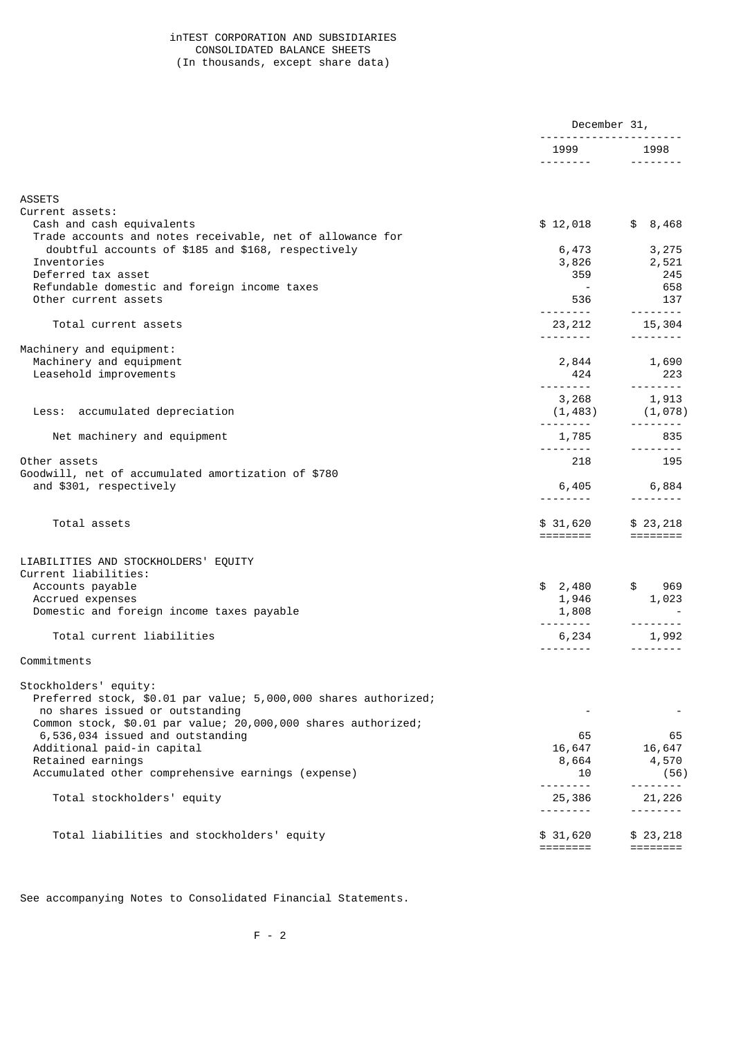## inTEST CORPORATION AND SUBSIDIARIES CONSOLIDATED BALANCE SHEETS (In thousands, except share data)

|                                                                                                  | December 31,                  |                                                                                                                                                                         |
|--------------------------------------------------------------------------------------------------|-------------------------------|-------------------------------------------------------------------------------------------------------------------------------------------------------------------------|
|                                                                                                  | 1999                          | 1998                                                                                                                                                                    |
|                                                                                                  |                               |                                                                                                                                                                         |
| <b>ASSETS</b>                                                                                    |                               |                                                                                                                                                                         |
| Current assets:                                                                                  |                               |                                                                                                                                                                         |
| Cash and cash equivalents<br>Trade accounts and notes receivable, net of allowance for           | \$12,018                      | \$8,468                                                                                                                                                                 |
| doubtful accounts of \$185 and \$168, respectively                                               | 6,473                         | 3,275                                                                                                                                                                   |
| Inventories                                                                                      |                               | 3,826 2,521                                                                                                                                                             |
| Deferred tax asset                                                                               | 359                           | 245                                                                                                                                                                     |
| Refundable domestic and foreign income taxes                                                     | $\sim$ $-$                    | 658                                                                                                                                                                     |
| Other current assets                                                                             | 536                           | 137                                                                                                                                                                     |
|                                                                                                  |                               | .                                                                                                                                                                       |
| Total current assets                                                                             |                               | $23,212$ $15,304$                                                                                                                                                       |
| Machinery and equipment:                                                                         |                               |                                                                                                                                                                         |
| Machinery and equipment                                                                          |                               |                                                                                                                                                                         |
| Leasehold improvements                                                                           |                               | 2,844 1,690<br>424 223                                                                                                                                                  |
|                                                                                                  | <u> - - - - - - - - - - -</u> |                                                                                                                                                                         |
|                                                                                                  |                               |                                                                                                                                                                         |
| Less: accumulated depreciation                                                                   |                               | $\begin{array}{ccc} \texttt{?} & \texttt{?} & \texttt{?} & \texttt{?} & \texttt{?} \ \texttt{3,268} & \texttt{1,913} \ (\texttt{1,483}) & (\texttt{1,078}) \end{array}$ |
|                                                                                                  |                               | 835                                                                                                                                                                     |
| Net machinery and equipment                                                                      | 1,785                         | . <b>.</b>                                                                                                                                                              |
| Other assets                                                                                     | 218                           | 195                                                                                                                                                                     |
| Goodwill, net of accumulated amortization of \$780                                               |                               |                                                                                                                                                                         |
| and \$301, respectively                                                                          |                               | 6,405 6,884                                                                                                                                                             |
|                                                                                                  |                               |                                                                                                                                                                         |
|                                                                                                  |                               |                                                                                                                                                                         |
| Total assets                                                                                     | \$31,620<br>========          | \$23,218                                                                                                                                                                |
|                                                                                                  |                               |                                                                                                                                                                         |
| LIABILITIES AND STOCKHOLDERS' EQUITY                                                             |                               |                                                                                                                                                                         |
| Current liabilities:                                                                             |                               |                                                                                                                                                                         |
| Accounts payable                                                                                 | \$2,480                       | \$969                                                                                                                                                                   |
| Accrued expenses                                                                                 | 1,946                         | 1,023                                                                                                                                                                   |
| Domestic and foreign income taxes payable                                                        | 1,808                         |                                                                                                                                                                         |
| Total current liabilities                                                                        | 6,234                         | 1,992                                                                                                                                                                   |
|                                                                                                  | <u>.</u>                      |                                                                                                                                                                         |
| Commitments                                                                                      |                               |                                                                                                                                                                         |
|                                                                                                  |                               |                                                                                                                                                                         |
| Stockholders' equity:                                                                            |                               |                                                                                                                                                                         |
| Preferred stock, \$0.01 par value; 5,000,000 shares authorized;                                  |                               |                                                                                                                                                                         |
| no shares issued or outstanding<br>Common stock, \$0.01 par value; 20,000,000 shares authorized; |                               |                                                                                                                                                                         |
| 6,536,034 issued and outstanding                                                                 | 65                            | 65                                                                                                                                                                      |
| Additional paid-in capital                                                                       | 16,647                        | 16,647                                                                                                                                                                  |
| Retained earnings                                                                                | 8,664                         | 4,570                                                                                                                                                                   |
| Accumulated other comprehensive earnings (expense)                                               | 10                            | (56)                                                                                                                                                                    |
|                                                                                                  | .                             |                                                                                                                                                                         |
| Total stockholders' equity                                                                       | 25,386                        | 21,226                                                                                                                                                                  |
|                                                                                                  |                               | <u>.</u>                                                                                                                                                                |
| Total liabilities and stockholders' equity                                                       | \$ 31,620                     | \$23,218                                                                                                                                                                |
|                                                                                                  | ========                      |                                                                                                                                                                         |

See accompanying Notes to Consolidated Financial Statements.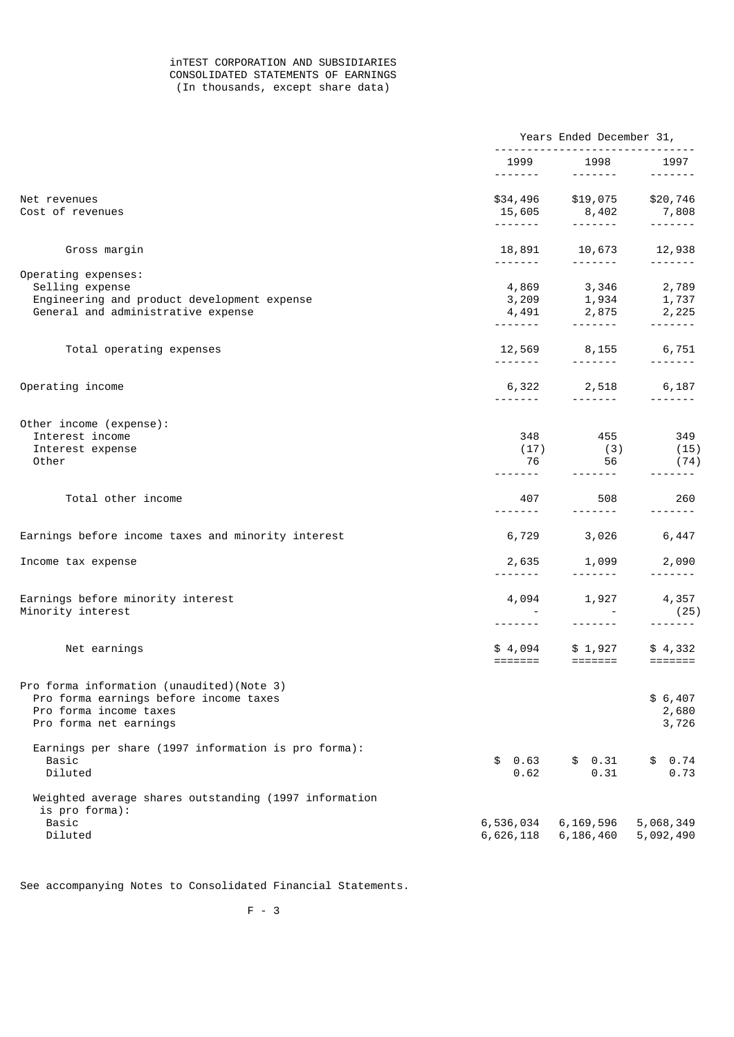## inTEST CORPORATION AND SUBSIDIARIES CONSOLIDATED STATEMENTS OF EARNINGS (In thousands, except share data)

|                                                                                                                                         |                             | Years Ended December 31,                                                                                                                                                                                                                                                                                                                                                                                                                                                                                                                   |                                                                                                                                                                                                                                                                                                                                                                                                                                                                                        |  |
|-----------------------------------------------------------------------------------------------------------------------------------------|-----------------------------|--------------------------------------------------------------------------------------------------------------------------------------------------------------------------------------------------------------------------------------------------------------------------------------------------------------------------------------------------------------------------------------------------------------------------------------------------------------------------------------------------------------------------------------------|----------------------------------------------------------------------------------------------------------------------------------------------------------------------------------------------------------------------------------------------------------------------------------------------------------------------------------------------------------------------------------------------------------------------------------------------------------------------------------------|--|
|                                                                                                                                         |                             | 1999 1998                                                                                                                                                                                                                                                                                                                                                                                                                                                                                                                                  | 1997<br>$- - - - - - -$                                                                                                                                                                                                                                                                                                                                                                                                                                                                |  |
| Net revenues<br>Cost of revenues                                                                                                        |                             | \$34,496 \$19,075 \$20,746<br>15,605 8,402 7,808<br>$\begin{array}{cccccccccccccc} \multicolumn{2}{c}{} & \multicolumn{2}{c}{} & \multicolumn{2}{c}{} & \multicolumn{2}{c}{} & \multicolumn{2}{c}{} & \multicolumn{2}{c}{} & \multicolumn{2}{c}{} & \multicolumn{2}{c}{} & \multicolumn{2}{c}{} & \multicolumn{2}{c}{} & \multicolumn{2}{c}{} & \multicolumn{2}{c}{} & \multicolumn{2}{c}{} & \multicolumn{2}{c}{} & \multicolumn{2}{c}{} & \multicolumn{2}{c}{} & \multicolumn{2}{c}{} & \multicolumn{2}{c}{} & \multicolumn{2}{c}{} & \$ | $\begin{array}{cccccccccccccc} \multicolumn{2}{c}{} & \multicolumn{2}{c}{} & \multicolumn{2}{c}{} & \multicolumn{2}{c}{} & \multicolumn{2}{c}{} & \multicolumn{2}{c}{} & \multicolumn{2}{c}{} & \multicolumn{2}{c}{} & \multicolumn{2}{c}{} & \multicolumn{2}{c}{} & \multicolumn{2}{c}{} & \multicolumn{2}{c}{} & \multicolumn{2}{c}{} & \multicolumn{2}{c}{} & \multicolumn{2}{c}{} & \multicolumn{2}{c}{} & \multicolumn{2}{c}{} & \multicolumn{2}{c}{} & \multicolumn{2}{c}{} & \$ |  |
| Gross margin                                                                                                                            |                             | 18,891 10,673 12,938                                                                                                                                                                                                                                                                                                                                                                                                                                                                                                                       |                                                                                                                                                                                                                                                                                                                                                                                                                                                                                        |  |
|                                                                                                                                         | --------                    | .                                                                                                                                                                                                                                                                                                                                                                                                                                                                                                                                          | -------                                                                                                                                                                                                                                                                                                                                                                                                                                                                                |  |
| Operating expenses:<br>Selling expense<br>Engineering and product development expense<br>General and administrative expense             |                             | 4,869 3,346 2,789<br>$3,209$ $1,934$ $1,737$<br>$4,491$ $2,875$ $2,225$<br>$3,225$                                                                                                                                                                                                                                                                                                                                                                                                                                                         |                                                                                                                                                                                                                                                                                                                                                                                                                                                                                        |  |
|                                                                                                                                         | -------                     |                                                                                                                                                                                                                                                                                                                                                                                                                                                                                                                                            |                                                                                                                                                                                                                                                                                                                                                                                                                                                                                        |  |
| Total operating expenses                                                                                                                | <u> - - - - - - -</u>       | 12,569 8,155 6,751<br>$\begin{array}{cccccccccccccc} \multicolumn{2}{c}{} & \multicolumn{2}{c}{} & \multicolumn{2}{c}{} & \multicolumn{2}{c}{} & \multicolumn{2}{c}{} & \multicolumn{2}{c}{} & \multicolumn{2}{c}{} & \multicolumn{2}{c}{} & \multicolumn{2}{c}{} & \multicolumn{2}{c}{} & \multicolumn{2}{c}{} & \multicolumn{2}{c}{} & \multicolumn{2}{c}{} & \multicolumn{2}{c}{} & \multicolumn{2}{c}{} & \multicolumn{2}{c}{} & \multicolumn{2}{c}{} & \multicolumn{2}{c}{} & \multicolumn{2}{c}{} & \$                               | -------                                                                                                                                                                                                                                                                                                                                                                                                                                                                                |  |
| Operating income                                                                                                                        | -------                     | 6,322 2,518                                                                                                                                                                                                                                                                                                                                                                                                                                                                                                                                | 6,187<br>$- - - - - - -$                                                                                                                                                                                                                                                                                                                                                                                                                                                               |  |
| Other income (expense):                                                                                                                 |                             |                                                                                                                                                                                                                                                                                                                                                                                                                                                                                                                                            |                                                                                                                                                                                                                                                                                                                                                                                                                                                                                        |  |
| Interest income<br>Interest expense<br>Other                                                                                            | 348<br>(17)<br>76           | 455 456<br>(3)<br>56                                                                                                                                                                                                                                                                                                                                                                                                                                                                                                                       | 349<br>(15)<br>(74)                                                                                                                                                                                                                                                                                                                                                                                                                                                                    |  |
|                                                                                                                                         |                             | -------                                                                                                                                                                                                                                                                                                                                                                                                                                                                                                                                    |                                                                                                                                                                                                                                                                                                                                                                                                                                                                                        |  |
| Total other income                                                                                                                      | 407<br>- - - - - - -        | 508<br>$- - - - - - - -$                                                                                                                                                                                                                                                                                                                                                                                                                                                                                                                   | 260                                                                                                                                                                                                                                                                                                                                                                                                                                                                                    |  |
| Earnings before income taxes and minority interest                                                                                      |                             | 6,729 3,026 6,447                                                                                                                                                                                                                                                                                                                                                                                                                                                                                                                          |                                                                                                                                                                                                                                                                                                                                                                                                                                                                                        |  |
| Income tax expense                                                                                                                      | 2,635                       | 1,099<br>.                                                                                                                                                                                                                                                                                                                                                                                                                                                                                                                                 | 2,090<br>$- - - - - - - -$                                                                                                                                                                                                                                                                                                                                                                                                                                                             |  |
| Earnings before minority interest<br>Minority interest                                                                                  | 4,094                       | 1,927                                                                                                                                                                                                                                                                                                                                                                                                                                                                                                                                      | 4,357<br>(25)                                                                                                                                                                                                                                                                                                                                                                                                                                                                          |  |
|                                                                                                                                         |                             | $- - - - - - - -$                                                                                                                                                                                                                                                                                                                                                                                                                                                                                                                          | $- - - - - - -$                                                                                                                                                                                                                                                                                                                                                                                                                                                                        |  |
| Net earnings                                                                                                                            | $=$ $=$ $=$ $=$ $=$ $=$ $=$ | $$4,094$ $$1,927$<br>$=$ $=$ $=$ $=$ $=$ $=$                                                                                                                                                                                                                                                                                                                                                                                                                                                                                               | \$4,332                                                                                                                                                                                                                                                                                                                                                                                                                                                                                |  |
| Pro forma information (unaudited)(Note 3)<br>Pro forma earnings before income taxes<br>Pro forma income taxes<br>Pro forma net earnings |                             |                                                                                                                                                                                                                                                                                                                                                                                                                                                                                                                                            | \$6,407<br>2,680<br>3,726                                                                                                                                                                                                                                                                                                                                                                                                                                                              |  |
| Earnings per share (1997 information is pro forma):<br>Basic<br>Diluted                                                                 | 0.63<br>\$<br>0.62          | \$0.31<br>0.31                                                                                                                                                                                                                                                                                                                                                                                                                                                                                                                             | 0.74<br>\$<br>0.73                                                                                                                                                                                                                                                                                                                                                                                                                                                                     |  |
| Weighted average shares outstanding (1997 information<br>is pro forma):<br>Basic                                                        | 6,536,034                   | 6,169,596                                                                                                                                                                                                                                                                                                                                                                                                                                                                                                                                  | 5,068,349                                                                                                                                                                                                                                                                                                                                                                                                                                                                              |  |
| Diluted                                                                                                                                 | 6,626,118                   | 6,186,460                                                                                                                                                                                                                                                                                                                                                                                                                                                                                                                                  | 5,092,490                                                                                                                                                                                                                                                                                                                                                                                                                                                                              |  |

See accompanying Notes to Consolidated Financial Statements.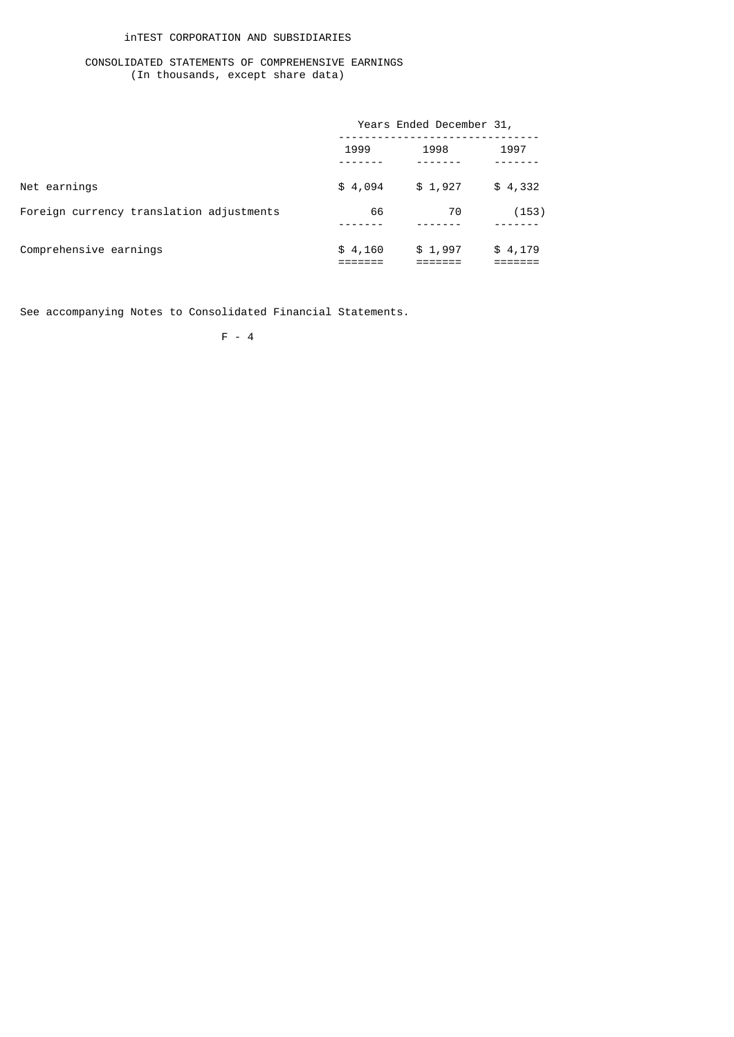## inTEST CORPORATION AND SUBSIDIARIES

## CONSOLIDATED STATEMENTS OF COMPREHENSIVE EARNINGS (In thousands, except share data)

|                                          |         | Years Ended December 31, |         |  |  |
|------------------------------------------|---------|--------------------------|---------|--|--|
|                                          | 1999    | 1998                     | 1997    |  |  |
| Net earnings                             | \$4,094 | \$1,927                  | \$4,332 |  |  |
| Foreign currency translation adjustments | 66      | 70                       | (153)   |  |  |
| Comprehensive earnings                   | \$4,160 | \$1,997                  | \$4,179 |  |  |

See accompanying Notes to Consolidated Financial Statements.

F - 4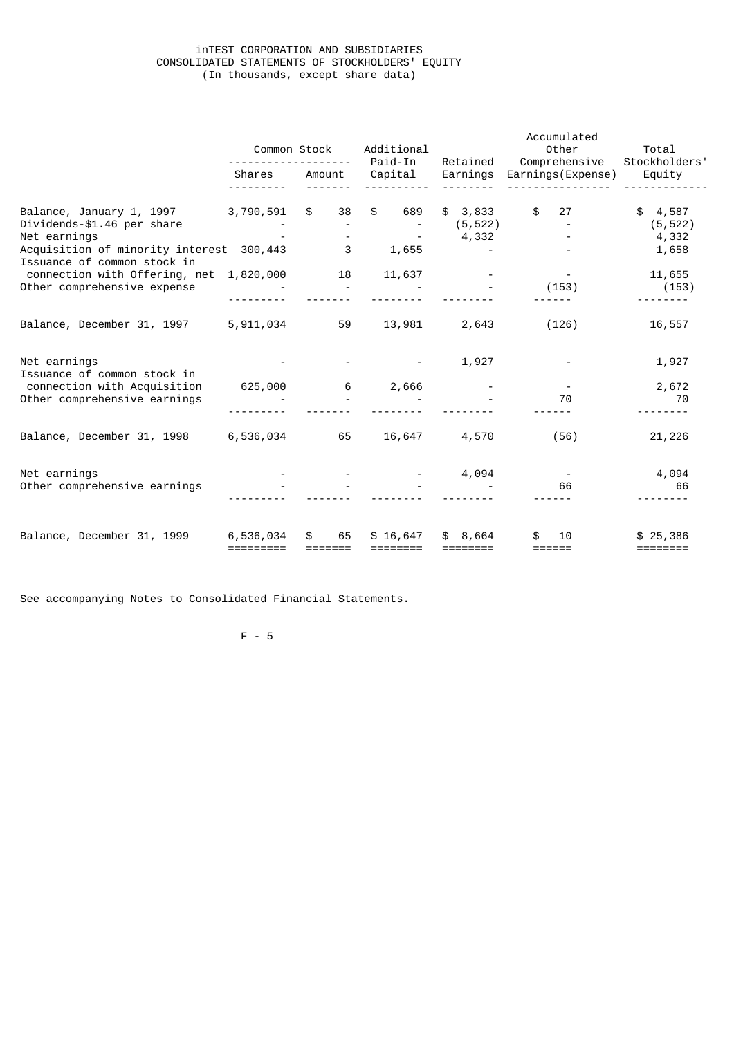### inTEST CORPORATION AND SUBSIDIARIES CONSOLIDATED STATEMENTS OF STOCKHOLDERS' EQUITY (In thousands, except share data)

|                                                                                                                                                   | Common Stock           |                                   | Additional<br>Paid-In<br>Retained |                               | Accumulated<br>Other<br>Comprehensive | Total<br>Stockholders'                |
|---------------------------------------------------------------------------------------------------------------------------------------------------|------------------------|-----------------------------------|-----------------------------------|-------------------------------|---------------------------------------|---------------------------------------|
|                                                                                                                                                   | Shares                 | Amount                            | Capital                           | Earnings                      | Earnings(Expense)                     | Equity                                |
| Balance, January 1, 1997<br>Dividends-\$1.46 per share<br>Net earnings<br>Acquisition of minority interest 300,443<br>Issuance of common stock in | 3,790,591              | $$^{\circ}$<br>38<br>$\mathbf{3}$ | \$ 689<br>1,655                   | \$3,833<br>(5, 522)<br>4,332  | $\frac{1}{2}$<br>27                   | \$4,587<br>(5, 522)<br>4,332<br>1,658 |
| connection with Offering, net<br>Other comprehensive expense                                                                                      | 1,820,000              | 18                                | 11,637                            |                               | (153)                                 | 11,655<br>(153)                       |
| Balance, December 31, 1997 5, 911, 034 59                                                                                                         |                        |                                   |                                   | 13,981 2,643                  | (126)                                 | 16,557                                |
| Net earnings<br>Issuance of common stock in                                                                                                       |                        |                                   |                                   | 1,927                         |                                       | 1,927                                 |
| connection with Acquisition<br>Other comprehensive earnings                                                                                       | 625,000                | 6                                 | 2,666                             |                               | 70                                    | 2,672<br>70                           |
| Balance, December 31, 1998                                                                                                                        | 6,536,034 65           |                                   | 16,647                            | 4,570                         | (56)                                  | 21,226                                |
| Net earnings<br>Other comprehensive earnings                                                                                                      |                        |                                   |                                   | 4,094<br><b>All Contracts</b> | 66                                    | 4,094<br>66                           |
| Balance, December 31, 1999                                                                                                                        | 6,536,034<br>========= | 65<br>\$.                         | \$16,647<br>========              | \$8,664<br>========           | 10<br>======                          | \$25,386<br>========                  |

See accompanying Notes to Consolidated Financial Statements.

F - 5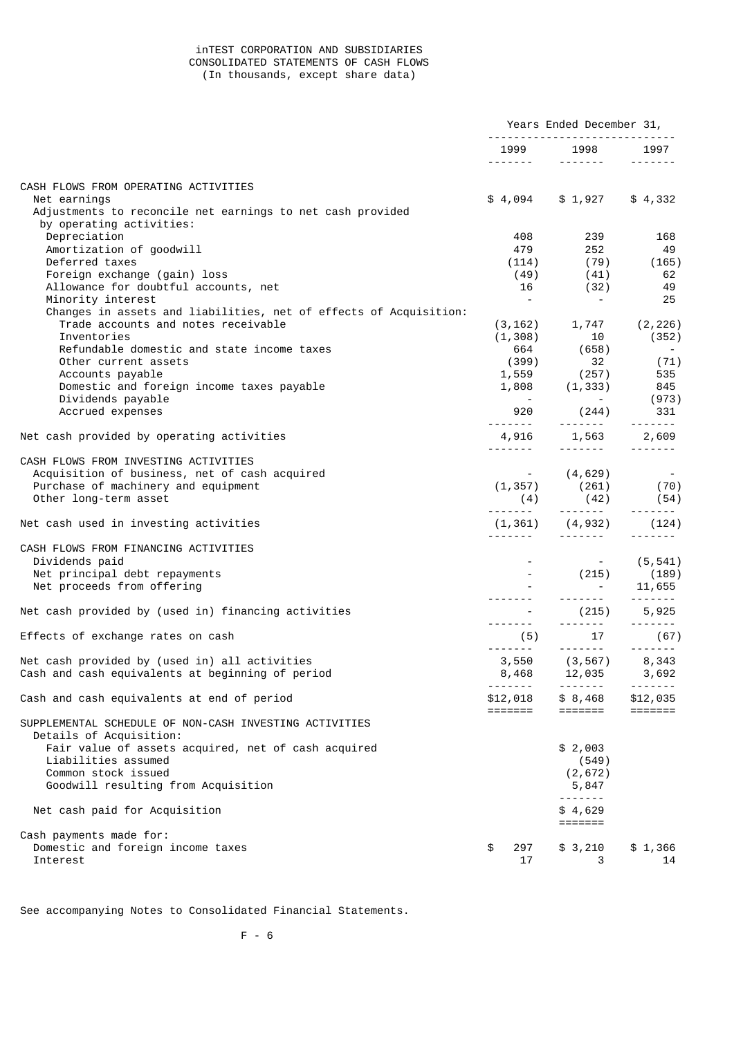### inTEST CORPORATION AND SUBSIDIARIES CONSOLIDATED STATEMENTS OF CASH FLOWS (In thousands, except share data)

|                                                                                                        | Years Ended December 31,           |                                                                                                                                                                                                                                                                                                                                                                                                                                                                                                          |                             |
|--------------------------------------------------------------------------------------------------------|------------------------------------|----------------------------------------------------------------------------------------------------------------------------------------------------------------------------------------------------------------------------------------------------------------------------------------------------------------------------------------------------------------------------------------------------------------------------------------------------------------------------------------------------------|-----------------------------|
|                                                                                                        | .                                  | 1999 1998 1997<br>$\begin{array}{cccccccccccccc} \multicolumn{2}{c}{} & \multicolumn{2}{c}{} & \multicolumn{2}{c}{} & \multicolumn{2}{c}{} & \multicolumn{2}{c}{} & \multicolumn{2}{c}{} & \multicolumn{2}{c}{} & \multicolumn{2}{c}{} & \multicolumn{2}{c}{} & \multicolumn{2}{c}{} & \multicolumn{2}{c}{} & \multicolumn{2}{c}{} & \multicolumn{2}{c}{} & \multicolumn{2}{c}{} & \multicolumn{2}{c}{} & \multicolumn{2}{c}{} & \multicolumn{2}{c}{} & \multicolumn{2}{c}{} & \multicolumn{2}{c}{} & \$ |                             |
| CASH FLOWS FROM OPERATING ACTIVITIES                                                                   |                                    |                                                                                                                                                                                                                                                                                                                                                                                                                                                                                                          |                             |
| Net earnings<br>Adjustments to reconcile net earnings to net cash provided<br>by operating activities: | \$4,094                            | $$1,927$ $$4,332$                                                                                                                                                                                                                                                                                                                                                                                                                                                                                        |                             |
| Depreciation                                                                                           | 408                                | 239                                                                                                                                                                                                                                                                                                                                                                                                                                                                                                      | 168                         |
| Amortization of goodwill                                                                               | 479                                | 252                                                                                                                                                                                                                                                                                                                                                                                                                                                                                                      | 49                          |
| Deferred taxes                                                                                         |                                    | $(114)$ (79)                                                                                                                                                                                                                                                                                                                                                                                                                                                                                             | (165)                       |
| Foreign exchange (gain) loss<br>Allowance for doubtful accounts, net                                   | (49)<br>16                         | (41)<br>(32)                                                                                                                                                                                                                                                                                                                                                                                                                                                                                             | 62<br>49                    |
| Minority interest                                                                                      | $\overline{\phantom{a}}$           | $\sim 100$ m $^{-1}$                                                                                                                                                                                                                                                                                                                                                                                                                                                                                     | 25                          |
| Changes in assets and liabilities, net of effects of Acquisition:                                      |                                    |                                                                                                                                                                                                                                                                                                                                                                                                                                                                                                          |                             |
| Trade accounts and notes receivable                                                                    |                                    | $(3, 162)$ 1, 747 $(2, 226)$                                                                                                                                                                                                                                                                                                                                                                                                                                                                             |                             |
| Inventories                                                                                            | (1, 308)                           | 10                                                                                                                                                                                                                                                                                                                                                                                                                                                                                                       | (352)                       |
| Refundable domestic and state income taxes                                                             |                                    |                                                                                                                                                                                                                                                                                                                                                                                                                                                                                                          |                             |
| Other current assets<br>Accounts payable                                                               |                                    | $1,559$ (257) 535                                                                                                                                                                                                                                                                                                                                                                                                                                                                                        | (71)                        |
| Domestic and foreign income taxes payable                                                              |                                    |                                                                                                                                                                                                                                                                                                                                                                                                                                                                                                          |                             |
| Dividends payable                                                                                      |                                    | $1,808$ $(1,333)$ 845<br>$(973)$                                                                                                                                                                                                                                                                                                                                                                                                                                                                         |                             |
| Accrued expenses                                                                                       |                                    | 920 (244) 331                                                                                                                                                                                                                                                                                                                                                                                                                                                                                            |                             |
| Net cash provided by operating activities                                                              |                                    |                                                                                                                                                                                                                                                                                                                                                                                                                                                                                                          |                             |
| CASH FLOWS FROM INVESTING ACTIVITIES                                                                   |                                    |                                                                                                                                                                                                                                                                                                                                                                                                                                                                                                          |                             |
| Acquisition of business, net of cash acquired                                                          |                                    | $(1,357)$ $(4,629)$ $(70)$                                                                                                                                                                                                                                                                                                                                                                                                                                                                               |                             |
| Purchase of machinery and equipment                                                                    |                                    |                                                                                                                                                                                                                                                                                                                                                                                                                                                                                                          |                             |
| Other long-term asset                                                                                  |                                    | $(4)$ $(42)$ $(54)$                                                                                                                                                                                                                                                                                                                                                                                                                                                                                      |                             |
| Net cash used in investing activities                                                                  |                                    | $(1,361)$ $(4,932)$ $(124)$                                                                                                                                                                                                                                                                                                                                                                                                                                                                              |                             |
| CASH FLOWS FROM FINANCING ACTIVITIES                                                                   |                                    |                                                                                                                                                                                                                                                                                                                                                                                                                                                                                                          |                             |
| Dividends paid                                                                                         |                                    |                                                                                                                                                                                                                                                                                                                                                                                                                                                                                                          | $-$ (5,541)                 |
| Net principal debt repayments                                                                          |                                    | $(215)$ $(189)$                                                                                                                                                                                                                                                                                                                                                                                                                                                                                          |                             |
| Net proceeds from offering                                                                             |                                    |                                                                                                                                                                                                                                                                                                                                                                                                                                                                                                          | $-11,655$                   |
|                                                                                                        |                                    |                                                                                                                                                                                                                                                                                                                                                                                                                                                                                                          |                             |
| Net cash provided by (used in) financing activities                                                    |                                    | $-$ (215) 5,925                                                                                                                                                                                                                                                                                                                                                                                                                                                                                          |                             |
| Effects of exchange rates on cash                                                                      |                                    |                                                                                                                                                                                                                                                                                                                                                                                                                                                                                                          |                             |
| Net cash provided by (used in) all activities                                                          |                                    | $3,550$ $(3,567)$ $8,343$                                                                                                                                                                                                                                                                                                                                                                                                                                                                                |                             |
| Cash and cash equivalents at beginning of period                                                       |                                    | 8,468 12,035 3,692                                                                                                                                                                                                                                                                                                                                                                                                                                                                                       |                             |
| Cash and cash equivalents at end of period                                                             | - - - - - - - <b>-</b><br>\$12,018 | -------<br>\$8,468                                                                                                                                                                                                                                                                                                                                                                                                                                                                                       | -------<br>\$12,035         |
| SUPPLEMENTAL SCHEDULE OF NON-CASH INVESTING ACTIVITIES<br>Details of Acquisition:                      | =======                            | $=$ $=$ $=$ $=$ $=$ $=$ $=$                                                                                                                                                                                                                                                                                                                                                                                                                                                                              | $=$ $=$ $=$ $=$ $=$ $=$ $=$ |
| Fair value of assets acquired, net of cash acquired                                                    |                                    | \$2,003                                                                                                                                                                                                                                                                                                                                                                                                                                                                                                  |                             |
| Liabilities assumed                                                                                    |                                    | (549)                                                                                                                                                                                                                                                                                                                                                                                                                                                                                                    |                             |
| Common stock issued                                                                                    |                                    | (2, 672)                                                                                                                                                                                                                                                                                                                                                                                                                                                                                                 |                             |
| Goodwill resulting from Acquisition                                                                    |                                    | 5,847                                                                                                                                                                                                                                                                                                                                                                                                                                                                                                    |                             |
|                                                                                                        |                                    | -------                                                                                                                                                                                                                                                                                                                                                                                                                                                                                                  |                             |
| Net cash paid for Acquisition                                                                          |                                    | \$4,629<br>$=$ $=$ $=$ $=$ $=$ $=$ $=$                                                                                                                                                                                                                                                                                                                                                                                                                                                                   |                             |
| Cash payments made for:                                                                                |                                    |                                                                                                                                                                                                                                                                                                                                                                                                                                                                                                          |                             |
| Domestic and foreign income taxes<br>Interest                                                          | \$<br>297<br>17                    | \$3,210<br>3                                                                                                                                                                                                                                                                                                                                                                                                                                                                                             | \$1,366<br>14               |

See accompanying Notes to Consolidated Financial Statements.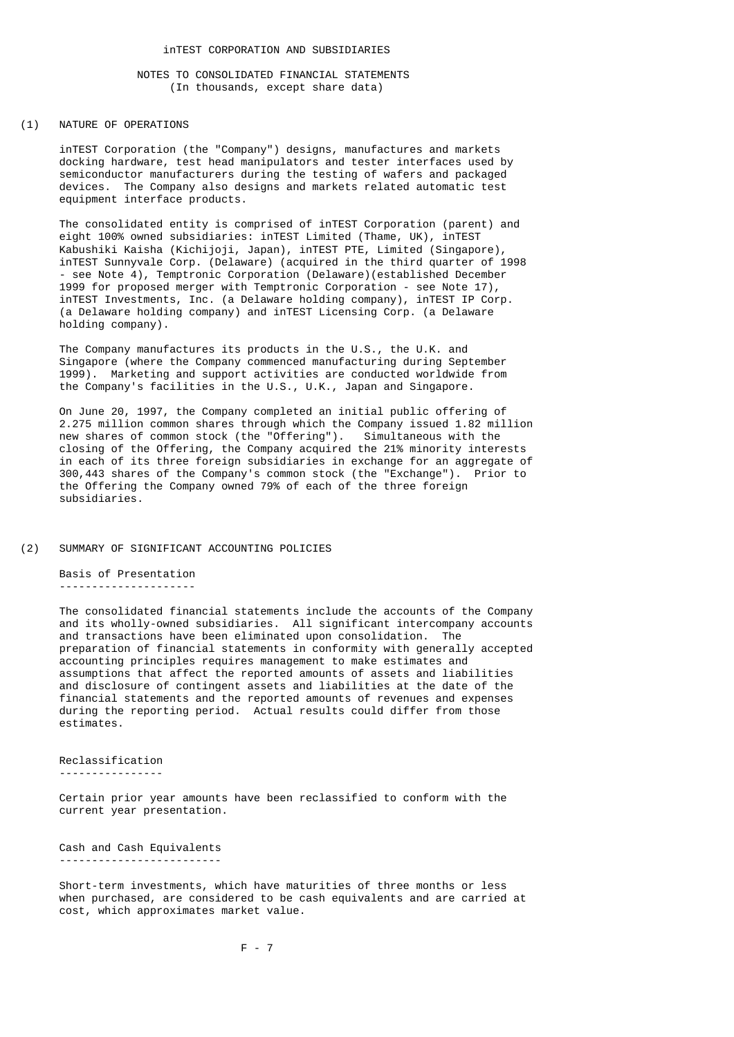### NOTES TO CONSOLIDATED FINANCIAL STATEMENTS (In thousands, except share data)

### (1) NATURE OF OPERATIONS

 inTEST Corporation (the "Company") designs, manufactures and markets docking hardware, test head manipulators and tester interfaces used by semiconductor manufacturers during the testing of wafers and packaged devices. The Company also designs and markets related automatic test equipment interface products.

 The consolidated entity is comprised of inTEST Corporation (parent) and eight 100% owned subsidiaries: inTEST Limited (Thame, UK), inTEST Kabushiki Kaisha (Kichijoji, Japan), inTEST PTE, Limited (Singapore), inTEST Sunnyvale Corp. (Delaware) (acquired in the third quarter of 1998 - see Note 4), Temptronic Corporation (Delaware)(established December 1999 for proposed merger with Temptronic Corporation - see Note 17), inTEST Investments, Inc. (a Delaware holding company), inTEST IP Corp. (a Delaware holding company) and inTEST Licensing Corp. (a Delaware holding company).

 The Company manufactures its products in the U.S., the U.K. and Singapore (where the Company commenced manufacturing during September 1999). Marketing and support activities are conducted worldwide from the Company's facilities in the U.S., U.K., Japan and Singapore.

 On June 20, 1997, the Company completed an initial public offering of 2.275 million common shares through which the Company issued 1.82 million new shares of common stock (the "Offering"). Simultaneous with the closing of the Offering, the Company acquired the 21% minority interests in each of its three foreign subsidiaries in exchange for an aggregate of 300,443 shares of the Company's common stock (the "Exchange"). Prior to the Offering the Company owned 79% of each of the three foreign subsidiaries.

### (2) SUMMARY OF SIGNIFICANT ACCOUNTING POLICIES

 Basis of Presentation ---------------------

 The consolidated financial statements include the accounts of the Company and its wholly-owned subsidiaries. All significant intercompany accounts and transactions have been eliminated upon consolidation. The preparation of financial statements in conformity with generally accepted accounting principles requires management to make estimates and assumptions that affect the reported amounts of assets and liabilities and disclosure of contingent assets and liabilities at the date of the financial statements and the reported amounts of revenues and expenses during the reporting period. Actual results could differ from those estimates.

Reclassification

----------------

 Certain prior year amounts have been reclassified to conform with the current year presentation.

 Cash and Cash Equivalents -------------------------

 Short-term investments, which have maturities of three months or less when purchased, are considered to be cash equivalents and are carried at cost, which approximates market value.

F - 7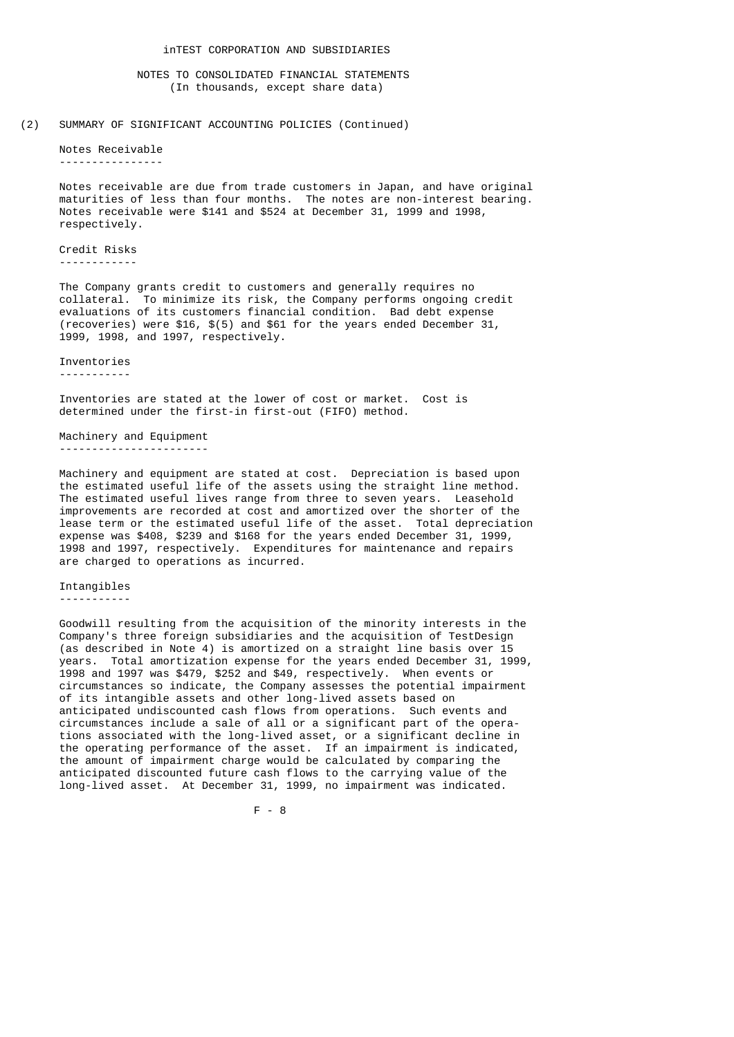### NOTES TO CONSOLIDATED FINANCIAL STATEMENTS (In thousands, except share data)

### (2) SUMMARY OF SIGNIFICANT ACCOUNTING POLICIES (Continued)

 Notes Receivable ----------------

> Notes receivable are due from trade customers in Japan, and have original maturities of less than four months. The notes are non-interest bearing. Notes receivable were \$141 and \$524 at December 31, 1999 and 1998, respectively.

 Credit Risks ------------

 The Company grants credit to customers and generally requires no collateral. To minimize its risk, the Company performs ongoing credit evaluations of its customers financial condition. Bad debt expense (recoveries) were \$16, \$(5) and \$61 for the years ended December 31, 1999, 1998, and 1997, respectively.

Inventories

-----------

 Inventories are stated at the lower of cost or market. Cost is determined under the first-in first-out (FIFO) method.

 Machinery and Equipment -----------------------

 Machinery and equipment are stated at cost. Depreciation is based upon the estimated useful life of the assets using the straight line method. The estimated useful lives range from three to seven years. Leasehold improvements are recorded at cost and amortized over the shorter of the lease term or the estimated useful life of the asset. Total depreciation expense was \$408, \$239 and \$168 for the years ended December 31, 1999, 1998 and 1997, respectively. Expenditures for maintenance and repairs are charged to operations as incurred.

### Intangibles -----------

 Goodwill resulting from the acquisition of the minority interests in the Company's three foreign subsidiaries and the acquisition of TestDesign (as described in Note 4) is amortized on a straight line basis over 15 years. Total amortization expense for the years ended December 31, 1999, 1998 and 1997 was \$479, \$252 and \$49, respectively. When events or circumstances so indicate, the Company assesses the potential impairment of its intangible assets and other long-lived assets based on anticipated undiscounted cash flows from operations. Such events and circumstances include a sale of all or a significant part of the opera tions associated with the long-lived asset, or a significant decline in the operating performance of the asset. If an impairment is indicated, the amount of impairment charge would be calculated by comparing the anticipated discounted future cash flows to the carrying value of the long-lived asset. At December 31, 1999, no impairment was indicated.

F - 8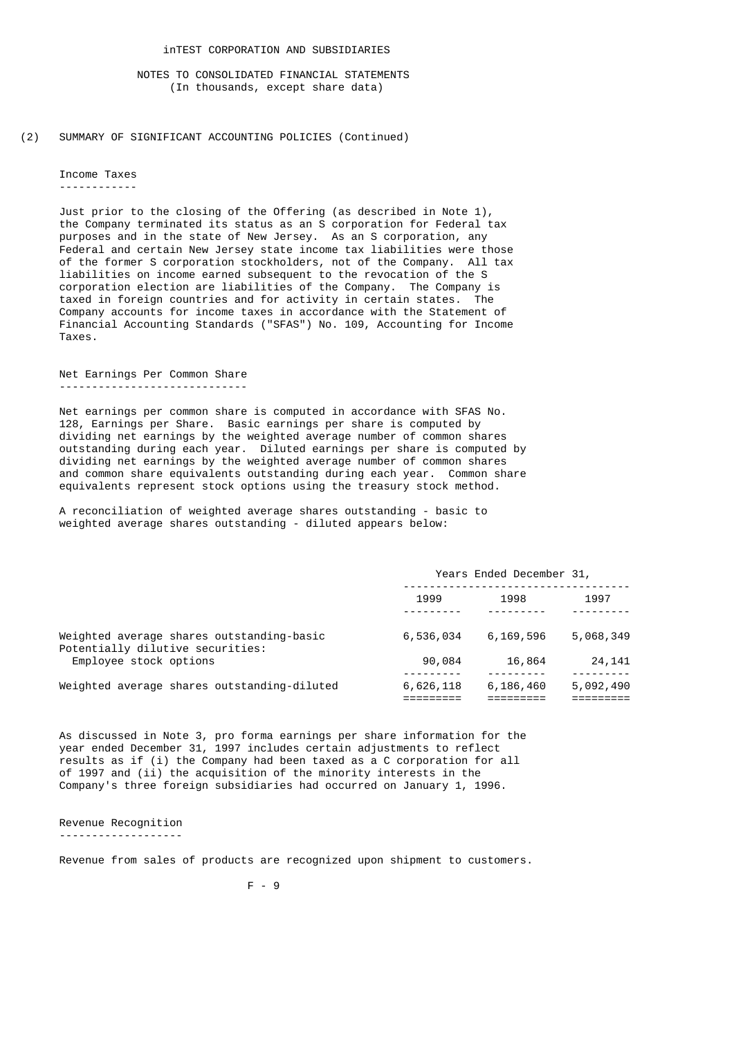(2) SUMMARY OF SIGNIFICANT ACCOUNTING POLICIES (Continued)

 Income Taxes ------------

> Just prior to the closing of the Offering (as described in Note 1), the Company terminated its status as an S corporation for Federal tax purposes and in the state of New Jersey. As an S corporation, any Federal and certain New Jersey state income tax liabilities were those of the former S corporation stockholders, not of the Company. All tax liabilities on income earned subsequent to the revocation of the S corporation election are liabilities of the Company. The Company is taxed in foreign countries and for activity in certain states. The Company accounts for income taxes in accordance with the Statement of Financial Accounting Standards ("SFAS") No. 109, Accounting for Income Taxes.

 Net Earnings Per Common Share -----------------------------

 Net earnings per common share is computed in accordance with SFAS No. 128, Earnings per Share. Basic earnings per share is computed by dividing net earnings by the weighted average number of common shares outstanding during each year. Diluted earnings per share is computed by dividing net earnings by the weighted average number of common shares and common share equivalents outstanding during each year. Common share equivalents represent stock options using the treasury stock method.

 A reconciliation of weighted average shares outstanding - basic to weighted average shares outstanding - diluted appears below:

|                                                                               | Years Ended December 31, |           |           |
|-------------------------------------------------------------------------------|--------------------------|-----------|-----------|
|                                                                               | 1999                     | 1998      | 1997      |
| Weighted average shares outstanding-basic<br>Potentially dilutive securities: | 6,536,034                | 6,169,596 | 5,068,349 |
| Employee stock options                                                        | 90,084                   | 16,864    | 24,141    |
| Weighted average shares outstanding-diluted                                   | 6,626,118                | 6,186,460 | 5,092,490 |

 As discussed in Note 3, pro forma earnings per share information for the year ended December 31, 1997 includes certain adjustments to reflect results as if (i) the Company had been taxed as a C corporation for all of 1997 and (ii) the acquisition of the minority interests in the Company's three foreign subsidiaries had occurred on January 1, 1996.

 Revenue Recognition -------------------

Revenue from sales of products are recognized upon shipment to customers.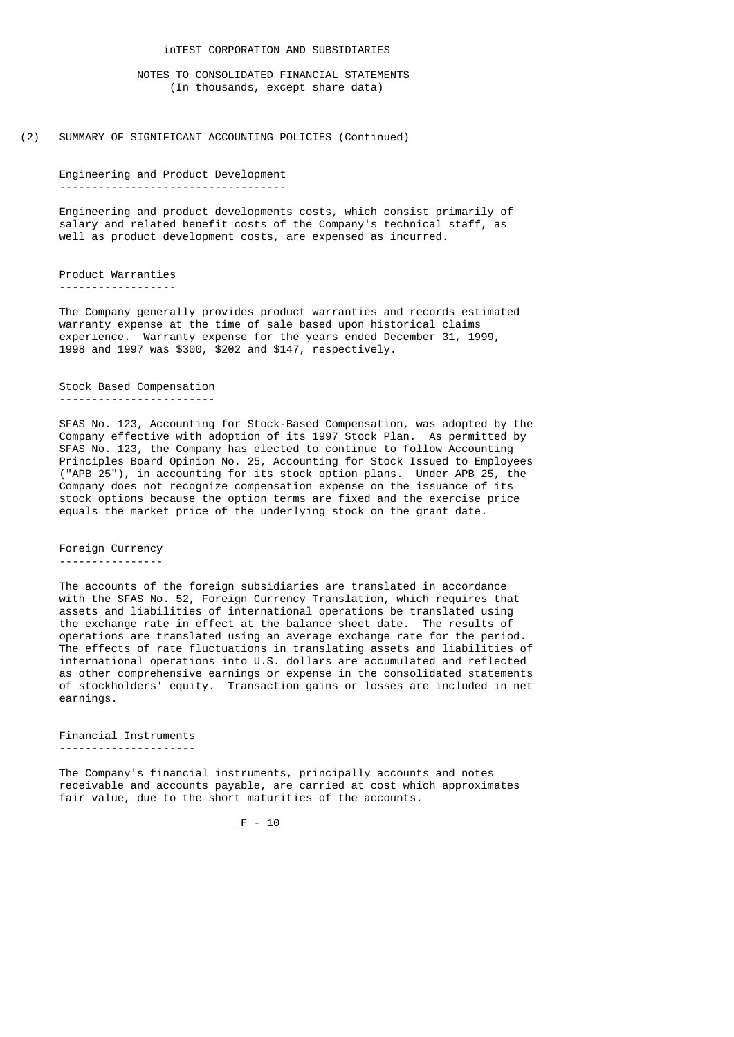## inTEST CORPORATION AND SUBSIDIARIES

 NOTES TO CONSOLIDATED FINANCIAL STATEMENTS (In thousands, except share data)

(2) SUMMARY OF SIGNIFICANT ACCOUNTING POLICIES (Continued)

 Engineering and Product Development -----------------------------------

> Engineering and product developments costs, which consist primarily of salary and related benefit costs of the Company's technical staff, as well as product development costs, are expensed as incurred.

 Product Warranties ------------------

 The Company generally provides product warranties and records estimated warranty expense at the time of sale based upon historical claims experience. Warranty expense for the years ended December 31, 1999, 1998 and 1997 was \$300, \$202 and \$147, respectively.

#### Stock Based Compensation ------------------------

 SFAS No. 123, Accounting for Stock-Based Compensation, was adopted by the Company effective with adoption of its 1997 Stock Plan. As permitted by SFAS No. 123, the Company has elected to continue to follow Accounting Principles Board Opinion No. 25, Accounting for Stock Issued to Employees ("APB 25"), in accounting for its stock option plans. Under APB 25, the Company does not recognize compensation expense on the issuance of its stock options because the option terms are fixed and the exercise price equals the market price of the underlying stock on the grant date.

 Foreign Currency ----------------

 The accounts of the foreign subsidiaries are translated in accordance with the SFAS No. 52, Foreign Currency Translation, which requires that assets and liabilities of international operations be translated using the exchange rate in effect at the balance sheet date. The results of operations are translated using an average exchange rate for the period. The effects of rate fluctuations in translating assets and liabilities of international operations into U.S. dollars are accumulated and reflected as other comprehensive earnings or expense in the consolidated statements of stockholders' equity. Transaction gains or losses are included in net earnings.

 Financial Instruments ---------------------

 The Company's financial instruments, principally accounts and notes receivable and accounts payable, are carried at cost which approximates fair value, due to the short maturities of the accounts.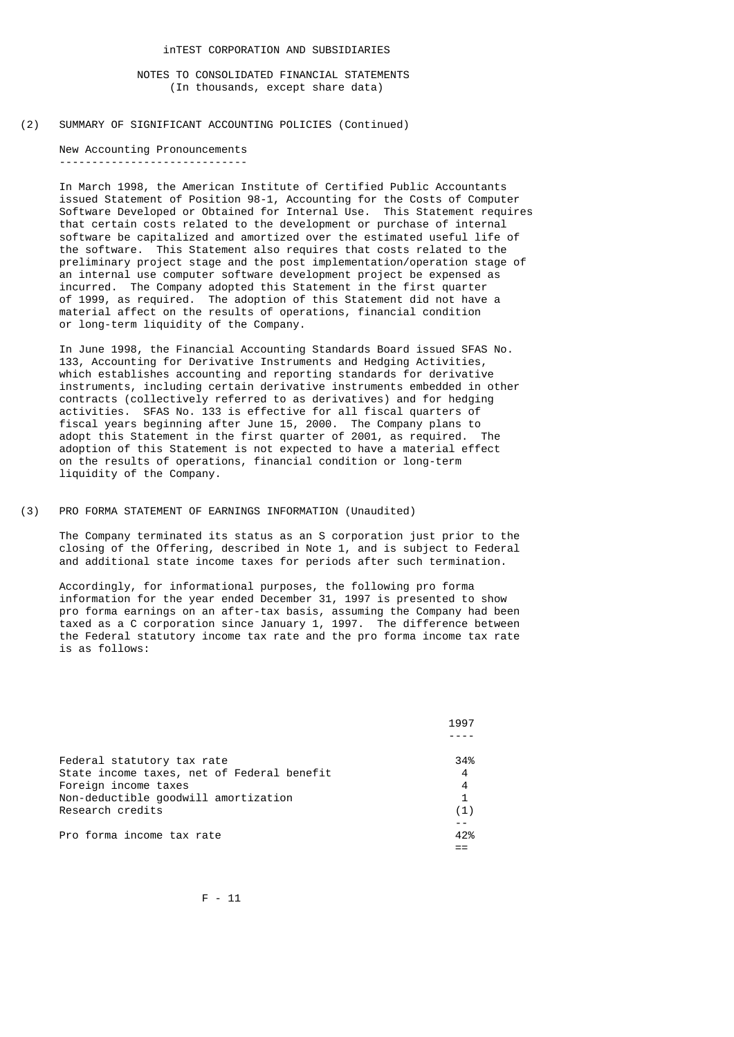(2) SUMMARY OF SIGNIFICANT ACCOUNTING POLICIES (Continued)

 New Accounting Pronouncements -----------------------------

> In March 1998, the American Institute of Certified Public Accountants issued Statement of Position 98-1, Accounting for the Costs of Computer Software Developed or Obtained for Internal Use. This Statement requires that certain costs related to the development or purchase of internal software be capitalized and amortized over the estimated useful life of the software. This Statement also requires that costs related to the preliminary project stage and the post implementation/operation stage of an internal use computer software development project be expensed as incurred. The Company adopted this Statement in the first quarter of 1999, as required. The adoption of this Statement did not have a material affect on the results of operations, financial condition or long-term liquidity of the Company.

 In June 1998, the Financial Accounting Standards Board issued SFAS No. 133, Accounting for Derivative Instruments and Hedging Activities, which establishes accounting and reporting standards for derivative instruments, including certain derivative instruments embedded in other contracts (collectively referred to as derivatives) and for hedging activities. SFAS No. 133 is effective for all fiscal quarters of fiscal years beginning after June 15, 2000. The Company plans to adopt this Statement in the first quarter of 2001, as required. The adoption of this Statement is not expected to have a material effect on the results of operations, financial condition or long-term liquidity of the Company.

(3) PRO FORMA STATEMENT OF EARNINGS INFORMATION (Unaudited)

 The Company terminated its status as an S corporation just prior to the closing of the Offering, described in Note 1, and is subject to Federal and additional state income taxes for periods after such termination.

 Accordingly, for informational purposes, the following pro forma information for the year ended December 31, 1997 is presented to show pro forma earnings on an after-tax basis, assuming the Company had been taxed as a C corporation since January 1, 1997. The difference between the Federal statutory income tax rate and the pro forma income tax rate is as follows:

| 1997 |
|------|
|      |
| 34%  |
| 4    |
| 4    |
| 1    |
| (1)  |
|      |
| 42%  |
|      |
|      |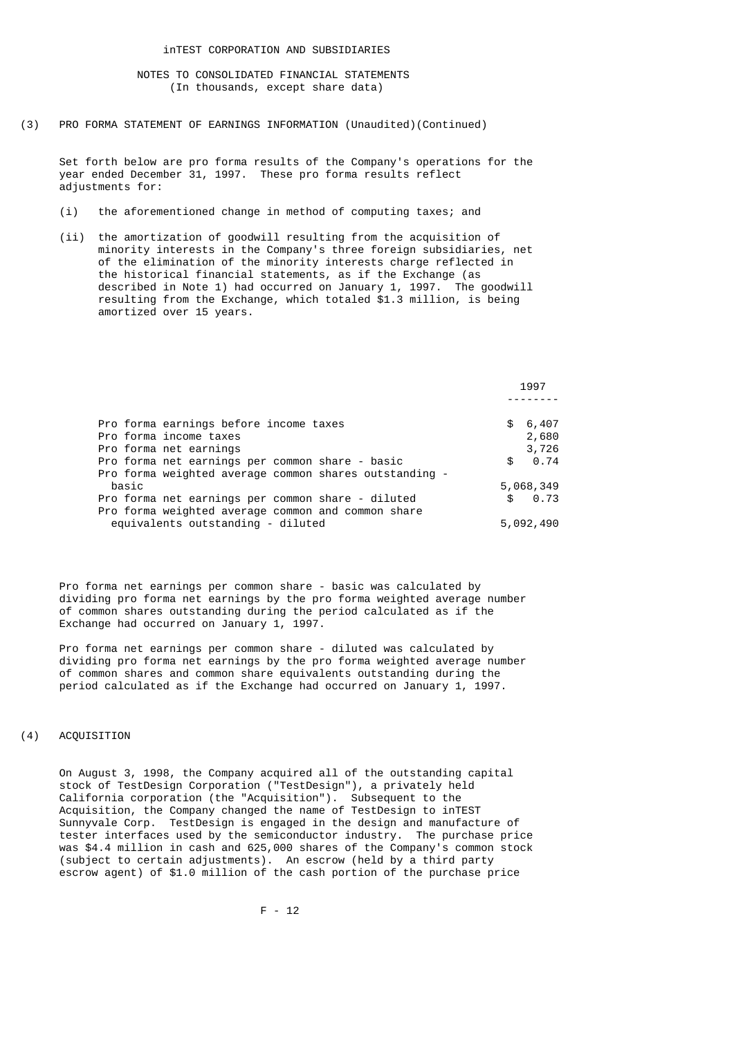(3) PRO FORMA STATEMENT OF EARNINGS INFORMATION (Unaudited)(Continued)

 Set forth below are pro forma results of the Company's operations for the year ended December 31, 1997. These pro forma results reflect adjustments for:

- (i) the aforementioned change in method of computing taxes; and
- (ii) the amortization of goodwill resulting from the acquisition of minority interests in the Company's three foreign subsidiaries, net of the elimination of the minority interests charge reflected in the historical financial statements, as if the Exchange (as described in Note 1) had occurred on January 1, 1997. The goodwill resulting from the Exchange, which totaled \$1.3 million, is being amortized over 15 years.

|                                                        |     | 1997      |
|--------------------------------------------------------|-----|-----------|
| Pro forma earnings before income taxes                 | \$  | 6,407     |
| Pro forma income taxes                                 |     | 2,680     |
| Pro forma net earnings                                 |     | 3,726     |
| Pro forma net earnings per common share - basic        | \$  | 0.74      |
| Pro forma weighted average common shares outstanding - |     |           |
| basic                                                  |     | 5,068,349 |
| Pro forma net earnings per common share - diluted      | \$. | 0.73      |
| Pro forma weighted average common and common share     |     |           |
| equivalents outstanding - diluted                      |     | 5,092,490 |

 Pro forma net earnings per common share - basic was calculated by dividing pro forma net earnings by the pro forma weighted average number of common shares outstanding during the period calculated as if the Exchange had occurred on January 1, 1997.

 Pro forma net earnings per common share - diluted was calculated by dividing pro forma net earnings by the pro forma weighted average number of common shares and common share equivalents outstanding during the period calculated as if the Exchange had occurred on January 1, 1997.

## (4) ACQUISITION

 On August 3, 1998, the Company acquired all of the outstanding capital stock of TestDesign Corporation ("TestDesign"), a privately held California corporation (the "Acquisition"). Subsequent to the Acquisition, the Company changed the name of TestDesign to inTEST Sunnyvale Corp. TestDesign is engaged in the design and manufacture of tester interfaces used by the semiconductor industry. The purchase price was \$4.4 million in cash and 625,000 shares of the Company's common stock (subject to certain adjustments). An escrow (held by a third party escrow agent) of \$1.0 million of the cash portion of the purchase price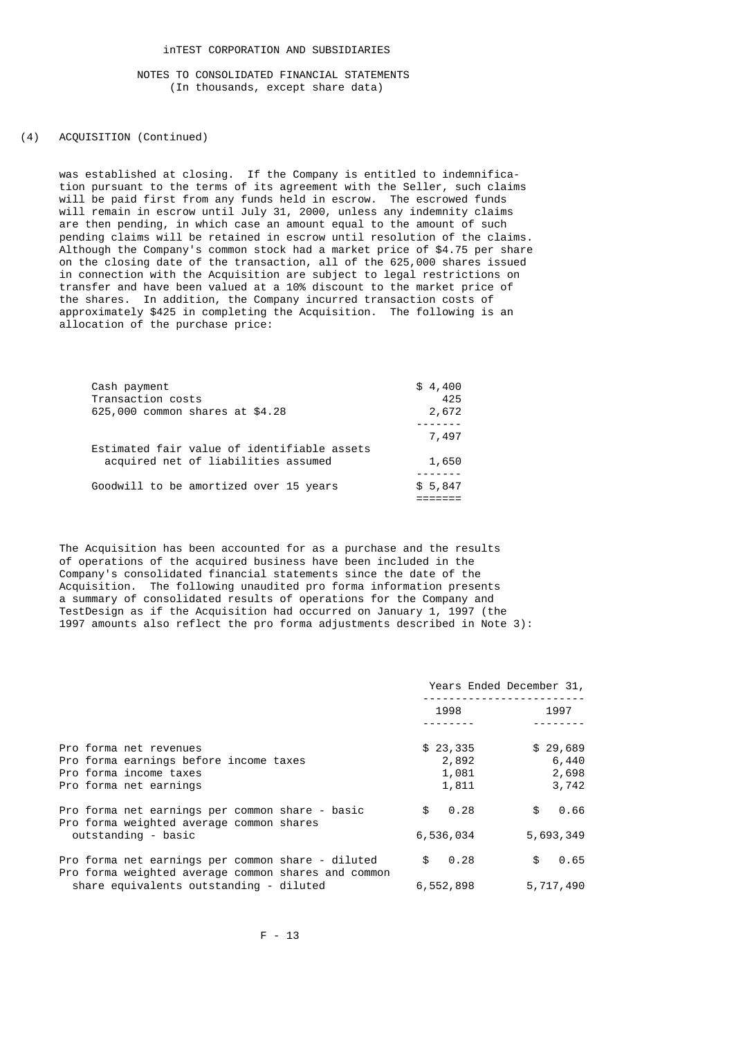(4) ACQUISITION (Continued)

 was established at closing. If the Company is entitled to indemnifica tion pursuant to the terms of its agreement with the Seller, such claims will be paid first from any funds held in escrow. The escrowed funds will remain in escrow until July 31, 2000, unless any indemnity claims are then pending, in which case an amount equal to the amount of such pending claims will be retained in escrow until resolution of the claims. Although the Company's common stock had a market price of \$4.75 per share on the closing date of the transaction, all of the 625,000 shares issued in connection with the Acquisition are subject to legal restrictions on transfer and have been valued at a 10% discount to the market price of the shares. In addition, the Company incurred transaction costs of approximately \$425 in completing the Acquisition. The following is an allocation of the purchase price:

| Cash payment      |                                             | \$4,400 |
|-------------------|---------------------------------------------|---------|
| Transaction costs |                                             | 425     |
|                   | 625,000 common shares at \$4.28             | 2,672   |
|                   |                                             |         |
|                   |                                             | 7,497   |
|                   | Estimated fair value of identifiable assets |         |
|                   | acquired net of liabilities assumed         | 1,650   |
|                   |                                             |         |
|                   | Goodwill to be amortized over 15 years      | \$5,847 |
|                   |                                             |         |

 The Acquisition has been accounted for as a purchase and the results of operations of the acquired business have been included in the Company's consolidated financial statements since the date of the Acquisition. The following unaudited pro forma information presents a summary of consolidated results of operations for the Company and TestDesign as if the Acquisition had occurred on January 1, 1997 (the 1997 amounts also reflect the pro forma adjustments described in Note 3):

|                                                     |           | Years Ended December 31, |
|-----------------------------------------------------|-----------|--------------------------|
|                                                     | 1998      | 1997                     |
| Pro forma net revenues                              | \$23,335  | \$29,689                 |
| Pro forma earnings before income taxes              | 2,892     | 6,440                    |
| Pro forma income taxes                              | 1,081     | 2,698                    |
| Pro forma net earnings                              | 1,811     | 3,742                    |
| Pro forma net earnings per common share - basic     | 0.28      | 0.66                     |
| Pro forma weighted average common shares            | \$        | \$                       |
| outstanding - basic                                 | 6,536,034 | 5,693,349                |
| Pro forma net earnings per common share - diluted   | \$        | 0.65                     |
| Pro forma weighted average common shares and common | 0.28      | \$                       |
| share equivalents outstanding - diluted             | 6,552,898 | 5,717,490                |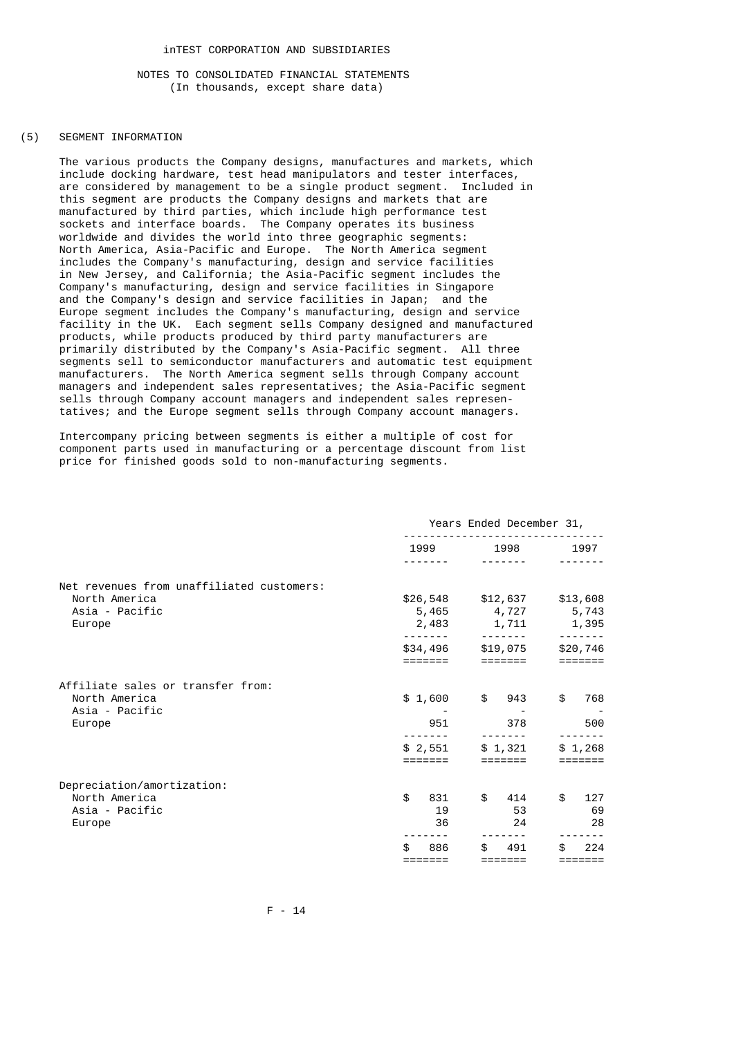### (5) SEGMENT INFORMATION

 The various products the Company designs, manufactures and markets, which include docking hardware, test head manipulators and tester interfaces, are considered by management to be a single product segment. Included in this segment are products the Company designs and markets that are manufactured by third parties, which include high performance test sockets and interface boards. The Company operates its business worldwide and divides the world into three geographic segments: North America, Asia-Pacific and Europe. The North America segment includes the Company's manufacturing, design and service facilities in New Jersey, and California; the Asia-Pacific segment includes the Company's manufacturing, design and service facilities in Singapore and the Company's design and service facilities in Japan; and the Europe segment includes the Company's manufacturing, design and service facility in the UK. Each segment sells Company designed and manufactured products, while products produced by third party manufacturers are primarily distributed by the Company's Asia-Pacific segment. All three segments sell to semiconductor manufacturers and automatic test equipment manufacturers. The North America segment sells through Company account managers and independent sales representatives; the Asia-Pacific segment sells through Company account managers and independent sales represen tatives; and the Europe segment sells through Company account managers.

 Intercompany pricing between segments is either a multiple of cost for component parts used in manufacturing or a percentage discount from list price for finished goods sold to non-manufacturing segments.

|                                                                                        |                       | Years Ended December 31,                                                 |                           |
|----------------------------------------------------------------------------------------|-----------------------|--------------------------------------------------------------------------|---------------------------|
|                                                                                        |                       | 1999 1998<br>$- - - - - - -$                                             | 1997                      |
| Net revenues from unaffiliated customers:<br>North America<br>Asia - Pacific<br>Europe |                       | \$26,548 \$12,637<br>5,465 4,727 5,743<br>2,483 1,711<br>$- - - - - - -$ | \$13,608<br>1,395         |
|                                                                                        | \$34,496              | \$19,075                                                                 | $\frac{1}{2}$<br>\$20,746 |
| Affiliate sales or transfer from:<br>North America<br>Asia - Pacific                   | \$1,600               | $\frac{1}{2}$<br>943                                                     | \$<br>768                 |
| Europe                                                                                 | 951                   | 378                                                                      | 500                       |
|                                                                                        | \$2,551               | \$1,321                                                                  | \$1,268                   |
| Depreciation/amortization:<br>North America<br>Asia - Pacific<br>Europe                | \$<br>831<br>19<br>36 | \$<br>414<br>53<br>24                                                    | \$<br>127<br>69<br>28     |
|                                                                                        | 886<br>=======        | 491<br>=======                                                           | 224                       |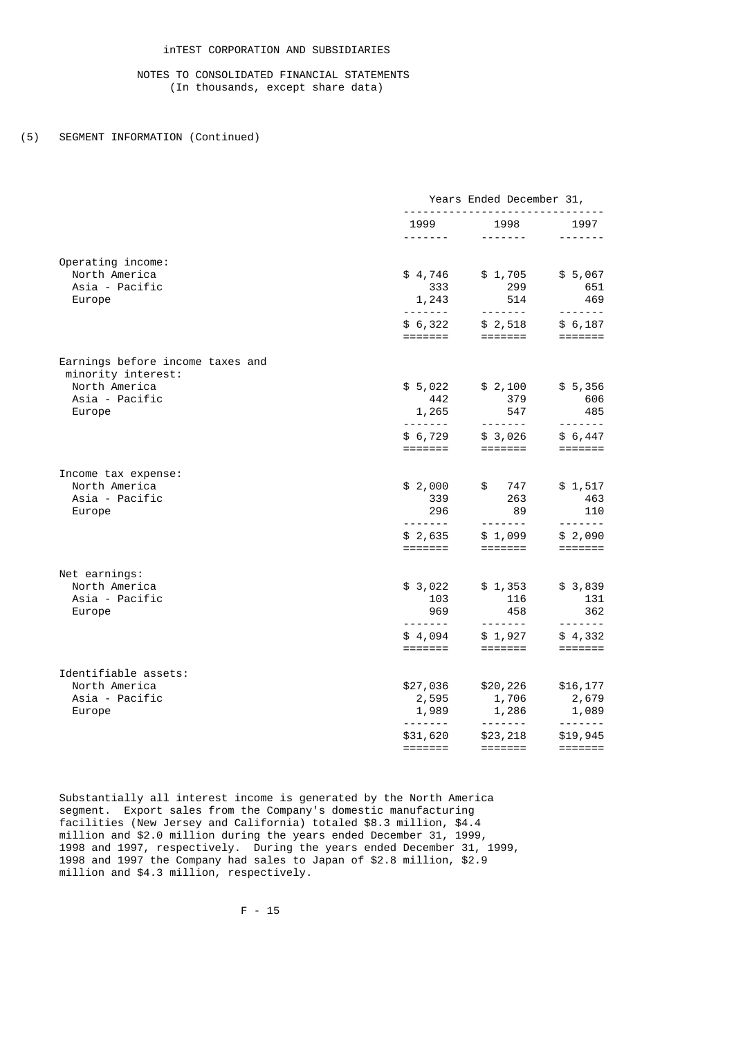# (5) SEGMENT INFORMATION (Continued)

|                                                                                           |                                                             | Years Ended December 31,                                                                                                                                                                                                                                                                                                                                                                                                                                                                                    |                                                                                                                                                                                                                                                                                                                                                                                                                                                                                                                 |
|-------------------------------------------------------------------------------------------|-------------------------------------------------------------|-------------------------------------------------------------------------------------------------------------------------------------------------------------------------------------------------------------------------------------------------------------------------------------------------------------------------------------------------------------------------------------------------------------------------------------------------------------------------------------------------------------|-----------------------------------------------------------------------------------------------------------------------------------------------------------------------------------------------------------------------------------------------------------------------------------------------------------------------------------------------------------------------------------------------------------------------------------------------------------------------------------------------------------------|
|                                                                                           | 1999<br><u>.</u>                                            | 1998<br>$- - - - - - - -$                                                                                                                                                                                                                                                                                                                                                                                                                                                                                   | 1997<br>-------                                                                                                                                                                                                                                                                                                                                                                                                                                                                                                 |
| Operating income:<br>North America<br>Asia - Pacific                                      | \$4,746<br>333                                              | \$1,705<br>299                                                                                                                                                                                                                                                                                                                                                                                                                                                                                              | \$5,067<br>651                                                                                                                                                                                                                                                                                                                                                                                                                                                                                                  |
| Europe                                                                                    | 1,243<br>\$6,322                                            | 514<br>$\begin{array}{cccccccccccccc} \multicolumn{2}{c}{} & \multicolumn{2}{c}{} & \multicolumn{2}{c}{} & \multicolumn{2}{c}{} & \multicolumn{2}{c}{} & \multicolumn{2}{c}{} & \multicolumn{2}{c}{} & \multicolumn{2}{c}{} & \multicolumn{2}{c}{} & \multicolumn{2}{c}{} & \multicolumn{2}{c}{} & \multicolumn{2}{c}{} & \multicolumn{2}{c}{} & \multicolumn{2}{c}{} & \multicolumn{2}{c}{} & \multicolumn{2}{c}{} & \multicolumn{2}{c}{} & \multicolumn{2}{c}{} & \multicolumn{2}{c}{} & \$<br>\$2,518    | 469<br>$\begin{array}{cccccccccccccc} \multicolumn{2}{c}{} & \multicolumn{2}{c}{} & \multicolumn{2}{c}{} & \multicolumn{2}{c}{} & \multicolumn{2}{c}{} & \multicolumn{2}{c}{} & \multicolumn{2}{c}{} & \multicolumn{2}{c}{} & \multicolumn{2}{c}{} & \multicolumn{2}{c}{} & \multicolumn{2}{c}{} & \multicolumn{2}{c}{} & \multicolumn{2}{c}{} & \multicolumn{2}{c}{} & \multicolumn{2}{c}{} & \multicolumn{2}{c}{} & \multicolumn{2}{c}{} & \multicolumn{2}{c}{} & \multicolumn{2}{c}{} & \$<br>\$6,187        |
|                                                                                           | =======                                                     | =======                                                                                                                                                                                                                                                                                                                                                                                                                                                                                                     | $=$ $=$ $=$ $=$ $=$ $=$ $=$                                                                                                                                                                                                                                                                                                                                                                                                                                                                                     |
| Earnings before income taxes and<br>minority interest:<br>North America<br>Asia - Pacific | \$5,022<br>442                                              | \$2,100<br>379                                                                                                                                                                                                                                                                                                                                                                                                                                                                                              | \$5,356<br>606                                                                                                                                                                                                                                                                                                                                                                                                                                                                                                  |
| Europe                                                                                    | 1,265<br>\$ 6,729                                           | 547<br>\$3,026                                                                                                                                                                                                                                                                                                                                                                                                                                                                                              | 485<br>\$6,447                                                                                                                                                                                                                                                                                                                                                                                                                                                                                                  |
| Income tax expense:                                                                       | =======                                                     | =======                                                                                                                                                                                                                                                                                                                                                                                                                                                                                                     |                                                                                                                                                                                                                                                                                                                                                                                                                                                                                                                 |
| North America<br>Asia - Pacific<br>Europe                                                 | \$2,000<br>339<br>296<br>-------                            | $\frac{1}{2}$<br>747<br>263<br>89<br>$- - - - - - - -$                                                                                                                                                                                                                                                                                                                                                                                                                                                      | \$1,517<br>463<br>110<br>$\begin{array}{cccccccccccccc} \multicolumn{2}{c}{} & \multicolumn{2}{c}{} & \multicolumn{2}{c}{} & \multicolumn{2}{c}{} & \multicolumn{2}{c}{} & \multicolumn{2}{c}{} & \multicolumn{2}{c}{} & \multicolumn{2}{c}{} & \multicolumn{2}{c}{} & \multicolumn{2}{c}{} & \multicolumn{2}{c}{} & \multicolumn{2}{c}{} & \multicolumn{2}{c}{} & \multicolumn{2}{c}{} & \multicolumn{2}{c}{} & \multicolumn{2}{c}{} & \multicolumn{2}{c}{} & \multicolumn{2}{c}{} & \multicolumn{2}{c}{} & \$ |
|                                                                                           | \$2,635<br>=======                                          | \$1,099<br>=======                                                                                                                                                                                                                                                                                                                                                                                                                                                                                          | \$2,090<br>$=$ $=$ $=$ $=$ $=$ $=$ $=$                                                                                                                                                                                                                                                                                                                                                                                                                                                                          |
| Net earnings:<br>North America                                                            |                                                             |                                                                                                                                                                                                                                                                                                                                                                                                                                                                                                             |                                                                                                                                                                                                                                                                                                                                                                                                                                                                                                                 |
| Asia - Pacific<br>Europe                                                                  | \$3,022<br>103<br>969                                       | \$1,353<br>116<br>458                                                                                                                                                                                                                                                                                                                                                                                                                                                                                       | \$3,839<br>131<br>362                                                                                                                                                                                                                                                                                                                                                                                                                                                                                           |
|                                                                                           | \$4,094<br>=======                                          | \$1,927<br>=======                                                                                                                                                                                                                                                                                                                                                                                                                                                                                          | \$4,332<br>$=$ $=$ $=$ $=$ $=$ $=$ $=$                                                                                                                                                                                                                                                                                                                                                                                                                                                                          |
| Identifiable assets:<br>North America<br>Asia - Pacific                                   | \$27,036<br>2,595                                           | \$20,226<br>1,706                                                                                                                                                                                                                                                                                                                                                                                                                                                                                           | \$16,177<br>2,679                                                                                                                                                                                                                                                                                                                                                                                                                                                                                               |
| Europe                                                                                    | 1,989<br>-------<br>\$31,620<br>$=$ $=$ $=$ $=$ $=$ $=$ $=$ | 1,286<br>$\begin{array}{cccccccccccccc} \multicolumn{2}{c}{} & \multicolumn{2}{c}{} & \multicolumn{2}{c}{} & \multicolumn{2}{c}{} & \multicolumn{2}{c}{} & \multicolumn{2}{c}{} & \multicolumn{2}{c}{} & \multicolumn{2}{c}{} & \multicolumn{2}{c}{} & \multicolumn{2}{c}{} & \multicolumn{2}{c}{} & \multicolumn{2}{c}{} & \multicolumn{2}{c}{} & \multicolumn{2}{c}{} & \multicolumn{2}{c}{} & \multicolumn{2}{c}{} & \multicolumn{2}{c}{} & \multicolumn{2}{c}{} & \multicolumn{2}{c}{} & \$<br>\$23,218 | 1,089<br>-------<br>\$19,945<br>$=$ $=$ $=$ $=$ $=$ $=$ $=$                                                                                                                                                                                                                                                                                                                                                                                                                                                     |

 Substantially all interest income is generated by the North America segment. Export sales from the Company's domestic manufacturing facilities (New Jersey and California) totaled \$8.3 million, \$4.4 million and \$2.0 million during the years ended December 31, 1999, 1998 and 1997, respectively. During the years ended December 31, 1999, 1998 and 1997 the Company had sales to Japan of \$2.8 million, \$2.9 million and \$4.3 million, respectively.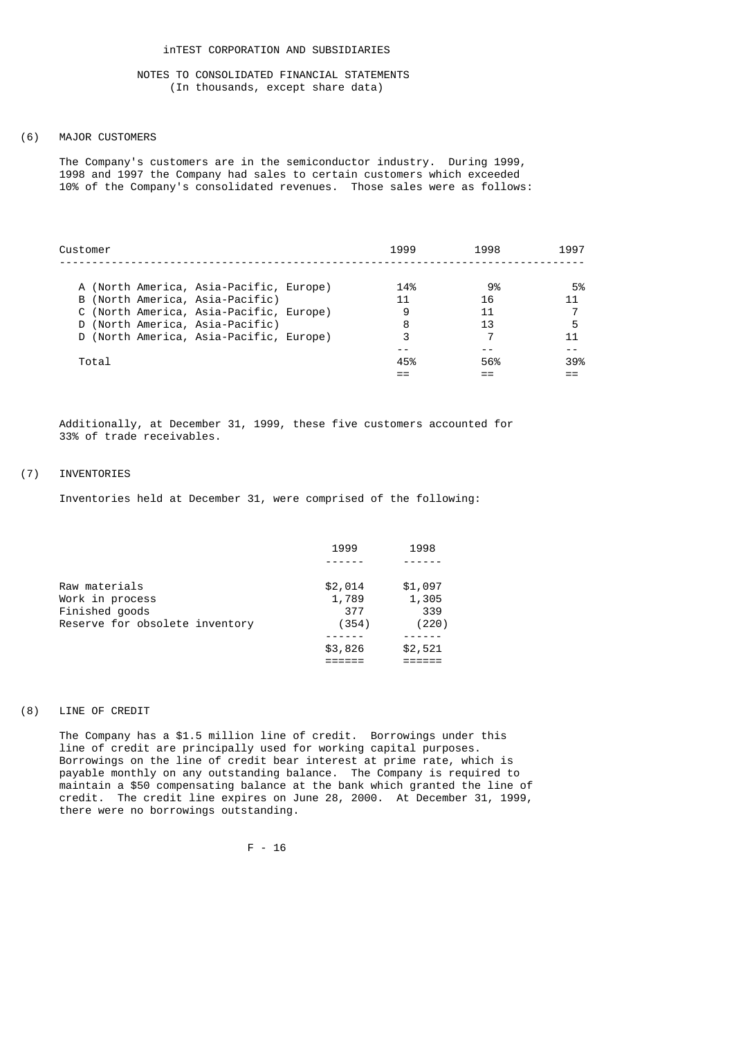### (6) MAJOR CUSTOMERS

 The Company's customers are in the semiconductor industry. During 1999, 1998 and 1997 the Company had sales to certain customers which exceeded 10% of the Company's consolidated revenues. Those sales were as follows:

| Customer                                | 1999 | 1998 | 1997 |
|-----------------------------------------|------|------|------|
| A (North America, Asia-Pacific, Europe) | 14%  | 9%   | 5%   |
|                                         |      |      |      |
| B (North America, Asia-Pacific)         | 11   | 16   | 11   |
| C (North America, Asia-Pacific, Europe) | 9    | 11   |      |
| D (North America, Asia-Pacific)         | 8    | 13   |      |
| D (North America, Asia-Pacific, Europe) | 3    |      | 11   |
|                                         |      |      |      |
| Total                                   | 45%  | 56%  | 39%  |
|                                         |      |      |      |
|                                         |      |      |      |

 Additionally, at December 31, 1999, these five customers accounted for 33% of trade receivables.

# (7) INVENTORIES

Inventories held at December 31, were comprised of the following:

| 1999    | 1998    |
|---------|---------|
|         |         |
| \$2,014 | \$1,097 |
| 1,789   | 1,305   |
| 377     | 339     |
| (354)   | (220)   |
|         |         |
| \$3,826 | \$2,521 |
|         |         |
|         |         |

# (8) LINE OF CREDIT

 The Company has a \$1.5 million line of credit. Borrowings under this line of credit are principally used for working capital purposes. Borrowings on the line of credit bear interest at prime rate, which is payable monthly on any outstanding balance. The Company is required to maintain a \$50 compensating balance at the bank which granted the line of credit. The credit line expires on June 28, 2000. At December 31, 1999, there were no borrowings outstanding.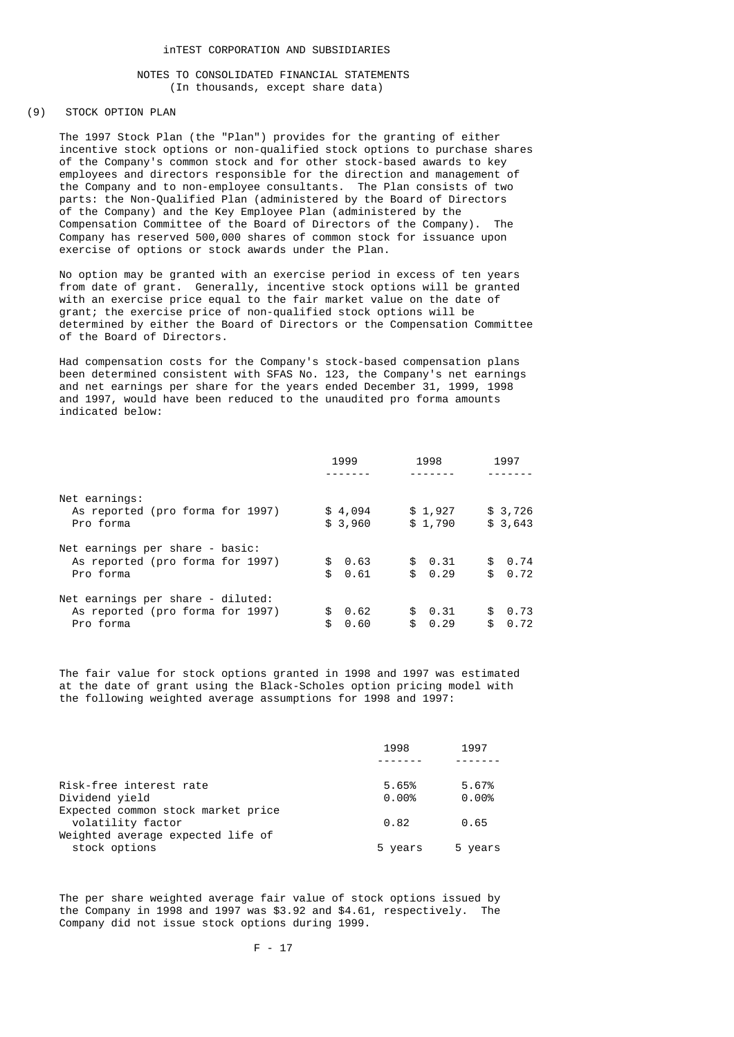## (9) STOCK OPTION PLAN

 The 1997 Stock Plan (the "Plan") provides for the granting of either incentive stock options or non-qualified stock options to purchase shares of the Company's common stock and for other stock-based awards to key employees and directors responsible for the direction and management of the Company and to non-employee consultants. The Plan consists of two parts: the Non-Qualified Plan (administered by the Board of Directors of the Company) and the Key Employee Plan (administered by the Compensation Committee of the Board of Directors of the Company). The Company has reserved 500,000 shares of common stock for issuance upon exercise of options or stock awards under the Plan.

 No option may be granted with an exercise period in excess of ten years from date of grant. Generally, incentive stock options will be granted with an exercise price equal to the fair market value on the date of grant; the exercise price of non-qualified stock options will be determined by either the Board of Directors or the Compensation Committee of the Board of Directors.

 Had compensation costs for the Company's stock-based compensation plans been determined consistent with SFAS No. 123, the Company's net earnings and net earnings per share for the years ended December 31, 1999, 1998 and 1997, would have been reduced to the unaudited pro forma amounts indicated below:

|                                   | 1999        | 1998       | 1997               |
|-----------------------------------|-------------|------------|--------------------|
|                                   |             |            |                    |
| Net earnings:                     |             |            |                    |
| As reported (pro forma for 1997)  | \$4,094     | \$1,927    | \$3,726            |
| Pro forma                         | \$3,960     | \$1,790    | \$3,643            |
| Net earnings per share - basic:   |             |            |                    |
| As reported (pro forma for 1997)  | \$0.63      | \$0.31     | $\theta$ .74<br>\$ |
| Pro forma                         | \$.<br>0.61 | \$0.29     | $\theta$ .72<br>\$ |
| Net earnings per share - diluted: |             |            |                    |
| As reported (pro forma for 1997)  | 0.62<br>£.  | \$0.31     | 0.73<br>\$         |
| Pro forma                         | \$.<br>0.60 | 0.29<br>\$ | 0.72<br>\$         |

 The fair value for stock options granted in 1998 and 1997 was estimated at the date of grant using the Black-Scholes option pricing model with the following weighted average assumptions for 1998 and 1997:

|                                    | 1998     | 1997    |
|------------------------------------|----------|---------|
|                                    |          |         |
| Risk-free interest rate            | 5.65%    | 5.67%   |
| Dividend vield                     | $0.00\%$ | 0.00%   |
| Expected common stock market price |          |         |
| volatility factor                  | 0.82     | 0.65    |
| Weighted average expected life of  |          |         |
| stock options                      | 5 years  | 5 years |
|                                    |          |         |

 The per share weighted average fair value of stock options issued by the Company in 1998 and 1997 was \$3.92 and \$4.61, respectively. The Company did not issue stock options during 1999.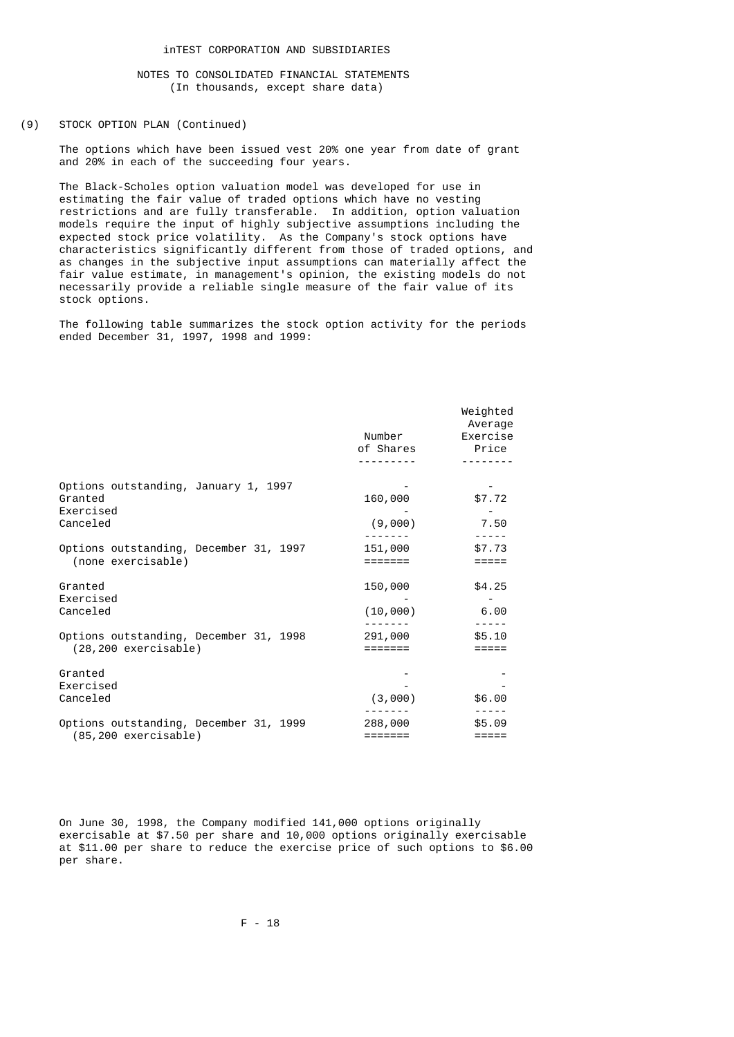### (9) STOCK OPTION PLAN (Continued)

 The options which have been issued vest 20% one year from date of grant and 20% in each of the succeeding four years.

 The Black-Scholes option valuation model was developed for use in estimating the fair value of traded options which have no vesting restrictions and are fully transferable. In addition, option valuation models require the input of highly subjective assumptions including the expected stock price volatility. As the Company's stock options have characteristics significantly different from those of traded options, and as changes in the subjective input assumptions can materially affect the fair value estimate, in management's opinion, the existing models do not necessarily provide a reliable single measure of the fair value of its stock options.

 The following table summarizes the stock option activity for the periods ended December 31, 1997, 1998 and 1999:

|                                                                   | Number<br>of Shares | Weighted<br>Average<br>Exercise<br>Price |
|-------------------------------------------------------------------|---------------------|------------------------------------------|
|                                                                   |                     |                                          |
| Options outstanding, January 1, 1997<br>Granted<br>Exercised      | 160,000             | \$7.72                                   |
| Canceled                                                          | (9,000)             | 7.50                                     |
| Options outstanding, December 31, 1997<br>(none exercisable)      | 151,000<br>=======  | \$7.73<br>=====                          |
| Granted<br>Exercised                                              | 150,000             | \$4.25                                   |
| Canceled                                                          | (10,000)            | 6.00                                     |
| Options outstanding, December 31, 1998<br>$(28, 200$ exercisable) | 291,000<br>=======  | \$5.10<br>$=$ $=$ $=$ $=$ $=$            |
| Granted<br>Exercised                                              |                     |                                          |
| Canceled                                                          | (3,000)             | \$6.00                                   |
| Options outstanding, December 31, 1999<br>$(85, 200$ exercisable) | 288,000<br>=======  | \$5.09<br>$=$ $=$ $=$ $=$ $=$            |
|                                                                   |                     |                                          |

 On June 30, 1998, the Company modified 141,000 options originally exercisable at \$7.50 per share and 10,000 options originally exercisable at \$11.00 per share to reduce the exercise price of such options to \$6.00 per share.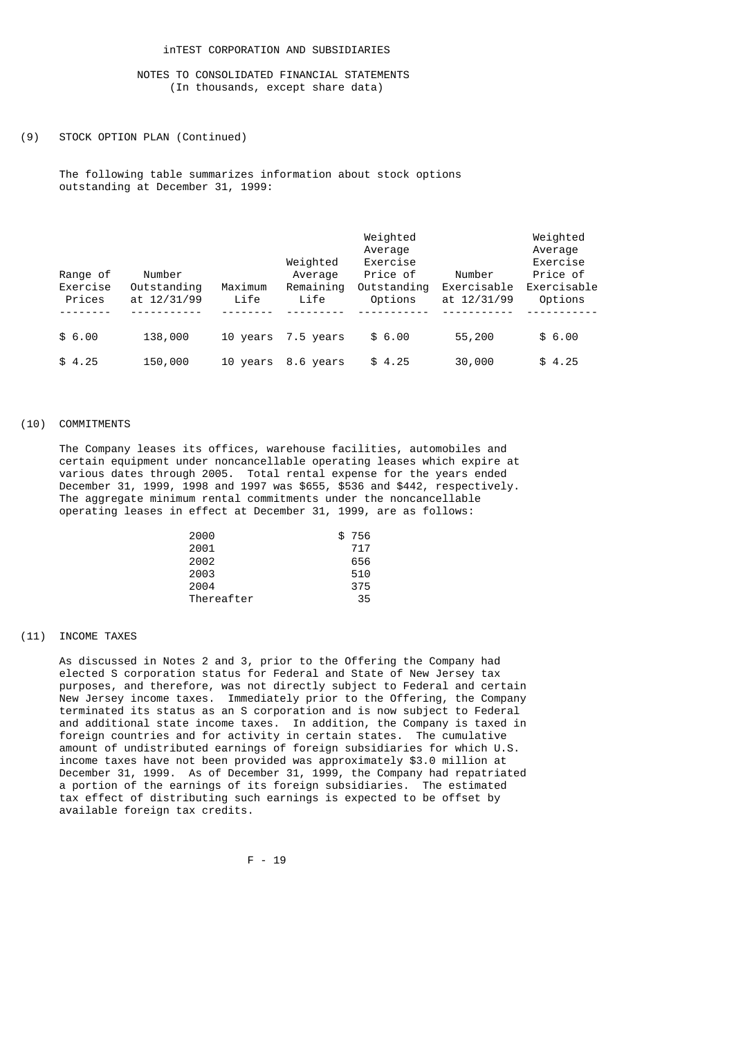## (9) STOCK OPTION PLAN (Continued)

 The following table summarizes information about stock options outstanding at December 31, 1999:

| Range of<br>Exercise<br>Prices | Number<br>Outstanding<br>at 12/31/99 | Maximum<br>Life | Weighted<br>Average<br>Remaining<br>Life | Weighted<br>Average<br>Exercise<br>Price of<br>Outstanding<br>Options | Number<br>Exercisable<br>at 12/31/99 | Weighted<br>Average<br>Exercise<br>Price of<br>Exercisable<br>Options |
|--------------------------------|--------------------------------------|-----------------|------------------------------------------|-----------------------------------------------------------------------|--------------------------------------|-----------------------------------------------------------------------|
| \$6.00                         | 138,000                              | 10 years        | 7.5 years                                | \$6.00                                                                | 55,200                               | \$6.00                                                                |
| \$4.25                         | 150,000                              | 10 years        | 8.6 years                                | \$4.25                                                                | 30,000                               | \$4.25                                                                |

### (10) COMMITMENTS

 The Company leases its offices, warehouse facilities, automobiles and certain equipment under noncancellable operating leases which expire at various dates through 2005. Total rental expense for the years ended December 31, 1999, 1998 and 1997 was \$655, \$536 and \$442, respectively. The aggregate minimum rental commitments under the noncancellable operating leases in effect at December 31, 1999, are as follows:

| 2000       | \$756 |
|------------|-------|
| 2001       | 717   |
| 2002       | 656   |
| 2003       | 510   |
| 2004       | 375   |
| Thereafter | 35    |

## (11) INCOME TAXES

 As discussed in Notes 2 and 3, prior to the Offering the Company had elected S corporation status for Federal and State of New Jersey tax purposes, and therefore, was not directly subject to Federal and certain New Jersey income taxes. Immediately prior to the Offering, the Company terminated its status as an S corporation and is now subject to Federal and additional state income taxes. In addition, the Company is taxed in foreign countries and for activity in certain states. The cumulative amount of undistributed earnings of foreign subsidiaries for which U.S. income taxes have not been provided was approximately \$3.0 million at December 31, 1999. As of December 31, 1999, the Company had repatriated a portion of the earnings of its foreign subsidiaries. The estimated tax effect of distributing such earnings is expected to be offset by available foreign tax credits.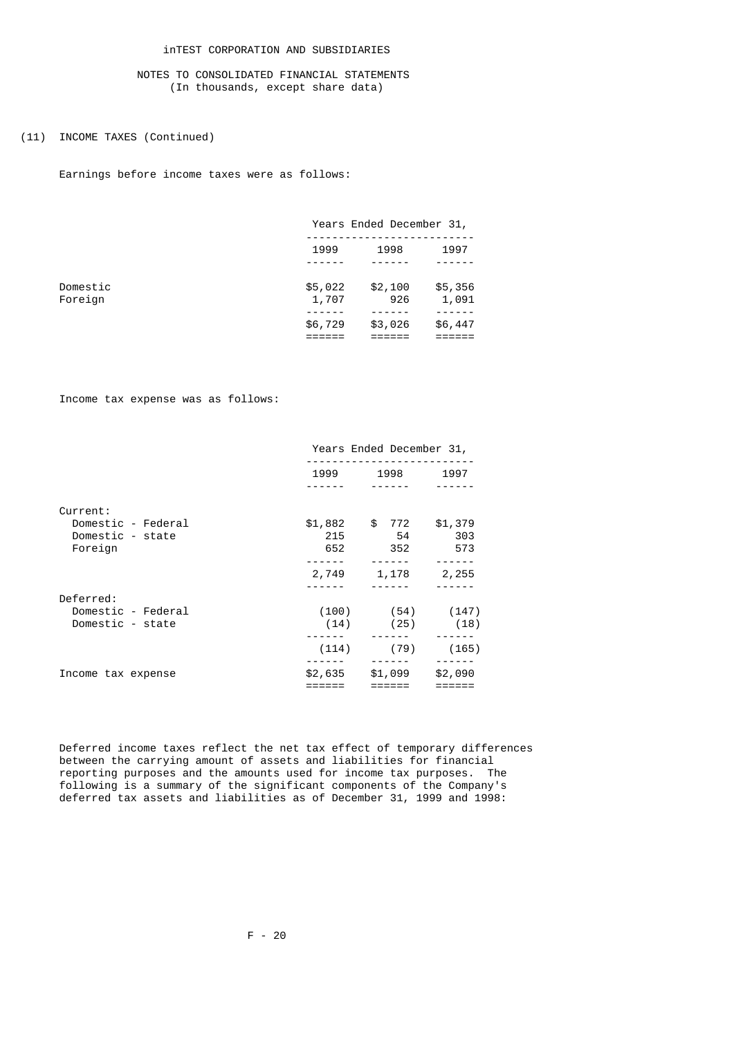# (11) INCOME TAXES (Continued)

Earnings before income taxes were as follows:

|          |         | Years Ended December 31, |         |
|----------|---------|--------------------------|---------|
|          | 1999    | 1998                     | 1997    |
|          |         |                          |         |
| Domestic | \$5,022 | \$2,100                  | \$5,356 |
| Foreign  | 1,707   | 926                      | 1,091   |
|          | \$6,729 | \$3,026                  | \$6,447 |

Income tax expense was as follows:

|                    | Years Ended December 31, |                        |         |  |  |  |
|--------------------|--------------------------|------------------------|---------|--|--|--|
|                    | 1999                     | 1998                   |         |  |  |  |
|                    |                          |                        |         |  |  |  |
| Current:           |                          |                        |         |  |  |  |
| Domestic - Federal | \$1,882                  | \$ 772                 | \$1,379 |  |  |  |
| Domestic - state   | 215                      | 54                     | 303     |  |  |  |
| Foreign            | 652                      | 352                    | 573     |  |  |  |
|                    |                          |                        |         |  |  |  |
|                    | 2,749                    | 1,178                  | 2,255   |  |  |  |
|                    |                          |                        |         |  |  |  |
| Deferred:          |                          |                        |         |  |  |  |
| Domestic - Federal |                          | $(100)$ $(54)$ $(147)$ |         |  |  |  |
| Domestic - state   | (14)                     | (25)                   | (18)    |  |  |  |
|                    |                          |                        |         |  |  |  |
|                    | (114)                    | (79)                   | (165)   |  |  |  |
|                    |                          |                        |         |  |  |  |
| Income tax expense | \$2,635                  | \$1,099                | \$2,090 |  |  |  |
|                    |                          |                        |         |  |  |  |

 Deferred income taxes reflect the net tax effect of temporary differences between the carrying amount of assets and liabilities for financial reporting purposes and the amounts used for income tax purposes. The following is a summary of the significant components of the Company's deferred tax assets and liabilities as of December 31, 1999 and 1998: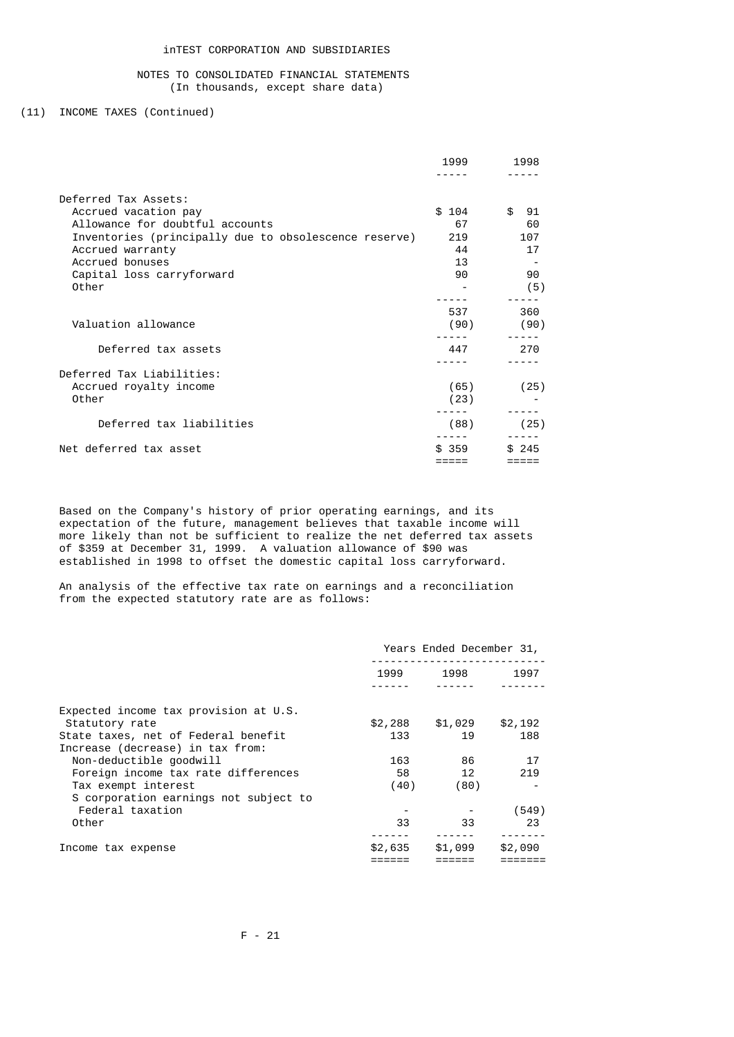# (11) INCOME TAXES (Continued)

|                                                       | 1999  | 1998                |
|-------------------------------------------------------|-------|---------------------|
|                                                       |       |                     |
| Deferred Tax Assets:                                  |       |                     |
| Accrued vacation pay                                  | \$104 | $\mathbf{f}$<br>-91 |
| Allowance for doubtful accounts                       | 67    | 60                  |
| Inventories (principally due to obsolescence reserve) | 219   | 107                 |
| Accrued warranty                                      | 44    | 17                  |
| Accrued bonuses                                       | 13    |                     |
| Capital loss carryforward                             | 90    | 90                  |
| Other                                                 |       | (5)                 |
|                                                       |       |                     |
|                                                       | 537   | 360                 |
| Valuation allowance                                   | (90)  | (90)                |
|                                                       |       |                     |
| Deferred tax assets                                   | 447   | 270                 |
|                                                       |       |                     |
| Deferred Tax Liabilities:                             |       |                     |
| Accrued royalty income                                | (65)  | (25)                |
| Other                                                 | (23)  |                     |
|                                                       |       |                     |
| Deferred tax liabilities                              | (88)  | (25)                |
|                                                       |       |                     |
| Net deferred tax asset                                | \$359 | \$245               |
|                                                       |       |                     |

 Based on the Company's history of prior operating earnings, and its expectation of the future, management believes that taxable income will more likely than not be sufficient to realize the net deferred tax assets of \$359 at December 31, 1999. A valuation allowance of \$90 was established in 1998 to offset the domestic capital loss carryforward.

 An analysis of the effective tax rate on earnings and a reconciliation from the expected statutory rate are as follows:

|                                       |         | Years Ended December 31, |         |
|---------------------------------------|---------|--------------------------|---------|
|                                       | 1999    | 1998                     | 1997    |
|                                       |         |                          |         |
| Expected income tax provision at U.S. |         |                          |         |
| Statutory rate                        | \$2,288 | \$1,029                  | \$2,192 |
| State taxes, net of Federal benefit   | 133     | 19                       | 188     |
| Increase (decrease) in tax from:      |         |                          |         |
| Non-deductible goodwill               | 163     | 86                       | 17      |
| Foreign income tax rate differences   | 58      | 12                       | 219     |
| Tax exempt interest                   | (40)    | (80)                     |         |
| S corporation earnings not subject to |         |                          |         |
| Federal taxation                      |         |                          | (549)   |
| Other                                 | 33      | 33                       | 23      |
|                                       |         |                          |         |
| Income tax expense                    | \$2,635 | \$1,099                  | \$2,090 |
|                                       |         |                          |         |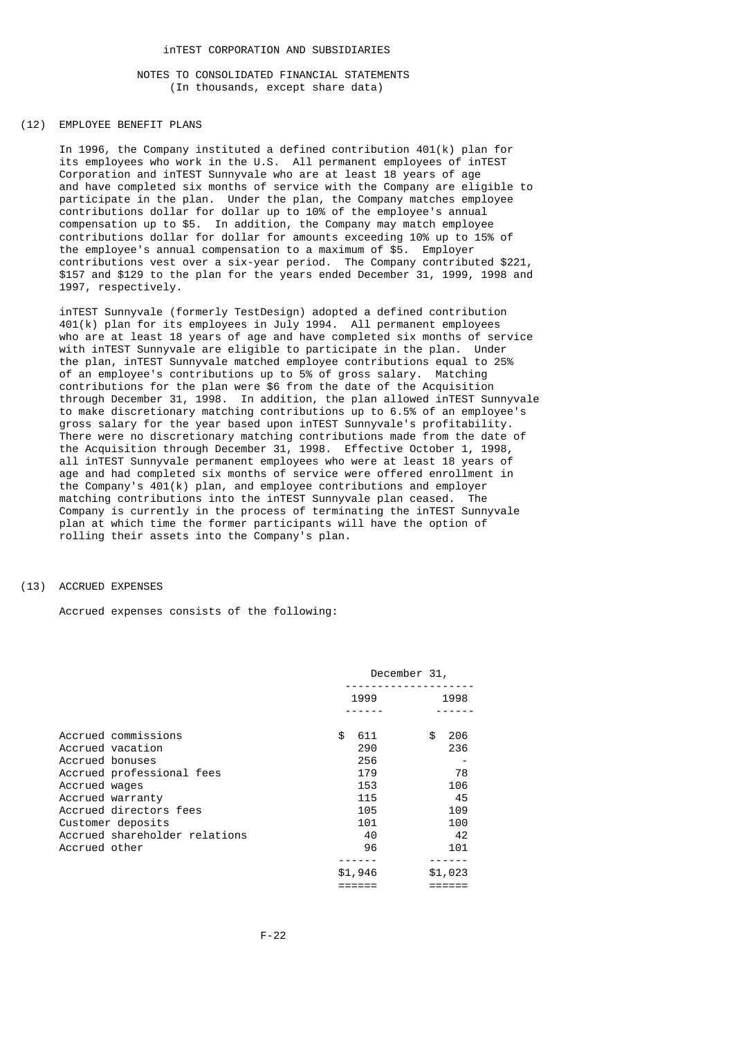#### (12) EMPLOYEE BENEFIT PLANS

 In 1996, the Company instituted a defined contribution 401(k) plan for its employees who work in the U.S. All permanent employees of inTEST Corporation and inTEST Sunnyvale who are at least 18 years of age and have completed six months of service with the Company are eligible to participate in the plan. Under the plan, the Company matches employee contributions dollar for dollar up to 10% of the employee's annual compensation up to \$5. In addition, the Company may match employee contributions dollar for dollar for amounts exceeding 10% up to 15% of the employee's annual compensation to a maximum of \$5. Employer contributions vest over a six-year period. The Company contributed \$221, \$157 and \$129 to the plan for the years ended December 31, 1999, 1998 and 1997, respectively.

 inTEST Sunnyvale (formerly TestDesign) adopted a defined contribution 401(k) plan for its employees in July 1994. All permanent employees who are at least 18 years of age and have completed six months of service with inTEST Sunnyvale are eligible to participate in the plan. Under the plan, inTEST Sunnyvale matched employee contributions equal to 25% of an employee's contributions up to 5% of gross salary. Matching contributions for the plan were \$6 from the date of the Acquisition through December 31, 1998. In addition, the plan allowed inTEST Sunnyvale to make discretionary matching contributions up to 6.5% of an employee's gross salary for the year based upon inTEST Sunnyvale's profitability. There were no discretionary matching contributions made from the date of the Acquisition through December 31, 1998. Effective October 1, 1998, all inTEST Sunnyvale permanent employees who were at least 18 years of age and had completed six months of service were offered enrollment in the Company's 401(k) plan, and employee contributions and employer matching contributions into the inTEST Sunnyvale plan ceased. The Company is currently in the process of terminating the inTEST Sunnyvale plan at which time the former participants will have the option of rolling their assets into the Company's plan.

### (13) ACCRUED EXPENSES

Accrued expenses consists of the following:

| December 31,                                                                      |                                                                            |  |  |
|-----------------------------------------------------------------------------------|----------------------------------------------------------------------------|--|--|
| 1999                                                                              | 1998                                                                       |  |  |
| \$<br>611<br>290<br>256<br>179<br>153<br>115<br>105<br>101<br>40<br>96<br>\$1,946 | 206<br>\$.<br>236<br>78<br>106<br>45<br>109<br>100<br>42<br>101<br>\$1,023 |  |  |
|                                                                                   |                                                                            |  |  |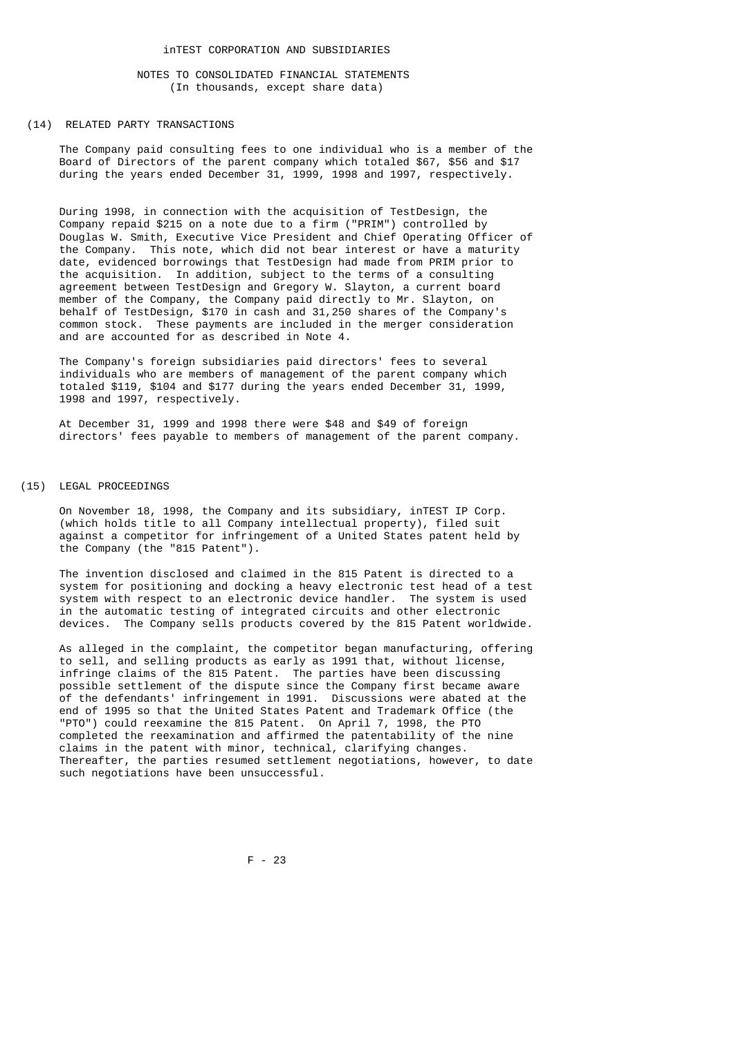#### (14) RELATED PARTY TRANSACTIONS

 The Company paid consulting fees to one individual who is a member of the Board of Directors of the parent company which totaled \$67, \$56 and \$17 during the years ended December 31, 1999, 1998 and 1997, respectively.

 During 1998, in connection with the acquisition of TestDesign, the Company repaid \$215 on a note due to a firm ("PRIM") controlled by Douglas W. Smith, Executive Vice President and Chief Operating Officer of the Company. This note, which did not bear interest or have a maturity date, evidenced borrowings that TestDesign had made from PRIM prior to the acquisition. In addition, subject to the terms of a consulting agreement between TestDesign and Gregory W. Slayton, a current board member of the Company, the Company paid directly to Mr. Slayton, on behalf of TestDesign, \$170 in cash and 31,250 shares of the Company's common stock. These payments are included in the merger consideration and are accounted for as described in Note 4.

 The Company's foreign subsidiaries paid directors' fees to several individuals who are members of management of the parent company which totaled \$119, \$104 and \$177 during the years ended December 31, 1999, 1998 and 1997, respectively.

 At December 31, 1999 and 1998 there were \$48 and \$49 of foreign directors' fees payable to members of management of the parent company.

#### (15) LEGAL PROCEEDINGS

 On November 18, 1998, the Company and its subsidiary, inTEST IP Corp. (which holds title to all Company intellectual property), filed suit against a competitor for infringement of a United States patent held by the Company (the "815 Patent").

 The invention disclosed and claimed in the 815 Patent is directed to a system for positioning and docking a heavy electronic test head of a test system with respect to an electronic device handler. The system is used in the automatic testing of integrated circuits and other electronic devices. The Company sells products covered by the 815 Patent worldwide.

 As alleged in the complaint, the competitor began manufacturing, offering to sell, and selling products as early as 1991 that, without license, infringe claims of the 815 Patent. The parties have been discussing possible settlement of the dispute since the Company first became aware of the defendants' infringement in 1991. Discussions were abated at the end of 1995 so that the United States Patent and Trademark Office (the "PTO") could reexamine the 815 Patent. On April 7, 1998, the PTO completed the reexamination and affirmed the patentability of the nine claims in the patent with minor, technical, clarifying changes. Thereafter, the parties resumed settlement negotiations, however, to date such negotiations have been unsuccessful.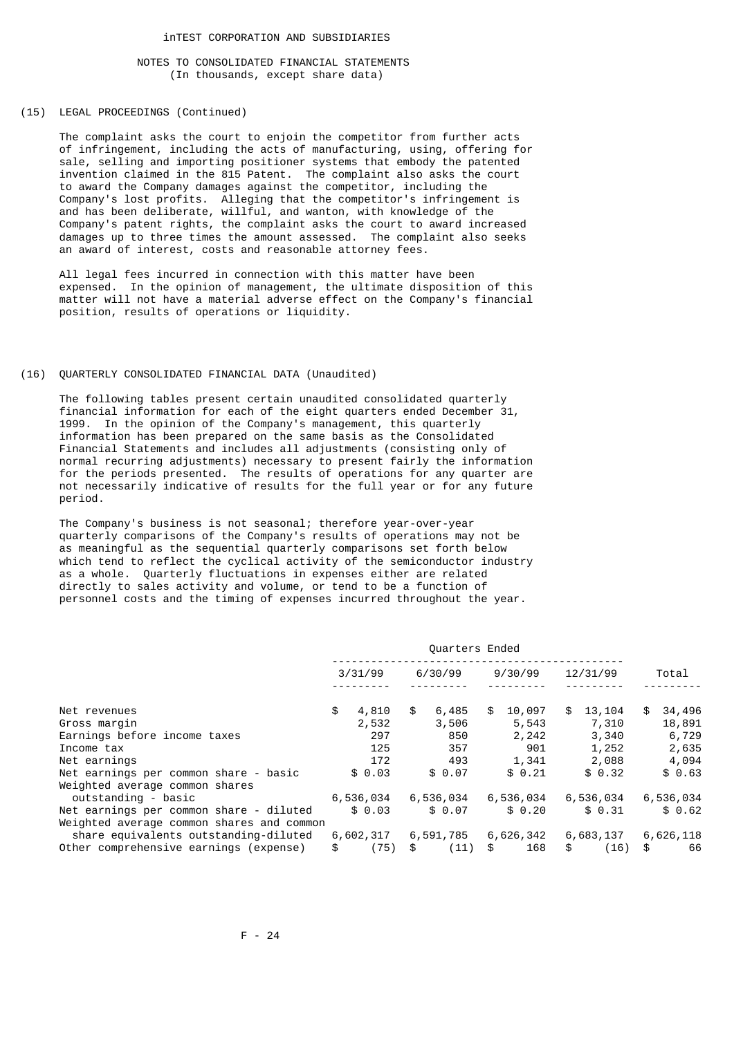### (15) LEGAL PROCEEDINGS (Continued)

 The complaint asks the court to enjoin the competitor from further acts of infringement, including the acts of manufacturing, using, offering for sale, selling and importing positioner systems that embody the patented invention claimed in the 815 Patent. The complaint also asks the court to award the Company damages against the competitor, including the Company's lost profits. Alleging that the competitor's infringement is and has been deliberate, willful, and wanton, with knowledge of the Company's patent rights, the complaint asks the court to award increased damages up to three times the amount assessed. The complaint also seeks an award of interest, costs and reasonable attorney fees.

 All legal fees incurred in connection with this matter have been expensed. In the opinion of management, the ultimate disposition of this matter will not have a material adverse effect on the Company's financial position, results of operations or liquidity.

## (16) QUARTERLY CONSOLIDATED FINANCIAL DATA (Unaudited)

 The following tables present certain unaudited consolidated quarterly financial information for each of the eight quarters ended December 31, 1999. In the opinion of the Company's management, this quarterly information has been prepared on the same basis as the Consolidated Financial Statements and includes all adjustments (consisting only of normal recurring adjustments) necessary to present fairly the information for the periods presented. The results of operations for any quarter are not necessarily indicative of results for the full year or for any future period.

 The Company's business is not seasonal; therefore year-over-year quarterly comparisons of the Company's results of operations may not be as meaningful as the sequential quarterly comparisons set forth below which tend to reflect the cyclical activity of the semiconductor industry as a whole. Quarterly fluctuations in expenses either are related directly to sales activity and volume, or tend to be a function of personnel costs and the timing of expenses incurred throughout the year.

|                                                                                      | Quarters Ended |           |    |           |    |           |    |           |              |
|--------------------------------------------------------------------------------------|----------------|-----------|----|-----------|----|-----------|----|-----------|--------------|
|                                                                                      |                | 3/31/99   |    | 6/30/99   |    | 9/30/99   |    | 12/31/99  | Total        |
| Net revenues                                                                         | \$             | 4,810     | \$ | 6,485     | \$ | 10,097    | \$ | 13,104    | \$<br>34,496 |
| Gross margin                                                                         |                | 2,532     |    | 3,506     |    | 5,543     |    | 7,310     | 18,891       |
| Earnings before income taxes                                                         |                | 297       |    | 850       |    | 2,242     |    | 3,340     | 6,729        |
| Income tax                                                                           |                | 125       |    | 357       |    | 901       |    | 1,252     | 2,635        |
| Net earnings                                                                         |                | 172       |    | 493       |    | 1,341     |    | 2,088     | 4,094        |
| Net earnings per common share - basic<br>Weighted average common shares              |                | \$0.03    |    | \$0.07    |    | \$0.21    |    | \$0.32    | \$0.63       |
| outstanding - basic                                                                  |                | 6,536,034 |    | 6,536,034 |    | 6,536,034 |    | 6,536,034 | 6,536,034    |
| Net earnings per common share - diluted<br>Weighted average common shares and common |                | \$0.03    |    | \$0.07    |    | \$0.20    |    | \$0.31    | \$0.62       |
| share equivalents outstanding-diluted                                                |                | 6,602,317 |    | 6,591,785 |    | 6,626,342 |    | 6,683,137 | 6,626,118    |
| Other comprehensive earnings (expense)                                               | \$             | (75)      | \$ | (11)      | \$ | 168       | \$ | (16)      | \$<br>66     |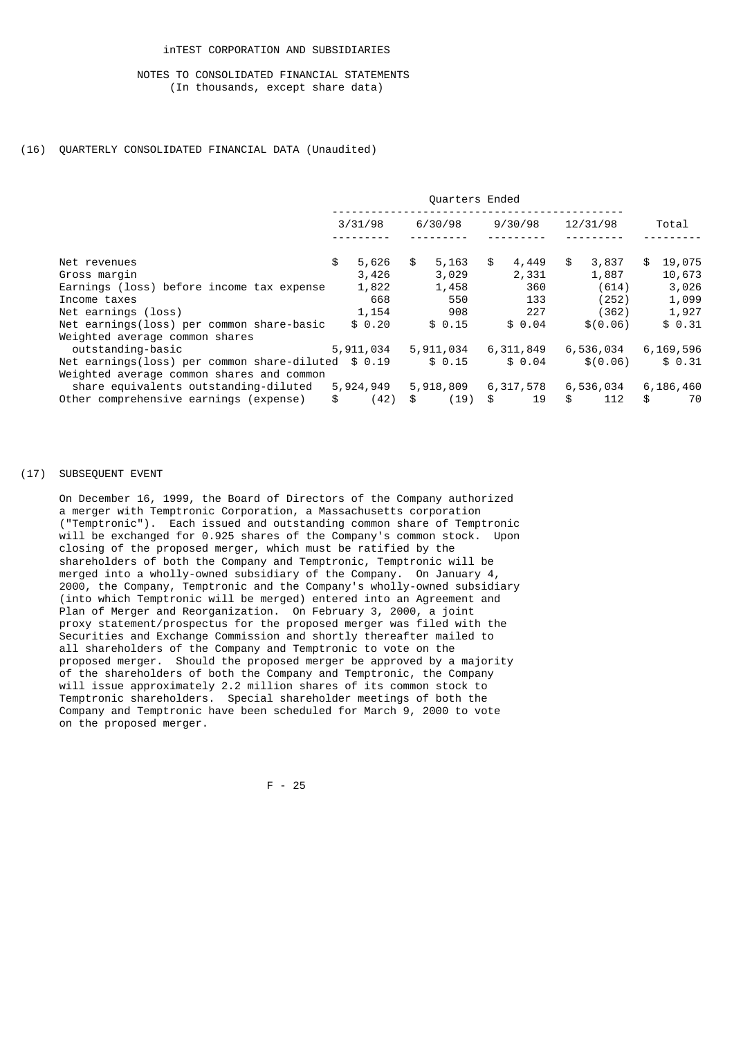## (16) QUARTERLY CONSOLIDATED FINANCIAL DATA (Unaudited)

|                                                                                                  | Quarters Ended |           |    |           |    |           |    |           |              |
|--------------------------------------------------------------------------------------------------|----------------|-----------|----|-----------|----|-----------|----|-----------|--------------|
|                                                                                                  |                | 3/31/98   |    | 6/30/98   |    | 9/30/98   |    | 12/31/98  | Total        |
| Net revenues                                                                                     | \$             | 5,626     | \$ | 5,163     | \$ | 4,449     | \$ | 3,837     | \$<br>19,075 |
| Gross margin                                                                                     |                | 3,426     |    | 3,029     |    | 2,331     |    | 1,887     | 10,673       |
| Earnings (loss) before income tax expense                                                        |                | 1,822     |    | 1,458     |    | 360       |    | (614)     | 3,026        |
| Income taxes                                                                                     |                | 668       |    | 550       |    | 133       |    | (252)     | 1,099        |
| Net earnings (loss)                                                                              |                | 1,154     |    | 908       |    | 227       |    | (362)     | 1,927        |
| Net earnings(loss) per common share-basic<br>Weighted average common shares                      |                | \$0.20    |    | \$0.15    |    | \$0.04    |    | \$ (0.06) | \$0.31       |
| outstanding-basic                                                                                |                | 5,911,034 |    | 5,911,034 |    | 6,311,849 |    | 6,536,034 | 6,169,596    |
| Net earnings(loss) per common share-diluted $$0.19$<br>Weighted average common shares and common |                |           |    | \$0.15    |    | \$0.04    |    | \$ (0.06) | \$0.31       |
| share equivalents outstanding-diluted                                                            |                | 5,924,949 |    | 5,918,809 |    | 6,317,578 |    | 6,536,034 | 6,186,460    |
| Other comprehensive earnings (expense)                                                           | \$             | (42)      | \$ | (19)      | \$ | 19        | \$ | 112       | \$<br>70     |

### (17) SUBSEQUENT EVENT

 On December 16, 1999, the Board of Directors of the Company authorized a merger with Temptronic Corporation, a Massachusetts corporation ("Temptronic"). Each issued and outstanding common share of Temptronic will be exchanged for 0.925 shares of the Company's common stock. Upon closing of the proposed merger, which must be ratified by the shareholders of both the Company and Temptronic, Temptronic will be merged into a wholly-owned subsidiary of the Company. On January 4, 2000, the Company, Temptronic and the Company's wholly-owned subsidiary (into which Temptronic will be merged) entered into an Agreement and Plan of Merger and Reorganization. On February 3, 2000, a joint proxy statement/prospectus for the proposed merger was filed with the Securities and Exchange Commission and shortly thereafter mailed to all shareholders of the Company and Temptronic to vote on the proposed merger. Should the proposed merger be approved by a majority of the shareholders of both the Company and Temptronic, the Company will issue approximately 2.2 million shares of its common stock to Temptronic shareholders. Special shareholder meetings of both the Company and Temptronic have been scheduled for March 9, 2000 to vote on the proposed merger.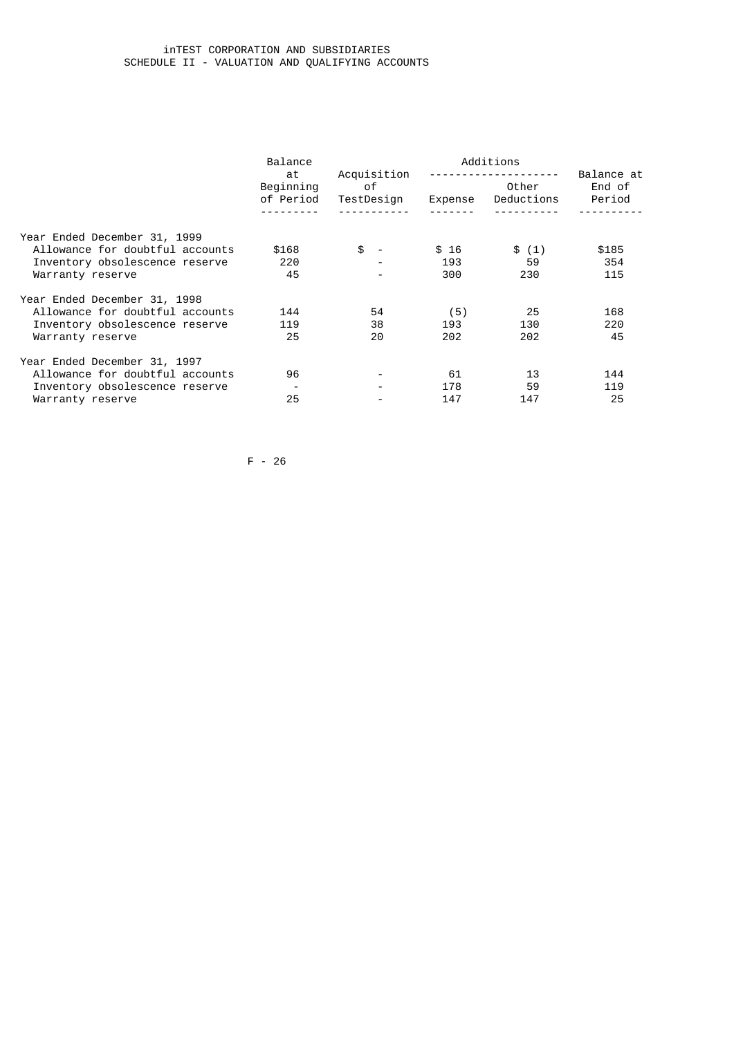## inTEST CORPORATION AND SUBSIDIARIES SCHEDULE II - VALUATION AND QUALIFYING ACCOUNTS

| Balance                |              |                                  |         |                                  |
|------------------------|--------------|----------------------------------|---------|----------------------------------|
| Beginning<br>of Period |              |                                  | Other   | Balance at<br>End of<br>Period   |
|                        |              |                                  |         |                                  |
| \$168                  | \$<br>$\sim$ | \$16                             |         | \$185                            |
| 220                    |              | 193                              | 59      | 354                              |
| 45                     |              | 300                              | 230     | 115                              |
|                        |              |                                  |         |                                  |
| 144                    | 54           | (5)                              | -25     | 168                              |
| 119                    | 38           | 193                              | 130     | 220                              |
| 25                     | 20           | 202                              | 202     | 45                               |
|                        |              |                                  |         |                                  |
| 96                     |              | 61                               | 13      | 144                              |
|                        |              | 178                              | 59      | 119                              |
| 25                     |              | 147                              | 147     | 25                               |
|                        | at           | Acquisition<br>of.<br>TestDesign | Expense | Additions<br>Deductions<br>\$(1) |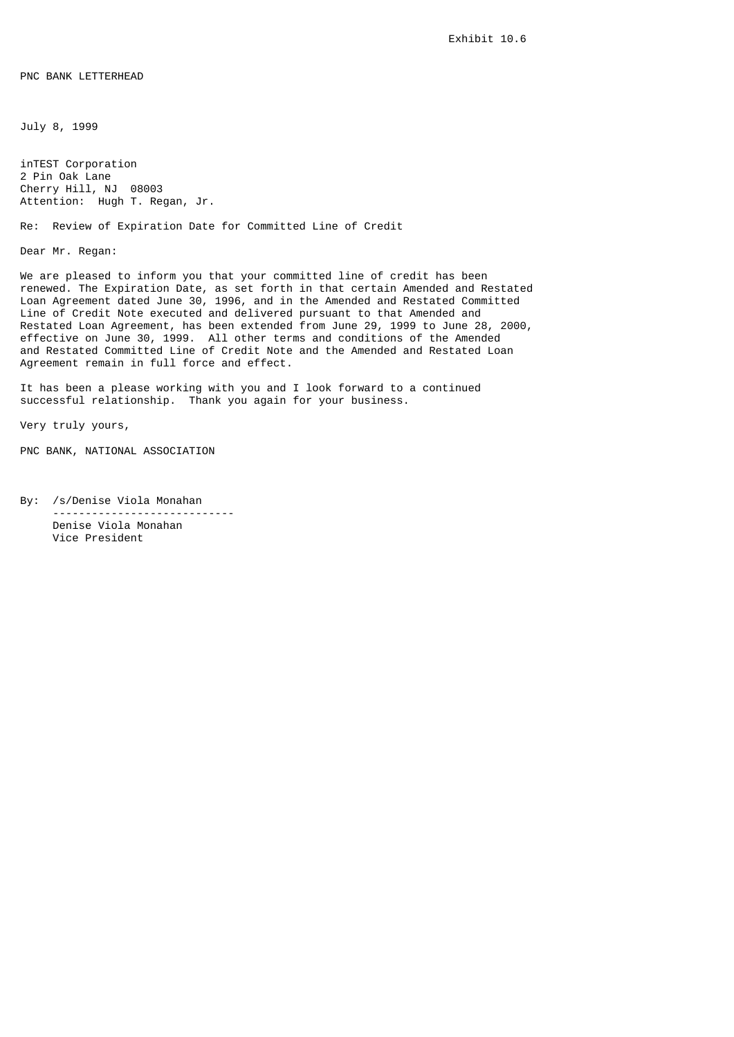PNC BANK LETTERHEAD

July 8, 1999

inTEST Corporation 2 Pin Oak Lane Cherry Hill, NJ 08003 Attention: Hugh T. Regan, Jr.

Re: Review of Expiration Date for Committed Line of Credit

Dear Mr. Regan:

We are pleased to inform you that your committed line of credit has been renewed. The Expiration Date, as set forth in that certain Amended and Restated Loan Agreement dated June 30, 1996, and in the Amended and Restated Committed Line of Credit Note executed and delivered pursuant to that Amended and Restated Loan Agreement, has been extended from June 29, 1999 to June 28, 2000, effective on June 30, 1999. All other terms and conditions of the Amended and Restated Committed Line of Credit Note and the Amended and Restated Loan Agreement remain in full force and effect.

It has been a please working with you and I look forward to a continued successful relationship. Thank you again for your business.

Very truly yours,

PNC BANK, NATIONAL ASSOCIATION

By: /s/Denise Viola Monahan ---------------------------- Denise Viola Monahan Vice President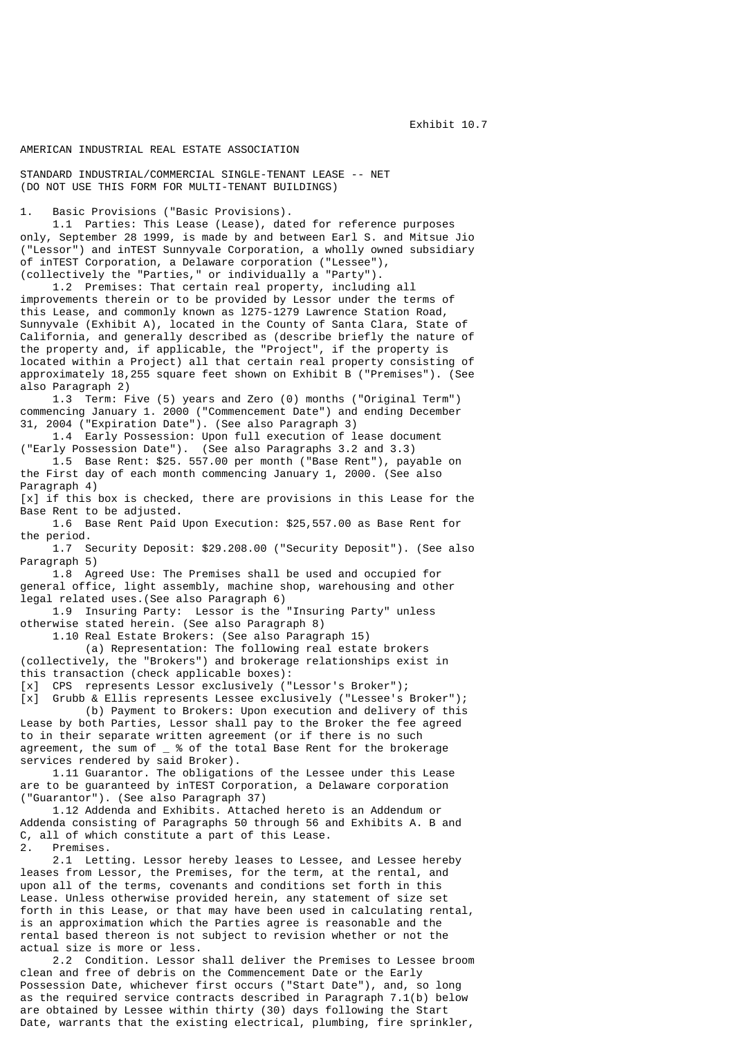Exhibit 10.7

## AMERICAN INDUSTRIAL REAL ESTATE ASSOCIATION

STANDARD INDUSTRIAL/COMMERCIAL SINGLE-TENANT LEASE -- NET (DO NOT USE THIS FORM FOR MULTI-TENANT BUILDINGS)

1. Basic Provisions ("Basic Provisions).

 1.1 Parties: This Lease (Lease), dated for reference purposes only, September 28 1999, is made by and between Earl S. and Mitsue Jio ("Lessor") and inTEST Sunnyvale Corporation, a wholly owned subsidiary of inTEST Corporation, a Delaware corporation ("Lessee"), (collectively the "Parties," or individually a "Party").

 1.2 Premises: That certain real property, including all improvements therein or to be provided by Lessor under the terms of this Lease, and commonly known as l275-1279 Lawrence Station Road, Sunnyvale (Exhibit A), located in the County of Santa Clara, State of California, and generally described as (describe briefly the nature of the property and, if applicable, the "Project", if the property is located within a Project) all that certain real property consisting of approximately 18,255 square feet shown on Exhibit B ("Premises"). (See also Paragraph 2)

 1.3 Term: Five (5) years and Zero (0) months ("Original Term") commencing January 1. 2000 ("Commencement Date") and ending December 31, 2004 ("Expiration Date"). (See also Paragraph 3)

 1.4 Early Possession: Upon full execution of lease document ("Early Possession Date"). (See also Paragraphs 3.2 and 3.3)

 1.5 Base Rent: \$25. 557.00 per month ("Base Rent"), payable on the First day of each month commencing January 1, 2000. (See also Paragraph 4)

[x] if this box is checked, there are provisions in this Lease for the Base Rent to be adjusted.

 1.6 Base Rent Paid Upon Execution: \$25,557.00 as Base Rent for the period.

 1.7 Security Deposit: \$29.208.00 ("Security Deposit"). (See also Paragraph 5)

 1.8 Agreed Use: The Premises shall be used and occupied for general office, light assembly, machine shop, warehousing and other legal related uses.(See also Paragraph 6)

 1.9 Insuring Party: Lessor is the "Insuring Party" unless otherwise stated herein. (See also Paragraph 8)

1.10 Real Estate Brokers: (See also Paragraph 15)

 (a) Representation: The following real estate brokers (collectively, the "Brokers") and brokerage relationships exist in this transaction (check applicable boxes):

[x] CPS represents Lessor exclusively ("Lessor's Broker");<br>[x] Grubb & Ellis represents Lessee exclusively ("Lessee's Grubb & Ellis represents Lessee exclusively ("Lessee's Broker");

 (b) Payment to Brokers: Upon execution and delivery of this Lease by both Parties, Lessor shall pay to the Broker the fee agreed to in their separate written agreement (or if there is no such agreement, the sum of  $\mu$  % of the total Base Rent for the brokerage services rendered by said Broker).

 1.11 Guarantor. The obligations of the Lessee under this Lease are to be guaranteed by inTEST Corporation, a Delaware corporation ("Guarantor"). (See also Paragraph 37)

 1.12 Addenda and Exhibits. Attached hereto is an Addendum or Addenda consisting of Paragraphs 50 through 56 and Exhibits A. B and C, all of which constitute a part of this Lease.

2. Premises.

 2.1 Letting. Lessor hereby leases to Lessee, and Lessee hereby leases from Lessor, the Premises, for the term, at the rental, and upon all of the terms, covenants and conditions set forth in this Lease. Unless otherwise provided herein, any statement of size set forth in this Lease, or that may have been used in calculating rental, is an approximation which the Parties agree is reasonable and the rental based thereon is not subject to revision whether or not the actual size is more or less.

 2.2 Condition. Lessor shall deliver the Premises to Lessee broom clean and free of debris on the Commencement Date or the Early Possession Date, whichever first occurs ("Start Date"), and, so long as the required service contracts described in Paragraph 7.1(b) below are obtained by Lessee within thirty (30) days following the Start Date, warrants that the existing electrical, plumbing, fire sprinkler,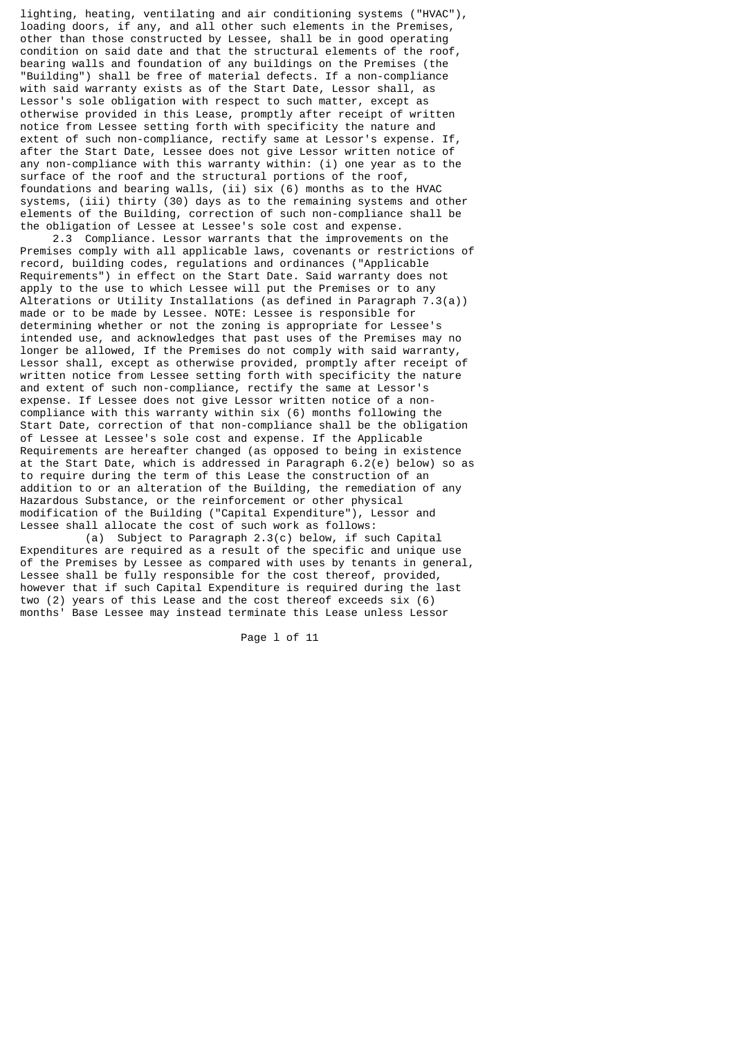lighting, heating, ventilating and air conditioning systems ("HVAC"), loading doors, if any, and all other such elements in the Premises, other than those constructed by Lessee, shall be in good operating condition on said date and that the structural elements of the roof, bearing walls and foundation of any buildings on the Premises (the "Building") shall be free of material defects. If a non-compliance with said warranty exists as of the Start Date, Lessor shall, as Lessor's sole obligation with respect to such matter, except as otherwise provided in this Lease, promptly after receipt of written notice from Lessee setting forth with specificity the nature and extent of such non-compliance, rectify same at Lessor's expense. If, after the Start Date, Lessee does not give Lessor written notice of any non-compliance with this warranty within: (i) one year as to the surface of the roof and the structural portions of the roof, foundations and bearing walls, (ii) six (6) months as to the HVAC systems, (iii) thirty (30) days as to the remaining systems and other elements of the Building, correction of such non-compliance shall be the obligation of Lessee at Lessee's sole cost and expense.

 2.3 Compliance. Lessor warrants that the improvements on the Premises comply with all applicable laws, covenants or restrictions of record, building codes, regulations and ordinances ("Applicable Requirements") in effect on the Start Date. Said warranty does not apply to the use to which Lessee will put the Premises or to any Alterations or Utility Installations (as defined in Paragraph 7.3(a)) made or to be made by Lessee. NOTE: Lessee is responsible for determining whether or not the zoning is appropriate for Lessee's intended use, and acknowledges that past uses of the Premises may no longer be allowed, If the Premises do not comply with said warranty, Lessor shall, except as otherwise provided, promptly after receipt of written notice from Lessee setting forth with specificity the nature and extent of such non-compliance, rectify the same at Lessor's expense. If Lessee does not give Lessor written notice of a noncompliance with this warranty within six (6) months following the Start Date, correction of that non-compliance shall be the obligation of Lessee at Lessee's sole cost and expense. If the Applicable Requirements are hereafter changed (as opposed to being in existence at the Start Date, which is addressed in Paragraph 6.2(e) below) so as to require during the term of this Lease the construction of an addition to or an alteration of the Building, the remediation of any Hazardous Substance, or the reinforcement or other physical modification of the Building ("Capital Expenditure"), Lessor and Lessee shall allocate the cost of such work as follows:

 (a) Subject to Paragraph 2.3(c) below, if such Capital Expenditures are required as a result of the specific and unique use of the Premises by Lessee as compared with uses by tenants in general, Lessee shall be fully responsible for the cost thereof, provided, however that if such Capital Expenditure is required during the last two (2) years of this Lease and the cost thereof exceeds six (6) months' Base Lessee may instead terminate this Lease unless Lessor

Page l of 11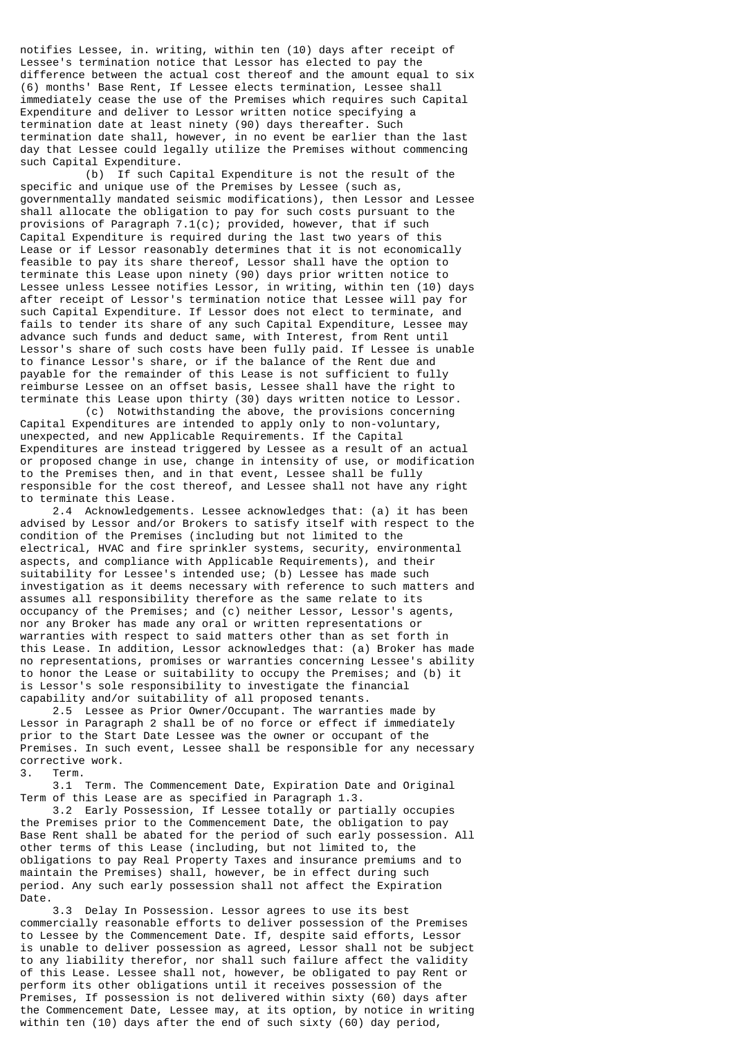notifies Lessee, in. writing, within ten (10) days after receipt of Lessee's termination notice that Lessor has elected to pay the difference between the actual cost thereof and the amount equal to six (6) months' Base Rent, If Lessee elects termination, Lessee shall immediately cease the use of the Premises which requires such Capital Expenditure and deliver to Lessor written notice specifying a termination date at least ninety (90) days thereafter. Such termination date shall, however, in no event be earlier than the last day that Lessee could legally utilize the Premises without commencing such Capital Expenditure.

 (b) If such Capital Expenditure is not the result of the specific and unique use of the Premises by Lessee (such as, governmentally mandated seismic modifications), then Lessor and Lessee shall allocate the obligation to pay for such costs pursuant to the provisions of Paragraph  $7.1(c)$ ; provided, however, that if such Capital Expenditure is required during the last two years of this Lease or if Lessor reasonably determines that it is not economically feasible to pay its share thereof, Lessor shall have the option to terminate this Lease upon ninety (90) days prior written notice to Lessee unless Lessee notifies Lessor, in writing, within ten (10) days after receipt of Lessor's termination notice that Lessee will pay for such Capital Expenditure. If Lessor does not elect to terminate, and fails to tender its share of any such Capital Expenditure, Lessee may advance such funds and deduct same, with Interest, from Rent until Lessor's share of such costs have been fully paid. If Lessee is unable to finance Lessor's share, or if the balance of the Rent due and payable for the remainder of this Lease is not sufficient to fully reimburse Lessee on an offset basis, Lessee shall have the right to terminate this Lease upon thirty (30) days written notice to Lessor.

 (c) Notwithstanding the above, the provisions concerning Capital Expenditures are intended to apply only to non-voluntary, unexpected, and new Applicable Requirements. If the Capital Expenditures are instead triggered by Lessee as a result of an actual or proposed change in use, change in intensity of use, or modification to the Premises then, and in that event, Lessee shall be fully responsible for the cost thereof, and Lessee shall not have any right to terminate this Lease.

 2.4 Acknowledgements. Lessee acknowledges that: (a) it has been advised by Lessor and/or Brokers to satisfy itself with respect to the condition of the Premises (including but not limited to the electrical, HVAC and fire sprinkler systems, security, environmental aspects, and compliance with Applicable Requirements), and their suitability for Lessee's intended use; (b) Lessee has made such investigation as it deems necessary with reference to such matters and assumes all responsibility therefore as the same relate to its occupancy of the Premises; and (c) neither Lessor, Lessor's agents, nor any Broker has made any oral or written representations or warranties with respect to said matters other than as set forth in this Lease. In addition, Lessor acknowledges that: (a) Broker has made no representations, promises or warranties concerning Lessee's ability to honor the Lease or suitability to occupy the Premises; and (b) it is Lessor's sole responsibility to investigate the financial capability and/or suitability of all proposed tenants.

 2.5 Lessee as Prior Owner/Occupant. The warranties made by Lessor in Paragraph 2 shall be of no force or effect if immediately prior to the Start Date Lessee was the owner or occupant of the Premises. In such event, Lessee shall be responsible for any necessary corrective work.

3. Term.

 3.1 Term. The Commencement Date, Expiration Date and Original Term of this Lease are as specified in Paragraph 1.3.

 3.2 Early Possession, If Lessee totally or partially occupies the Premises prior to the Commencement Date, the obligation to pay Base Rent shall be abated for the period of such early possession. All other terms of this Lease (including, but not limited to, the obligations to pay Real Property Taxes and insurance premiums and to maintain the Premises) shall, however, be in effect during such period. Any such early possession shall not affect the Expiration Date.

 3.3 Delay In Possession. Lessor agrees to use its best commercially reasonable efforts to deliver possession of the Premises to Lessee by the Commencement Date. If, despite said efforts, Lessor is unable to deliver possession as agreed, Lessor shall not be subject to any liability therefor, nor shall such failure affect the validity of this Lease. Lessee shall not, however, be obligated to pay Rent or perform its other obligations until it receives possession of the Premises, If possession is not delivered within sixty (60) days after the Commencement Date, Lessee may, at its option, by notice in writing within ten (10) days after the end of such sixty (60) day period,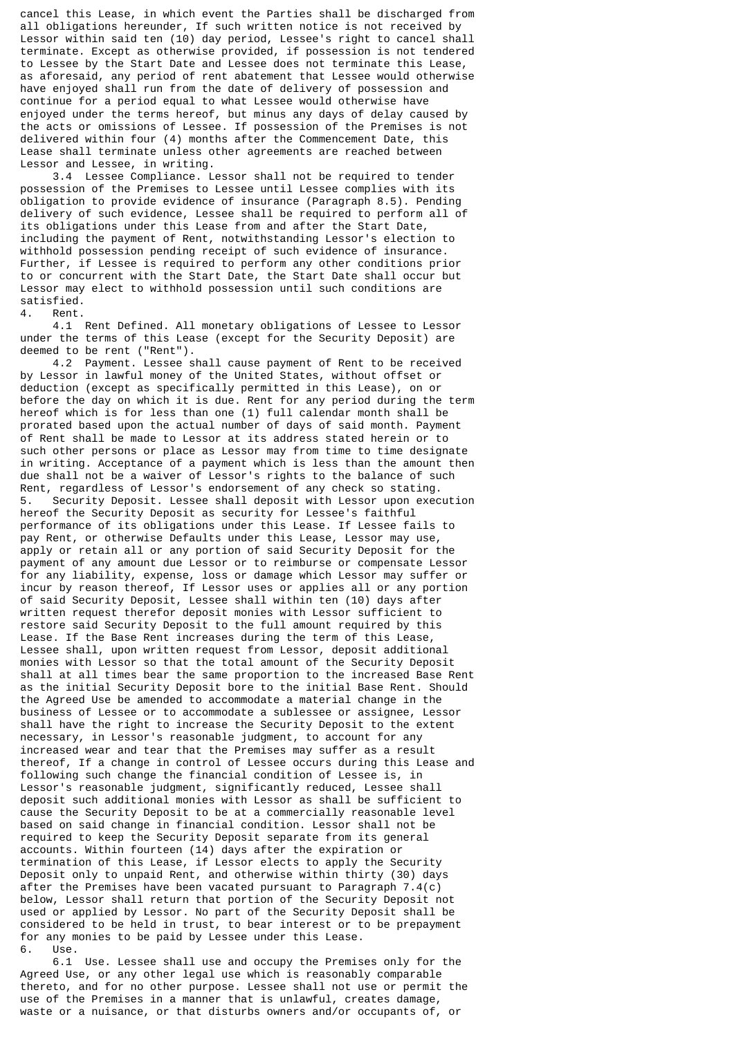cancel this Lease, in which event the Parties shall be discharged from all obligations hereunder, If such written notice is not received by Lessor within said ten (10) day period, Lessee's right to cancel shall terminate. Except as otherwise provided, if possession is not tendered to Lessee by the Start Date and Lessee does not terminate this Lease, as aforesaid, any period of rent abatement that Lessee would otherwise have enjoyed shall run from the date of delivery of possession and continue for a period equal to what Lessee would otherwise have enjoyed under the terms hereof, but minus any days of delay caused by the acts or omissions of Lessee. If possession of the Premises is not delivered within four (4) months after the Commencement Date, this Lease shall terminate unless other agreements are reached between Lessor and Lessee, in writing.

 3.4 Lessee Compliance. Lessor shall not be required to tender possession of the Premises to Lessee until Lessee complies with its obligation to provide evidence of insurance (Paragraph 8.5). Pending delivery of such evidence, Lessee shall be required to perform all of its obligations under this Lease from and after the Start Date, including the payment of Rent, notwithstanding Lessor's election to withhold possession pending receipt of such evidence of insurance. Further, if Lessee is required to perform any other conditions prior to or concurrent with the Start Date, the Start Date shall occur but Lessor may elect to withhold possession until such conditions are satisfied.

4. Rent.

 4.1 Rent Defined. All monetary obligations of Lessee to Lessor under the terms of this Lease (except for the Security Deposit) are deemed to be rent ("Rent").

 4.2 Payment. Lessee shall cause payment of Rent to be received by Lessor in lawful money of the United States, without offset or deduction (except as specifically permitted in this Lease), on or before the day on which it is due. Rent for any period during the term hereof which is for less than one (1) full calendar month shall be prorated based upon the actual number of days of said month. Payment of Rent shall be made to Lessor at its address stated herein or to such other persons or place as Lessor may from time to time designate in writing. Acceptance of a payment which is less than the amount then due shall not be a waiver of Lessor's rights to the balance of such Rent, regardless of Lessor's endorsement of any check so stating. 5. Security Deposit. Lessee shall deposit with Lessor upon execution hereof the Security Deposit as security for Lessee's faithful performance of its obligations under this Lease. If Lessee fails to pay Rent, or otherwise Defaults under this Lease, Lessor may use, apply or retain all or any portion of said Security Deposit for the payment of any amount due Lessor or to reimburse or compensate Lessor for any liability, expense, loss or damage which Lessor may suffer or incur by reason thereof, If Lessor uses or applies all or any portion of said Security Deposit, Lessee shall within ten (10) days after written request therefor deposit monies with Lessor sufficient to restore said Security Deposit to the full amount required by this Lease. If the Base Rent increases during the term of this Lease, Lessee shall, upon written request from Lessor, deposit additional monies with Lessor so that the total amount of the Security Deposit shall at all times bear the same proportion to the increased Base Rent as the initial Security Deposit bore to the initial Base Rent. Should the Agreed Use be amended to accommodate a material change in the business of Lessee or to accommodate a sublessee or assignee, Lessor shall have the right to increase the Security Deposit to the extent necessary, in Lessor's reasonable judgment, to account for any increased wear and tear that the Premises may suffer as a result thereof, If a change in control of Lessee occurs during this Lease and following such change the financial condition of Lessee is, in Lessor's reasonable judgment, significantly reduced, Lessee shall deposit such additional monies with Lessor as shall be sufficient to cause the Security Deposit to be at a commercially reasonable level based on said change in financial condition. Lessor shall not be required to keep the Security Deposit separate from its general accounts. Within fourteen (14) days after the expiration or termination of this Lease, if Lessor elects to apply the Security Deposit only to unpaid Rent, and otherwise within thirty (30) days after the Premises have been vacated pursuant to Paragraph 7.4(c) below, Lessor shall return that portion of the Security Deposit not used or applied by Lessor. No part of the Security Deposit shall be considered to be held in trust, to bear interest or to be prepayment for any monies to be paid by Lessee under this Lease. 6. Use.

 6.1 Use. Lessee shall use and occupy the Premises only for the Agreed Use, or any other legal use which is reasonably comparable thereto, and for no other purpose. Lessee shall not use or permit the use of the Premises in a manner that is unlawful, creates damage, waste or a nuisance, or that disturbs owners and/or occupants of, or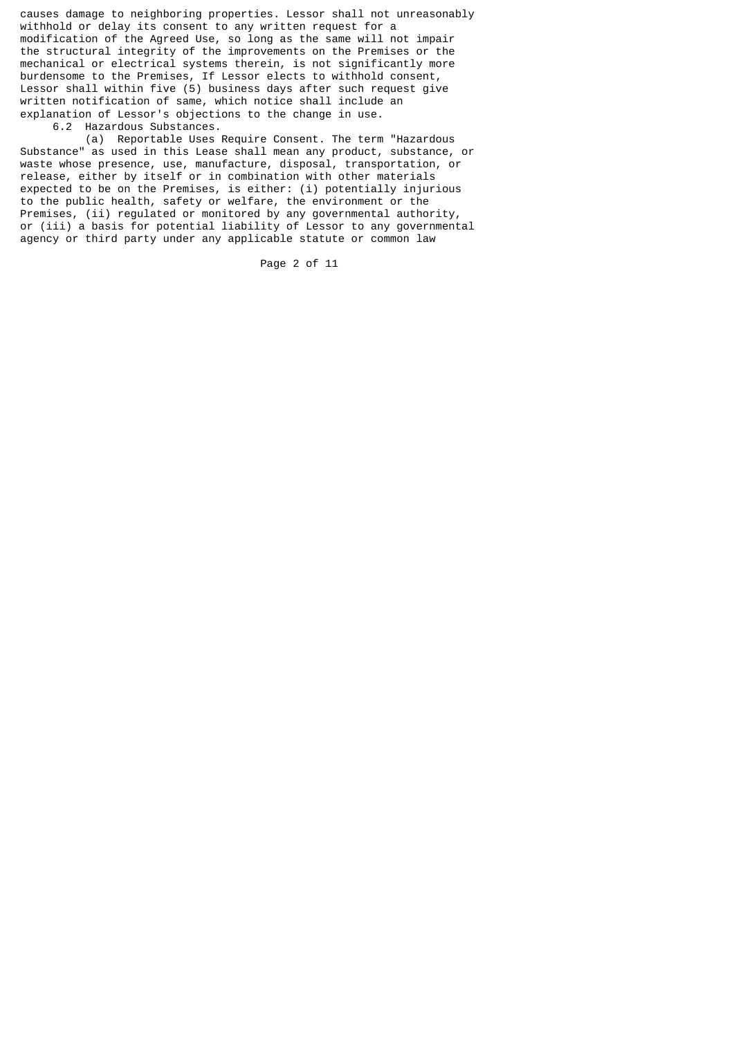causes damage to neighboring properties. Lessor shall not unreasonably withhold or delay its consent to any written request for a modification of the Agreed Use, so long as the same will not impair the structural integrity of the improvements on the Premises or the mechanical or electrical systems therein, is not significantly more burdensome to the Premises, If Lessor elects to withhold consent, Lessor shall within five (5) business days after such request give written notification of same, which notice shall include an explanation of Lessor's objections to the change in use.

6.2 Hazardous Substances.

 (a) Reportable Uses Require Consent. The term "Hazardous Substance" as used in this Lease shall mean any product, substance, or waste whose presence, use, manufacture, disposal, transportation, or release, either by itself or in combination with other materials expected to be on the Premises, is either: (i) potentially injurious to the public health, safety or welfare, the environment or the Premises, (ii) regulated or monitored by any governmental authority, or (iii) a basis for potential liability of Lessor to any governmental agency or third party under any applicable statute or common law

Page 2 of 11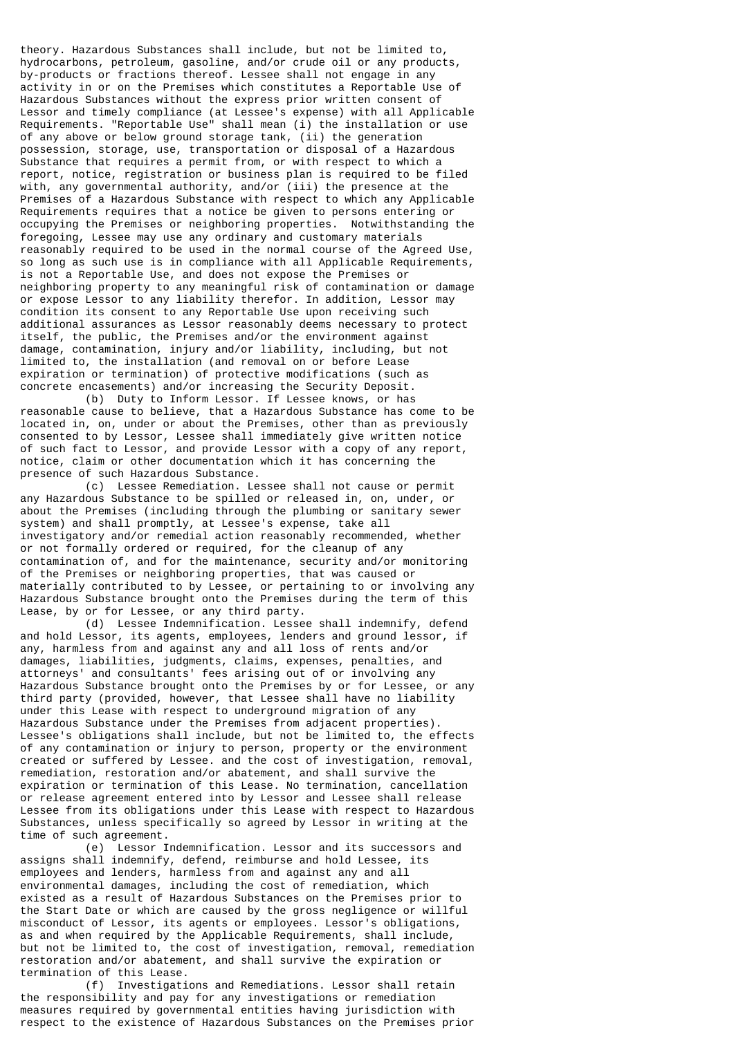theory. Hazardous Substances shall include, but not be limited to, hydrocarbons, petroleum, gasoline, and/or crude oil or any products, by-products or fractions thereof. Lessee shall not engage in any activity in or on the Premises which constitutes a Reportable Use of Hazardous Substances without the express prior written consent of Lessor and timely compliance (at Lessee's expense) with all Applicable Requirements. "Reportable Use" shall mean (i) the installation or use of any above or below ground storage tank, (ii) the generation possession, storage, use, transportation or disposal of a Hazardous Substance that requires a permit from, or with respect to which a report, notice, registration or business plan is required to be filed with, any governmental authority, and/or (iii) the presence at the Premises of a Hazardous Substance with respect to which any Applicable Requirements requires that a notice be given to persons entering or occupying the Premises or neighboring properties. Notwithstanding the foregoing, Lessee may use any ordinary and customary materials reasonably required to be used in the normal course of the Agreed Use, so long as such use is in compliance with all Applicable Requirements, is not a Reportable Use, and does not expose the Premises or neighboring property to any meaningful risk of contamination or damage or expose Lessor to any liability therefor. In addition, Lessor may condition its consent to any Reportable Use upon receiving such additional assurances as Lessor reasonably deems necessary to protect itself, the public, the Premises and/or the environment against damage, contamination, injury and/or liability, including, but not limited to, the installation (and removal on or before Lease expiration or termination) of protective modifications (such as concrete encasements) and/or increasing the Security Deposit.

 (b) Duty to Inform Lessor. If Lessee knows, or has reasonable cause to believe, that a Hazardous Substance has come to be located in, on, under or about the Premises, other than as previously consented to by Lessor, Lessee shall immediately give written notice of such fact to Lessor, and provide Lessor with a copy of any report, notice, claim or other documentation which it has concerning the presence of such Hazardous Substance.

 (c) Lessee Remediation. Lessee shall not cause or permit any Hazardous Substance to be spilled or released in, on, under, or about the Premises (including through the plumbing or sanitary sewer system) and shall promptly, at Lessee's expense, take all investigatory and/or remedial action reasonably recommended, whether or not formally ordered or required, for the cleanup of any contamination of, and for the maintenance, security and/or monitoring of the Premises or neighboring properties, that was caused or materially contributed to by Lessee, or pertaining to or involving any Hazardous Substance brought onto the Premises during the term of this Lease, by or for Lessee, or any third party.

 (d) Lessee Indemnification. Lessee shall indemnify, defend and hold Lessor, its agents, employees, lenders and ground lessor, if any, harmless from and against any and all loss of rents and/or damages, liabilities, judgments, claims, expenses, penalties, and attorneys' and consultants' fees arising out of or involving any Hazardous Substance brought onto the Premises by or for Lessee, or any third party (provided, however, that Lessee shall have no liability under this Lease with respect to underground migration of any Hazardous Substance under the Premises from adjacent properties). Lessee's obligations shall include, but not be limited to, the effects of any contamination or injury to person, property or the environment created or suffered by Lessee. and the cost of investigation, removal, remediation, restoration and/or abatement, and shall survive the expiration or termination of this Lease. No termination, cancellation or release agreement entered into by Lessor and Lessee shall release Lessee from its obligations under this Lease with respect to Hazardous Substances, unless specifically so agreed by Lessor in writing at the time of such agreement.

 (e) Lessor Indemnification. Lessor and its successors and assigns shall indemnify, defend, reimburse and hold Lessee, its employees and lenders, harmless from and against any and all environmental damages, including the cost of remediation, which existed as a result of Hazardous Substances on the Premises prior to the Start Date or which are caused by the gross negligence or willful misconduct of Lessor, its agents or employees. Lessor's obligations, as and when required by the Applicable Requirements, shall include, but not be limited to, the cost of investigation, removal, remediation restoration and/or abatement, and shall survive the expiration or termination of this Lease.

 (f) Investigations and Remediations. Lessor shall retain the responsibility and pay for any investigations or remediation measures required by governmental entities having jurisdiction with respect to the existence of Hazardous Substances on the Premises prior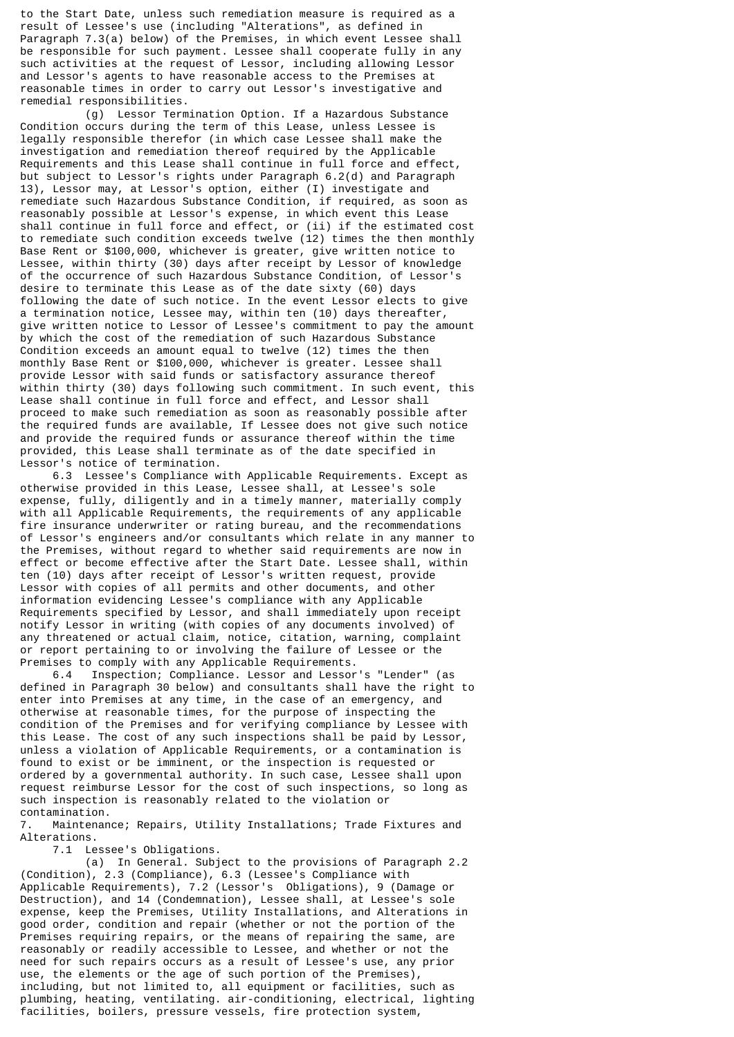to the Start Date, unless such remediation measure is required as a result of Lessee's use (including "Alterations", as defined in Paragraph 7.3(a) below) of the Premises, in which event Lessee shall be responsible for such payment. Lessee shall cooperate fully in any such activities at the request of Lessor, including allowing Lessor and Lessor's agents to have reasonable access to the Premises at reasonable times in order to carry out Lessor's investigative and remedial responsibilities.

 (g) Lessor Termination Option. If a Hazardous Substance Condition occurs during the term of this Lease, unless Lessee is legally responsible therefor (in which case Lessee shall make the investigation and remediation thereof required by the Applicable Requirements and this Lease shall continue in full force and effect, but subject to Lessor's rights under Paragraph 6.2(d) and Paragraph 13), Lessor may, at Lessor's option, either (I) investigate and remediate such Hazardous Substance Condition, if required, as soon as reasonably possible at Lessor's expense, in which event this Lease shall continue in full force and effect, or (ii) if the estimated cost to remediate such condition exceeds twelve  $(12)$  times the then monthly Base Rent or \$100,000, whichever is greater, give written notice to Lessee, within thirty (30) days after receipt by Lessor of knowledge of the occurrence of such Hazardous Substance Condition, of Lessor's desire to terminate this Lease as of the date sixty (60) days following the date of such notice. In the event Lessor elects to give a termination notice, Lessee may, within ten (10) days thereafter, give written notice to Lessor of Lessee's commitment to pay the amount by which the cost of the remediation of such Hazardous Substance Condition exceeds an amount equal to twelve (12) times the then monthly Base Rent or \$100,000, whichever is greater. Lessee shall provide Lessor with said funds or satisfactory assurance thereof within thirty (30) days following such commitment. In such event, this Lease shall continue in full force and effect, and Lessor shall proceed to make such remediation as soon as reasonably possible after the required funds are available, If Lessee does not give such notice and provide the required funds or assurance thereof within the time provided, this Lease shall terminate as of the date specified in Lessor's notice of termination.

 6.3 Lessee's Compliance with Applicable Requirements. Except as otherwise provided in this Lease, Lessee shall, at Lessee's sole expense, fully, diligently and in a timely manner, materially comply with all Applicable Requirements, the requirements of any applicable fire insurance underwriter or rating bureau, and the recommendations of Lessor's engineers and/or consultants which relate in any manner to the Premises, without regard to whether said requirements are now in effect or become effective after the Start Date. Lessee shall, within ten (10) days after receipt of Lessor's written request, provide Lessor with copies of all permits and other documents, and other information evidencing Lessee's compliance with any Applicable Requirements specified by Lessor, and shall immediately upon receipt notify Lessor in writing (with copies of any documents involved) of any threatened or actual claim, notice, citation, warning, complaint or report pertaining to or involving the failure of Lessee or the Premises to comply with any Applicable Requirements.

 6.4 Inspection; Compliance. Lessor and Lessor's "Lender" (as defined in Paragraph 30 below) and consultants shall have the right to enter into Premises at any time, in the case of an emergency, and otherwise at reasonable times, for the purpose of inspecting the condition of the Premises and for verifying compliance by Lessee with this Lease. The cost of any such inspections shall be paid by Lessor, unless a violation of Applicable Requirements, or a contamination is found to exist or be imminent, or the inspection is requested or ordered by a governmental authority. In such case, Lessee shall upon request reimburse Lessor for the cost of such inspections, so long as such inspection is reasonably related to the violation or contamination.

7. Maintenance; Repairs, Utility Installations; Trade Fixtures and Alterations.

7.1 Lessee's Obligations.

 (a) In General. Subject to the provisions of Paragraph 2.2 (Condition), 2.3 (Compliance), 6.3 (Lessee's Compliance with Applicable Requirements), 7.2 (Lessor's Obligations), 9 (Damage or Destruction), and 14 (Condemnation), Lessee shall, at Lessee's sole expense, keep the Premises, Utility Installations, and Alterations in good order, condition and repair (whether or not the portion of the Premises requiring repairs, or the means of repairing the same, are reasonably or readily accessible to Lessee, and whether or not the need for such repairs occurs as a result of Lessee's use, any prior use, the elements or the age of such portion of the Premises), including, but not limited to, all equipment or facilities, such as plumbing, heating, ventilating. air-conditioning, electrical, lighting facilities, boilers, pressure vessels, fire protection system,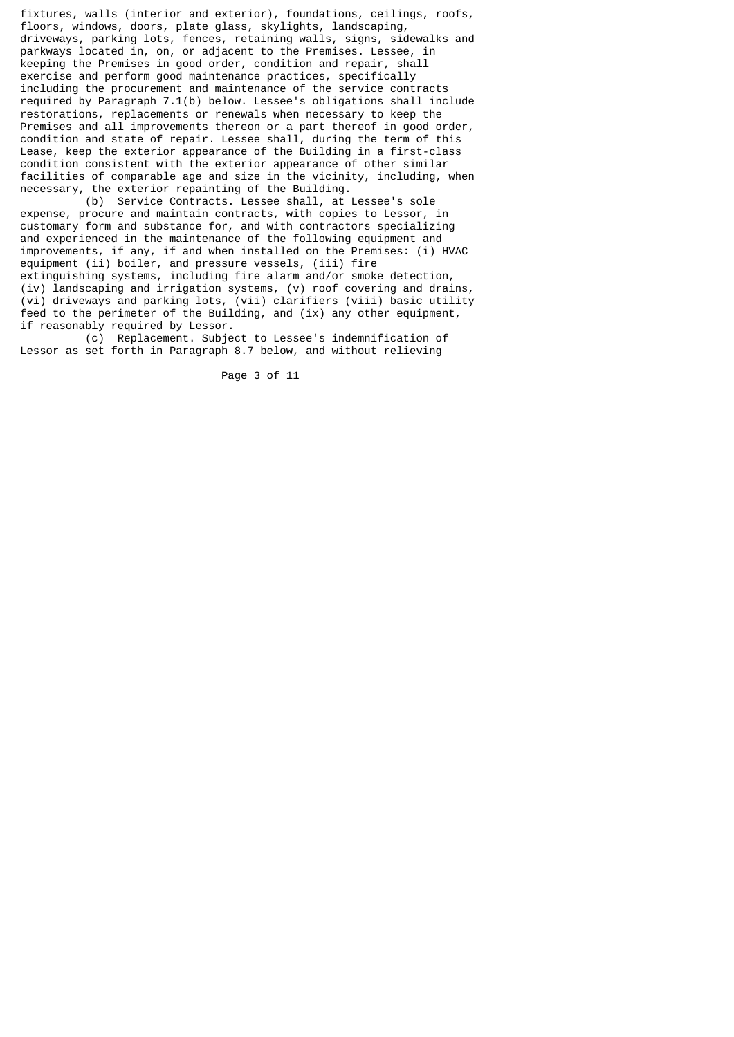fixtures, walls (interior and exterior), foundations, ceilings, roofs, floors, windows, doors, plate glass, skylights, landscaping, driveways, parking lots, fences, retaining walls, signs, sidewalks and parkways located in, on, or adjacent to the Premises. Lessee, in keeping the Premises in good order, condition and repair, shall exercise and perform good maintenance practices, specifically including the procurement and maintenance of the service contracts required by Paragraph 7.1(b) below. Lessee's obligations shall include restorations, replacements or renewals when necessary to keep the Premises and all improvements thereon or a part thereof in good order, condition and state of repair. Lessee shall, during the term of this Lease, keep the exterior appearance of the Building in a first-class condition consistent with the exterior appearance of other similar facilities of comparable age and size in the vicinity, including, when necessary, the exterior repainting of the Building.

 (b) Service Contracts. Lessee shall, at Lessee's sole expense, procure and maintain contracts, with copies to Lessor, in customary form and substance for, and with contractors specializing and experienced in the maintenance of the following equipment and improvements, if any, if and when installed on the Premises: (i) HVAC equipment (ii) boiler, and pressure vessels, (iii) fire extinguishing systems, including fire alarm and/or smoke detection, (iv) landscaping and irrigation systems, (v) roof covering and drains, (vi) driveways and parking lots, (vii) clarifiers (viii) basic utility feed to the perimeter of the Building, and (ix) any other equipment, if reasonably required by Lessor.

 (c) Replacement. Subject to Lessee's indemnification of Lessor as set forth in Paragraph 8.7 below, and without relieving

Page 3 of 11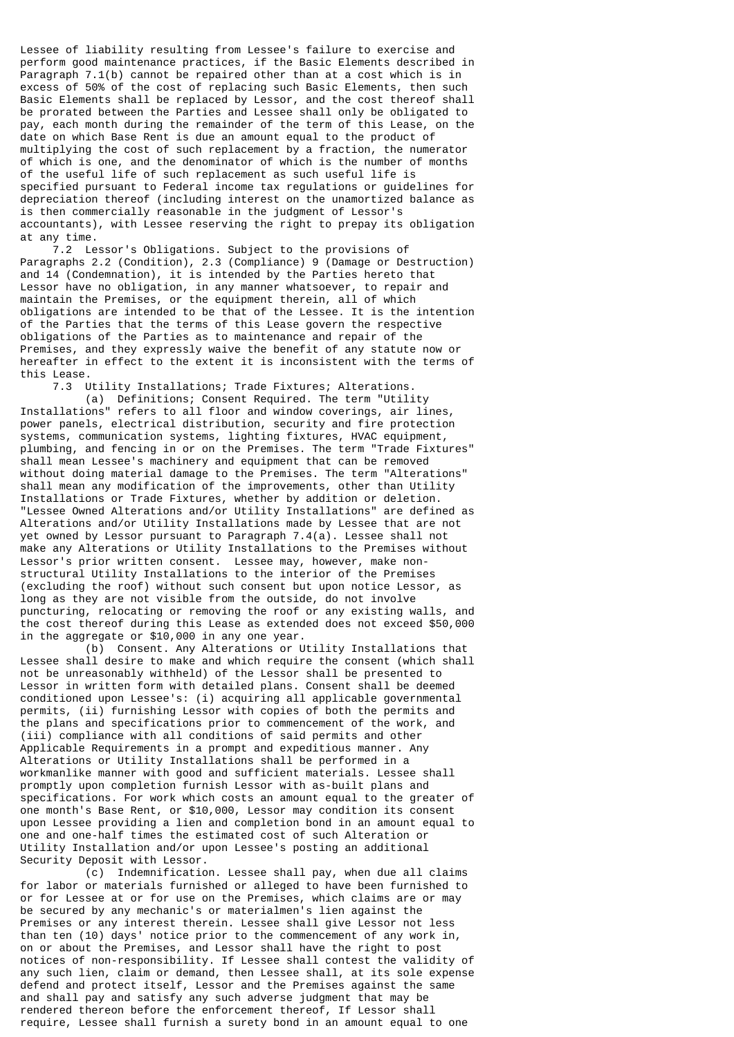Lessee of liability resulting from Lessee's failure to exercise and perform good maintenance practices, if the Basic Elements described in Paragraph 7.1(b) cannot be repaired other than at a cost which is in excess of 50% of the cost of replacing such Basic Elements, then such Basic Elements shall be replaced by Lessor, and the cost thereof shall be prorated between the Parties and Lessee shall only be obligated to pay, each month during the remainder of the term of this Lease, on the date on which Base Rent is due an amount equal to the product of multiplying the cost of such replacement by a fraction, the numerator of which is one, and the denominator of which is the number of months of the useful life of such replacement as such useful life is specified pursuant to Federal income tax regulations or guidelines for depreciation thereof (including interest on the unamortized balance as is then commercially reasonable in the judgment of Lessor's accountants), with Lessee reserving the right to prepay its obligation at any time.

 7.2 Lessor's Obligations. Subject to the provisions of Paragraphs 2.2 (Condition), 2.3 (Compliance) 9 (Damage or Destruction) and 14 (Condemnation), it is intended by the Parties hereto that Lessor have no obligation, in any manner whatsoever, to repair and maintain the Premises, or the equipment therein, all of which obligations are intended to be that of the Lessee. It is the intention of the Parties that the terms of this Lease govern the respective obligations of the Parties as to maintenance and repair of the Premises, and they expressly waive the benefit of any statute now or hereafter in effect to the extent it is inconsistent with the terms of this Lease.

7.3 Utility Installations; Trade Fixtures; Alterations.

 (a) Definitions; Consent Required. The term "Utility Installations" refers to all floor and window coverings, air lines, power panels, electrical distribution, security and fire protection systems, communication systems, lighting fixtures, HVAC equipment, plumbing, and fencing in or on the Premises. The term "Trade Fixtures" shall mean Lessee's machinery and equipment that can be removed without doing material damage to the Premises. The term "Alterations" shall mean any modification of the improvements, other than Utility Installations or Trade Fixtures, whether by addition or deletion. "Lessee Owned Alterations and/or Utility Installations" are defined as Alterations and/or Utility Installations made by Lessee that are not yet owned by Lessor pursuant to Paragraph 7.4(a). Lessee shall not make any Alterations or Utility Installations to the Premises without Lessor's prior written consent. Lessee may, however, make nonstructural Utility Installations to the interior of the Premises (excluding the roof) without such consent but upon notice Lessor, as long as they are not visible from the outside, do not involve puncturing, relocating or removing the roof or any existing walls, and the cost thereof during this Lease as extended does not exceed \$50,000 in the aggregate or \$10,000 in any one year.

 (b) Consent. Any Alterations or Utility Installations that Lessee shall desire to make and which require the consent (which shall not be unreasonably withheld) of the Lessor shall be presented to Lessor in written form with detailed plans. Consent shall be deemed conditioned upon Lessee's: (i) acquiring all applicable governmental permits, (ii) furnishing Lessor with copies of both the permits and the plans and specifications prior to commencement of the work, and (iii) compliance with all conditions of said permits and other Applicable Requirements in a prompt and expeditious manner. Any Alterations or Utility Installations shall be performed in a workmanlike manner with good and sufficient materials. Lessee shall promptly upon completion furnish Lessor with as-built plans and specifications. For work which costs an amount equal to the greater of one month's Base Rent, or \$10,000, Lessor may condition its consent upon Lessee providing a lien and completion bond in an amount equal to one and one-half times the estimated cost of such Alteration or Utility Installation and/or upon Lessee's posting an additional Security Deposit with Lessor.

 (c) Indemnification. Lessee shall pay, when due all claims for labor or materials furnished or alleged to have been furnished to or for Lessee at or for use on the Premises, which claims are or may be secured by any mechanic's or materialmen's lien against the Premises or any interest therein. Lessee shall give Lessor not less than ten (10) days' notice prior to the commencement of any work in, on or about the Premises, and Lessor shall have the right to post notices of non-responsibility. If Lessee shall contest the validity of any such lien, claim or demand, then Lessee shall, at its sole expense defend and protect itself, Lessor and the Premises against the same and shall pay and satisfy any such adverse judgment that may be rendered thereon before the enforcement thereof, If Lessor shall require, Lessee shall furnish a surety bond in an amount equal to one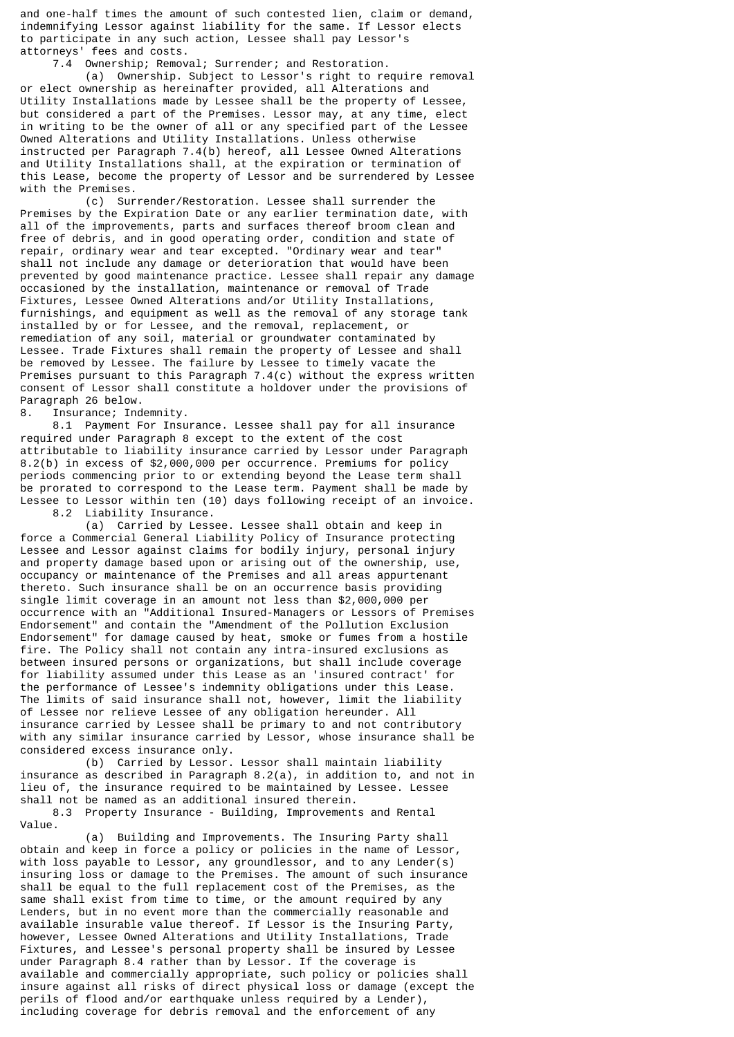and one-half times the amount of such contested lien, claim or demand, indemnifying Lessor against liability for the same. If Lessor elects to participate in any such action, Lessee shall pay Lessor's attorneys' fees and costs.

7.4 Ownership; Removal; Surrender; and Restoration.

 (a) Ownership. Subject to Lessor's right to require removal or elect ownership as hereinafter provided, all Alterations and Utility Installations made by Lessee shall be the property of Lessee, but considered a part of the Premises. Lessor may, at any time, elect in writing to be the owner of all or any specified part of the Lessee Owned Alterations and Utility Installations. Unless otherwise instructed per Paragraph 7.4(b) hereof, all Lessee Owned Alterations and Utility Installations shall, at the expiration or termination of this Lease, become the property of Lessor and be surrendered by Lessee with the Premises.

 (c) Surrender/Restoration. Lessee shall surrender the Premises by the Expiration Date or any earlier termination date, with all of the improvements, parts and surfaces thereof broom clean and free of debris, and in good operating order, condition and state of repair, ordinary wear and tear excepted. "Ordinary wear and tear" shall not include any damage or deterioration that would have been prevented by good maintenance practice. Lessee shall repair any damage occasioned by the installation, maintenance or removal of Trade Fixtures, Lessee Owned Alterations and/or Utility Installations, furnishings, and equipment as well as the removal of any storage tank installed by or for Lessee, and the removal, replacement, or remediation of any soil, material or groundwater contaminated by Lessee. Trade Fixtures shall remain the property of Lessee and shall be removed by Lessee. The failure by Lessee to timely vacate the Premises pursuant to this Paragraph 7.4(c) without the express written consent of Lessor shall constitute a holdover under the provisions of Paragraph 26 below.

8. Insurance; Indemnity.

 8.1 Payment For Insurance. Lessee shall pay for all insurance required under Paragraph 8 except to the extent of the cost attributable to liability insurance carried by Lessor under Paragraph 8.2(b) in excess of \$2,000,000 per occurrence. Premiums for policy periods commencing prior to or extending beyond the Lease term shall be prorated to correspond to the Lease term. Payment shall be made by Lessee to Lessor within ten (10) days following receipt of an invoice. 8.2 Liability Insurance.

 (a) Carried by Lessee. Lessee shall obtain and keep in force a Commercial General Liability Policy of Insurance protecting Lessee and Lessor against claims for bodily injury, personal injury and property damage based upon or arising out of the ownership, use, occupancy or maintenance of the Premises and all areas appurtenant thereto. Such insurance shall be on an occurrence basis providing single limit coverage in an amount not less than \$2,000,000 per occurrence with an "Additional Insured-Managers or Lessors of Premises Endorsement" and contain the "Amendment of the Pollution Exclusion Endorsement" for damage caused by heat, smoke or fumes from a hostile fire. The Policy shall not contain any intra-insured exclusions as between insured persons or organizations, but shall include coverage for liability assumed under this Lease as an 'insured contract' for the performance of Lessee's indemnity obligations under this Lease. The limits of said insurance shall not, however, limit the liability of Lessee nor relieve Lessee of any obligation hereunder. All insurance carried by Lessee shall be primary to and not contributory with any similar insurance carried by Lessor, whose insurance shall be considered excess insurance only.

 (b) Carried by Lessor. Lessor shall maintain liability insurance as described in Paragraph 8.2(a), in addition to, and not in lieu of, the insurance required to be maintained by Lessee. Lessee shall not be named as an additional insured therein.

 8.3 Property Insurance - Building, Improvements and Rental Value.

 (a) Building and Improvements. The Insuring Party shall obtain and keep in force a policy or policies in the name of Lessor, with loss payable to Lessor, any groundlessor, and to any Lender(s) insuring loss or damage to the Premises. The amount of such insurance shall be equal to the full replacement cost of the Premises, as the same shall exist from time to time, or the amount required by any Lenders, but in no event more than the commercially reasonable and available insurable value thereof. If Lessor is the Insuring Party, however, Lessee Owned Alterations and Utility Installations, Trade Fixtures, and Lessee's personal property shall be insured by Lessee under Paragraph 8.4 rather than by Lessor. If the coverage is available and commercially appropriate, such policy or policies shall insure against all risks of direct physical loss or damage (except the perils of flood and/or earthquake unless required by a Lender), including coverage for debris removal and the enforcement of any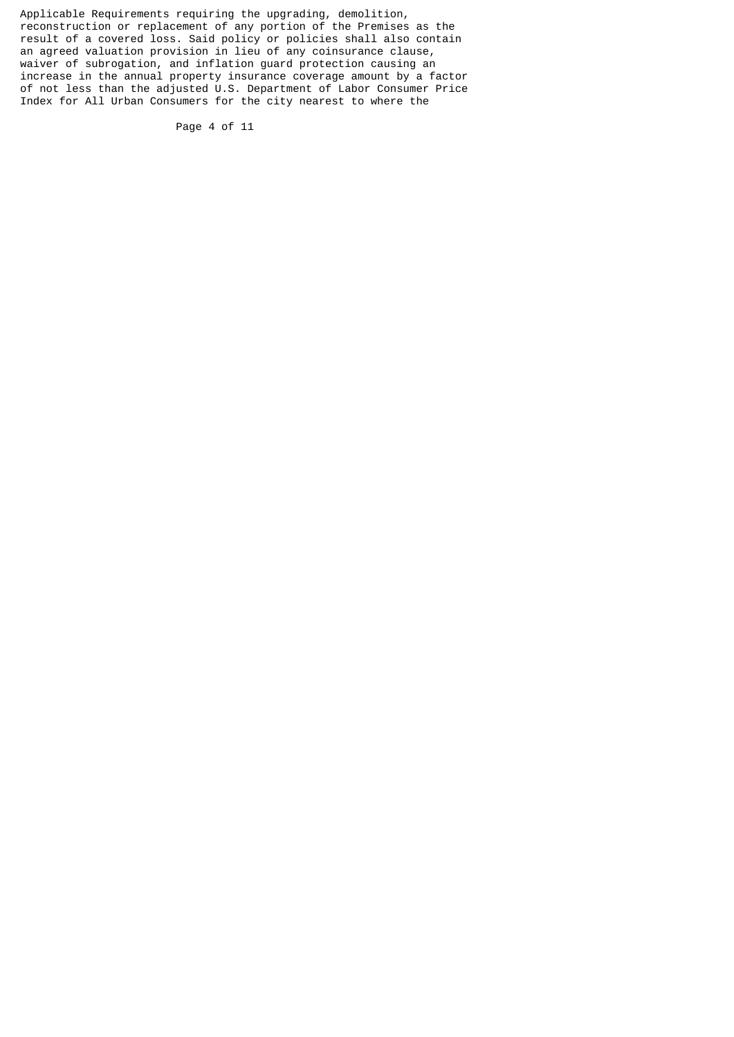Applicable Requirements requiring the upgrading, demolition, reconstruction or replacement of any portion of the Premises as the result of a covered loss. Said policy or policies shall also contain an agreed valuation provision in lieu of any coinsurance clause, waiver of subrogation, and inflation guard protection causing an increase in the annual property insurance coverage amount by a factor of not less than the adjusted U.S. Department of Labor Consumer Price Index for All Urban Consumers for the city nearest to where the

Page 4 of 11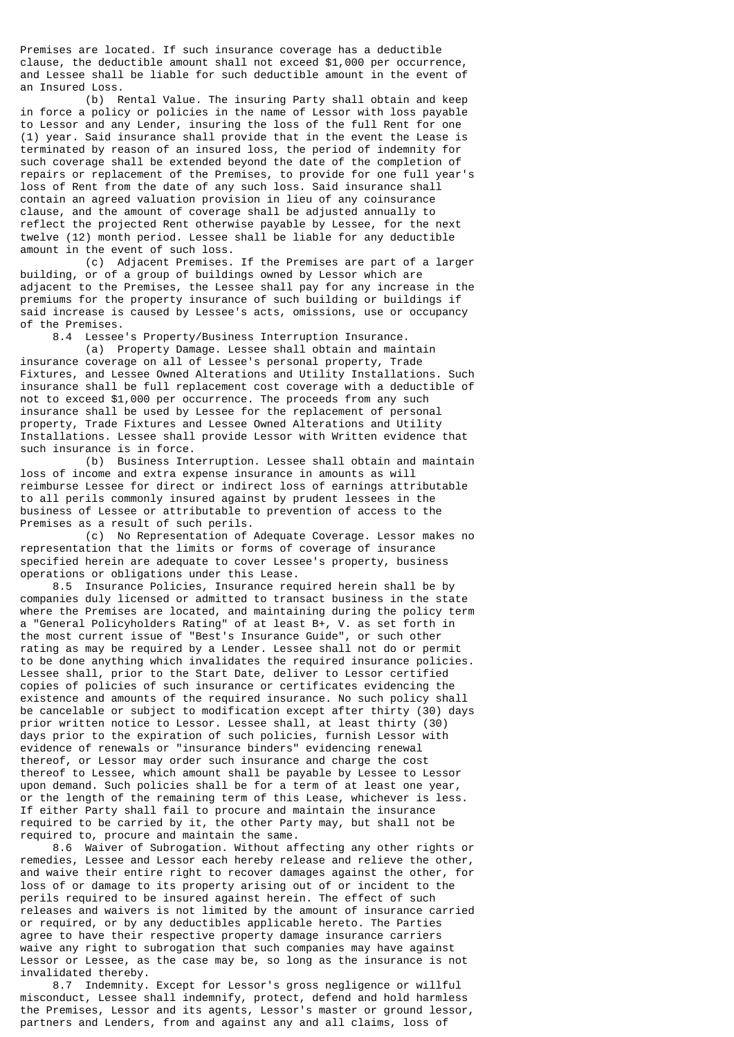Premises are located. If such insurance coverage has a deductible clause, the deductible amount shall not exceed \$1,000 per occurrence, and Lessee shall be liable for such deductible amount in the event of an Insured Loss.

 (b) Rental Value. The insuring Party shall obtain and keep in force a policy or policies in the name of Lessor with loss payable to Lessor and any Lender, insuring the loss of the full Rent for one (1) year. Said insurance shall provide that in the event the Lease is terminated by reason of an insured loss, the period of indemnity for such coverage shall be extended beyond the date of the completion of repairs or replacement of the Premises, to provide for one full year's loss of Rent from the date of any such loss. Said insurance shall contain an agreed valuation provision in lieu of any coinsurance clause, and the amount of coverage shall be adjusted annually to reflect the projected Rent otherwise payable by Lessee, for the next twelve (12) month period. Lessee shall be liable for any deductible amount in the event of such loss.

 (c) Adjacent Premises. If the Premises are part of a larger building, or of a group of buildings owned by Lessor which are adjacent to the Premises, the Lessee shall pay for any increase in the premiums for the property insurance of such building or buildings if said increase is caused by Lessee's acts, omissions, use or occupancy of the Premises.

8.4 Lessee's Property/Business Interruption Insurance.

 (a) Property Damage. Lessee shall obtain and maintain insurance coverage on all of Lessee's personal property, Trade Fixtures, and Lessee Owned Alterations and Utility Installations. Such insurance shall be full replacement cost coverage with a deductible of not to exceed \$1,000 per occurrence. The proceeds from any such insurance shall be used by Lessee for the replacement of personal property, Trade Fixtures and Lessee Owned Alterations and Utility Installations. Lessee shall provide Lessor with Written evidence that such insurance is in force.

 (b) Business Interruption. Lessee shall obtain and maintain loss of income and extra expense insurance in amounts as will reimburse Lessee for direct or indirect loss of earnings attributable to all perils commonly insured against by prudent lessees in the business of Lessee or attributable to prevention of access to the Premises as a result of such perils.

 (c) No Representation of Adequate Coverage. Lessor makes no representation that the limits or forms of coverage of insurance specified herein are adequate to cover Lessee's property, business operations or obligations under this Lease.

 8.5 Insurance Policies, Insurance required herein shall be by companies duly licensed or admitted to transact business in the state where the Premises are located, and maintaining during the policy term a "General Policyholders Rating" of at least B+, V. as set forth in the most current issue of "Best's Insurance Guide", or such other rating as may be required by a Lender. Lessee shall not do or permit to be done anything which invalidates the required insurance policies. Lessee shall, prior to the Start Date, deliver to Lessor certified copies of policies of such insurance or certificates evidencing the existence and amounts of the required insurance. No such policy shall be cancelable or subject to modification except after thirty (30) days prior written notice to Lessor. Lessee shall, at least thirty (30) days prior to the expiration of such policies, furnish Lessor with evidence of renewals or "insurance binders" evidencing renewal thereof, or Lessor may order such insurance and charge the cost thereof to Lessee, which amount shall be payable by Lessee to Lessor upon demand. Such policies shall be for a term of at least one year, or the length of the remaining term of this Lease, whichever is less. If either Party shall fail to procure and maintain the insurance required to be carried by it, the other Party may, but shall not be required to, procure and maintain the same.

 8.6 Waiver of Subrogation. Without affecting any other rights or remedies, Lessee and Lessor each hereby release and relieve the other, and waive their entire right to recover damages against the other, for loss of or damage to its property arising out of or incident to the perils required to be insured against herein. The effect of such releases and waivers is not limited by the amount of insurance carried or required, or by any deductibles applicable hereto. The Parties agree to have their respective property damage insurance carriers waive any right to subrogation that such companies may have against Lessor or Lessee, as the case may be, so long as the insurance is not invalidated thereby.

 8.7 Indemnity. Except for Lessor's gross negligence or willful misconduct, Lessee shall indemnify, protect, defend and hold harmless the Premises, Lessor and its agents, Lessor's master or ground lessor, partners and Lenders, from and against any and all claims, loss of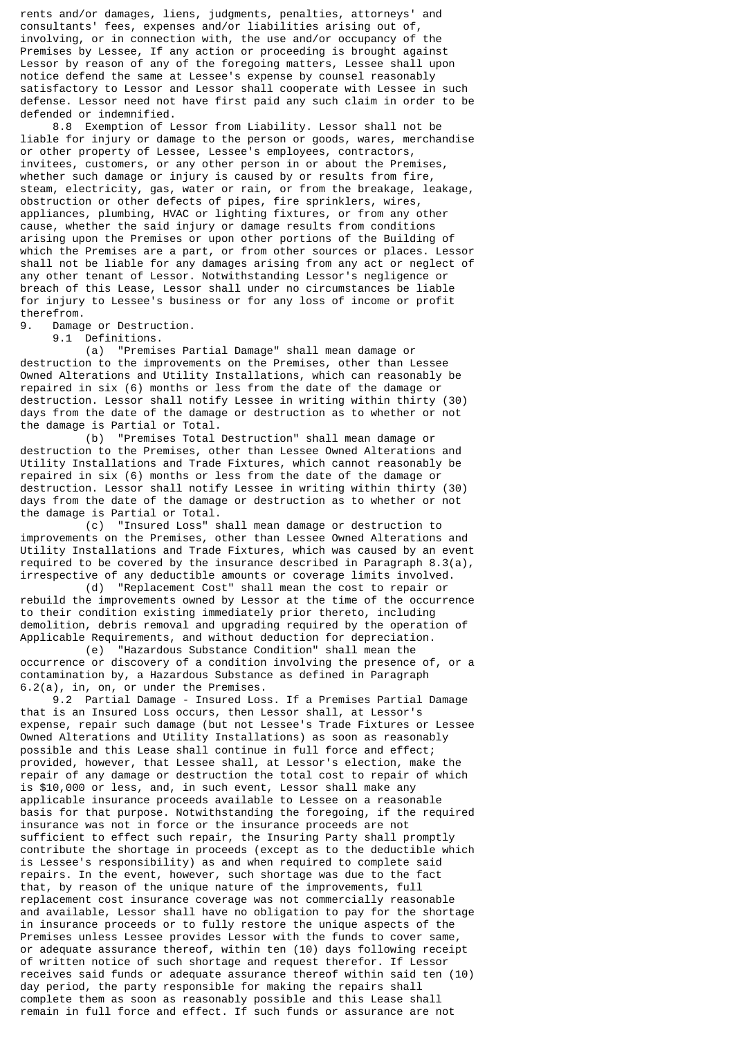rents and/or damages, liens, judgments, penalties, attorneys' and consultants' fees, expenses and/or liabilities arising out of, involving, or in connection with, the use and/or occupancy of the Premises by Lessee, If any action or proceeding is brought against Lessor by reason of any of the foregoing matters, Lessee shall upon notice defend the same at Lessee's expense by counsel reasonably satisfactory to Lessor and Lessor shall cooperate with Lessee in such defense. Lessor need not have first paid any such claim in order to be defended or indemnified.

 8.8 Exemption of Lessor from Liability. Lessor shall not be liable for injury or damage to the person or goods, wares, merchandise or other property of Lessee, Lessee's employees, contractors, invitees, customers, or any other person in or about the Premises, whether such damage or injury is caused by or results from fire, steam, electricity, gas, water or rain, or from the breakage, leakage, obstruction or other defects of pipes, fire sprinklers, wires, appliances, plumbing, HVAC or lighting fixtures, or from any other cause, whether the said injury or damage results from conditions arising upon the Premises or upon other portions of the Building of which the Premises are a part, or from other sources or places. Lessor shall not be liable for any damages arising from any act or neglect of any other tenant of Lessor. Notwithstanding Lessor's negligence or breach of this Lease, Lessor shall under no circumstances be liable for injury to Lessee's business or for any loss of income or profit therefrom.

9. Damage or Destruction.

9.1 Definitions.

 (a) "Premises Partial Damage" shall mean damage or destruction to the improvements on the Premises, other than Lessee Owned Alterations and Utility Installations, which can reasonably be repaired in six (6) months or less from the date of the damage or destruction. Lessor shall notify Lessee in writing within thirty (30) days from the date of the damage or destruction as to whether or not the damage is Partial or Total.<br>(b) "Premises Total

"Premises Total Destruction" shall mean damage or destruction to the Premises, other than Lessee Owned Alterations and Utility Installations and Trade Fixtures, which cannot reasonably be repaired in six (6) months or less from the date of the damage or destruction. Lessor shall notify Lessee in writing within thirty (30) days from the date of the damage or destruction as to whether or not the damage is Partial or Total.

 (c) "Insured Loss" shall mean damage or destruction to improvements on the Premises, other than Lessee Owned Alterations and Utility Installations and Trade Fixtures, which was caused by an event required to be covered by the insurance described in Paragraph 8.3(a), irrespective of any deductible amounts or coverage limits involved.

 (d) "Replacement Cost" shall mean the cost to repair or rebuild the improvements owned by Lessor at the time of the occurrence to their condition existing immediately prior thereto, including demolition, debris removal and upgrading required by the operation of Applicable Requirements, and without deduction for depreciation.

 (e) "Hazardous Substance Condition" shall mean the occurrence or discovery of a condition involving the presence of, or a contamination by, a Hazardous Substance as defined in Paragraph 6.2(a), in, on, or under the Premises.

 9.2 Partial Damage - Insured Loss. If a Premises Partial Damage that is an Insured Loss occurs, then Lessor shall, at Lessor's expense, repair such damage (but not Lessee's Trade Fixtures or Lessee Owned Alterations and Utility Installations) as soon as reasonably possible and this Lease shall continue in full force and effect; provided, however, that Lessee shall, at Lessor's election, make the repair of any damage or destruction the total cost to repair of which is \$10,000 or less, and, in such event, Lessor shall make any applicable insurance proceeds available to Lessee on a reasonable basis for that purpose. Notwithstanding the foregoing, if the required insurance was not in force or the insurance proceeds are not sufficient to effect such repair, the Insuring Party shall promptly contribute the shortage in proceeds (except as to the deductible which is Lessee's responsibility) as and when required to complete said repairs. In the event, however, such shortage was due to the fact that, by reason of the unique nature of the improvements, full replacement cost insurance coverage was not commercially reasonable and available, Lessor shall have no obligation to pay for the shortage in insurance proceeds or to fully restore the unique aspects of the Premises unless Lessee provides Lessor with the funds to cover same, or adequate assurance thereof, within ten (10) days following receipt of written notice of such shortage and request therefor. If Lessor receives said funds or adequate assurance thereof within said ten (10) day period, the party responsible for making the repairs shall complete them as soon as reasonably possible and this Lease shall remain in full force and effect. If such funds or assurance are not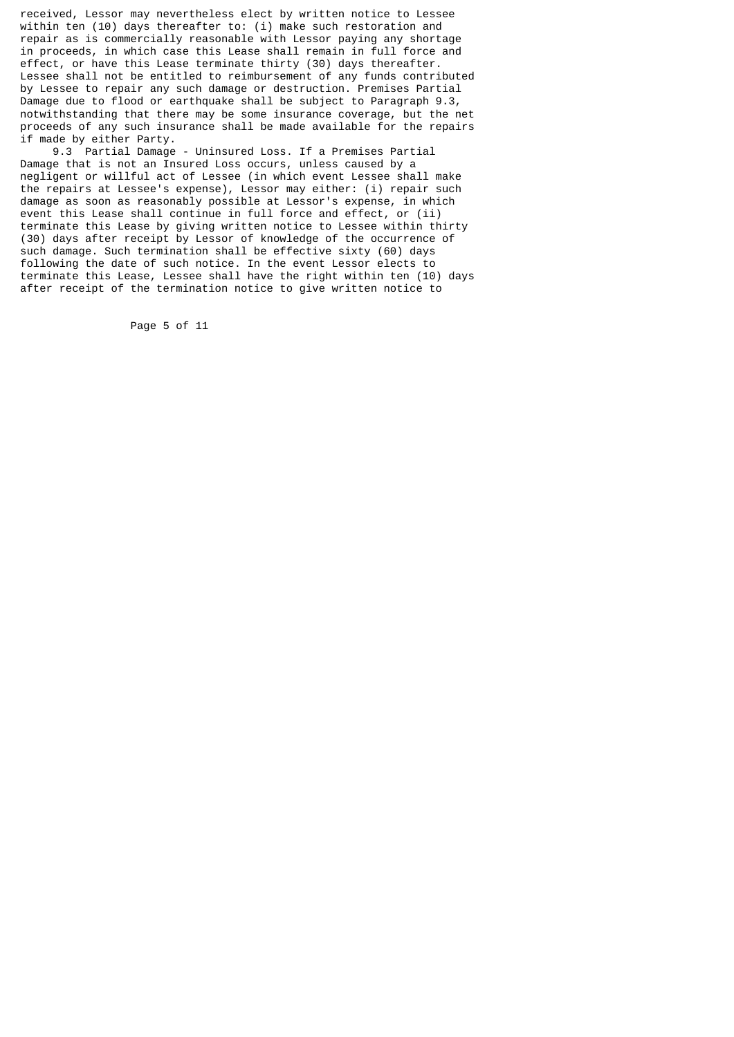received, Lessor may nevertheless elect by written notice to Lessee within ten (10) days thereafter to: (i) make such restoration and repair as is commercially reasonable with Lessor paying any shortage in proceeds, in which case this Lease shall remain in full force and effect, or have this Lease terminate thirty (30) days thereafter. Lessee shall not be entitled to reimbursement of any funds contributed by Lessee to repair any such damage or destruction. Premises Partial Damage due to flood or earthquake shall be subject to Paragraph 9.3, notwithstanding that there may be some insurance coverage, but the net proceeds of any such insurance shall be made available for the repairs if made by either Party.

 9.3 Partial Damage - Uninsured Loss. If a Premises Partial Damage that is not an Insured Loss occurs, unless caused by a negligent or willful act of Lessee (in which event Lessee shall make the repairs at Lessee's expense), Lessor may either: (i) repair such damage as soon as reasonably possible at Lessor's expense, in which event this Lease shall continue in full force and effect, or (ii) terminate this Lease by giving written notice to Lessee within thirty (30) days after receipt by Lessor of knowledge of the occurrence of such damage. Such termination shall be effective sixty (60) days following the date of such notice. In the event Lessor elects to terminate this Lease, Lessee shall have the right within ten (10) days after receipt of the termination notice to give written notice to

Page 5 of 11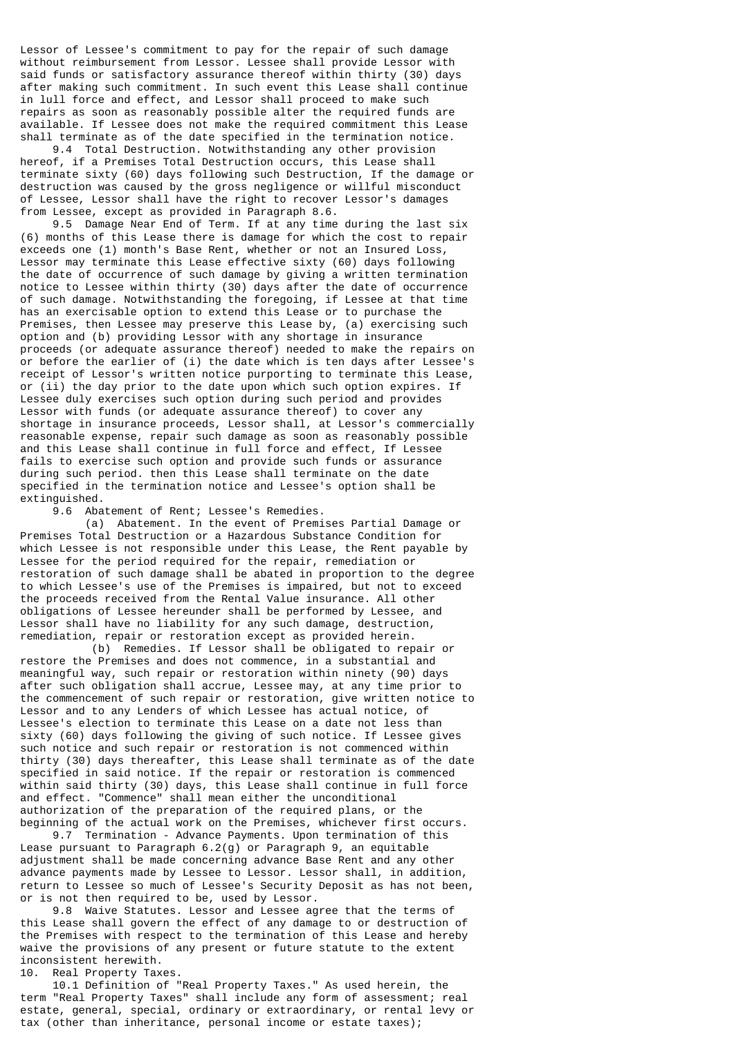Lessor of Lessee's commitment to pay for the repair of such damage without reimbursement from Lessor. Lessee shall provide Lessor with said funds or satisfactory assurance thereof within thirty (30) days after making such commitment. In such event this Lease shall continue in lull force and effect, and Lessor shall proceed to make such repairs as soon as reasonably possible alter the required funds are available. If Lessee does not make the required commitment this Lease shall terminate as of the date specified in the termination notice.

 9.4 Total Destruction. Notwithstanding any other provision hereof, if a Premises Total Destruction occurs, this Lease shall terminate sixty (60) days following such Destruction, If the damage or destruction was caused by the gross negligence or willful misconduct of Lessee, Lessor shall have the right to recover Lessor's damages from Lessee, except as provided in Paragraph 8.6.

 9.5 Damage Near End of Term. If at any time during the last six (6) months of this Lease there is damage for which the cost to repair exceeds one (1) month's Base Rent, whether or not an Insured Loss, Lessor may terminate this Lease effective sixty (60) days following the date of occurrence of such damage by giving a written termination notice to Lessee within thirty (30) days after the date of occurrence of such damage. Notwithstanding the foregoing, if Lessee at that time has an exercisable option to extend this Lease or to purchase the Premises, then Lessee may preserve this Lease by, (a) exercising such option and (b) providing Lessor with any shortage in insurance proceeds (or adequate assurance thereof) needed to make the repairs on or before the earlier of (i) the date which is ten days after Lessee's receipt of Lessor's written notice purporting to terminate this Lease, or (ii) the day prior to the date upon which such option expires. If Lessee duly exercises such option during such period and provides Lessor with funds (or adequate assurance thereof) to cover any shortage in insurance proceeds, Lessor shall, at Lessor's commercially reasonable expense, repair such damage as soon as reasonably possible and this Lease shall continue in full force and effect, If Lessee fails to exercise such option and provide such funds or assurance during such period. then this Lease shall terminate on the date specified in the termination notice and Lessee's option shall be extinguished.

9.6 Abatement of Rent; Lessee's Remedies.

 (a) Abatement. In the event of Premises Partial Damage or Premises Total Destruction or a Hazardous Substance Condition for which Lessee is not responsible under this Lease, the Rent payable by Lessee for the period required for the repair, remediation or restoration of such damage shall be abated in proportion to the degree to which Lessee's use of the Premises is impaired, but not to exceed the proceeds received from the Rental Value insurance. All other obligations of Lessee hereunder shall be performed by Lessee, and Lessor shall have no liability for any such damage, destruction, remediation, repair or restoration except as provided herein.

 (b) Remedies. If Lessor shall be obligated to repair or restore the Premises and does not commence, in a substantial and meaningful way, such repair or restoration within ninety (90) days after such obligation shall accrue, Lessee may, at any time prior to the commencement of such repair or restoration, give written notice to Lessor and to any Lenders of which Lessee has actual notice, of Lessee's election to terminate this Lease on a date not less than sixty (60) days following the giving of such notice. If Lessee gives such notice and such repair or restoration is not commenced within thirty (30) days thereafter, this Lease shall terminate as of the date specified in said notice. If the repair or restoration is commenced within said thirty (30) days, this Lease shall continue in full force and effect. "Commence" shall mean either the unconditional authorization of the preparation of the required plans, or the beginning of the actual work on the Premises, whichever first occurs.

 9.7 Termination - Advance Payments. Upon termination of this Lease pursuant to Paragraph 6.2(g) or Paragraph 9, an equitable adjustment shall be made concerning advance Base Rent and any other advance payments made by Lessee to Lessor. Lessor shall, in addition, return to Lessee so much of Lessee's Security Deposit as has not been, or is not then required to be, used by Lessor.

 9.8 Waive Statutes. Lessor and Lessee agree that the terms of this Lease shall govern the effect of any damage to or destruction of the Premises with respect to the termination of this Lease and hereby waive the provisions of any present or future statute to the extent inconsistent herewith.

10. Real Property Taxes.

 10.1 Definition of "Real Property Taxes." As used herein, the term "Real Property Taxes" shall include any form of assessment; real estate, general, special, ordinary or extraordinary, or rental levy or tax (other than inheritance, personal income or estate taxes);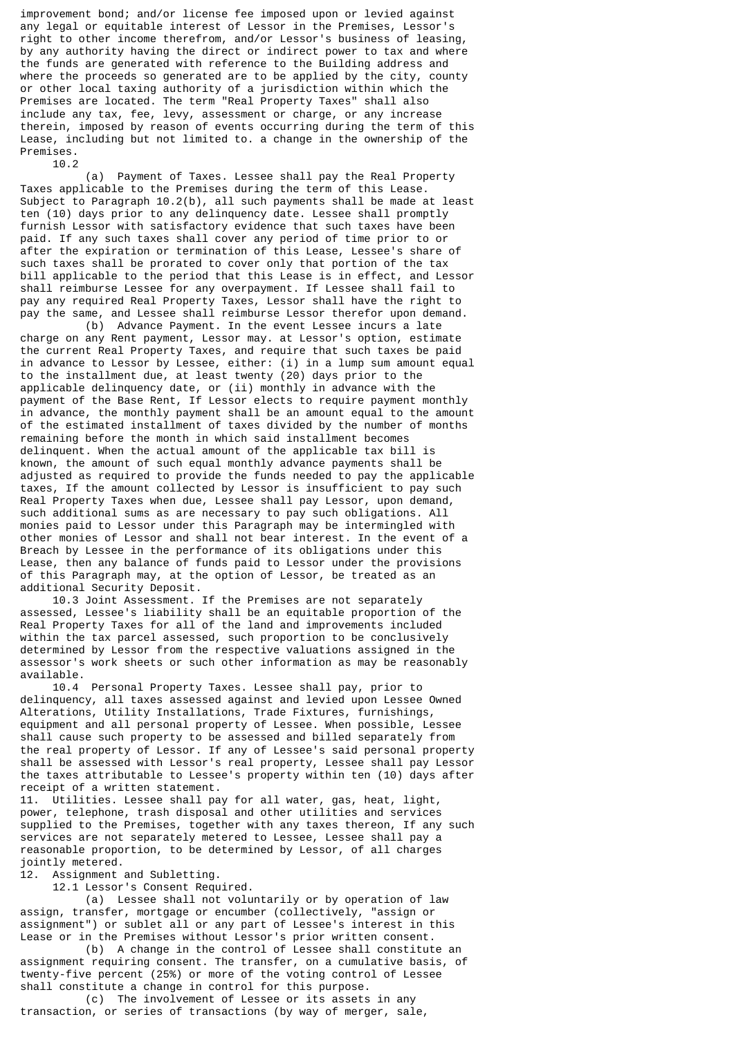improvement bond; and/or license fee imposed upon or levied against any legal or equitable interest of Lessor in the Premises, Lessor's right to other income therefrom, and/or Lessor's business of leasing, by any authority having the direct or indirect power to tax and where the funds are generated with reference to the Building address and where the proceeds so generated are to be applied by the city, county or other local taxing authority of a jurisdiction within which the Premises are located. The term "Real Property Taxes" shall also include any tax, fee, levy, assessment or charge, or any increase therein, imposed by reason of events occurring during the term of this Lease, including but not limited to. a change in the ownership of the Premises. 10.2

 (a) Payment of Taxes. Lessee shall pay the Real Property Taxes applicable to the Premises during the term of this Lease. Subject to Paragraph 10.2(b), all such payments shall be made at least ten (10) days prior to any delinquency date. Lessee shall promptly furnish Lessor with satisfactory evidence that such taxes have been paid. If any such taxes shall cover any period of time prior to or after the expiration or termination of this Lease, Lessee's share of such taxes shall be prorated to cover only that portion of the tax bill applicable to the period that this Lease is in effect, and Lessor shall reimburse Lessee for any overpayment. If Lessee shall fail to pay any required Real Property Taxes, Lessor shall have the right to pay the same, and Lessee shall reimburse Lessor therefor upon demand.

(b) Advance Payment. In the event Lessee incurs a late charge on any Rent payment, Lessor may. at Lessor's option, estimate the current Real Property Taxes, and require that such taxes be paid in advance to Lessor by Lessee, either: (i) in a lump sum amount equal to the installment due, at least twenty (20) days prior to the applicable delinquency date, or (ii) monthly in advance with the payment of the Base Rent, If Lessor elects to require payment monthly in advance, the monthly payment shall be an amount equal to the amount of the estimated installment of taxes divided by the number of months remaining before the month in which said installment becomes delinquent. When the actual amount of the applicable tax bill is known, the amount of such equal monthly advance payments shall be adjusted as required to provide the funds needed to pay the applicable taxes, If the amount collected by Lessor is insufficient to pay such Real Property Taxes when due, Lessee shall pay Lessor, upon demand, such additional sums as are necessary to pay such obligations. All monies paid to Lessor under this Paragraph may be intermingled with other monies of Lessor and shall not bear interest. In the event of a Breach by Lessee in the performance of its obligations under this Lease, then any balance of funds paid to Lessor under the provisions of this Paragraph may, at the option of Lessor, be treated as an additional Security Deposit.

 10.3 Joint Assessment. If the Premises are not separately assessed, Lessee's liability shall be an equitable proportion of the Real Property Taxes for all of the land and improvements included within the tax parcel assessed, such proportion to be conclusively determined by Lessor from the respective valuations assigned in the assessor's work sheets or such other information as may be reasonably available.

 10.4 Personal Property Taxes. Lessee shall pay, prior to delinquency, all taxes assessed against and levied upon Lessee Owned Alterations, Utility Installations, Trade Fixtures, furnishings, equipment and all personal property of Lessee. When possible, Lessee shall cause such property to be assessed and billed separately from the real property of Lessor. If any of Lessee's said personal property shall be assessed with Lessor's real property, Lessee shall pay Lessor the taxes attributable to Lessee's property within ten (10) days after receipt of a written statement.

11. Utilities. Lessee shall pay for all water, gas, heat, light, power, telephone, trash disposal and other utilities and services supplied to the Premises, together with any taxes thereon, If any such services are not separately metered to Lessee, Lessee shall pay a reasonable proportion, to be determined by Lessor, of all charges jointly metered.

12. Assignment and Subletting.

12.1 Lessor's Consent Required.

 (a) Lessee shall not voluntarily or by operation of law assign, transfer, mortgage or encumber (collectively, "assign or assignment") or sublet all or any part of Lessee's interest in this Lease or in the Premises without Lessor's prior written consent.

 (b) A change in the control of Lessee shall constitute an assignment requiring consent. The transfer, on a cumulative basis, of twenty-five percent (25%) or more of the voting control of Lessee shall constitute a change in control for this purpose.

 (c) The involvement of Lessee or its assets in any transaction, or series of transactions (by way of merger, sale,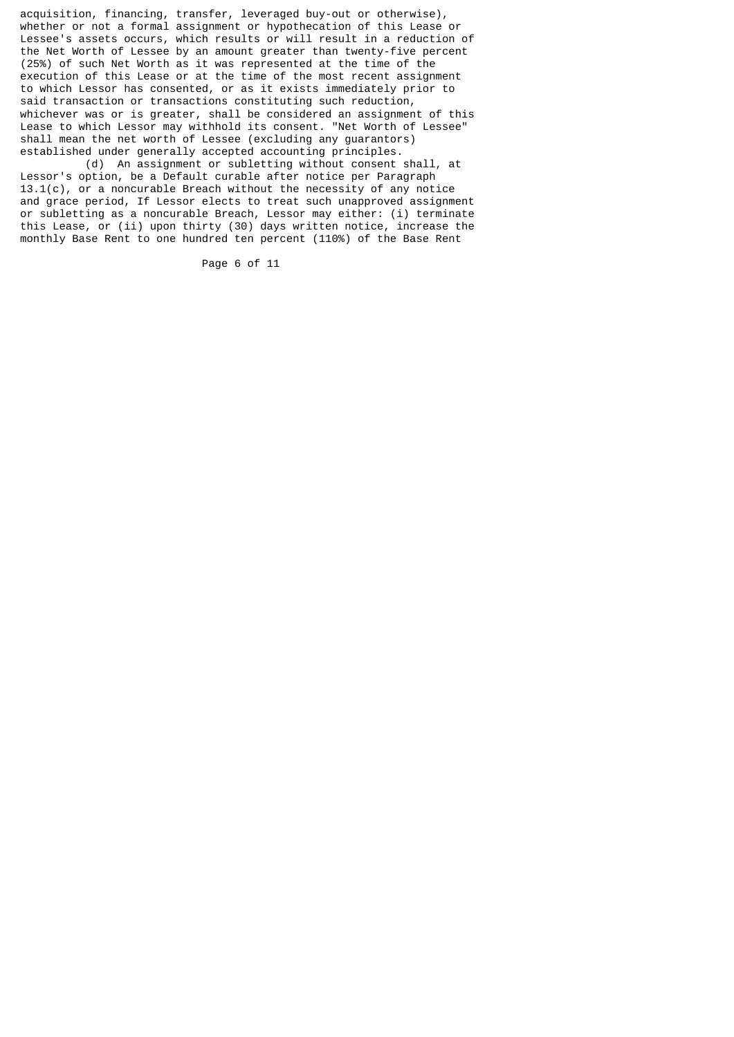acquisition, financing, transfer, leveraged buy-out or otherwise), whether or not a formal assignment or hypothecation of this Lease or Lessee's assets occurs, which results or will result in a reduction of the Net Worth of Lessee by an amount greater than twenty-five percent (25%) of such Net Worth as it was represented at the time of the execution of this Lease or at the time of the most recent assignment to which Lessor has consented, or as it exists immediately prior to said transaction or transactions constituting such reduction, whichever was or is greater, shall be considered an assignment of this Lease to which Lessor may withhold its consent. "Net Worth of Lessee" shall mean the net worth of Lessee (excluding any guarantors) established under generally accepted accounting principles.

 (d) An assignment or subletting without consent shall, at Lessor's option, be a Default curable after notice per Paragraph 13.1(c), or a noncurable Breach without the necessity of any notice and grace period, If Lessor elects to treat such unapproved assignment or subletting as a noncurable Breach, Lessor may either: (i) terminate this Lease, or (ii) upon thirty (30) days written notice, increase the monthly Base Rent to one hundred ten percent (110%) of the Base Rent

Page 6 of 11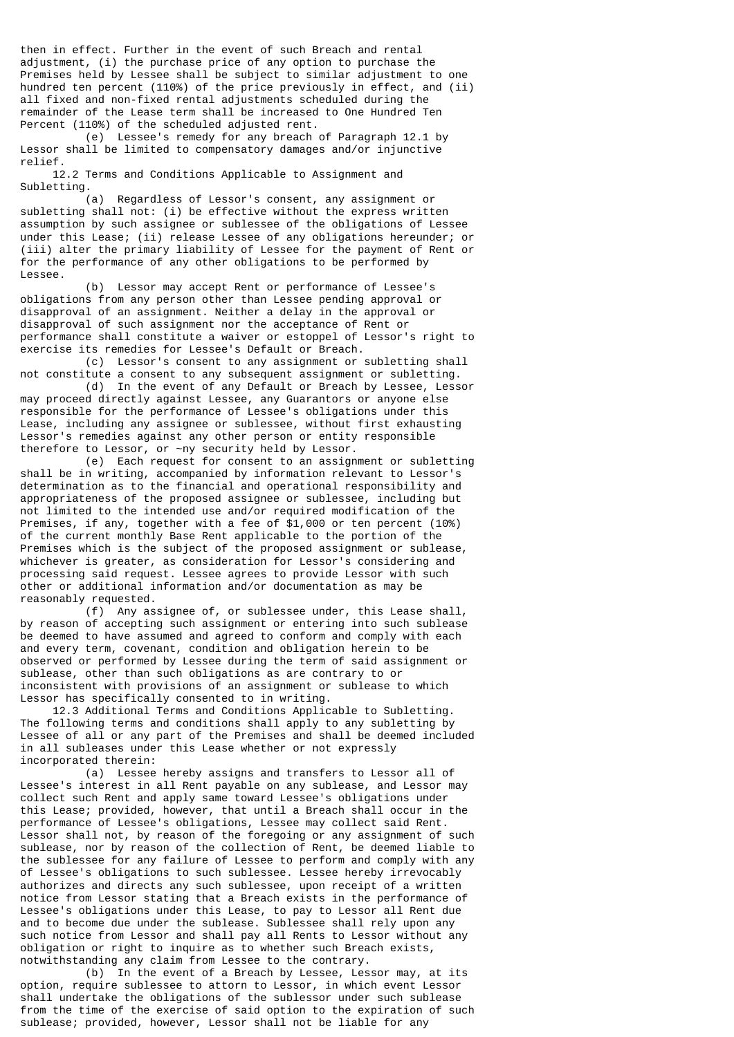then in effect. Further in the event of such Breach and rental adjustment, (i) the purchase price of any option to purchase the Premises held by Lessee shall be subject to similar adjustment to one hundred ten percent (110%) of the price previously in effect, and (ii) all fixed and non-fixed rental adjustments scheduled during the remainder of the Lease term shall be increased to One Hundred Ten Percent (110%) of the scheduled adjusted rent.

 (e) Lessee's remedy for any breach of Paragraph 12.1 by Lessor shall be limited to compensatory damages and/or injunctive relief.

 12.2 Terms and Conditions Applicable to Assignment and Subletting.

 (a) Regardless of Lessor's consent, any assignment or subletting shall not: (i) be effective without the express written assumption by such assignee or sublessee of the obligations of Lessee under this Lease; (ii) release Lessee of any obligations hereunder; or (iii) alter the primary liability of Lessee for the payment of Rent or for the performance of any other obligations to be performed by Lessee.

 (b) Lessor may accept Rent or performance of Lessee's obligations from any person other than Lessee pending approval or disapproval of an assignment. Neither a delay in the approval or disapproval of such assignment nor the acceptance of Rent or performance shall constitute a waiver or estoppel of Lessor's right to exercise its remedies for Lessee's Default or Breach.

 (c) Lessor's consent to any assignment or subletting shall not constitute a consent to any subsequent assignment or subletting.

 (d) In the event of any Default or Breach by Lessee, Lessor may proceed directly against Lessee, any Guarantors or anyone else responsible for the performance of Lessee's obligations under this Lease, including any assignee or sublessee, without first exhausting Lessor's remedies against any other person or entity responsible therefore to Lessor, or ~ny security held by Lessor.

 (e) Each request for consent to an assignment or subletting shall be in writing, accompanied by information relevant to Lessor's determination as to the financial and operational responsibility and appropriateness of the proposed assignee or sublessee, including but not limited to the intended use and/or required modification of the Premises, if any, together with a fee of \$1,000 or ten percent (10%) of the current monthly Base Rent applicable to the portion of the Premises which is the subject of the proposed assignment or sublease, whichever is greater, as consideration for Lessor's considering and processing said request. Lessee agrees to provide Lessor with such other or additional information and/or documentation as may be reasonably requested.

 (f) Any assignee of, or sublessee under, this Lease shall, by reason of accepting such assignment or entering into such sublease be deemed to have assumed and agreed to conform and comply with each and every term, covenant, condition and obligation herein to be observed or performed by Lessee during the term of said assignment or sublease, other than such obligations as are contrary to or inconsistent with provisions of an assignment or sublease to which Lessor has specifically consented to in writing.

 12.3 Additional Terms and Conditions Applicable to Subletting. The following terms and conditions shall apply to any subletting by Lessee of all or any part of the Premises and shall be deemed included in all subleases under this Lease whether or not expressly incorporated therein:

 (a) Lessee hereby assigns and transfers to Lessor all of Lessee's interest in all Rent payable on any sublease, and Lessor may collect such Rent and apply same toward Lessee's obligations under this Lease; provided, however, that until a Breach shall occur in the performance of Lessee's obligations, Lessee may collect said Rent. Lessor shall not, by reason of the foregoing or any assignment of such sublease, nor by reason of the collection of Rent, be deemed liable to the sublessee for any failure of Lessee to perform and comply with any of Lessee's obligations to such sublessee. Lessee hereby irrevocably authorizes and directs any such sublessee, upon receipt of a written notice from Lessor stating that a Breach exists in the performance of Lessee's obligations under this Lease, to pay to Lessor all Rent due and to become due under the sublease. Sublessee shall rely upon any such notice from Lessor and shall pay all Rents to Lessor without any obligation or right to inquire as to whether such Breach exists, notwithstanding any claim from Lessee to the contrary.

 (b) In the event of a Breach by Lessee, Lessor may, at its option, require sublessee to attorn to Lessor, in which event Lessor shall undertake the obligations of the sublessor under such sublease from the time of the exercise of said option to the expiration of such sublease; provided, however, Lessor shall not be liable for any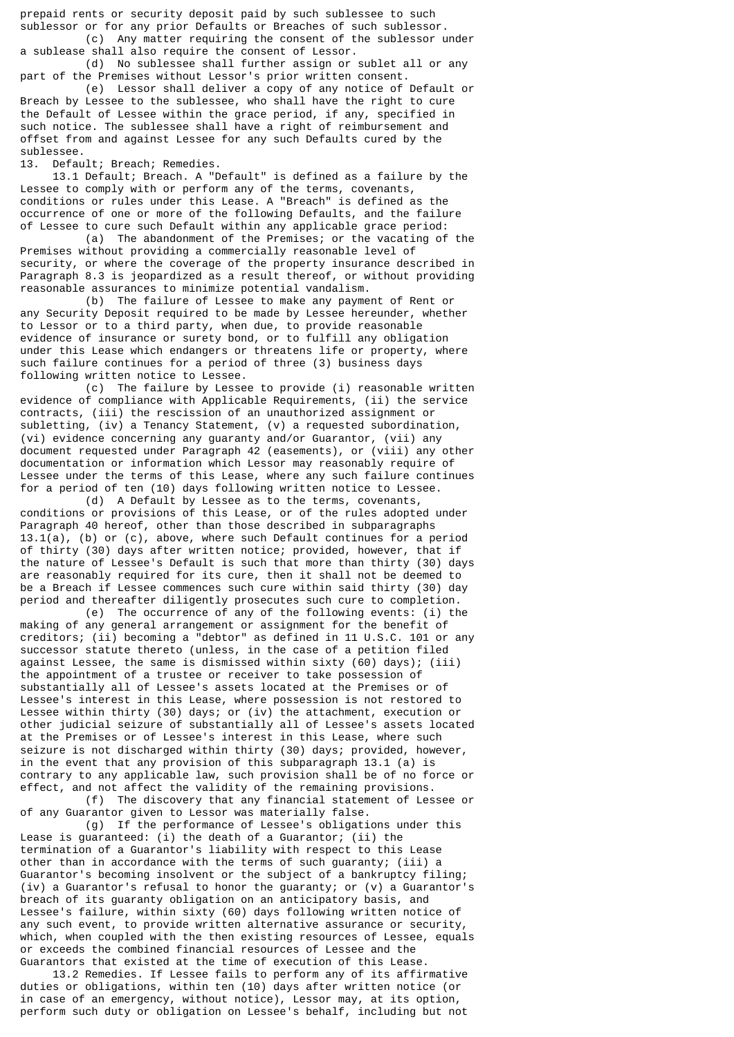prepaid rents or security deposit paid by such sublessee to such sublessor or for any prior Defaults or Breaches of such sublessor. (c) Any matter requiring the consent of the sublessor under

a sublease shall also require the consent of Lessor.

 (d) No sublessee shall further assign or sublet all or any part of the Premises without Lessor's prior written consent.

 (e) Lessor shall deliver a copy of any notice of Default or Breach by Lessee to the sublessee, who shall have the right to cure the Default of Lessee within the grace period, if any, specified in such notice. The sublessee shall have a right of reimbursement and offset from and against Lessee for any such Defaults cured by the sublessee.

13. Default; Breach; Remedies.

 13.1 Default; Breach. A "Default" is defined as a failure by the Lessee to comply with or perform any of the terms, covenants, conditions or rules under this Lease. A "Breach" is defined as the occurrence of one or more of the following Defaults, and the failure of Lessee to cure such Default within any applicable grace period:

 (a) The abandonment of the Premises; or the vacating of the Premises without providing a commercially reasonable level of security, or where the coverage of the property insurance described in Paragraph 8.3 is jeopardized as a result thereof, or without providing reasonable assurances to minimize potential vandalism.

 (b) The failure of Lessee to make any payment of Rent or any Security Deposit required to be made by Lessee hereunder, whether to Lessor or to a third party, when due, to provide reasonable evidence of insurance or surety bond, or to fulfill any obligation under this Lease which endangers or threatens life or property, where such failure continues for a period of three (3) business days following written notice to Lessee.

 (c) The failure by Lessee to provide (i) reasonable written evidence of compliance with Applicable Requirements, (ii) the service contracts, (iii) the rescission of an unauthorized assignment or subletting, (iv) a Tenancy Statement, (v) a requested subordination, (vi) evidence concerning any guaranty and/or Guarantor, (vii) any document requested under Paragraph 42 (easements), or (viii) any other documentation or information which Lessor may reasonably require of Lessee under the terms of this Lease, where any such failure continues for a period of ten (10) days following written notice to Lessee.

 (d) A Default by Lessee as to the terms, covenants, conditions or provisions of this Lease, or of the rules adopted under Paragraph 40 hereof, other than those described in subparagraphs 13.1(a), (b) or (c), above, where such Default continues for a period of thirty (30) days after written notice; provided, however, that if the nature of Lessee's Default is such that more than thirty (30) days are reasonably required for its cure, then it shall not be deemed to be a Breach if Lessee commences such cure within said thirty (30) day period and thereafter diligently prosecutes such cure to completion.

 (e) The occurrence of any of the following events: (i) the making of any general arrangement or assignment for the benefit of creditors; (ii) becoming a "debtor" as defined in 11 U.S.C. 101 or any successor statute thereto (unless, in the case of a petition filed against Lessee, the same is dismissed within sixty (60) days); (iii) the appointment of a trustee or receiver to take possession of substantially all of Lessee's assets located at the Premises or of Lessee's interest in this Lease, where possession is not restored to Lessee within thirty (30) days; or (iv) the attachment, execution or other judicial seizure of substantially all of Lessee's assets located at the Premises or of Lessee's interest in this Lease, where such seizure is not discharged within thirty (30) days; provided, however, in the event that any provision of this subparagraph 13.1 (a) is contrary to any applicable law, such provision shall be of no force or effect, and not affect the validity of the remaining provisions. (f) The discovery that any financial statement of Lessee or

of any Guarantor given to Lessor was materially false.

 (g) If the performance of Lessee's obligations under this Lease is guaranteed: (i) the death of a Guarantor; (ii) the termination of a Guarantor's liability with respect to this Lease other than in accordance with the terms of such guaranty; (iii) a Guarantor's becoming insolvent or the subject of a bankruptcy filing; (iv) a Guarantor's refusal to honor the guaranty; or (v) a Guarantor's breach of its guaranty obligation on an anticipatory basis, and Lessee's failure, within sixty (60) days following written notice of any such event, to provide written alternative assurance or security, which, when coupled with the then existing resources of Lessee, equals or exceeds the combined financial resources of Lessee and the Guarantors that existed at the time of execution of this Lease.

 13.2 Remedies. If Lessee fails to perform any of its affirmative duties or obligations, within ten (10) days after written notice (or in case of an emergency, without notice), Lessor may, at its option, perform such duty or obligation on Lessee's behalf, including but not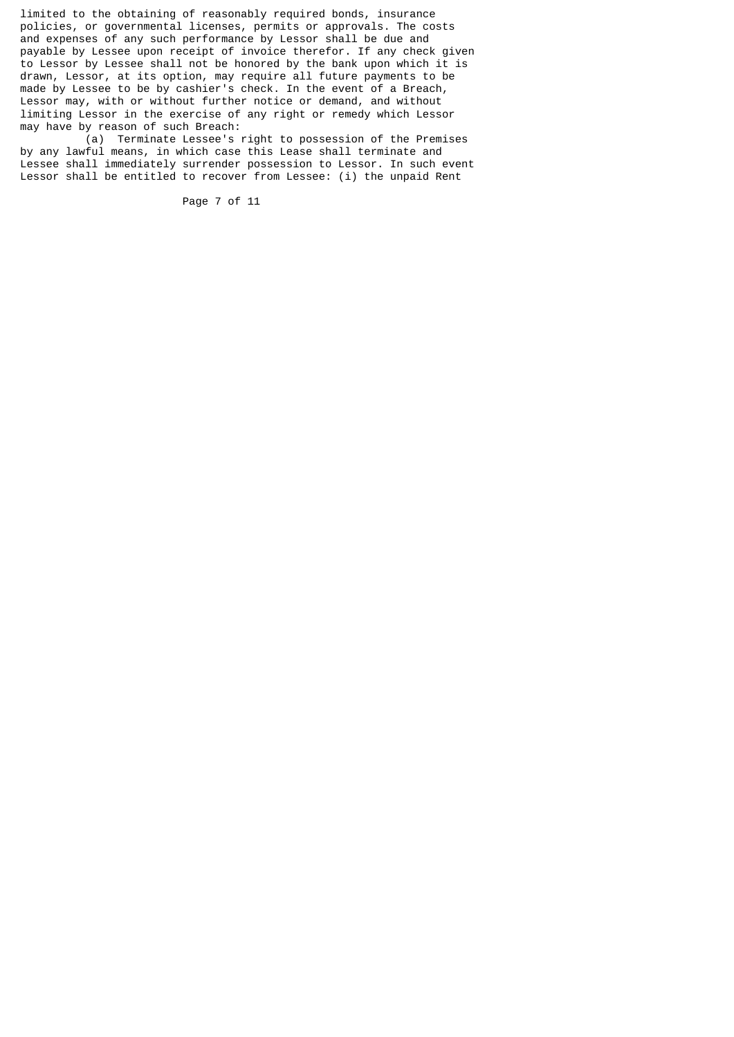limited to the obtaining of reasonably required bonds, insurance policies, or governmental licenses, permits or approvals. The costs and expenses of any such performance by Lessor shall be due and payable by Lessee upon receipt of invoice therefor. If any check given to Lessor by Lessee shall not be honored by the bank upon which it is drawn, Lessor, at its option, may require all future payments to be made by Lessee to be by cashier's check. In the event of a Breach, Lessor may, with or without further notice or demand, and without limiting Lessor in the exercise of any right or remedy which Lessor may have by reason of such Breach:

 (a) Terminate Lessee's right to possession of the Premises by any lawful means, in which case this Lease shall terminate and Lessee shall immediately surrender possession to Lessor. In such event Lessor shall be entitled to recover from Lessee: (i) the unpaid Rent

Page 7 of 11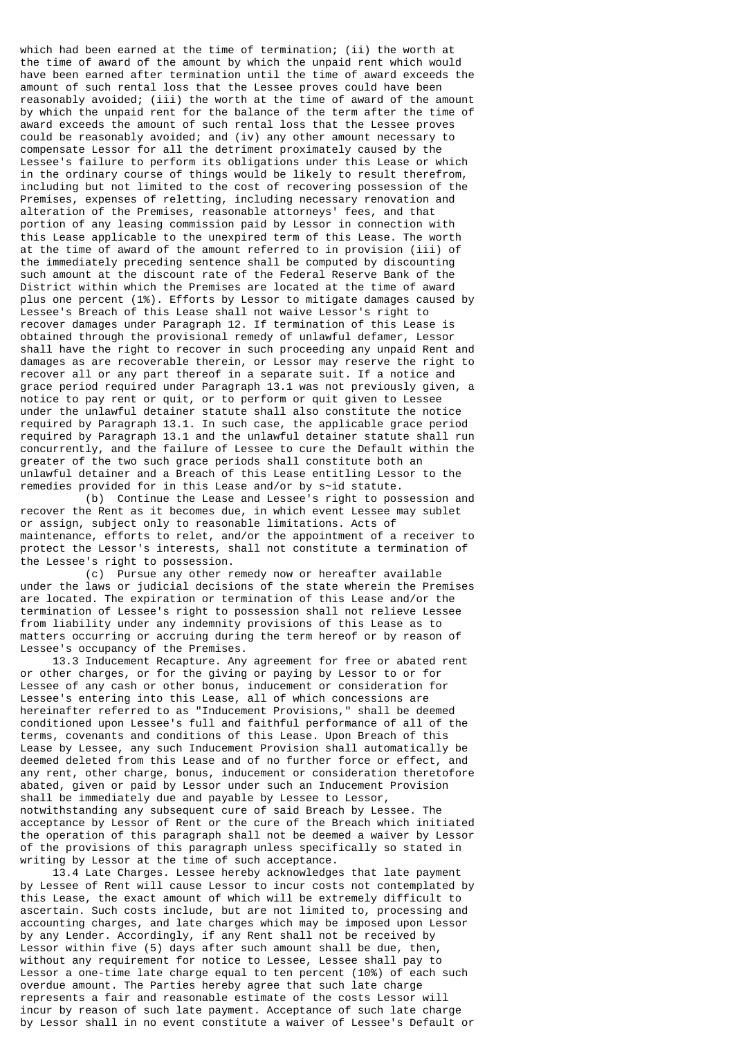which had been earned at the time of termination; (ii) the worth at the time of award of the amount by which the unpaid rent which would have been earned after termination until the time of award exceeds the amount of such rental loss that the Lessee proves could have been reasonably avoided; (iii) the worth at the time of award of the amount by which the unpaid rent for the balance of the term after the time of award exceeds the amount of such rental loss that the Lessee proves could be reasonably avoided; and (iv) any other amount necessary to compensate Lessor for all the detriment proximately caused by the Lessee's failure to perform its obligations under this Lease or which in the ordinary course of things would be likely to result therefrom, including but not limited to the cost of recovering possession of the Premises, expenses of reletting, including necessary renovation and alteration of the Premises, reasonable attorneys' fees, and that portion of any leasing commission paid by Lessor in connection with this Lease applicable to the unexpired term of this Lease. The worth at the time of award of the amount referred to in provision (iii) of the immediately preceding sentence shall be computed by discounting such amount at the discount rate of the Federal Reserve Bank of the District within which the Premises are located at the time of award plus one percent (1%). Efforts by Lessor to mitigate damages caused by Lessee's Breach of this Lease shall not waive Lessor's right to recover damages under Paragraph 12. If termination of this Lease is obtained through the provisional remedy of unlawful defamer, Lessor shall have the right to recover in such proceeding any unpaid Rent and damages as are recoverable therein, or Lessor may reserve the right to recover all or any part thereof in a separate suit. If a notice and grace period required under Paragraph 13.1 was not previously given, a notice to pay rent or quit, or to perform or quit given to Lessee under the unlawful detainer statute shall also constitute the notice required by Paragraph 13.1. In such case, the applicable grace period required by Paragraph 13.1 and the unlawful detainer statute shall run concurrently, and the failure of Lessee to cure the Default within the greater of the two such grace periods shall constitute both an unlawful detainer and a Breach of this Lease entitling Lessor to the remedies provided for in this Lease and/or by s~id statute.

 (b) Continue the Lease and Lessee's right to possession and recover the Rent as it becomes due, in which event Lessee may sublet or assign, subject only to reasonable limitations. Acts of maintenance, efforts to relet, and/or the appointment of a receiver to protect the Lessor's interests, shall not constitute a termination of the Lessee's right to possession.

 (c) Pursue any other remedy now or hereafter available under the laws or judicial decisions of the state wherein the Premises are located. The expiration or termination of this Lease and/or the termination of Lessee's right to possession shall not relieve Lessee from liability under any indemnity provisions of this Lease as to matters occurring or accruing during the term hereof or by reason of Lessee's occupancy of the Premises.

 13.3 Inducement Recapture. Any agreement for free or abated rent or other charges, or for the giving or paying by Lessor to or for Lessee of any cash or other bonus, inducement or consideration for Lessee's entering into this Lease, all of which concessions are hereinafter referred to as "Inducement Provisions," shall be deemed conditioned upon Lessee's full and faithful performance of all of the terms, covenants and conditions of this Lease. Upon Breach of this Lease by Lessee, any such Inducement Provision shall automatically be deemed deleted from this Lease and of no further force or effect, and any rent, other charge, bonus, inducement or consideration theretofore abated, given or paid by Lessor under such an Inducement Provision shall be immediately due and payable by Lessee to Lessor, notwithstanding any subsequent cure of said Breach by Lessee. The acceptance by Lessor of Rent or the cure of the Breach which initiated the operation of this paragraph shall not be deemed a waiver by Lessor of the provisions of this paragraph unless specifically so stated in writing by Lessor at the time of such acceptance.

 13.4 Late Charges. Lessee hereby acknowledges that late payment by Lessee of Rent will cause Lessor to incur costs not contemplated by this Lease, the exact amount of which will be extremely difficult to ascertain. Such costs include, but are not limited to, processing and accounting charges, and late charges which may be imposed upon Lessor by any Lender. Accordingly, if any Rent shall not be received by Lessor within five (5) days after such amount shall be due, then, without any requirement for notice to Lessee, Lessee shall pay to Lessor a one-time late charge equal to ten percent (10%) of each such overdue amount. The Parties hereby agree that such late charge represents a fair and reasonable estimate of the costs Lessor will incur by reason of such late payment. Acceptance of such late charge by Lessor shall in no event constitute a waiver of Lessee's Default or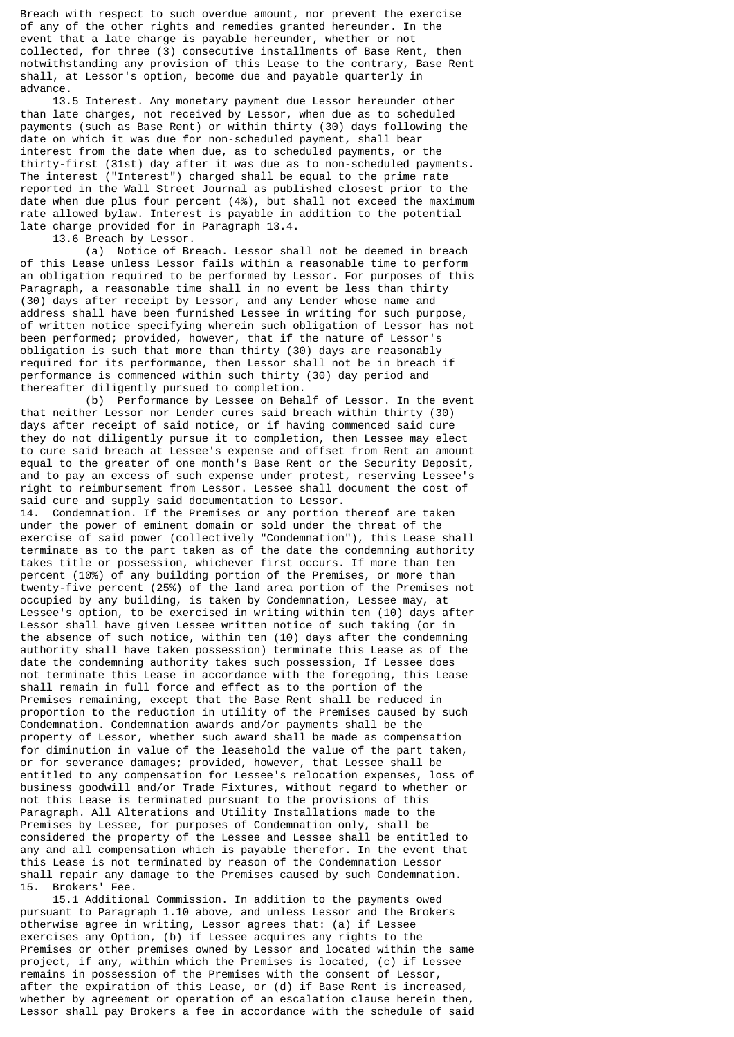Breach with respect to such overdue amount, nor prevent the exercise of any of the other rights and remedies granted hereunder. In the event that a late charge is payable hereunder, whether or not collected, for three (3) consecutive installments of Base Rent, then notwithstanding any provision of this Lease to the contrary, Base Rent shall, at Lessor's option, become due and payable quarterly in advance.

 13.5 Interest. Any monetary payment due Lessor hereunder other than late charges, not received by Lessor, when due as to scheduled payments (such as Base Rent) or within thirty (30) days following the date on which it was due for non-scheduled payment, shall bear interest from the date when due, as to scheduled payments, or the thirty-first (31st) day after it was due as to non-scheduled payments. The interest ("Interest") charged shall be equal to the prime rate reported in the Wall Street Journal as published closest prior to the date when due plus four percent (4%), but shall not exceed the maximum rate allowed bylaw. Interest is payable in addition to the potential late charge provided for in Paragraph 13.4.

13.6 Breach by Lessor.

 (a) Notice of Breach. Lessor shall not be deemed in breach of this Lease unless Lessor fails within a reasonable time to perform an obligation required to be performed by Lessor. For purposes of this Paragraph, a reasonable time shall in no event be less than thirty (30) days after receipt by Lessor, and any Lender whose name and address shall have been furnished Lessee in writing for such purpose, of written notice specifying wherein such obligation of Lessor has not been performed; provided, however, that if the nature of Lessor's obligation is such that more than thirty (30) days are reasonably required for its performance, then Lessor shall not be in breach if performance is commenced within such thirty (30) day period and thereafter diligently pursued to completion.

 (b) Performance by Lessee on Behalf of Lessor. In the event that neither Lessor nor Lender cures said breach within thirty (30) days after receipt of said notice, or if having commenced said cure they do not diligently pursue it to completion, then Lessee may elect to cure said breach at Lessee's expense and offset from Rent an amount equal to the greater of one month's Base Rent or the Security Deposit, and to pay an excess of such expense under protest, reserving Lessee's right to reimbursement from Lessor. Lessee shall document the cost of said cure and supply said documentation to Lessor.

14. Condemnation. If the Premises or any portion thereof are taken under the power of eminent domain or sold under the threat of the exercise of said power (collectively "Condemnation"), this Lease shall terminate as to the part taken as of the date the condemning authority takes title or possession, whichever first occurs. If more than ten percent (10%) of any building portion of the Premises, or more than twenty-five percent (25%) of the land area portion of the Premises not occupied by any building, is taken by Condemnation, Lessee may, at Lessee's option, to be exercised in writing within ten (10) days after Lessor shall have given Lessee written notice of such taking (or in the absence of such notice, within ten (10) days after the condemning authority shall have taken possession) terminate this Lease as of the date the condemning authority takes such possession, If Lessee does not terminate this Lease in accordance with the foregoing, this Lease shall remain in full force and effect as to the portion of the Premises remaining, except that the Base Rent shall be reduced in proportion to the reduction in utility of the Premises caused by such Condemnation. Condemnation awards and/or payments shall be the property of Lessor, whether such award shall be made as compensation for diminution in value of the leasehold the value of the part taken, or for severance damages; provided, however, that Lessee shall be entitled to any compensation for Lessee's relocation expenses, loss of business goodwill and/or Trade Fixtures, without regard to whether or not this Lease is terminated pursuant to the provisions of this Paragraph. All Alterations and Utility Installations made to the Premises by Lessee, for purposes of Condemnation only, shall be considered the property of the Lessee and Lessee shall be entitled to any and all compensation which is payable therefor. In the event that this Lease is not terminated by reason of the Condemnation Lessor shall repair any damage to the Premises caused by such Condemnation. 15. Brokers' Fee.

 15.1 Additional Commission. In addition to the payments owed pursuant to Paragraph 1.10 above, and unless Lessor and the Brokers otherwise agree in writing, Lessor agrees that: (a) if Lessee exercises any Option, (b) if Lessee acquires any rights to the Premises or other premises owned by Lessor and located within the same project, if any, within which the Premises is located, (c) if Lessee remains in possession of the Premises with the consent of Lessor, after the expiration of this Lease, or (d) if Base Rent is increased, whether by agreement or operation of an escalation clause herein then, Lessor shall pay Brokers a fee in accordance with the schedule of said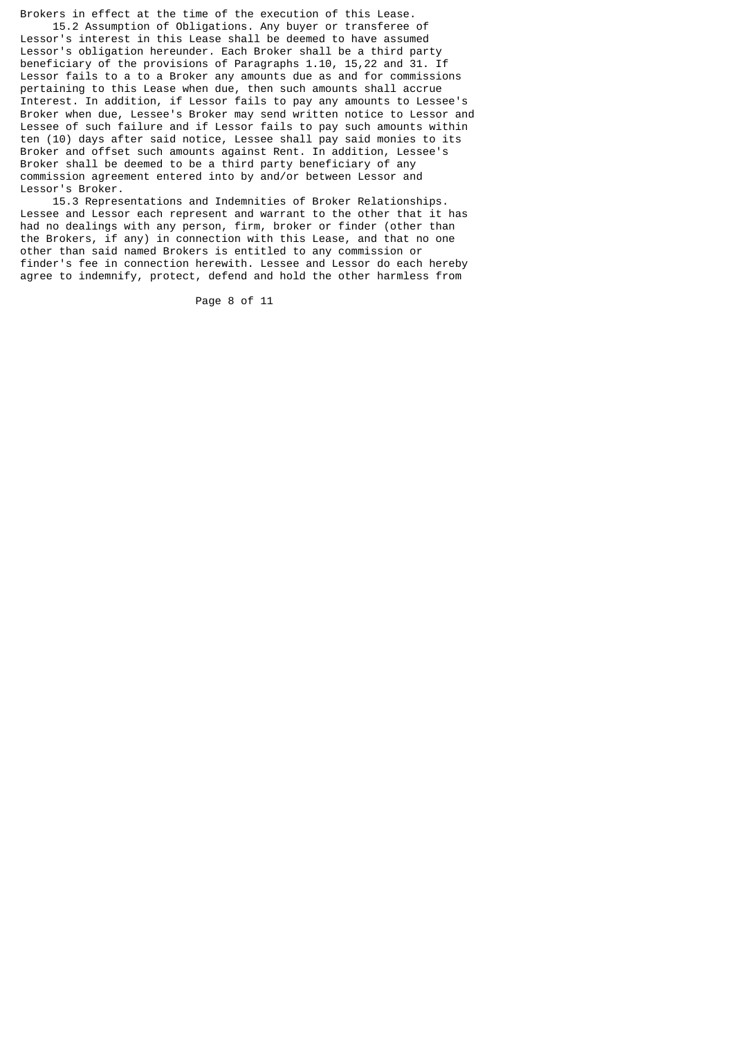Brokers in effect at the time of the execution of this Lease. 15.2 Assumption of Obligations. Any buyer or transferee of

Lessor's interest in this Lease shall be deemed to have assumed Lessor's obligation hereunder. Each Broker shall be a third party beneficiary of the provisions of Paragraphs 1.10, 15,22 and 31. If Lessor fails to a to a Broker any amounts due as and for commissions pertaining to this Lease when due, then such amounts shall accrue Interest. In addition, if Lessor fails to pay any amounts to Lessee's Broker when due, Lessee's Broker may send written notice to Lessor and Lessee of such failure and if Lessor fails to pay such amounts within ten (10) days after said notice, Lessee shall pay said monies to its Broker and offset such amounts against Rent. In addition, Lessee's Broker shall be deemed to be a third party beneficiary of any commission agreement entered into by and/or between Lessor and Lessor's Broker.

 15.3 Representations and Indemnities of Broker Relationships. Lessee and Lessor each represent and warrant to the other that it has had no dealings with any person, firm, broker or finder (other than the Brokers, if any) in connection with this Lease, and that no one other than said named Brokers is entitled to any commission or finder's fee in connection herewith. Lessee and Lessor do each hereby agree to indemnify, protect, defend and hold the other harmless from

Page 8 of 11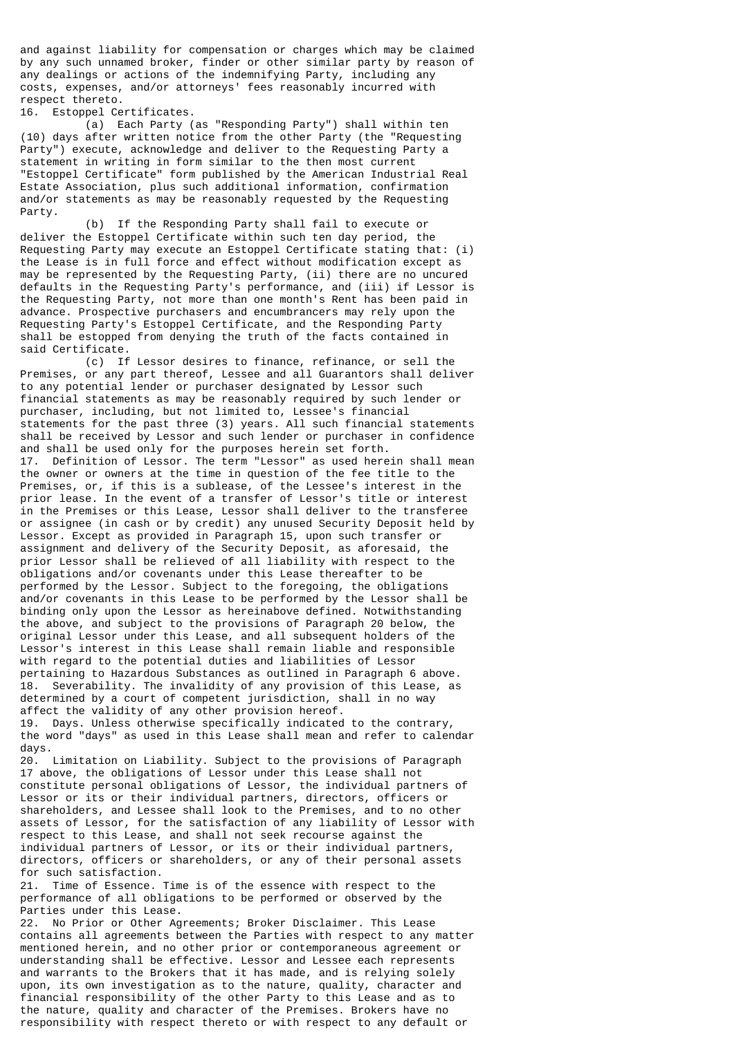and against liability for compensation or charges which may be claimed by any such unnamed broker, finder or other similar party by reason of any dealings or actions of the indemnifying Party, including any costs, expenses, and/or attorneys' fees reasonably incurred with respect thereto.

16. Estoppel Certificates.

 (a) Each Party (as "Responding Party") shall within ten (10) days after written notice from the other Party (the "Requesting Party") execute, acknowledge and deliver to the Requesting Party a statement in writing in form similar to the then most current "Estoppel Certificate" form published by the American Industrial Real Estate Association, plus such additional information, confirmation and/or statements as may be reasonably requested by the Requesting Party.

 (b) If the Responding Party shall fail to execute or deliver the Estoppel Certificate within such ten day period, the Requesting Party may execute an Estoppel Certificate stating that: (i) the Lease is in full force and effect without modification except as may be represented by the Requesting Party, (ii) there are no uncured defaults in the Requesting Party's performance, and (iii) if Lessor is the Requesting Party, not more than one month's Rent has been paid in advance. Prospective purchasers and encumbrancers may rely upon the Requesting Party's Estoppel Certificate, and the Responding Party shall be estopped from denying the truth of the facts contained in said Certificate.

 (c) If Lessor desires to finance, refinance, or sell the Premises, or any part thereof, Lessee and all Guarantors shall deliver to any potential lender or purchaser designated by Lessor such financial statements as may be reasonably required by such lender or purchaser, including, but not limited to, Lessee's financial statements for the past three (3) years. All such financial statements shall be received by Lessor and such lender or purchaser in confidence and shall be used only for the purposes herein set forth. 17. Definition of Lessor. The term "Lessor" as used herein shall mean the owner or owners at the time in question of the fee title to the Premises, or, if this is a sublease, of the Lessee's interest in the prior lease. In the event of a transfer of Lessor's title or interest in the Premises or this Lease, Lessor shall deliver to the transferee or assignee (in cash or by credit) any unused Security Deposit held by Lessor. Except as provided in Paragraph 15, upon such transfer or assignment and delivery of the Security Deposit, as aforesaid, the prior Lessor shall be relieved of all liability with respect to the obligations and/or covenants under this Lease thereafter to be performed by the Lessor. Subject to the foregoing, the obligations and/or covenants in this Lease to be performed by the Lessor shall be binding only upon the Lessor as hereinabove defined. Notwithstanding the above, and subject to the provisions of Paragraph 20 below, the original Lessor under this Lease, and all subsequent holders of the Lessor's interest in this Lease shall remain liable and responsible with regard to the potential duties and liabilities of Lessor pertaining to Hazardous Substances as outlined in Paragraph 6 above. 18. Severability. The invalidity of any provision of this Lease, as determined by a court of competent jurisdiction, shall in no way affect the validity of any other provision hereof.

19. Days. Unless otherwise specifically indicated to the contrary, the word "days" as used in this Lease shall mean and refer to calendar days.

20. Limitation on Liability. Subject to the provisions of Paragraph 17 above, the obligations of Lessor under this Lease shall not constitute personal obligations of Lessor, the individual partners of Lessor or its or their individual partners, directors, officers or shareholders, and Lessee shall look to the Premises, and to no other assets of Lessor, for the satisfaction of any liability of Lessor with respect to this Lease, and shall not seek recourse against the individual partners of Lessor, or its or their individual partners, directors, officers or shareholders, or any of their personal assets for such satisfaction.

21. Time of Essence. Time is of the essence with respect to the performance of all obligations to be performed or observed by the Parties under this Lease.

22. No Prior or Other Agreements; Broker Disclaimer. This Lease contains all agreements between the Parties with respect to any matter mentioned herein, and no other prior or contemporaneous agreement or understanding shall be effective. Lessor and Lessee each represents and warrants to the Brokers that it has made, and is relying solely upon, its own investigation as to the nature, quality, character and financial responsibility of the other Party to this Lease and as to the nature, quality and character of the Premises. Brokers have no responsibility with respect thereto or with respect to any default or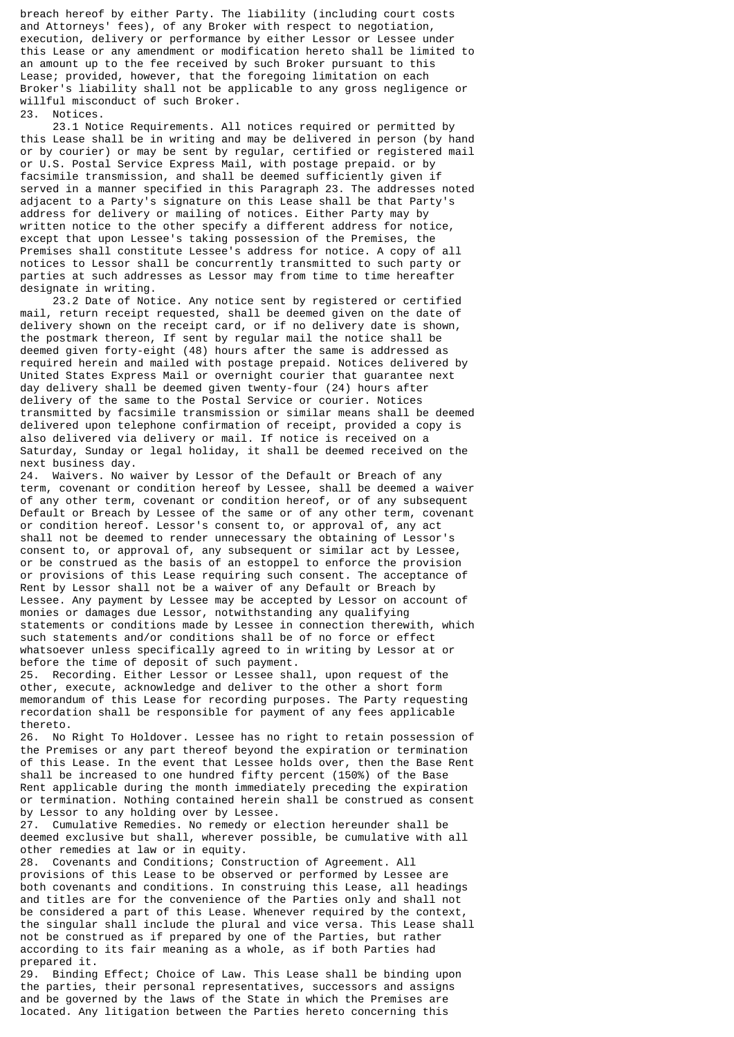breach hereof by either Party. The liability (including court costs and Attorneys' fees), of any Broker with respect to negotiation, execution, delivery or performance by either Lessor or Lessee under this Lease or any amendment or modification hereto shall be limited to an amount up to the fee received by such Broker pursuant to this Lease; provided, however, that the foregoing limitation on each Broker's liability shall not be applicable to any gross negligence or willful misconduct of such Broker.

23. Notices.

 23.1 Notice Requirements. All notices required or permitted by this Lease shall be in writing and may be delivered in person (by hand or by courier) or may be sent by regular, certified or registered mail or U.S. Postal Service Express Mail, with postage prepaid. or by facsimile transmission, and shall be deemed sufficiently given if served in a manner specified in this Paragraph 23. The addresses noted adjacent to a Party's signature on this Lease shall be that Party's address for delivery or mailing of notices. Either Party may by written notice to the other specify a different address for notice, except that upon Lessee's taking possession of the Premises, the Premises shall constitute Lessee's address for notice. A copy of all notices to Lessor shall be concurrently transmitted to such party or parties at such addresses as Lessor may from time to time hereafter designate in writing.

 23.2 Date of Notice. Any notice sent by registered or certified mail, return receipt requested, shall be deemed given on the date of delivery shown on the receipt card, or if no delivery date is shown, the postmark thereon, If sent by regular mail the notice shall be deemed given forty-eight (48) hours after the same is addressed as required herein and mailed with postage prepaid. Notices delivered by United States Express Mail or overnight courier that guarantee next day delivery shall be deemed given twenty-four (24) hours after delivery of the same to the Postal Service or courier. Notices transmitted by facsimile transmission or similar means shall be deemed delivered upon telephone confirmation of receipt, provided a copy is also delivered via delivery or mail. If notice is received on a Saturday, Sunday or legal holiday, it shall be deemed received on the next business day.

24. Waivers. No waiver by Lessor of the Default or Breach of any term, covenant or condition hereof by Lessee, shall be deemed a waiver of any other term, covenant or condition hereof, or of any subsequent Default or Breach by Lessee of the same or of any other term, covenant or condition hereof. Lessor's consent to, or approval of, any act shall not be deemed to render unnecessary the obtaining of Lessor's consent to, or approval of, any subsequent or similar act by Lessee, or be construed as the basis of an estoppel to enforce the provision or provisions of this Lease requiring such consent. The acceptance of Rent by Lessor shall not be a waiver of any Default or Breach by Lessee. Any payment by Lessee may be accepted by Lessor on account of monies or damages due Lessor, notwithstanding any qualifying statements or conditions made by Lessee in connection therewith, which such statements and/or conditions shall be of no force or effect whatsoever unless specifically agreed to in writing by Lessor at or before the time of deposit of such payment.

25. Recording. Either Lessor or Lessee shall, upon request of the other, execute, acknowledge and deliver to the other a short form memorandum of this Lease for recording purposes. The Party requesting recordation shall be responsible for payment of any fees applicable thereto.

26. No Right To Holdover. Lessee has no right to retain possession of the Premises or any part thereof beyond the expiration or termination of this Lease. In the event that Lessee holds over, then the Base Rent shall be increased to one hundred fifty percent (150%) of the Base Rent applicable during the month immediately preceding the expiration or termination. Nothing contained herein shall be construed as consent by Lessor to any holding over by Lessee.

27. Cumulative Remedies. No remedy or election hereunder shall be deemed exclusive but shall, wherever possible, be cumulative with all other remedies at law or in equity.

28. Covenants and Conditions; Construction of Agreement. All provisions of this Lease to be observed or performed by Lessee are both covenants and conditions. In construing this Lease, all headings and titles are for the convenience of the Parties only and shall not be considered a part of this Lease. Whenever required by the context the singular shall include the plural and vice versa. This Lease shall not be construed as if prepared by one of the Parties, but rather according to its fair meaning as a whole, as if both Parties had prepared it.

29. Binding Effect; Choice of Law. This Lease shall be binding upon the parties, their personal representatives, successors and assigns and be governed by the laws of the State in which the Premises are located. Any litigation between the Parties hereto concerning this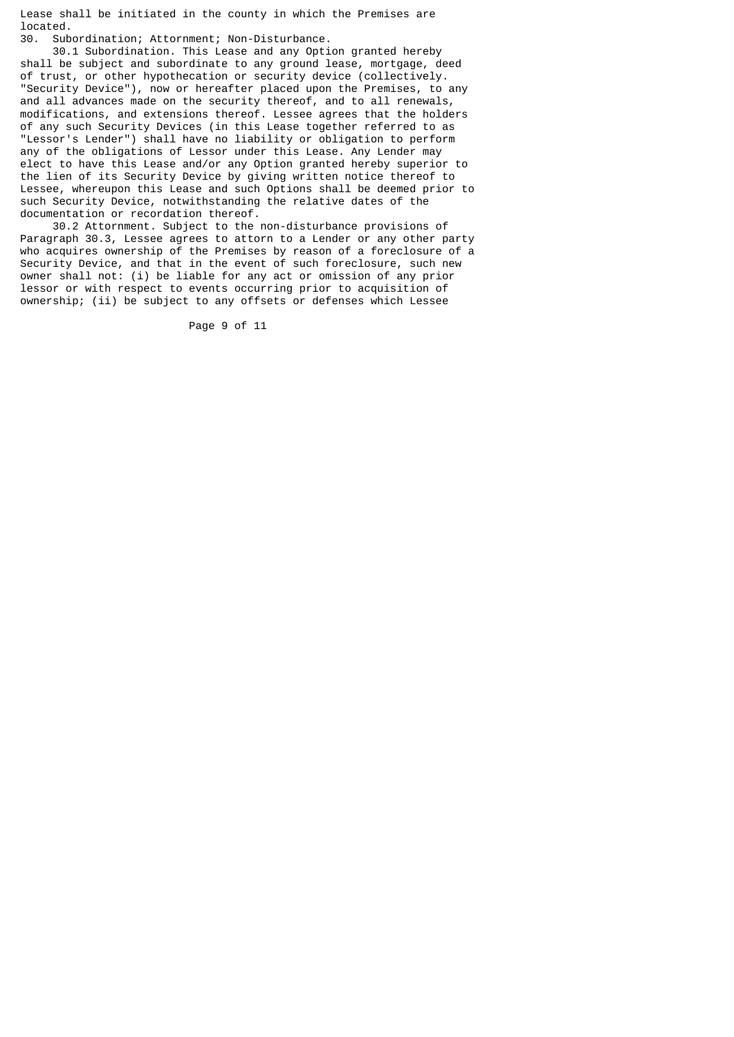Lease shall be initiated in the county in which the Premises are located.

30. Subordination; Attornment; Non-Disturbance.

 30.1 Subordination. This Lease and any Option granted hereby shall be subject and subordinate to any ground lease, mortgage, deed of trust, or other hypothecation or security device (collectively. "Security Device"), now or hereafter placed upon the Premises, to any and all advances made on the security thereof, and to all renewals, modifications, and extensions thereof. Lessee agrees that the holders of any such Security Devices (in this Lease together referred to as "Lessor's Lender") shall have no liability or obligation to perform any of the obligations of Lessor under this Lease. Any Lender may elect to have this Lease and/or any Option granted hereby superior to the lien of its Security Device by giving written notice thereof to Lessee, whereupon this Lease and such Options shall be deemed prior to such Security Device, notwithstanding the relative dates of the documentation or recordation thereof.

 30.2 Attornment. Subject to the non-disturbance provisions of Paragraph 30.3, Lessee agrees to attorn to a Lender or any other party who acquires ownership of the Premises by reason of a foreclosure of a Security Device, and that in the event of such foreclosure, such new owner shall not: (i) be liable for any act or omission of any prior lessor or with respect to events occurring prior to acquisition of ownership; (ii) be subject to any offsets or defenses which Lessee

Page 9 of 11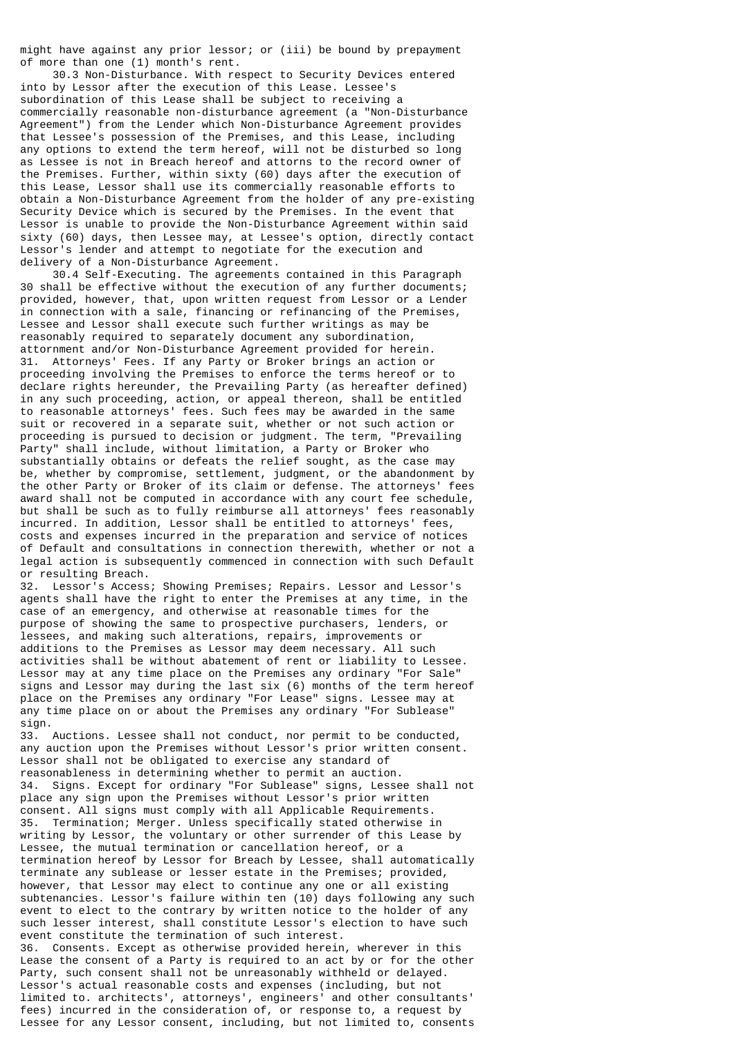might have against any prior lessor; or (iii) be bound by prepayment of more than one (1) month's rent.

 30.3 Non-Disturbance. With respect to Security Devices entered into by Lessor after the execution of this Lease. Lessee's subordination of this Lease shall be subject to receiving a commercially reasonable non-disturbance agreement (a "Non-Disturbance Agreement") from the Lender which Non-Disturbance Agreement provides that Lessee's possession of the Premises, and this Lease, including any options to extend the term hereof, will not be disturbed so long as Lessee is not in Breach hereof and attorns to the record owner of the Premises. Further, within sixty (60) days after the execution of this Lease, Lessor shall use its commercially reasonable efforts to obtain a Non-Disturbance Agreement from the holder of any pre-existing Security Device which is secured by the Premises. In the event that Lessor is unable to provide the Non-Disturbance Agreement within said sixty (60) days, then Lessee may, at Lessee's option, directly contact Lessor's lender and attempt to negotiate for the execution and delivery of a Non-Disturbance Agreement.

 30.4 Self-Executing. The agreements contained in this Paragraph 30 shall be effective without the execution of any further documents; provided, however, that, upon written request from Lessor or a Lender in connection with a sale, financing or refinancing of the Premises, Lessee and Lessor shall execute such further writings as may be reasonably required to separately document any subordination, attornment and/or Non-Disturbance Agreement provided for herein. 31. Attorneys' Fees. If any Party or Broker brings an action or proceeding involving the Premises to enforce the terms hereof or to declare rights hereunder, the Prevailing Party (as hereafter defined) in any such proceeding, action, or appeal thereon, shall be entitled to reasonable attorneys' fees. Such fees may be awarded in the same suit or recovered in a separate suit, whether or not such action or proceeding is pursued to decision or judgment. The term, "Prevailing Party" shall include, without limitation, a Party or Broker who substantially obtains or defeats the relief sought, as the case may be, whether by compromise, settlement, judgment, or the abandonment by the other Party or Broker of its claim or defense. The attorneys' fees award shall not be computed in accordance with any court fee schedule, but shall be such as to fully reimburse all attorneys' fees reasonably incurred. In addition, Lessor shall be entitled to attorneys' fees, costs and expenses incurred in the preparation and service of notices of Default and consultations in connection therewith, whether or not a legal action is subsequently commenced in connection with such Default or resulting Breach.

32. Lessor's Access; Showing Premises; Repairs. Lessor and Lessor's agents shall have the right to enter the Premises at any time, in the case of an emergency, and otherwise at reasonable times for the purpose of showing the same to prospective purchasers, lenders, or lessees, and making such alterations, repairs, improvements or additions to the Premises as Lessor may deem necessary. All such activities shall be without abatement of rent or liability to Lessee. Lessor may at any time place on the Premises any ordinary "For Sale" signs and Lessor may during the last six (6) months of the term hereof place on the Premises any ordinary "For Lease" signs. Lessee may at any time place on or about the Premises any ordinary "For Sublease" sign.

33. Auctions. Lessee shall not conduct, nor permit to be conducted, any auction upon the Premises without Lessor's prior written consent. Lessor shall not be obligated to exercise any standard of reasonableness in determining whether to permit an auction. 34. Signs. Except for ordinary "For Sublease" signs, Lessee shall not place any sign upon the Premises without Lessor's prior written consent. All signs must comply with all Applicable Requirements. 35. Termination; Merger. Unless specifically stated otherwise in writing by Lessor, the voluntary or other surrender of this Lease by Lessee, the mutual termination or cancellation hereof, or a termination hereof by Lessor for Breach by Lessee, shall automatically terminate any sublease or lesser estate in the Premises; provided, however, that Lessor may elect to continue any one or all existing subtenancies. Lessor's failure within ten (10) days following any such event to elect to the contrary by written notice to the holder of any such lesser interest, shall constitute Lessor's election to have such event constitute the termination of such interest. 36. Consents. Except as otherwise provided herein, wherever in this

Lease the consent of a Party is required to an act by or for the other Party, such consent shall not be unreasonably withheld or delayed. Lessor's actual reasonable costs and expenses (including, but not limited to. architects', attorneys', engineers' and other consultants' fees) incurred in the consideration of, or response to, a request by Lessee for any Lessor consent, including, but not limited to, consents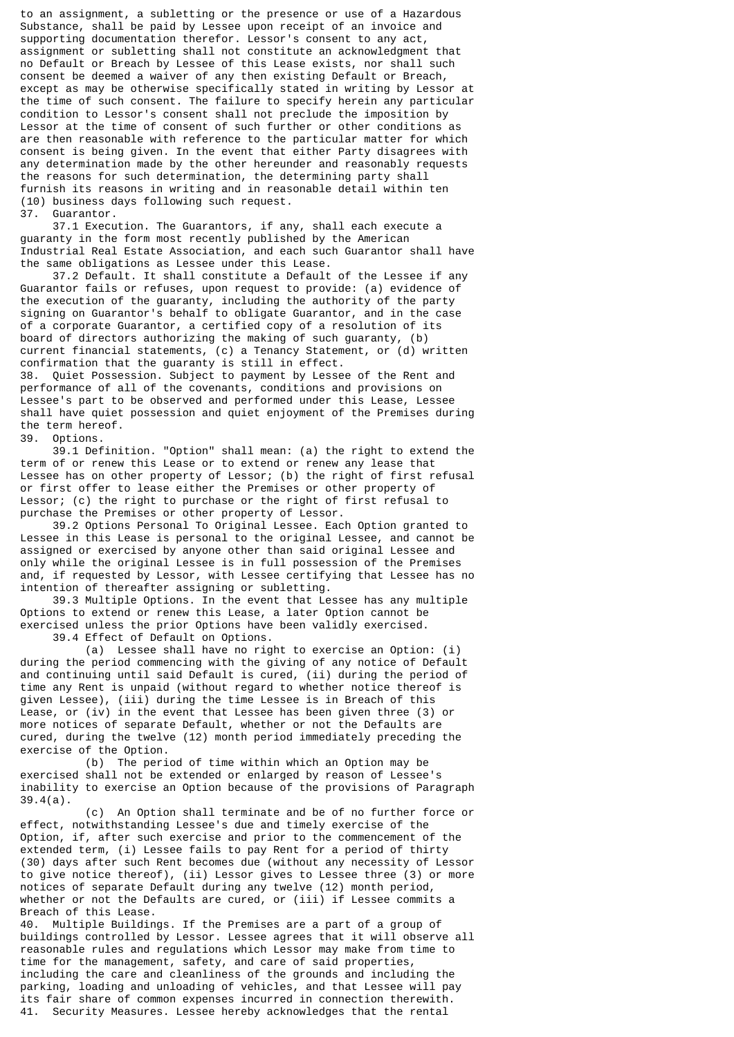to an assignment, a subletting or the presence or use of a Hazardous Substance, shall be paid by Lessee upon receipt of an invoice and supporting documentation therefor. Lessor's consent to any act, assignment or subletting shall not constitute an acknowledgment that no Default or Breach by Lessee of this Lease exists, nor shall such consent be deemed a waiver of any then existing Default or Breach, except as may be otherwise specifically stated in writing by Lessor at the time of such consent. The failure to specify herein any particular condition to Lessor's consent shall not preclude the imposition by Lessor at the time of consent of such further or other conditions as are then reasonable with reference to the particular matter for which consent is being given. In the event that either Party disagrees with any determination made by the other hereunder and reasonably requests the reasons for such determination, the determining party shall furnish its reasons in writing and in reasonable detail within ten (10) business days following such request. Guarantor.

 37.1 Execution. The Guarantors, if any, shall each execute a guaranty in the form most recently published by the American Industrial Real Estate Association, and each such Guarantor shall have the same obligations as Lessee under this Lease.

 37.2 Default. It shall constitute a Default of the Lessee if any Guarantor fails or refuses, upon request to provide: (a) evidence of the execution of the guaranty, including the authority of the party signing on Guarantor's behalf to obligate Guarantor, and in the case of a corporate Guarantor, a certified copy of a resolution of its board of directors authorizing the making of such guaranty, (b) current financial statements, (c) a Tenancy Statement, or (d) written confirmation that the guaranty is still in effect. 38. Quiet Possession. Subject to payment by Lessee of the Rent and performance of all of the covenants, conditions and provisions on Lessee's part to be observed and performed under this Lease, Lessee shall have quiet possession and quiet enjoyment of the Premises during

the term hereof.<br>39. Options. Options.

 39.1 Definition. "Option" shall mean: (a) the right to extend the term of or renew this Lease or to extend or renew any lease that Lessee has on other property of Lessor; (b) the right of first refusal or first offer to lease either the Premises or other property of Lessor; (c) the right to purchase or the right of first refusal to purchase the Premises or other property of Lessor.

 39.2 Options Personal To Original Lessee. Each Option granted to Lessee in this Lease is personal to the original Lessee, and cannot be assigned or exercised by anyone other than said original Lessee and only while the original Lessee is in full possession of the Premises and, if requested by Lessor, with Lessee certifying that Lessee has no intention of thereafter assigning or subletting.

 39.3 Multiple Options. In the event that Lessee has any multiple Options to extend or renew this Lease, a later Option cannot be exercised unless the prior Options have been validly exercised.

39.4 Effect of Default on Options.

 (a) Lessee shall have no right to exercise an Option: (i) during the period commencing with the giving of any notice of Default and continuing until said Default is cured, (ii) during the period of time any Rent is unpaid (without regard to whether notice thereof is given Lessee), (iii) during the time Lessee is in Breach of this Lease, or (iv) in the event that Lessee has been given three (3) or more notices of separate Default, whether or not the Defaults are cured, during the twelve (12) month period immediately preceding the exercise of the Option.

 (b) The period of time within which an Option may be exercised shall not be extended or enlarged by reason of Lessee's inability to exercise an Option because of the provisions of Paragraph 39.4(a).

 (c) An Option shall terminate and be of no further force or effect, notwithstanding Lessee's due and timely exercise of the Option, if, after such exercise and prior to the commencement of the extended term, (i) Lessee fails to pay Rent for a period of thirty (30) days after such Rent becomes due (without any necessity of Lessor to give notice thereof), (ii) Lessor gives to Lessee three (3) or more notices of separate Default during any twelve (12) month period, whether or not the Defaults are cured, or (iii) if Lessee commits a Breach of this Lease.

40. Multiple Buildings. If the Premises are a part of a group of buildings controlled by Lessor. Lessee agrees that it will observe all reasonable rules and regulations which Lessor may make from time to time for the management, safety, and care of said properties, including the care and cleanliness of the grounds and including the parking, loading and unloading of vehicles, and that Lessee will pay its fair share of common expenses incurred in connection therewith. 41. Security Measures. Lessee hereby acknowledges that the rental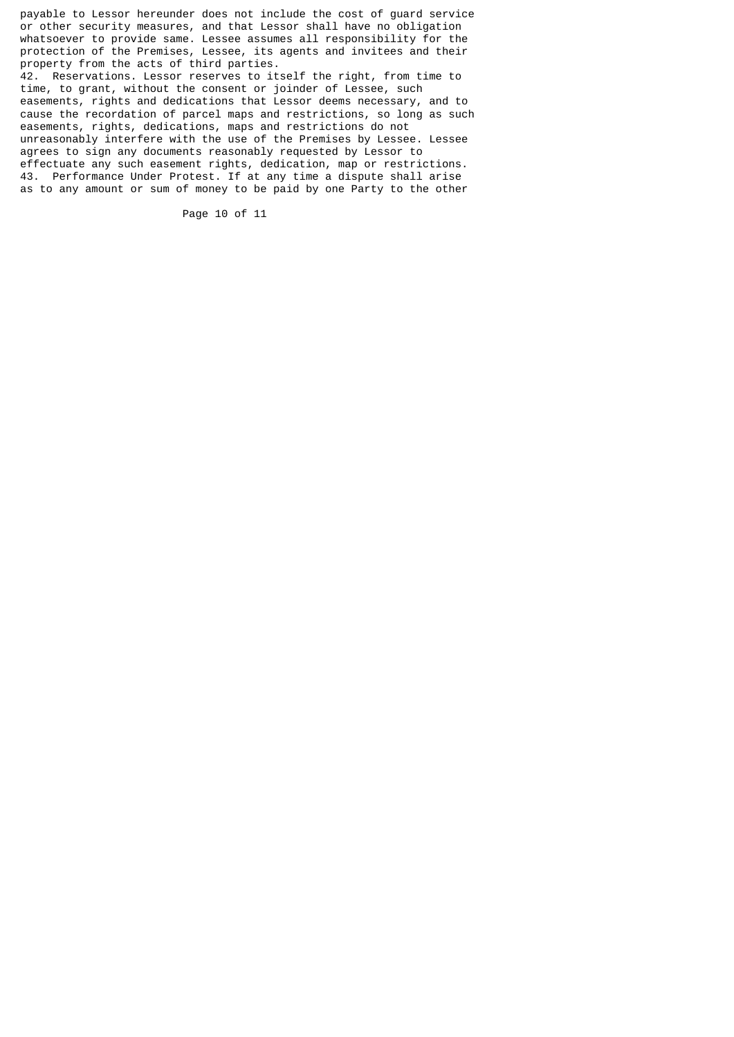payable to Lessor hereunder does not include the cost of guard service or other security measures, and that Lessor shall have no obligation whatsoever to provide same. Lessee assumes all responsibility for the protection of the Premises, Lessee, its agents and invitees and their property from the acts of third parties. 42. Reservations. Lessor reserves to itself the right, from time to time, to grant, without the consent or joinder of Lessee, such easements, rights and dedications that Lessor deems necessary, and to cause the recordation of parcel maps and restrictions, so long as such easements, rights, dedications, maps and restrictions do not unreasonably interfere with the use of the Premises by Lessee. Lessee agrees to sign any documents reasonably requested by Lessor to effectuate any such easement rights, dedication, map or restrictions. 43. Performance Under Protest. If at any time a dispute shall arise as to any amount or sum of money to be paid by one Party to the other

Page 10 of 11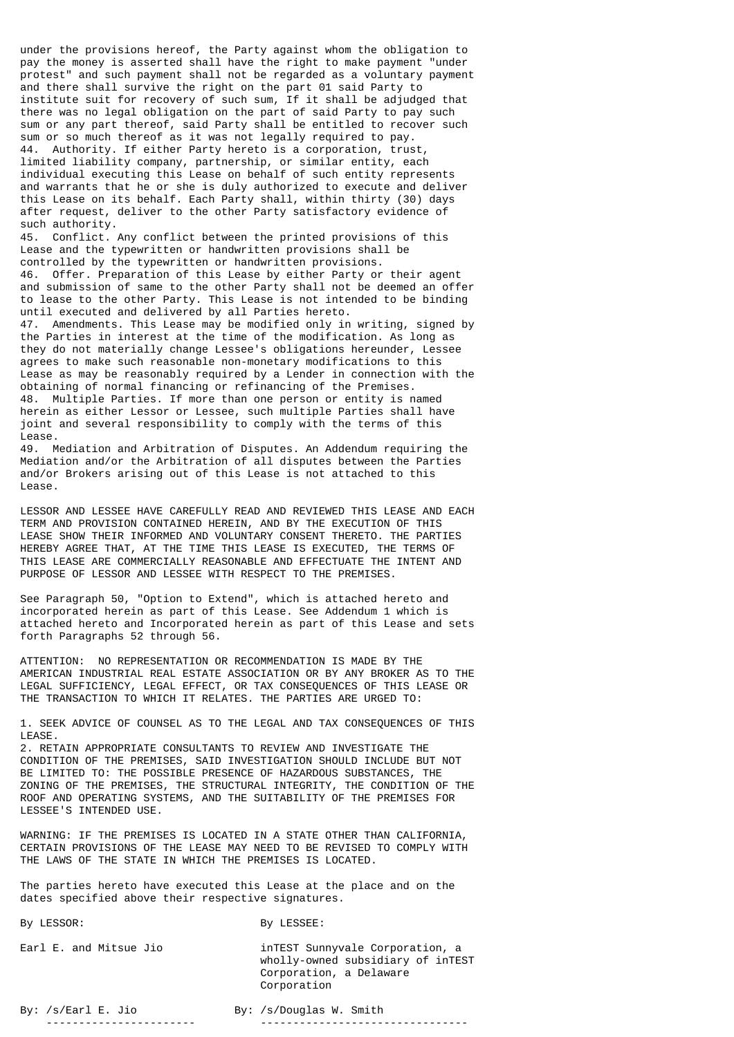under the provisions hereof, the Party against whom the obligation to pay the money is asserted shall have the right to make payment "under protest" and such payment shall not be regarded as a voluntary payment and there shall survive the right on the part 01 said Party to institute suit for recovery of such sum, If it shall be adjudged that there was no legal obligation on the part of said Party to pay such sum or any part thereof, said Party shall be entitled to recover such sum or so much thereof as it was not legally required to pay. 44. Authority. If either Party hereto is a corporation, trust limited liability company, partnership, or similar entity, each individual executing this Lease on behalf of such entity represents and warrants that he or she is duly authorized to execute and deliver this Lease on its behalf. Each Party shall, within thirty (30) days after request, deliver to the other Party satisfactory evidence of such authority.

45. Conflict. Any conflict between the printed provisions of this Lease and the typewritten or handwritten provisions shall be controlled by the typewritten or handwritten provisions. 46. Offer. Preparation of this Lease by either Party or their agent and submission of same to the other Party shall not be deemed an offer to lease to the other Party. This Lease is not intended to be binding until executed and delivered by all Parties hereto. 47. Amendments. This Lease may be modified only in writing, signed by

the Parties in interest at the time of the modification. As long as they do not materially change Lessee's obligations hereunder, Lessee agrees to make such reasonable non-monetary modifications to this Lease as may be reasonably required by a Lender in connection with the obtaining of normal financing or refinancing of the Premises. 48. Multiple Parties. If more than one person or entity is named herein as either Lessor or Lessee, such multiple Parties shall have joint and several responsibility to comply with the terms of this Lease.

49. Mediation and Arbitration of Disputes. An Addendum requiring the Mediation and/or the Arbitration of all disputes between the Parties and/or Brokers arising out of this Lease is not attached to this Lease.

LESSOR AND LESSEE HAVE CAREFULLY READ AND REVIEWED THIS LEASE AND EACH TERM AND PROVISION CONTAINED HEREIN, AND BY THE EXECUTION OF THIS LEASE SHOW THEIR INFORMED AND VOLUNTARY CONSENT THERETO. THE PARTIES HEREBY AGREE THAT, AT THE TIME THIS LEASE IS EXECUTED, THE TERMS OF THIS LEASE ARE COMMERCIALLY REASONABLE AND EFFECTUATE THE INTENT AND PURPOSE OF LESSOR AND LESSEE WITH RESPECT TO THE PREMISES.

See Paragraph 50, "Option to Extend", which is attached hereto and incorporated herein as part of this Lease. See Addendum 1 which is attached hereto and Incorporated herein as part of this Lease and sets forth Paragraphs 52 through 56.

ATTENTION: NO REPRESENTATION OR RECOMMENDATION IS MADE BY THE AMERICAN INDUSTRIAL REAL ESTATE ASSOCIATION OR BY ANY BROKER AS TO THE LEGAL SUFFICIENCY, LEGAL EFFECT, OR TAX CONSEQUENCES OF THIS LEASE OR THE TRANSACTION TO WHICH IT RELATES. THE PARTIES ARE URGED TO:

1. SEEK ADVICE OF COUNSEL AS TO THE LEGAL AND TAX CONSEQUENCES OF THIS LEASE.

2. RETAIN APPROPRIATE CONSULTANTS TO REVIEW AND INVESTIGATE THE CONDITION OF THE PREMISES, SAID INVESTIGATION SHOULD INCLUDE BUT NOT BE LIMITED TO: THE POSSIBLE PRESENCE OF HAZARDOUS SUBSTANCES, THE ZONING OF THE PREMISES, THE STRUCTURAL INTEGRITY, THE CONDITION OF THE ROOF AND OPERATING SYSTEMS, AND THE SUITABILITY OF THE PREMISES FOR LESSEE'S INTENDED USE.

WARNING: IF THE PREMISES IS LOCATED IN A STATE OTHER THAN CALIFORNIA, CERTAIN PROVISIONS OF THE LEASE MAY NEED TO BE REVISED TO COMPLY WITH THE LAWS OF THE STATE IN WHICH THE PREMISES IS LOCATED.

The parties hereto have executed this Lease at the place and on the dates specified above their respective signatures.

| By LESSOR: |  |  | By LESSEE: |
|------------|--|--|------------|
|            |  |  |            |

Earl E. and Mitsue Jio inTEST Sunnyvale Corporation, a wholly-owned subsidiary of inTEST Corporation, a Delaware Corporation

By: /s/Earl E. Jio By: /s/Douglas W. Smith ----------------------- --------------------------------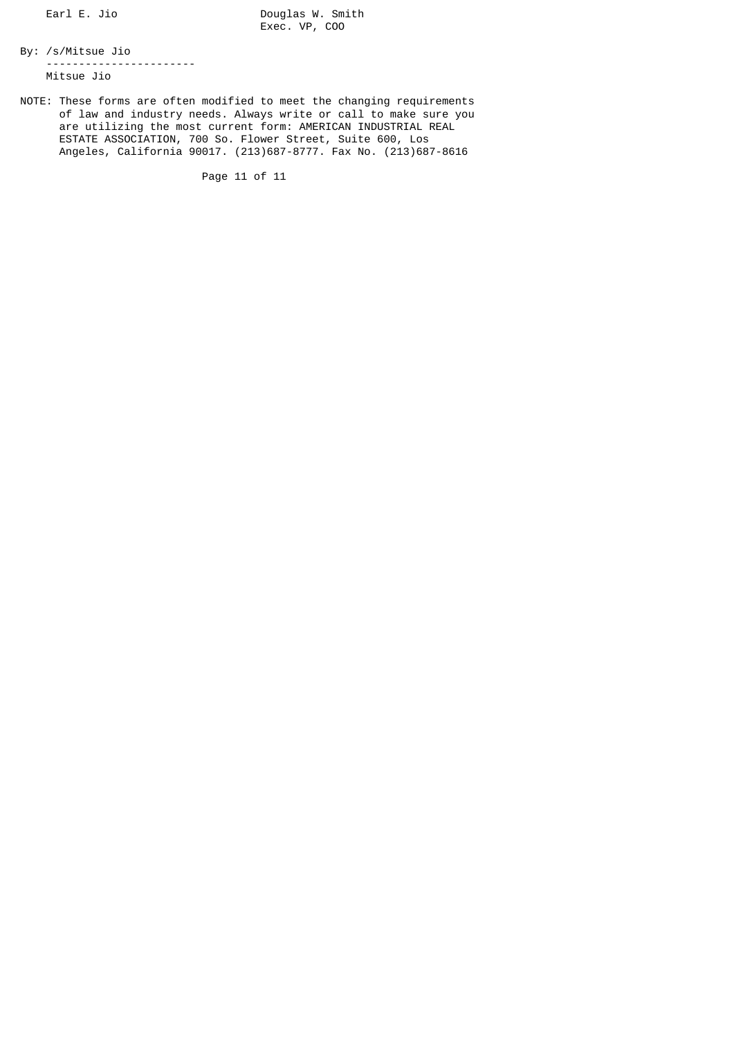Earl E. Jio Douglas W. Smith Exec. VP, COO

By: /s/Mitsue Jio ----------------------- Mitsue Jio

NOTE: These forms are often modified to meet the changing requirements of law and industry needs. Always write or call to make sure you are utilizing the most current form: AMERICAN INDUSTRIAL REAL ESTATE ASSOCIATION, 700 So. Flower Street, Suite 600, Los Angeles, California 90017. (213)687-8777. Fax No. (213)687-8616

Page 11 of 11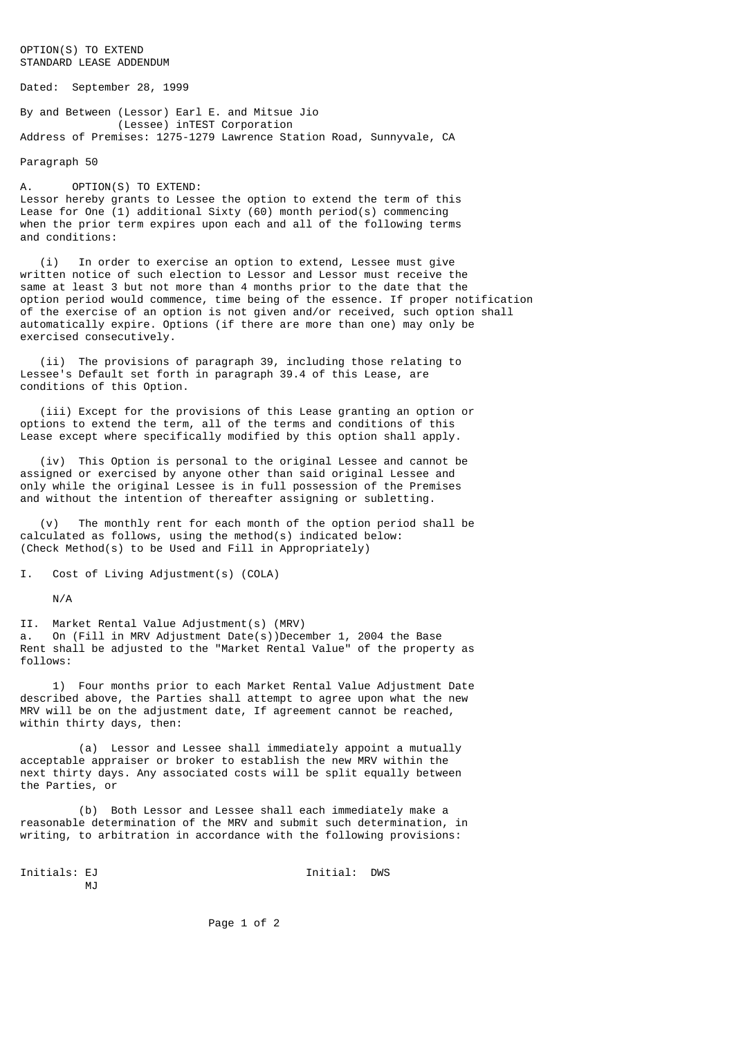## OPTION(S) TO EXTEND STANDARD LEASE ADDENDUM

Dated: September 28, 1999

By and Between (Lessor) Earl E. and Mitsue Jio (Lessee) inTEST Corporation Address of Premises: 1275-1279 Lawrence Station Road, Sunnyvale, CA

Paragraph 50

A. OPTION(S) TO EXTEND: Lessor hereby grants to Lessee the option to extend the term of this Lease for One (1) additional Sixty (60) month period(s) commencing when the prior term expires upon each and all of the following terms and conditions:

 (i) In order to exercise an option to extend, Lessee must give written notice of such election to Lessor and Lessor must receive the same at least 3 but not more than 4 months prior to the date that the option period would commence, time being of the essence. If proper notification of the exercise of an option is not given and/or received, such option shall automatically expire. Options (if there are more than one) may only be exercised consecutively.

 (ii) The provisions of paragraph 39, including those relating to Lessee's Default set forth in paragraph 39.4 of this Lease, are conditions of this Option.

 (iii) Except for the provisions of this Lease granting an option or options to extend the term, all of the terms and conditions of this Lease except where specifically modified by this option shall apply.

 (iv) This Option is personal to the original Lessee and cannot be assigned or exercised by anyone other than said original Lessee and only while the original Lessee is in full possession of the Premises and without the intention of thereafter assigning or subletting.

 (v) The monthly rent for each month of the option period shall be calculated as follows, using the method(s) indicated below: (Check Method(s) to be Used and Fill in Appropriately)

I. Cost of Living Adjustment(s) (COLA)

N/A

II. Market Rental Value Adjustment(s) (MRV) a. On (Fill in MRV Adjustment Date(s))December 1, 2004 the Base Rent shall be adjusted to the "Market Rental Value" of the property as follows:

 1) Four months prior to each Market Rental Value Adjustment Date described above, the Parties shall attempt to agree upon what the new MRV will be on the adjustment date, If agreement cannot be reached, within thirty days, then:

 (a) Lessor and Lessee shall immediately appoint a mutually acceptable appraiser or broker to establish the new MRV within the next thirty days. Any associated costs will be split equally between the Parties, or

 (b) Both Lessor and Lessee shall each immediately make a reasonable determination of the MRV and submit such determination, in writing, to arbitration in accordance with the following provisions:

 $M<sub>1</sub>$ 

Initials: EJ Initial: DWS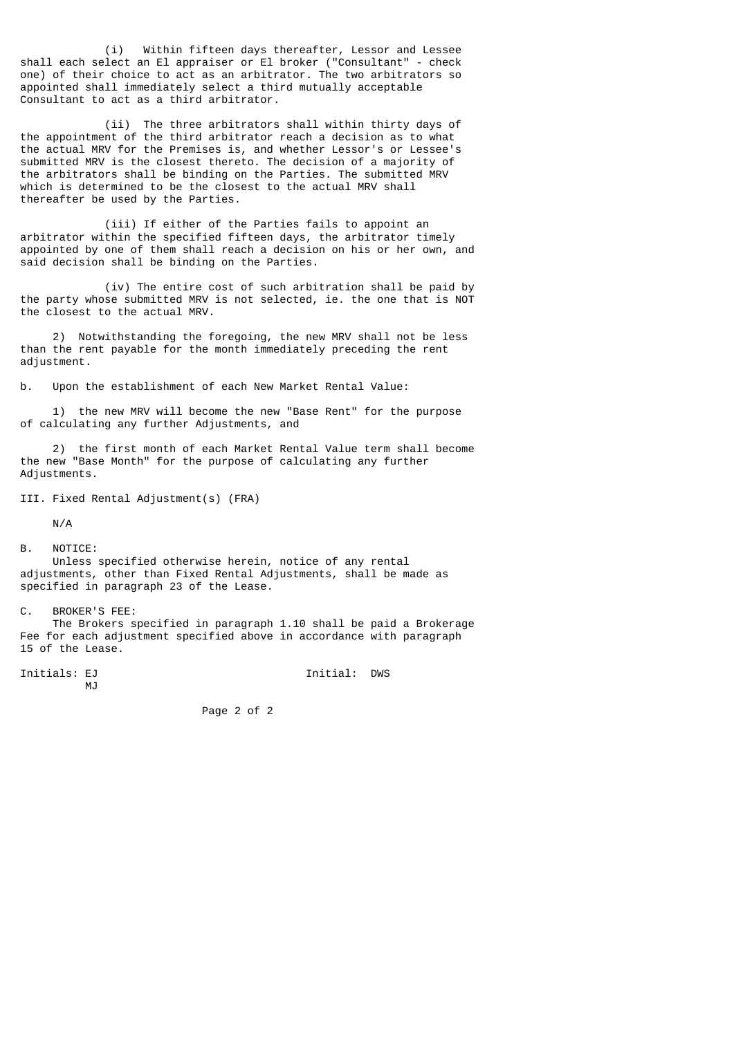(i) Within fifteen days thereafter, Lessor and Lessee shall each select an El appraiser or El broker ("Consultant" - check one) of their choice to act as an arbitrator. The two arbitrators so appointed shall immediately select a third mutually acceptable Consultant to act as a third arbitrator.

 (ii) The three arbitrators shall within thirty days of the appointment of the third arbitrator reach a decision as to what the actual MRV for the Premises is, and whether Lessor's or Lessee's submitted MRV is the closest thereto. The decision of a majority of the arbitrators shall be binding on the Parties. The submitted MRV which is determined to be the closest to the actual MRV shall thereafter be used by the Parties.

 (iii) If either of the Parties fails to appoint an arbitrator within the specified fifteen days, the arbitrator timely appointed by one of them shall reach a decision on his or her own, and said decision shall be binding on the Parties.

 (iv) The entire cost of such arbitration shall be paid by the party whose submitted MRV is not selected, ie. the one that is NOT the closest to the actual MRV.

 2) Notwithstanding the foregoing, the new MRV shall not be less than the rent payable for the month immediately preceding the rent adjustment.

b. Upon the establishment of each New Market Rental Value:

 1) the new MRV will become the new "Base Rent" for the purpose of calculating any further Adjustments, and

 2) the first month of each Market Rental Value term shall become the new "Base Month" for the purpose of calculating any further Adjustments.

III. Fixed Rental Adjustment(s) (FRA)

N/A

B. NOTICE:

 Unless specified otherwise herein, notice of any rental adjustments, other than Fixed Rental Adjustments, shall be made as specified in paragraph 23 of the Lease.

C. BROKER'S FEE:

 The Brokers specified in paragraph 1.10 shall be paid a Brokerage Fee for each adjustment specified above in accordance with paragraph 15 of the Lease.

M<sub>J</sub>

Initials: EJ **Initial:** DWS

Page 2 of 2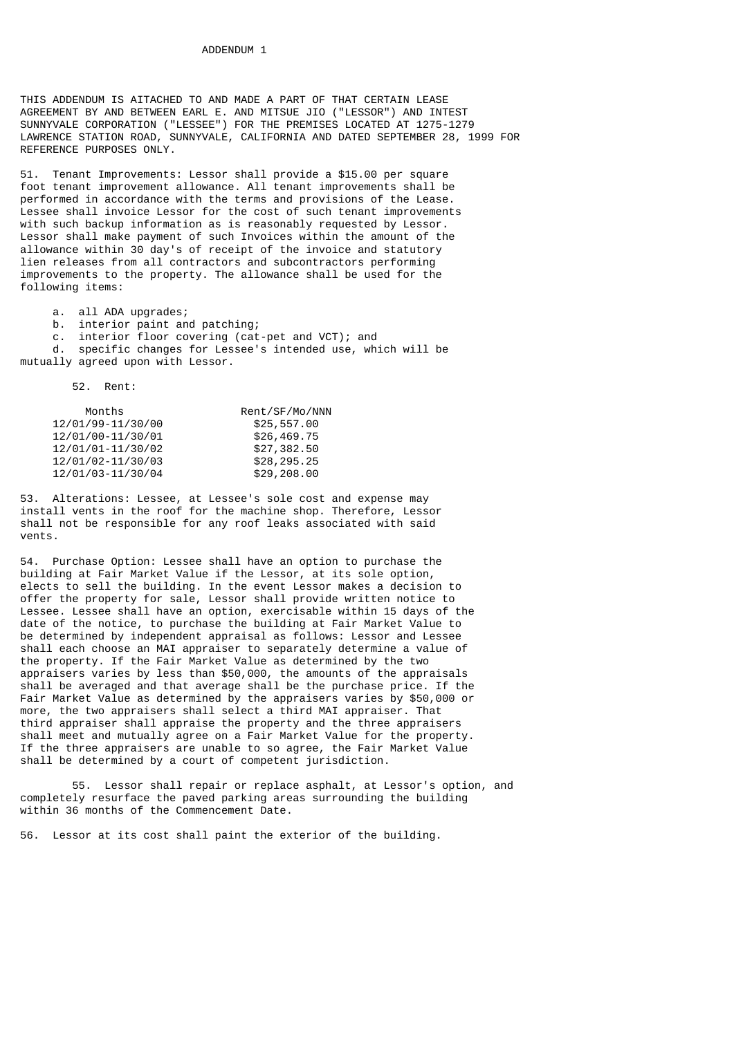THIS ADDENDUM IS AITACHED TO AND MADE A PART OF THAT CERTAIN LEASE AGREEMENT BY AND BETWEEN EARL E. AND MITSUE JIO ("LESSOR") AND INTEST SUNNYVALE CORPORATION ("LESSEE") FOR THE PREMISES LOCATED AT 1275-1279 LAWRENCE STATION ROAD, SUNNYVALE, CALIFORNIA AND DATED SEPTEMBER 28, 1999 FOR REFERENCE PURPOSES ONLY.

51. Tenant Improvements: Lessor shall provide a \$15.00 per square foot tenant improvement allowance. All tenant improvements shall be performed in accordance with the terms and provisions of the Lease. Lessee shall invoice Lessor for the cost of such tenant improvements with such backup information as is reasonably requested by Lessor. Lessor shall make payment of such Invoices within the amount of the allowance within 30 day's of receipt of the invoice and statutory lien releases from all contractors and subcontractors performing improvements to the property. The allowance shall be used for the following items:

a. all ADA upgrades;

- b. interior paint and patching;
	- c. interior floor covering (cat-pet and VCT); and

 d. specific changes for Lessee's intended use, which will be mutually agreed upon with Lessor.

52. Rent:

| Months            | Rent/SF/Mo/NNN |
|-------------------|----------------|
| 12/01/99-11/30/00 | \$25,557.00    |
| 12/01/00-11/30/01 | \$26,469.75    |
| 12/01/01-11/30/02 | \$27,382.50    |
| 12/01/02-11/30/03 | \$28,295.25    |
| 12/01/03-11/30/04 | \$29,208.00    |

53. Alterations: Lessee, at Lessee's sole cost and expense may install vents in the roof for the machine shop. Therefore, Lessor shall not be responsible for any roof leaks associated with said vents.

54. Purchase Option: Lessee shall have an option to purchase the building at Fair Market Value if the Lessor, at its sole option, elects to sell the building. In the event Lessor makes a decision to offer the property for sale, Lessor shall provide written notice to Lessee. Lessee shall have an option, exercisable within 15 days of the date of the notice, to purchase the building at Fair Market Value to be determined by independent appraisal as follows: Lessor and Lessee shall each choose an MAI appraiser to separately determine a value of the property. If the Fair Market Value as determined by the two appraisers varies by less than \$50,000, the amounts of the appraisals shall be averaged and that average shall be the purchase price. If the Fair Market Value as determined by the appraisers varies by \$50,000 or more, the two appraisers shall select a third MAI appraiser. That third appraiser shall appraise the property and the three appraisers shall meet and mutually agree on a Fair Market Value for the property. If the three appraisers are unable to so agree, the Fair Market Value shall be determined by a court of competent jurisdiction.

55. Lessor shall repair or replace asphalt, at Lessor's option, and completely resurface the paved parking areas surrounding the building within 36 months of the Commencement Date.

56. Lessor at its cost shall paint the exterior of the building.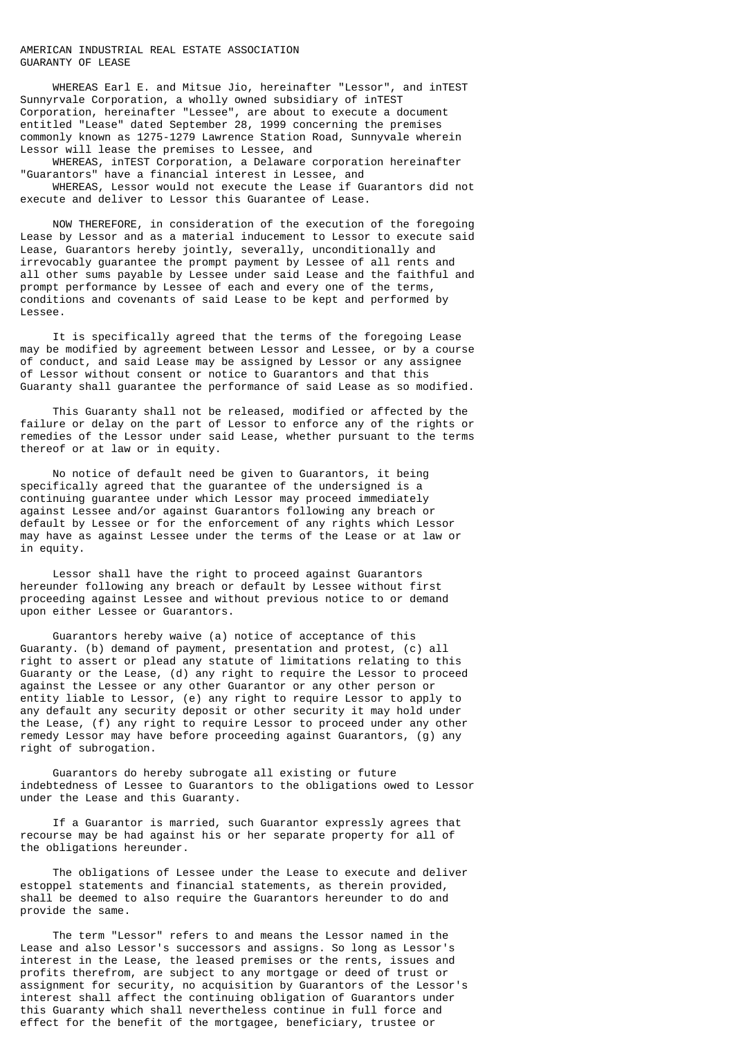## AMERICAN INDUSTRIAL REAL ESTATE ASSOCIATION GUARANTY OF LEASE

 WHEREAS Earl E. and Mitsue Jio, hereinafter "Lessor", and inTEST Sunnyrvale Corporation, a wholly owned subsidiary of inTEST Corporation, hereinafter "Lessee", are about to execute a document entitled "Lease" dated September 28, 1999 concerning the premises commonly known as 1275-1279 Lawrence Station Road, Sunnyvale wherein Lessor will lease the premises to Lessee, and

 WHEREAS, inTEST Corporation, a Delaware corporation hereinafter "Guarantors" have a financial interest in Lessee, and

 WHEREAS, Lessor would not execute the Lease if Guarantors did not execute and deliver to Lessor this Guarantee of Lease.

 NOW THEREFORE, in consideration of the execution of the foregoing Lease by Lessor and as a material inducement to Lessor to execute said Lease, Guarantors hereby jointly, severally, unconditionally and irrevocably guarantee the prompt payment by Lessee of all rents and all other sums payable by Lessee under said Lease and the faithful and prompt performance by Lessee of each and every one of the terms, conditions and covenants of said Lease to be kept and performed by Lessee.

 It is specifically agreed that the terms of the foregoing Lease may be modified by agreement between Lessor and Lessee, or by a course of conduct, and said Lease may be assigned by Lessor or any assignee of Lessor without consent or notice to Guarantors and that this Guaranty shall guarantee the performance of said Lease as so modified.

 This Guaranty shall not be released, modified or affected by the failure or delay on the part of Lessor to enforce any of the rights or remedies of the Lessor under said Lease, whether pursuant to the terms thereof or at law or in equity.

 No notice of default need be given to Guarantors, it being specifically agreed that the guarantee of the undersigned is a continuing guarantee under which Lessor may proceed immediately against Lessee and/or against Guarantors following any breach or default by Lessee or for the enforcement of any rights which Lessor may have as against Lessee under the terms of the Lease or at law or in equity.

 Lessor shall have the right to proceed against Guarantors hereunder following any breach or default by Lessee without first proceeding against Lessee and without previous notice to or demand upon either Lessee or Guarantors.

 Guarantors hereby waive (a) notice of acceptance of this Guaranty. (b) demand of payment, presentation and protest, (c) all right to assert or plead any statute of limitations relating to this Guaranty or the Lease, (d) any right to require the Lessor to proceed against the Lessee or any other Guarantor or any other person or entity liable to Lessor, (e) any right to require Lessor to apply to any default any security deposit or other security it may hold under the Lease, (f) any right to require Lessor to proceed under any other remedy Lessor may have before proceeding against Guarantors, (g) any right of subrogation.

 Guarantors do hereby subrogate all existing or future indebtedness of Lessee to Guarantors to the obligations owed to Lessor under the Lease and this Guaranty.

 If a Guarantor is married, such Guarantor expressly agrees that recourse may be had against his or her separate property for all of the obligations hereunder.

 The obligations of Lessee under the Lease to execute and deliver estoppel statements and financial statements, as therein provided, shall be deemed to also require the Guarantors hereunder to do and provide the same.

 The term "Lessor" refers to and means the Lessor named in the Lease and also Lessor's successors and assigns. So long as Lessor's interest in the Lease, the leased premises or the rents, issues and profits therefrom, are subject to any mortgage or deed of trust or assignment for security, no acquisition by Guarantors of the Lessor's interest shall affect the continuing obligation of Guarantors under this Guaranty which shall nevertheless continue in full force and effect for the benefit of the mortgagee, beneficiary, trustee or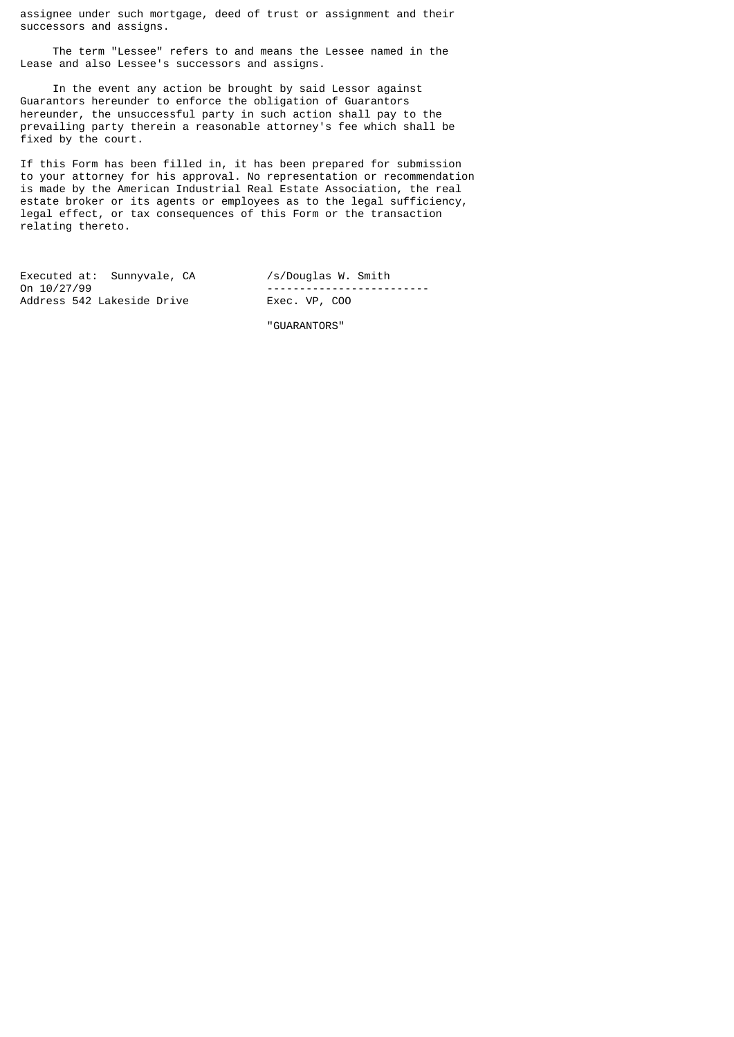assignee under such mortgage, deed of trust or assignment and their successors and assigns.

 The term "Lessee" refers to and means the Lessee named in the Lease and also Lessee's successors and assigns.

 In the event any action be brought by said Lessor against Guarantors hereunder to enforce the obligation of Guarantors hereunder, the unsuccessful party in such action shall pay to the prevailing party therein a reasonable attorney's fee which shall be fixed by the court.

If this Form has been filled in, it has been prepared for submission to your attorney for his approval. No representation or recommendation is made by the American Industrial Real Estate Association, the real estate broker or its agents or employees as to the legal sufficiency, legal effect, or tax consequences of this Form or the transaction relating thereto.

Executed at: Sunnyvale, CA /s/Douglas W. Smith<br>On 10/27/99 -------------------------<br>Exec. VP, C00 Address 542 Lakeside Drive

"GUARANTORS"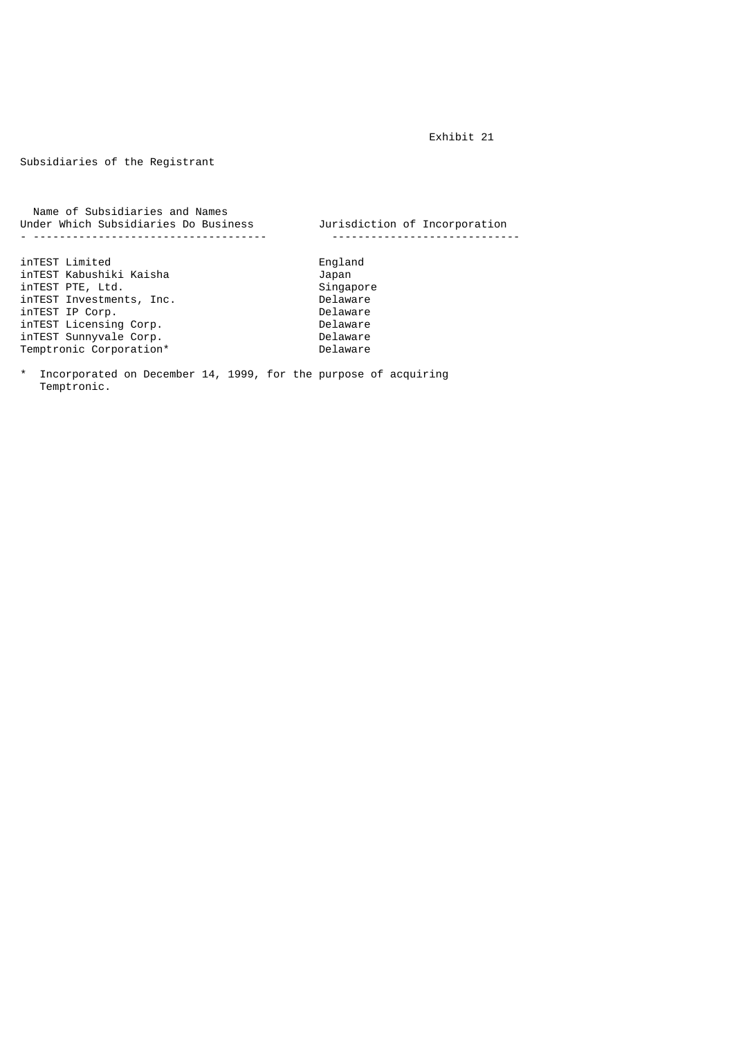Exhibit 21

Subsidiaries of the Registrant

 Name of Subsidiaries and Names Under Which Subsidiaries Do Business Jurisdiction of Incorporation - ------------------------------------ ---------------------------- inTEST Limited England inTEST Kabushiki Kaisha Japan inTEST PTE, Ltd. Singapore Singapore Singapore Singapore Singapore Singapore Singapore Singapore Singapore Singapore Singapore Singapore Singapore Singapore Singapore Singapore Singapore Singapore Singapore Singapore Singa inTEST Investments, Inc. Delaware inTEST IP Corp. Delaware inTEST Licensing Corp. Delaware inTEST Sunnyvale Corp. Delaware  $Temperature$  Corporation\*

\* Incorporated on December 14, 1999, for the purpose of acquiring Temptronic.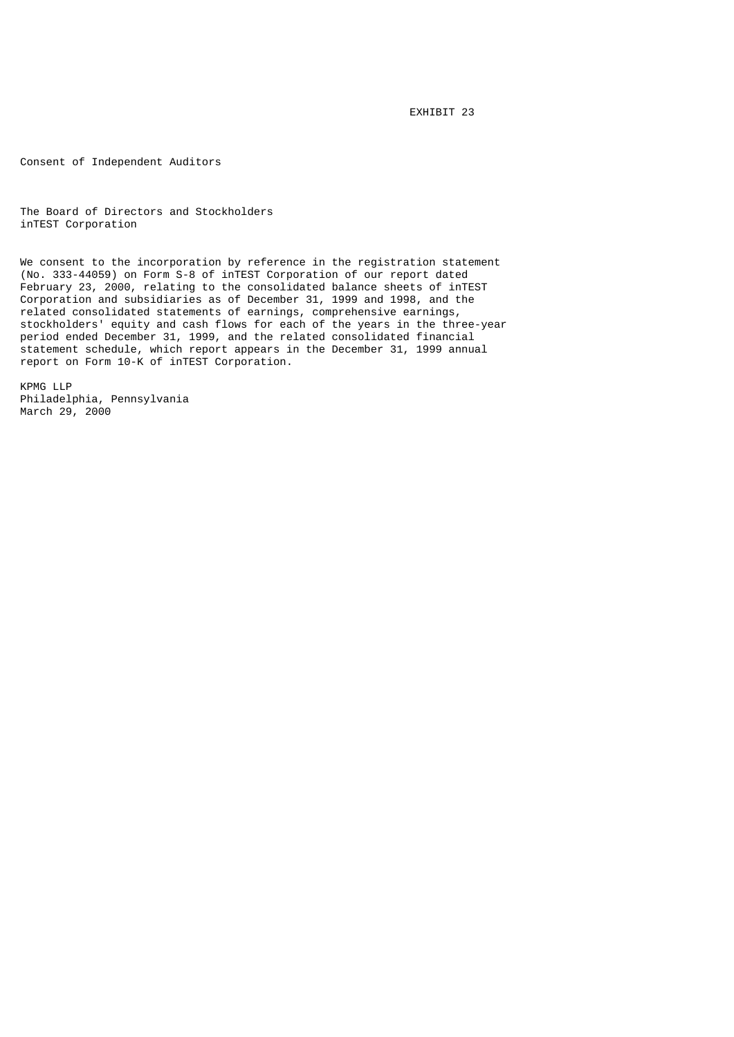EXHIBIT 23

Consent of Independent Auditors

The Board of Directors and Stockholders inTEST Corporation

We consent to the incorporation by reference in the registration statement (No. 333-44059) on Form S-8 of inTEST Corporation of our report dated February 23, 2000, relating to the consolidated balance sheets of inTEST Corporation and subsidiaries as of December 31, 1999 and 1998, and the related consolidated statements of earnings, comprehensive earnings, stockholders' equity and cash flows for each of the years in the three-year period ended December 31, 1999, and the related consolidated financial statement schedule, which report appears in the December 31, 1999 annual report on Form 10-K of inTEST Corporation.

KPMG LLP Philadelphia, Pennsylvania March 29, 2000